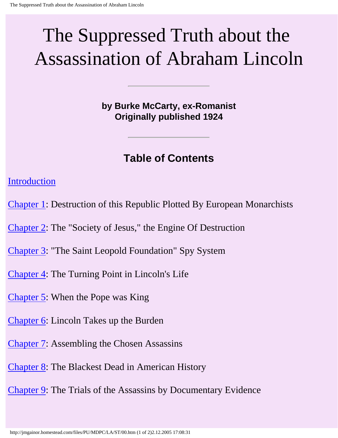# <span id="page-0-0"></span>The Suppressed Truth about the Assassination of Abraham Lincoln

**by Burke McCarty, ex-Romanist Originally published 1924**

### **Table of Contents**

[Introduction](#page-2-0)

- [Chapter 1:](#page-5-0) Destruction of this Republic Plotted By European Monarchists
- [Chapter 2:](#page-13-0) The "Society of Jesus," the Engine Of Destruction
- [Chapter 3:](#page-21-0) "The Saint Leopold Foundation" Spy System
- [Chapter 4:](#page-32-0) The Turning Point in Lincoln's Life
- [Chapter 5:](#page-48-0) When the Pope was King
- [Chapter 6:](#page-59-0) Lincoln Takes up the Burden
- [Chapter 7:](#page-72-0) Assembling the Chosen Assassins
- [Chapter 8:](#page-92-0) The Blackest Dead in American History
- [Chapter 9:](#page-102-0) The Trials of the Assassins by Documentary Evidence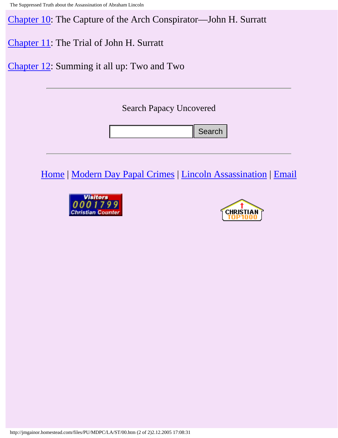#### [Chapter 10:](#page-118-0) The Capture of the Arch Conspirator—John H. Surratt

#### [Chapter 11:](#page-148-0) The Trial of John H. Surratt

#### [Chapter 12:](#page-168-0) Summing it all up: Two and Two

Search Papacy Uncovered

[Home](http://jmgainor.homestead.com/files/PU/PU.htm) | [Modern Day Papal Crimes](http://jmgainor.homestead.com/files/PU/MDPC/MDPC.htm) | [Lincoln Assassination](http://jmgainor.homestead.com/files/PU/MDPC/LA/LA.htm) | [Email](mailto:PapacyUncovered@ec.rr.com) || Search<br>
http://jmgainor.homestead.com/files/PU/MDPC/LA/ST/00.htm (2 of 2)2.12.2005 17:08:31<br>
|-<br>|-<br>|-<br>|http://jmgainor.homestead.com/files/PU/MDPC/LA/ST/00.htm (2 of 2)2.12.2005 17:08:31



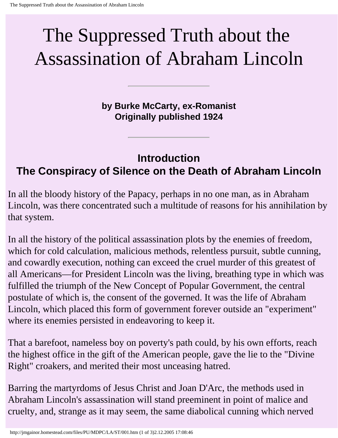# <span id="page-2-0"></span>The Suppressed Truth about the Assassination of Abraham Lincoln

**by Burke McCarty, ex-Romanist Originally published 1924**

### **Introduction The Conspiracy of Silence on the Death of Abraham Lincoln**

In all the bloody history of the Papacy, perhaps in no one man, as in Abraham Lincoln, was there concentrated such a multitude of reasons for his annihilation by that system.

In all the history of the political assassination plots by the enemies of freedom, which for cold calculation, malicious methods, relentless pursuit, subtle cunning, and cowardly execution, nothing can exceed the cruel murder of this greatest of all Americans—for President Lincoln was the living, breathing type in which was fulfilled the triumph of the New Concept of Popular Government, the central postulate of which is, the consent of the governed. It was the life of Abraham Lincoln, which placed this form of government forever outside an "experiment" where its enemies persisted in endeavoring to keep it.

That a barefoot, nameless boy on poverty's path could, by his own efforts, reach the highest office in the gift of the American people, gave the lie to the "Divine Right" croakers, and merited their most unceasing hatred.

Barring the martyrdoms of Jesus Christ and Joan D'Arc, the methods used in Abraham Lincoln's assassination will stand preeminent in point of malice and cruelty, and, strange as it may seem, the same diabolical cunning which nerved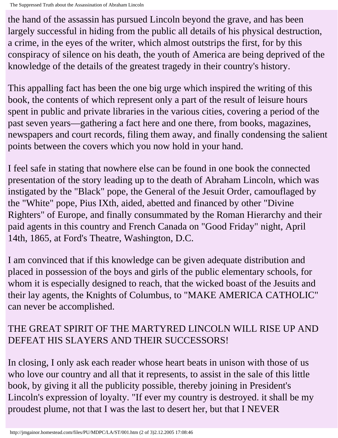the hand of the assassin has pursued Lincoln beyond the grave, and has been largely successful in hiding from the public all details of his physical destruction, a crime, in the eyes of the writer, which almost outstrips the first, for by this conspiracy of silence on his death, the youth of America are being deprived of the knowledge of the details of the greatest tragedy in their country's history.

This appalling fact has been the one big urge which inspired the writing of this book, the contents of which represent only a part of the result of leisure hours spent in public and private libraries in the various cities, covering a period of the past seven years—gathering a fact here and one there, from books, magazines, newspapers and court records, filing them away, and finally condensing the salient points between the covers which you now hold in your hand.

I feel safe in stating that nowhere else can be found in one book the connected presentation of the story leading up to the death of Abraham Lincoln, which was instigated by the "Black" pope, the General of the Jesuit Order, camouflaged by the "White" pope, Pius IXth, aided, abetted and financed by other "Divine Righters" of Europe, and finally consummated by the Roman Hierarchy and their paid agents in this country and French Canada on "Good Friday" night, April 14th, 1865, at Ford's Theatre, Washington, D.C.

I am convinced that if this knowledge can be given adequate distribution and placed in possession of the boys and girls of the public elementary schools, for whom it is especially designed to reach, that the wicked boast of the Jesuits and their lay agents, the Knights of Columbus, to "MAKE AMERICA CATHOLIC" can never be accomplished.

#### THE GREAT SPIRIT OF THE MARTYRED LINCOLN WILL RISE UP AND DEFEAT HIS SLAYERS AND THEIR SUCCESSORS!

In closing, I only ask each reader whose heart beats in unison with those of us who love our country and all that it represents, to assist in the sale of this little book, by giving it all the publicity possible, thereby joining in President's Lincoln's expression of loyalty. "If ever my country is destroyed. it shall be my proudest plume, not that I was the last to desert her, but that I NEVER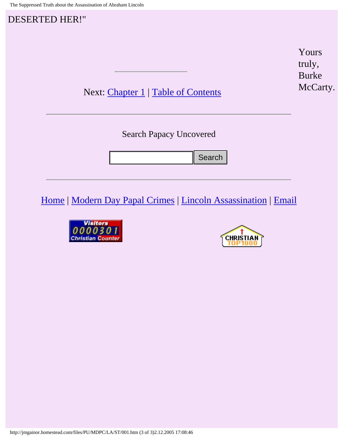

[Home](http://jmgainor.homestead.com/files/PU/PU.htm) | [Modern Day Papal Crimes](http://jmgainor.homestead.com/files/PU/MDPC/MDPC.htm) | [Lincoln Assassination](http://jmgainor.homestead.com/files/PU/MDPC/LA/LA.htm) | [Email](mailto:PapacyUncovered@ec.rr.com)



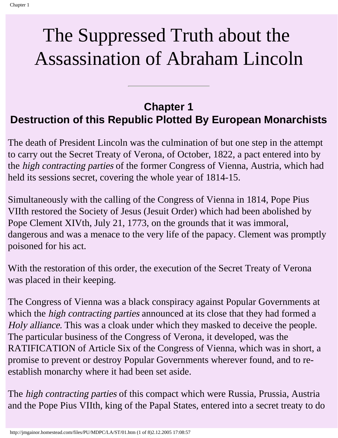# <span id="page-5-0"></span>The Suppressed Truth about the Assassination of Abraham Lincoln

#### **Chapter 1 Destruction of this Republic Plotted By European Monarchists**

The death of President Lincoln was the culmination of but one step in the attempt to carry out the Secret Treaty of Verona, of October, 1822, a pact entered into by the high contracting parties of the former Congress of Vienna, Austria, which had held its sessions secret, covering the whole year of 1814-15.

Simultaneously with the calling of the Congress of Vienna in 1814, Pope Pius VIIth restored the Society of Jesus (Jesuit Order) which had been abolished by Pope Clement XIVth, July 21, 1773, on the grounds that it was immoral, dangerous and was a menace to the very life of the papacy. Clement was promptly poisoned for his act.

With the restoration of this order, the execution of the Secret Treaty of Verona was placed in their keeping.

The Congress of Vienna was a black conspiracy against Popular Governments at which the *high contracting parties* announced at its close that they had formed a Holy alliance. This was a cloak under which they masked to deceive the people. The particular business of the Congress of Verona, it developed, was the RATIFICATION of Article Six of the Congress of Vienna, which was in short, a promise to prevent or destroy Popular Governments wherever found, and to reestablish monarchy where it had been set aside.

The *high contracting parties* of this compact which were Russia, Prussia, Austria and the Pope Pius VIIth, king of the Papal States, entered into a secret treaty to do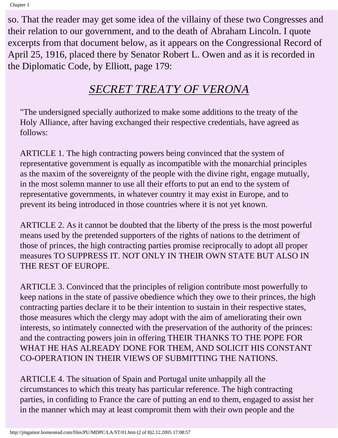so. That the reader may get some idea of the villainy of these two Congresses and their relation to our government, and to the death of Abraham Lincoln. I quote excerpts from that document below, as it appears on the Congressional Record of April 25, 1916, placed there by Senator Robert L. Owen and as it is recorded in the Diplomatic Code, by Elliott, page 179:

## SECRET TREATY OF VERONA

"The undersigned specially authorized to make some additions to the treaty of the Holy Alliance, after having exchanged their respective credentials, have agreed as follows:

ARTICLE 1. The high contracting powers being convinced that the system of representative government is equally as incompatible with the monarchial principles as the maxim of the sovereignty of the people with the divine right, engage mutually, in the most solemn manner to use all their efforts to put an end to the system of representative governments, in whatever country it may exist in Europe, and to prevent its being introduced in those countries where it is not yet known.

ARTICLE 2. As it cannot be doubted that the liberty of the press is the most powerful means used by the pretended supporters of the rights of nations to the detriment of those of princes, the high contracting parties promise reciprocally to adopt all proper measures TO SUPPRESS IT. NOT ONLY IN THEIR OWN STATE BUT ALSO IN THE REST OF EUROPE.

ARTICLE 3. Convinced that the principles of religion contribute most powerfully to keep nations in the state of passive obedience which they owe to their princes, the high contracting parties declare it to be their intention to sustain in their respective states, those measures which the clergy may adopt with the aim of ameliorating their own interests, so intimately connected with the preservation of the authority of the princes: and the contracting powers join in offering THEIR THANKS TO THE POPE FOR WHAT HE HAS ALREADY DONE FOR THEM, AND SOLICIT HIS CONSTANT CO-OPERATION IN THEIR VIEWS OF SUBMITTING THE NATIONS.

ARTICLE 4. The situation of Spain and Portugal unite unhappily all the circumstances to which this treaty has particular reference. The high contracting parties, in confiding to France the care of putting an end to them, engaged to assist her in the manner which may at least compromit them with their own people and the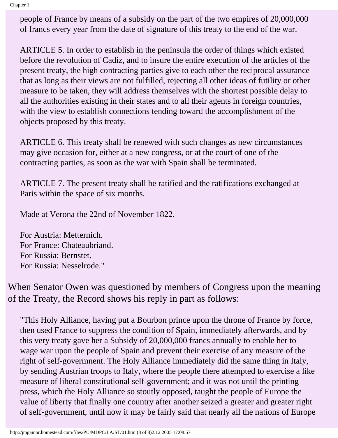people of France by means of a subsidy on the part of the two empires of 20,000,000 of francs every year from the date of signature of this treaty to the end of the war.

ARTICLE 5. In order to establish in the peninsula the order of things which existed before the revolution of Cadiz, and to insure the entire execution of the articles of the present treaty, the high contracting parties give to each other the reciprocal assurance that as long as their views are not fulfilled, rejecting all other ideas of futility or other measure to be taken, they will address themselves with the shortest possible delay to all the authorities existing in their states and to all their agents in foreign countries, with the view to establish connections tending toward the accomplishment of the objects proposed by this treaty.

ARTICLE 6. This treaty shall be renewed with such changes as new circumstances may give occasion for, either at a new congress, or at the court of one of the contracting parties, as soon as the war with Spain shall be terminated.

ARTICLE 7. The present treaty shall be ratified and the ratifications exchanged at Paris within the space of six months.

Made at Verona the 22nd of November 1822.

For Austria: Metternich. For France: Chateaubriand. For Russia: Bernstet. For Russia: Nesselrode."

When Senator Owen was questioned by members of Congress upon the meaning of the Treaty, the Record shows his reply in part as follows:

"This Holy Alliance, having put a Bourbon prince upon the throne of France by force, then used France to suppress the condition of Spain, immediately afterwards, and by this very treaty gave her a Subsidy of 20,000,000 francs annually to enable her to wage war upon the people of Spain and prevent their exercise of any measure of the right of self-govermnent. The Holy Alliance immediately did the same thing in Italy, by sending Austrian troops to Italy, where the people there attempted to exercise a like measure of liberal constitutional self-government; and it was not until the printing press, which the Holy Alliance so stoutly opposed, taught the people of Europe the value of liberty that finally one country after another seized a greater and greater right of self-government, until now it may be fairly said that nearly all the nations of Europe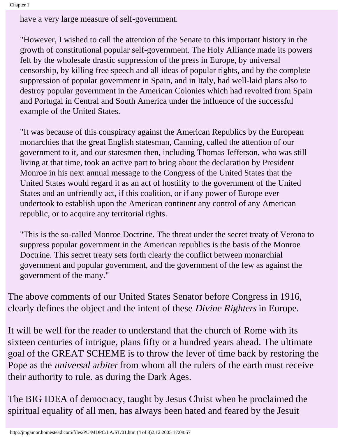have a very large measure of self-government.

"However, I wished to call the attention of the Senate to this important history in the growth of constitutional popular self-government. The Holy Alliance made its powers felt by the wholesale drastic suppression of the press in Europe, by universal censorship, by killing free speech and all ideas of popular rights, and by the complete suppression of popular government in Spain, and in Italy, had well-laid plans also to destroy popular government in the American Colonies which had revolted from Spain and Portugal in Central and South America under the influence of the successful example of the United States.

"It was because of this conspiracy against the American Republics by the European monarchies that the great English statesman, Canning, called the attention of our government to it, and our statesmen then, including Thomas Jefferson, who was still living at that time, took an active part to bring about the declaration by President Monroe in his next annual message to the Congress of the United States that the United States would regard it as an act of hostility to the government of the United States and an unfriendly act, if this coalition, or if any power of Europe ever undertook to establish upon the American continent any control of any American republic, or to acquire any territorial rights.

"This is the so-called Monroe Doctrine. The threat under the secret treaty of Verona to suppress popular government in the American republics is the basis of the Monroe Doctrine. This secret treaty sets forth clearly the conflict between monarchial government and popular government, and the government of the few as against the government of the many."

The above comments of our United States Senator before Congress in 1916, clearly defines the object and the intent of these Divine Righters in Europe.

It will be well for the reader to understand that the church of Rome with its sixteen centuries of intrigue, plans fifty or a hundred years ahead. The ultimate goal of the GREAT SCHEME is to throw the lever of time back by restoring the Pope as the universal arbiter from whom all the rulers of the earth must receive their authority to rule. as during the Dark Ages.

The BIG IDEA of democracy, taught by Jesus Christ when he proclaimed the spiritual equality of all men, has always been hated and feared by the Jesuit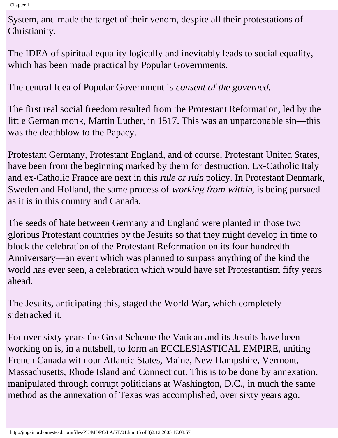System, and made the target of their venom, despite all their protestations of Christianity.

The IDEA of spiritual equality logically and inevitably leads to social equality, which has been made practical by Popular Governments.

The central Idea of Popular Government is consent of the governed.

The first real social freedom resulted from the Protestant Reformation, led by the little German monk, Martin Luther, in 1517. This was an unpardonable sin—this was the deathblow to the Papacy.

Protestant Germany, Protestant England, and of course, Protestant United States, have been from the beginning marked by them for destruction. Ex-Catholic Italy and ex-Catholic France are next in this rule or ruin policy. In Protestant Denmark, Sweden and Holland, the same process of working from within, is being pursued as it is in this country and Canada.

The seeds of hate between Germany and England were planted in those two glorious Protestant countries by the Jesuits so that they might develop in time to block the celebration of the Protestant Reformation on its four hundredth Anniversary—an event which was planned to surpass anything of the kind the world has ever seen, a celebration which would have set Protestantism fifty years ahead.

The Jesuits, anticipating this, staged the World War, which completely sidetracked it.

For over sixty years the Great Scheme the Vatican and its Jesuits have been working on is, in a nutshell, to form an ECCLESIASTICAL EMPIRE, uniting French Canada with our Atlantic States, Maine, New Hampshire, Vermont, Massachusetts, Rhode Island and Connecticut. This is to be done by annexation, manipulated through corrupt politicians at Washington, D.C., in much the same method as the annexation of Texas was accomplished, over sixty years ago.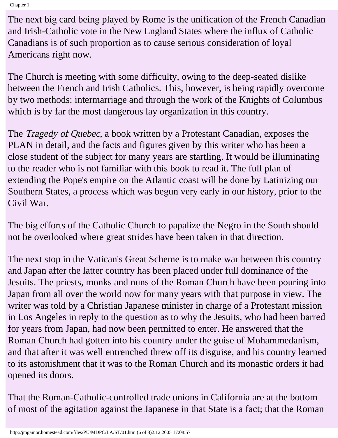The next big card being played by Rome is the unification of the French Canadian and Irish-Catholic vote in the New England States where the influx of Catholic Canadians is of such proportion as to cause serious consideration of loyal Americans right now.

The Church is meeting with some difficulty, owing to the deep-seated dislike between the French and Irish Catholics. This, however, is being rapidly overcome by two methods: intermarriage and through the work of the Knights of Columbus which is by far the most dangerous lay organization in this country.

The Tragedy of Quebec, a book written by a Protestant Canadian, exposes the PLAN in detail, and the facts and figures given by this writer who has been a close student of the subject for many years are startling. It would be illuminating to the reader who is not familiar with this book to read it. The full plan of extending the Pope's empire on the Atlantic coast will be done by Latinizing our Southern States, a process which was begun very early in our history, prior to the Civil War.

The big efforts of the Catholic Church to papalize the Negro in the South should not be overlooked where great strides have been taken in that direction.

The next stop in the Vatican's Great Scheme is to make war between this country and Japan after the latter country has been placed under full dominance of the Jesuits. The priests, monks and nuns of the Roman Church have been pouring into Japan from all over the world now for many years with that purpose in view. The writer was told by a Christian Japanese minister in charge of a Protestant mission in Los Angeles in reply to the question as to why the Jesuits, who had been barred for years from Japan, had now been permitted to enter. He answered that the Roman Church had gotten into his country under the guise of Mohammedanism, and that after it was well entrenched threw off its disguise, and his country learned to its astonishment that it was to the Roman Church and its monastic orders it had opened its doors.

That the Roman-Catholic-controlled trade unions in California are at the bottom of most of the agitation against the Japanese in that State is a fact; that the Roman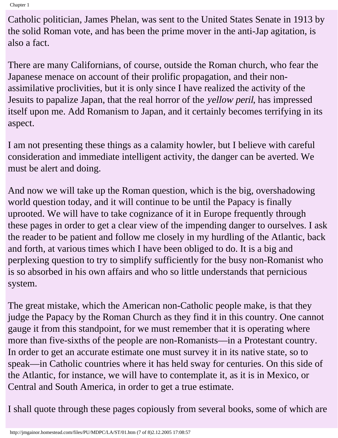```
Chapter 1
```
Catholic politician, James Phelan, was sent to the United States Senate in 1913 by the solid Roman vote, and has been the prime mover in the anti-Jap agitation, is also a fact.

There are many Californians, of course, outside the Roman church, who fear the Japanese menace on account of their prolific propagation, and their nonassimilative proclivities, but it is only since I have realized the activity of the Jesuits to papalize Japan, that the real horror of the yellow peril, has impressed itself upon me. Add Romanism to Japan, and it certainly becomes terrifying in its aspect.

I am not presenting these things as a calamity howler, but I believe with careful consideration and immediate intelligent activity, the danger can be averted. We must be alert and doing.

And now we will take up the Roman question, which is the big, overshadowing world question today, and it will continue to be until the Papacy is finally uprooted. We will have to take cognizance of it in Europe frequently through these pages in order to get a clear view of the impending danger to ourselves. I ask the reader to be patient and follow me closely in my hurdling of the Atlantic, back and forth, at various times which I have been obliged to do. It is a big and perplexing question to try to simplify sufficiently for the busy non-Romanist who is so absorbed in his own affairs and who so little understands that pernicious system.

The great mistake, which the American non-Catholic people make, is that they judge the Papacy by the Roman Church as they find it in this country. One cannot gauge it from this standpoint, for we must remember that it is operating where more than five-sixths of the people are non-Romanists—in a Protestant country. In order to get an accurate estimate one must survey it in its native state, so to speak—in Catholic countries where it has held sway for centuries. On this side of the Atlantic, for instance, we will have to contemplate it, as it is in Mexico, or Central and South America, in order to get a true estimate.

I shall quote through these pages copiously from several books, some of which are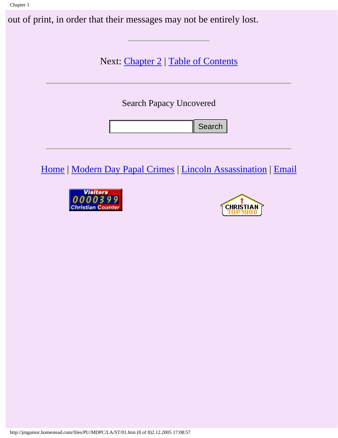out of print, in order that their messages may not be entirely lost.

Next: [Chapter 2](#page-13-0) | [Table of Contents](#page-0-0)

Search Papacy Uncovered



[Home](http://jmgainor.homestead.com/files/PU/PU.htm) | [Modern Day Papal Crimes](http://jmgainor.homestead.com/files/PU/MDPC/MDPC.htm) | [Lincoln Assassination](http://jmgainor.homestead.com/files/PU/MDPC/LA/LA.htm) | [Email](mailto:PapacyUncovered@ec.rr.com) Home | Modern Day Papal Crimes | Lincoln As<br>
0000399<br>
Christian Counter<br>
1<br>
Map://jmgainor.homestead.com/files/PU/MDPC/LA/ST/01.htm (8 of 8)2.12.2005 17:08:57<br>
Map://jmgainor.homestead.com/files/PU/MDPC/LA/ST/01.htm (8 of



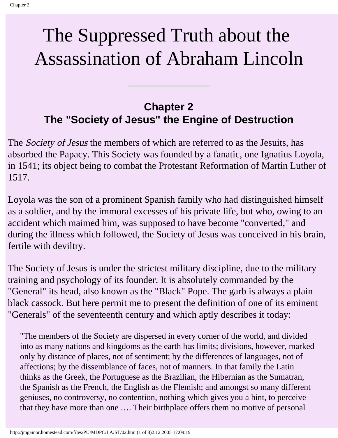# <span id="page-13-0"></span>The Suppressed Truth about the Assassination of Abraham Lincoln

### **Chapter 2 The "Society of Jesus" the Engine of Destruction**

The *Society of Jesus* the members of which are referred to as the Jesuits, has absorbed the Papacy. This Society was founded by a fanatic, one Ignatius Loyola, in 1541; its object being to combat the Protestant Reformation of Martin Luther of 1517.

Loyola was the son of a prominent Spanish family who had distinguished himself as a soldier, and by the immoral excesses of his private life, but who, owing to an accident which maimed him, was supposed to have become "converted," and during the illness which followed, the Society of Jesus was conceived in his brain, fertile with deviltry.

The Society of Jesus is under the strictest military discipline, due to the military training and psychology of its founder. It is absolutely commanded by the "General" its head, also known as the "Black" Pope. The garb is always a plain black cassock. But here permit me to present the definition of one of its eminent "Generals" of the seventeenth century and which aptly describes it today:

"The members of the Society are dispersed in every corner of the world, and divided into as many nations and kingdoms as the earth has limits; divisions, however, marked only by distance of places, not of sentiment; by the differences of languages, not of affections; by the dissemblance of faces, not of manners. In that family the Latin thinks as the Greek, the Portuguese as the Brazilian, the Hibernian as the Sumatran, the Spanish as the French, the English as the Flemish; and amongst so many different geniuses, no controversy, no contention, nothing which gives you a hint, to perceive that they have more than one …. Their birthplace offers them no motive of personal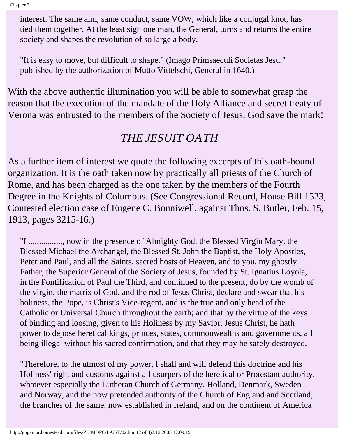interest. The same aim, same conduct, same VOW, which like a conjugal knot, has tied them together. At the least sign one man, the General, turns and returns the entire society and shapes the revolution of so large a body.

"It is easy to move, but difficult to shape." (Imago Primsaeculi Societas Jesu," published by the authorization of Mutto Vittelschi, General in 1640.)

With the above authentic illumination you will be able to somewhat grasp the reason that the execution of the mandate of the Holy Alliance and secret treaty of Verona was entrusted to the members of the Society of Jesus. God save the mark!

#### THE JESUIT OATH

As a further item of interest we quote the following excerpts of this oath-bound organization. It is the oath taken now by practically all priests of the Church of Rome, and has been charged as the one taken by the members of the Fourth Degree in the Knights of Columbus. (See Congressional Record, House Bill 1523, Contested election case of Eugene C. Bonniwell, against Thos. S. Butler, Feb. 15, 1913, pages 3215-16.)

"I ................, now in the presence of Almighty God, the Blessed Virgin Mary, the Blessed Michael the Archangel, the Blessed St. John the Baptist, the Holy Apostles, Peter and Paul, and all the Saints, sacred hosts of Heaven, and to you, my ghostly Father, the Superior General of the Society of Jesus, founded by St. Ignatius Loyola, in the Pontification of Paul the Third, and continued to the present, do by the womb of the virgin, the matrix of God, and the rod of Jesus Christ, declare and swear that his holiness, the Pope, is Christ's Vice-regent, and is the true and only head of the Catholic or Universal Church throughout the earth; and that by the virtue of the keys of binding and loosing, given to his Holiness by my Savior, Jesus Christ, he hath power to depose heretical kings, princes, states, commonwealths and governments, all being illegal without his sacred confirmation, and that they may be safely destroyed.

"Therefore, to the utmost of my power, I shall and will defend this doctrine and his Holiness' right and customs against all usurpers of the heretical or Protestant authority, whatever especially the Lutheran Church of Germany, Holland, Denmark, Sweden and Norway, and the now pretended authority of the Church of England and Scotland, the branches of the same, now established in Ireland, and on the continent of America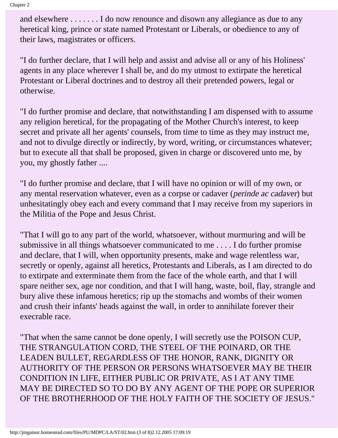and elsewhere . . . . . . . I do now renounce and disown any allegiance as due to any heretical king, prince or state named Protestant or Liberals, or obedience to any of their laws, magistrates or officers.

"I do further declare, that I will help and assist and advise all or any of his Holiness' agents in any place wherever I shall be, and do my utmost to extirpate the heretical Protestant or Liberal doctrines and to destroy all their pretended powers, legal or otherwise.

"I do further promise and declare, that notwithstanding I am dispensed with to assume any religion heretical, for the propagating of the Mother Church's interest, to keep secret and private all her agents' counsels, from time to time as they may instruct me, and not to divulge directly or indirectly, by word, writing, or circumstances whatever; but to execute all that shall be proposed, given in charge or discovered unto me, by you, my ghostly father ....

"I do further promise and declare, that I will have no opinion or will of my own, or any mental reservation whatever, even as a corpse or cadaver (perinde ac cadaver) but unhesitatingly obey each and every command that I may receive from my superiors in the Militia of the Pope and Jesus Christ.

"That I will go to any part of the world, whatsoever, without murmuring and will be submissive in all things whatsoever communicated to me . . . . I do further promise and declare, that I will, when opportunity presents, make and wage relentless war, secretly or openly, against all heretics, Protestants and Liberals, as I am directed to do to extirpate and exterminate them from the face of the whole earth, and that I will spare neither sex, age nor condition, and that I will hang, waste, boil, flay, strangle and bury alive these infamous heretics; rip up the stomachs and wombs of their women and crush their infants' heads against the wall, in order to annihilate forever their execrable race.

"That when the same cannot be done openly, I will secretly use the POISON CUP, THE STRANGULATION CORD, THE STEEL OF THE POINARD, OR THE LEADEN BULLET, REGARDLESS OF THE HONOR, RANK, DIGNITY OR AUTHORITY OF THE PERSON OR PERSONS WHATSOEVER MAY BE THEIR CONDITION IN LIFE, EITHER PUBLIC OR PRIVATE, AS I AT ANY TIME MAY BE DIRECTED SO TO DO BY ANY AGENT OF THE POPE OR SUPERIOR OF THE BROTHERHOOD OF THE HOLY FAITH OF THE SOCIETY OF JESUS."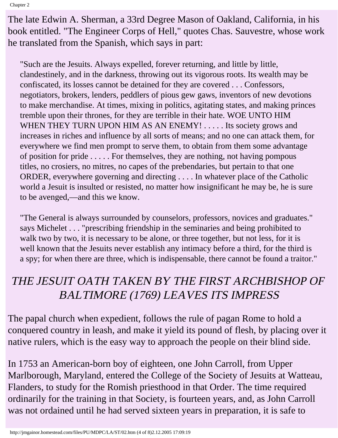The late Edwin A. Sherman, a 33rd Degree Mason of Oakland, California, in his book entitled. "The Engineer Corps of Hell," quotes Chas. Sauvestre, whose work he translated from the Spanish, which says in part:

"Such are the Jesuits. Always expelled, forever returning, and little by little, clandestinely, and in the darkness, throwing out its vigorous roots. Its wealth may be confiscated, its losses cannot be detained for they are covered . . . Confessors, negotiators, brokers, lenders, peddlers of pious gew gaws, inventors of new devotions to make merchandise. At times, mixing in politics, agitating states, and making princes tremble upon their thrones, for they are terrible in their hate. WOE UNTO HIM WHEN THEY TURN UPON HIM AS AN ENEMY! . . . . . Its society grows and increases in riches and influence by all sorts of means; and no one can attack them, for everywhere we find men prompt to serve them, to obtain from them some advantage of position for pride . . . . . For themselves, they are nothing, not having pompous titles, no crosiers, no mitres, no capes of the prebendaries, but pertain to that one ORDER, everywhere governing and directing . . . . In whatever place of the Catholic world a Jesuit is insulted or resisted, no matter how insignificant he may be, he is sure to be avenged,—and this we know.

"The General is always surrounded by counselors, professors, novices and graduates." says Michelet . . . "prescribing friendship in the seminaries and being prohibited to walk two by two, it is necessary to be alone, or three together, but not less, for it is well known that the Jesuits never establish any intimacy before a third, for the third is a spy; for when there are three, which is indispensable, there cannot be found a traitor."

## THE JESUIT OATH TAKEN BY THE FIRST ARCHBISHOP OF BALTIMORE (1769) LEAVES ITS IMPRESS

The papal church when expedient, follows the rule of pagan Rome to hold a conquered country in leash, and make it yield its pound of flesh, by placing over it native rulers, which is the easy way to approach the people on their blind side.

In 1753 an American-born boy of eighteen, one John Carroll, from Upper Marlborough, Maryland, entered the College of the Society of Jesuits at Watteau, Flanders, to study for the Romish priesthood in that Order. The time required ordinarily for the training in that Society, is fourteen years, and, as John Carroll was not ordained until he had served sixteen years in preparation, it is safe to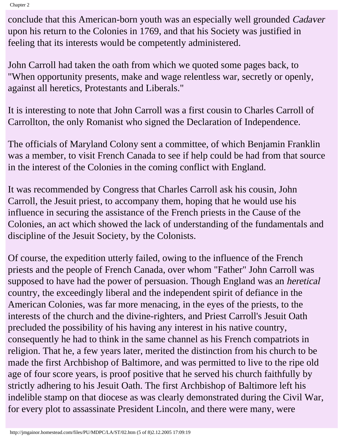conclude that this American-born youth was an especially well grounded Cadaver upon his return to the Colonies in 1769, and that his Society was justified in feeling that its interests would be competently administered.

John Carroll had taken the oath from which we quoted some pages back, to "When opportunity presents, make and wage relentless war, secretly or openly, against all heretics, Protestants and Liberals."

It is interesting to note that John Carroll was a first cousin to Charles Carroll of Carrollton, the only Romanist who signed the Declaration of Independence.

The officials of Maryland Colony sent a committee, of which Benjamin Franklin was a member, to visit French Canada to see if help could be had from that source in the interest of the Colonies in the coming conflict with England.

It was recommended by Congress that Charles Carroll ask his cousin, John Carroll, the Jesuit priest, to accompany them, hoping that he would use his influence in securing the assistance of the French priests in the Cause of the Colonies, an act which showed the lack of understanding of the fundamentals and discipline of the Jesuit Society, by the Colonists.

Of course, the expedition utterly failed, owing to the influence of the French priests and the people of French Canada, over whom "Father" John Carroll was supposed to have had the power of persuasion. Though England was an heretical country, the exceedingly liberal and the independent spirit of defiance in the American Colonies, was far more menacing, in the eyes of the priests, to the interests of the church and the divine-righters, and Priest Carroll's Jesuit Oath precluded the possibility of his having any interest in his native country, consequently he had to think in the same channel as his French compatriots in religion. That he, a few years later, merited the distinction from his church to be made the first Archbishop of Baltimore, and was permitted to live to the ripe old age of four score years, is proof positive that he served his church faithfully by strictly adhering to his Jesuit Oath. The first Archbishop of Baltimore left his indelible stamp on that diocese as was clearly demonstrated during the Civil War, for every plot to assassinate President Lincoln, and there were many, were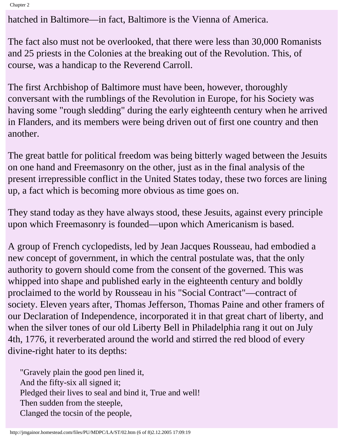hatched in Baltimore—in fact, Baltimore is the Vienna of America.

The fact also must not be overlooked, that there were less than 30,000 Romanists and 25 priests in the Colonies at the breaking out of the Revolution. This, of course, was a handicap to the Reverend Carroll.

The first Archbishop of Baltimore must have been, however, thoroughly conversant with the rumblings of the Revolution in Europe, for his Society was having some "rough sledding" during the early eighteenth century when he arrived in Flanders, and its members were being driven out of first one country and then another.

The great battle for political freedom was being bitterly waged between the Jesuits on one hand and Freemasonry on the other, just as in the final analysis of the present irrepressible conflict in the United States today, these two forces are lining up, a fact which is becoming more obvious as time goes on.

They stand today as they have always stood, these Jesuits, against every principle upon which Freemasonry is founded—upon which Americanism is based.

A group of French cyclopedists, led by Jean Jacques Rousseau, had embodied a new concept of government, in which the central postulate was, that the only authority to govern should come from the consent of the governed. This was whipped into shape and published early in the eighteenth century and boldly proclaimed to the world by Rousseau in his "Social Contract"—contract of society. Eleven years after, Thomas Jefferson, Thomas Paine and other framers of our Declaration of Independence, incorporated it in that great chart of liberty, and when the silver tones of our old Liberty Bell in Philadelphia rang it out on July 4th, 1776, it reverberated around the world and stirred the red blood of every divine-right hater to its depths:

"Gravely plain the good pen lined it, And the fifty-six all signed it; Pledged their lives to seal and bind it, True and well! Then sudden from the steeple, Clanged the tocsin of the people,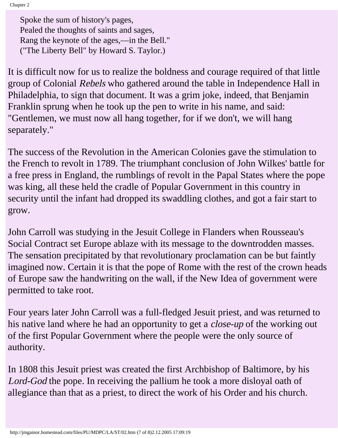Spoke the sum of history's pages, Pealed the thoughts of saints and sages, Rang the keynote of the ages,—in the Bell." ("The Liberty Bell" by Howard S. Taylor.)

It is difficult now for us to realize the boldness and courage required of that little group of Colonial Rebels who gathered around the table in Independence Hall in Philadelphia, to sign that document. It was a grim joke, indeed, that Benjamin Franklin sprung when he took up the pen to write in his name, and said: "Gentlemen, we must now all hang together, for if we don't, we will hang separately."

The success of the Revolution in the American Colonies gave the stimulation to the French to revolt in 1789. The triumphant conclusion of John Wilkes' battle for a free press in England, the rumblings of revolt in the Papal States where the pope was king, all these held the cradle of Popular Government in this country in security until the infant had dropped its swaddling clothes, and got a fair start to grow.

John Carroll was studying in the Jesuit College in Flanders when Rousseau's Social Contract set Europe ablaze with its message to the downtrodden masses. The sensation precipitated by that revolutionary proclamation can be but faintly imagined now. Certain it is that the pope of Rome with the rest of the crown heads of Europe saw the handwriting on the wall, if the New Idea of government were permitted to take root.

Four years later John Carroll was a full-fledged Jesuit priest, and was returned to his native land where he had an opportunity to get a close-up of the working out of the first Popular Government where the people were the only source of authority.

In 1808 this Jesuit priest was created the first Archbishop of Baltimore, by his Lord-God the pope. In receiving the pallium he took a more disloyal oath of allegiance than that as a priest, to direct the work of his Order and his church.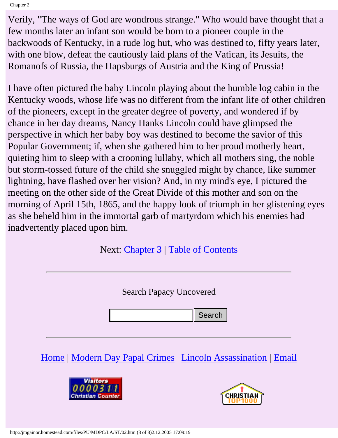Verily, "The ways of God are wondrous strange." Who would have thought that a few months later an infant son would be born to a pioneer couple in the backwoods of Kentucky, in a rude log hut, who was destined to, fifty years later, with one blow, defeat the cautiously laid plans of the Vatican, its Jesuits, the Romanofs of Russia, the Hapsburgs of Austria and the King of Prussia!

I have often pictured the baby Lincoln playing about the humble log cabin in the Kentucky woods, whose life was no different from the infant life of other children of the pioneers, except in the greater degree of poverty, and wondered if by chance in her day dreams, Nancy Hanks Lincoln could have glimpsed the perspective in which her baby boy was destined to become the savior of this Popular Government; if, when she gathered him to her proud motherly heart, quieting him to sleep with a crooning lullaby, which all mothers sing, the noble but storm-tossed future of the child she snuggled might by chance, like summer lightning, have flashed over her vision? And, in my mind's eye, I pictured the meeting on the other side of the Great Divide of this mother and son on the morning of April 15th, 1865, and the happy look of triumph in her glistening eyes as she beheld him in the immortal garb of martyrdom which his enemies had inadvertently placed upon him.

Next: [Chapter 3](#page-21-0) | [Table of Contents](#page-0-0)

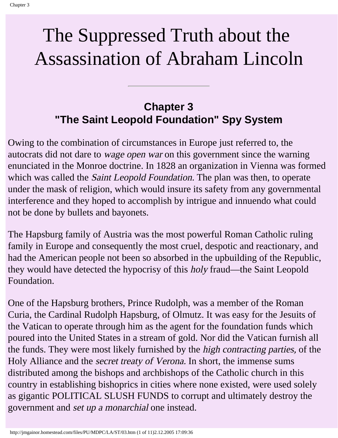# <span id="page-21-0"></span>The Suppressed Truth about the Assassination of Abraham Lincoln

## **Chapter 3 "The Saint Leopold Foundation" Spy System**

Owing to the combination of circumstances in Europe just referred to, the autocrats did not dare to wage open war on this government since the warning enunciated in the Monroe doctrine. In 1828 an organization in Vienna was formed which was called the *Saint Leopold Foundation*. The plan was then, to operate under the mask of religion, which would insure its safety from any governmental interference and they hoped to accomplish by intrigue and innuendo what could not be done by bullets and bayonets.

The Hapsburg family of Austria was the most powerful Roman Catholic ruling family in Europe and consequently the most cruel, despotic and reactionary, and had the American people not been so absorbed in the upbuilding of the Republic, they would have detected the hypocrisy of this holy fraud—the Saint Leopold Foundation.

One of the Hapsburg brothers, Prince Rudolph, was a member of the Roman Curia, the Cardinal Rudolph Hapsburg, of Olmutz. It was easy for the Jesuits of the Vatican to operate through him as the agent for the foundation funds which poured into the United States in a stream of gold. Nor did the Vatican furnish all the funds. They were most likely furnished by the high contracting parties, of the Holy Alliance and the secret treaty of Verona. In short, the immense sums distributed among the bishops and archbishops of the Catholic church in this country in establishing bishoprics in cities where none existed, were used solely as gigantic POLITICAL SLUSH FUNDS to corrupt and ultimately destroy the government and set up a monarchial one instead.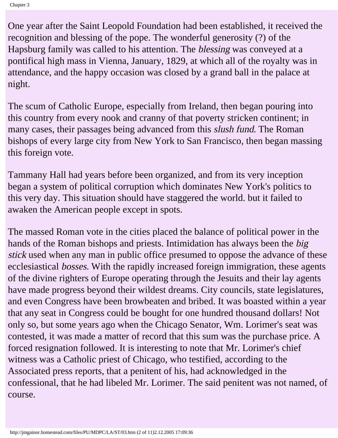```
Chapter 3
```
One year after the Saint Leopold Foundation had been established, it received the recognition and blessing of the pope. The wonderful generosity (?) of the Hapsburg family was called to his attention. The blessing was conveyed at a pontifical high mass in Vienna, January, 1829, at which all of the royalty was in attendance, and the happy occasion was closed by a grand ball in the palace at night.

The scum of Catholic Europe, especially from Ireland, then began pouring into this country from every nook and cranny of that poverty stricken continent; in many cases, their passages being advanced from this slush fund. The Roman bishops of every large city from New York to San Francisco, then began massing this foreign vote.

Tammany Hall had years before been organized, and from its very inception began a system of political corruption which dominates New York's politics to this very day. This situation should have staggered the world. but it failed to awaken the American people except in spots.

The massed Roman vote in the cities placed the balance of political power in the hands of the Roman bishops and priests. Intimidation has always been the big stick used when any man in public office presumed to oppose the advance of these ecclesiastical bosses. With the rapidly increased foreign immigration, these agents of the divine righters of Europe operating through the Jesuits and their lay agents have made progress beyond their wildest dreams. City councils, state legislatures, and even Congress have been browbeaten and bribed. It was boasted within a year that any seat in Congress could be bought for one hundred thousand dollars! Not only so, but some years ago when the Chicago Senator, Wm. Lorimer's seat was contested, it was made a matter of record that this sum was the purchase price. A forced resignation followed. It is interesting to note that Mr. Lorimer's chief witness was a Catholic priest of Chicago, who testified, according to the Associated press reports, that a penitent of his, had acknowledged in the confessional, that he had libeled Mr. Lorimer. The said penitent was not named, of course.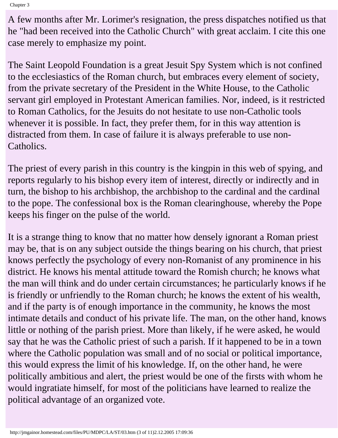```
Chapter 3
```
A few months after Mr. Lorimer's resignation, the press dispatches notified us that he "had been received into the Catholic Church" with great acclaim. I cite this one case merely to emphasize my point.

The Saint Leopold Foundation is a great Jesuit Spy System which is not confined to the ecclesiastics of the Roman church, but embraces every element of society, from the private secretary of the President in the White House, to the Catholic servant girl employed in Protestant American families. Nor, indeed, is it restricted to Roman Catholics, for the Jesuits do not hesitate to use non-Catholic tools whenever it is possible. In fact, they prefer them, for in this way attention is distracted from them. In case of failure it is always preferable to use non-Catholics.

The priest of every parish in this country is the kingpin in this web of spying, and reports regularly to his bishop every item of interest, directly or indirectly and in turn, the bishop to his archbishop, the archbishop to the cardinal and the cardinal to the pope. The confessional box is the Roman clearinghouse, whereby the Pope keeps his finger on the pulse of the world.

It is a strange thing to know that no matter how densely ignorant a Roman priest may be, that is on any subject outside the things bearing on his church, that priest knows perfectly the psychology of every non-Romanist of any prominence in his district. He knows his mental attitude toward the Romish church; he knows what the man will think and do under certain circumstances; he particularly knows if he is friendly or unfriendly to the Roman church; he knows the extent of his wealth, and if the party is of enough importance in the community, he knows the most intimate details and conduct of his private life. The man, on the other hand, knows little or nothing of the parish priest. More than likely, if he were asked, he would say that he was the Catholic priest of such a parish. If it happened to be in a town where the Catholic population was small and of no social or political importance, this would express the limit of his knowledge. If, on the other hand, he were politically ambitious and alert, the priest would be one of the firsts with whom he would ingratiate himself, for most of the politicians have learned to realize the political advantage of an organized vote.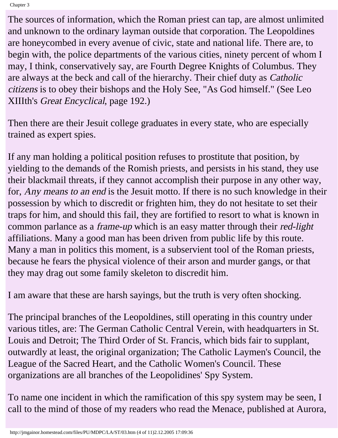The sources of information, which the Roman priest can tap, are almost unlimited and unknown to the ordinary layman outside that corporation. The Leopoldines are honeycombed in every avenue of civic, state and national life. There are, to begin with, the police departments of the various cities, ninety percent of whom I may, I think, conservatively say, are Fourth Degree Knights of Columbus. They are always at the beck and call of the hierarchy. Their chief duty as Catholic citizens is to obey their bishops and the Holy See, "As God himself." (See Leo XIIIth's Great Encyclical, page 192.)

Then there are their Jesuit college graduates in every state, who are especially trained as expert spies.

If any man holding a political position refuses to prostitute that position, by yielding to the demands of the Romish priests, and persists in his stand, they use their blackmail threats, if they cannot accomplish their purpose in any other way, for, Any means to an end is the Jesuit motto. If there is no such knowledge in their possession by which to discredit or frighten him, they do not hesitate to set their traps for him, and should this fail, they are fortified to resort to what is known in common parlance as a frame-up which is an easy matter through their red-light affiliations. Many a good man has been driven from public life by this route. Many a man in politics this moment, is a subservient tool of the Roman priests, because he fears the physical violence of their arson and murder gangs, or that they may drag out some family skeleton to discredit him.

I am aware that these are harsh sayings, but the truth is very often shocking.

The principal branches of the Leopoldines, still operating in this country under various titles, are: The German Catholic Central Verein, with headquarters in St. Louis and Detroit; The Third Order of St. Francis, which bids fair to supplant, outwardly at least, the original organization; The Catholic Laymen's Council, the League of the Sacred Heart, and the Catholic Women's Council. These organizations are all branches of the Leopolidines' Spy System.

To name one incident in which the ramification of this spy system may be seen, I call to the mind of those of my readers who read the Menace, published at Aurora,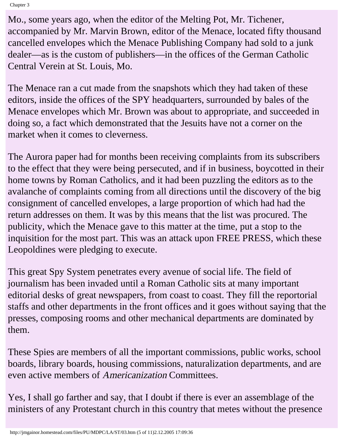Mo., some years ago, when the editor of the Melting Pot, Mr. Tichener, accompanied by Mr. Marvin Brown, editor of the Menace, located fifty thousand cancelled envelopes which the Menace Publishing Company had sold to a junk dealer—as is the custom of publishers—in the offices of the German Catholic Central Verein at St. Louis, Mo.

The Menace ran a cut made from the snapshots which they had taken of these editors, inside the offices of the SPY headquarters, surrounded by bales of the Menace envelopes which Mr. Brown was about to appropriate, and succeeded in doing so, a fact which demonstrated that the Jesuits have not a corner on the market when it comes to cleverness.

The Aurora paper had for months been receiving complaints from its subscribers to the effect that they were being persecuted, and if in business, boycotted in their home towns by Roman Catholics, and it had been puzzling the editors as to the avalanche of complaints coming from all directions until the discovery of the big consignment of cancelled envelopes, a large proportion of which had had the return addresses on them. It was by this means that the list was procured. The publicity, which the Menace gave to this matter at the time, put a stop to the inquisition for the most part. This was an attack upon FREE PRESS, which these Leopoldines were pledging to execute.

This great Spy System penetrates every avenue of social life. The field of journalism has been invaded until a Roman Catholic sits at many important editorial desks of great newspapers, from coast to coast. They fill the reportorial staffs and other departments in the front offices and it goes without saying that the presses, composing rooms and other mechanical departments are dominated by them.

These Spies are members of all the important commissions, public works, school boards, library boards, housing commissions, naturalization departments, and are even active members of Americanization Committees.

Yes, I shall go farther and say, that I doubt if there is ever an assemblage of the ministers of any Protestant church in this country that metes without the presence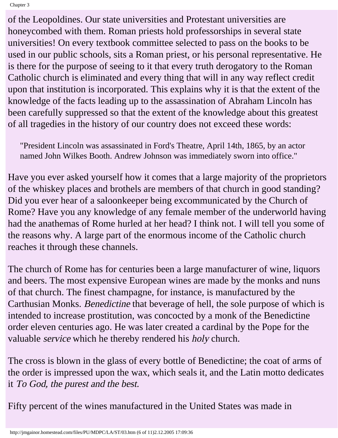of the Leopoldines. Our state universities and Protestant universities are honeycombed with them. Roman priests hold professorships in several state universities! On every textbook committee selected to pass on the books to be used in our public schools, sits a Roman priest, or his personal representative. He is there for the purpose of seeing to it that every truth derogatory to the Roman Catholic church is eliminated and every thing that will in any way reflect credit upon that institution is incorporated. This explains why it is that the extent of the knowledge of the facts leading up to the assassination of Abraham Lincoln has been carefully suppressed so that the extent of the knowledge about this greatest of all tragedies in the history of our country does not exceed these words:

"President Lincoln was assassinated in Ford's Theatre, April 14th, 1865, by an actor named John Wilkes Booth. Andrew Johnson was immediately sworn into office."

Have you ever asked yourself how it comes that a large majority of the proprietors of the whiskey places and brothels are members of that church in good standing? Did you ever hear of a saloonkeeper being excommunicated by the Church of Rome? Have you any knowledge of any female member of the underworld having had the anathemas of Rome hurled at her head? I think not. I will tell you some of the reasons why. A large part of the enormous income of the Catholic church reaches it through these channels.

The church of Rome has for centuries been a large manufacturer of wine, liquors and beers. The most expensive European wines are made by the monks and nuns of that church. The finest champagne, for instance, is manufactured by the Carthusian Monks. Benedictine that beverage of hell, the sole purpose of which is intended to increase prostitution, was concocted by a monk of the Benedictine order eleven centuries ago. He was later created a cardinal by the Pope for the valuable service which he thereby rendered his holy church.

The cross is blown in the glass of every bottle of Benedictine; the coat of arms of the order is impressed upon the wax, which seals it, and the Latin motto dedicates it To God, the purest and the best.

Fifty percent of the wines manufactured in the United States was made in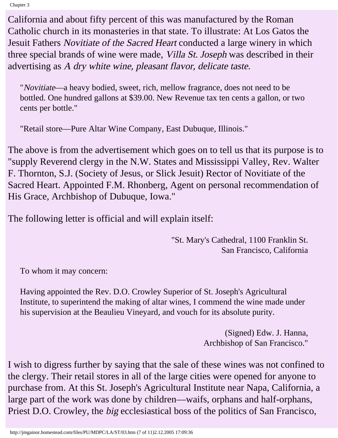California and about fifty percent of this was manufactured by the Roman Catholic church in its monasteries in that state. To illustrate: At Los Gatos the Jesuit Fathers Novitiate of the Sacred Heart conducted a large winery in which three special brands of wine were made, Villa St. Joseph was described in their advertising as A dry white wine, pleasant flavor, delicate taste.

"Novitiate—a heavy bodied, sweet, rich, mellow fragrance, does not need to be bottled. One hundred gallons at \$39.00. New Revenue tax ten cents a gallon, or two cents per bottle."

"Retail store—Pure Altar Wine Company, East Dubuque, Illinois."

The above is from the advertisement which goes on to tell us that its purpose is to "supply Reverend clergy in the N.W. States and Mississippi Valley, Rev. Walter F. Thornton, S.J. (Society of Jesus, or Slick Jesuit) Rector of Novitiate of the Sacred Heart. Appointed F.M. Rhonberg, Agent on personal recommendation of His Grace, Archbishop of Dubuque, Iowa."

The following letter is official and will explain itself:

"St. Mary's Cathedral, 1100 Franklin St. San Francisco, California

To whom it may concern:

Having appointed the Rev. D.O. Crowley Superior of St. Joseph's Agricultural Institute, to superintend the making of altar wines, I commend the wine made under his supervision at the Beaulieu Vineyard, and vouch for its absolute purity.

> (Signed) Edw. J. Hanna, Archbishop of San Francisco."

I wish to digress further by saying that the sale of these wines was not confined to the clergy. Their retail stores in all of the large cities were opened for anyone to purchase from. At this St. Joseph's Agricultural Institute near Napa, California, a large part of the work was done by children—waifs, orphans and half-orphans, Priest D.O. Crowley, the big ecclesiastical boss of the politics of San Francisco,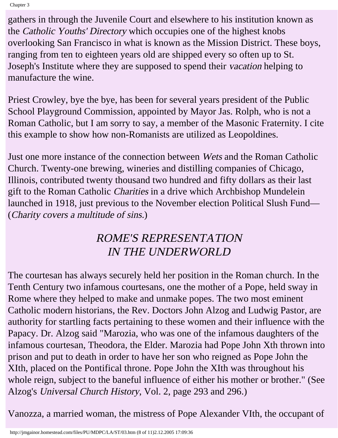gathers in through the Juvenile Court and elsewhere to his institution known as the Catholic Youths' Directory which occupies one of the highest knobs overlooking San Francisco in what is known as the Mission District. These boys, ranging from ten to eighteen years old are shipped every so often up to St. Joseph's Institute where they are supposed to spend their vacation helping to manufacture the wine.

Priest Crowley, bye the bye, has been for several years president of the Public School Playground Commission, appointed by Mayor Jas. Rolph, who is not a Roman Catholic, but I am sorry to say, a member of the Masonic Fraternity. I cite this example to show how non-Romanists are utilized as Leopoldines.

Just one more instance of the connection between Wets and the Roman Catholic Church. Twenty-one brewing, wineries and distilling companies of Chicago, Illinois, contributed twenty thousand two hundred and fifty dollars as their last gift to the Roman Catholic Charities in a drive which Archbishop Mundelein launched in 1918, just previous to the November election Political Slush Fund— (Charity covers a multitude of sins.)

## ROME'S REPRESENTATION IN THE UNDERWORLD

The courtesan has always securely held her position in the Roman church. In the Tenth Century two infamous courtesans, one the mother of a Pope, held sway in Rome where they helped to make and unmake popes. The two most eminent Catholic modern historians, the Rev. Doctors John Alzog and Ludwig Pastor, are authority for startling facts pertaining to these women and their influence with the Papacy. Dr. Alzog said "Marozia, who was one of the infamous daughters of the infamous courtesan, Theodora, the Elder. Marozia had Pope John Xth thrown into prison and put to death in order to have her son who reigned as Pope John the XIth, placed on the Pontifical throne. Pope John the XIth was throughout his whole reign, subject to the baneful influence of either his mother or brother." (See Alzog's Universal Church History, Vol. 2, page 293 and 296.)

Vanozza, a married woman, the mistress of Pope Alexander VIth, the occupant of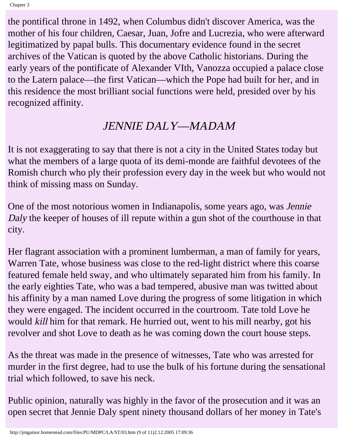the pontifical throne in 1492, when Columbus didn't discover America, was the mother of his four children, Caesar, Juan, Jofre and Lucrezia, who were afterward legitimatized by papal bulls. This documentary evidence found in the secret archives of the Vatican is quoted by the above Catholic historians. During the early years of the pontificate of Alexander VIth, Vanozza occupied a palace close to the Latern palace—the first Vatican—which the Pope had built for her, and in this residence the most brilliant social functions were held, presided over by his recognized affinity.

## JENNIE DALY—MADAM

It is not exaggerating to say that there is not a city in the United States today but what the members of a large quota of its demi-monde are faithful devotees of the Romish church who ply their profession every day in the week but who would not think of missing mass on Sunday.

One of the most notorious women in Indianapolis, some years ago, was Jennie Daly the keeper of houses of ill repute within a gun shot of the courthouse in that city.

Her flagrant association with a prominent lumberman, a man of family for years, Warren Tate, whose business was close to the red-light district where this coarse featured female held sway, and who ultimately separated him from his family. In the early eighties Tate, who was a bad tempered, abusive man was twitted about his affinity by a man named Love during the progress of some litigation in which they were engaged. The incident occurred in the courtroom. Tate told Love he would kill him for that remark. He hurried out, went to his mill nearby, got his revolver and shot Love to death as he was coming down the court house steps.

As the threat was made in the presence of witnesses, Tate who was arrested for murder in the first degree, had to use the bulk of his fortune during the sensational trial which followed, to save his neck.

Public opinion, naturally was highly in the favor of the prosecution and it was an open secret that Jennie Daly spent ninety thousand dollars of her money in Tate's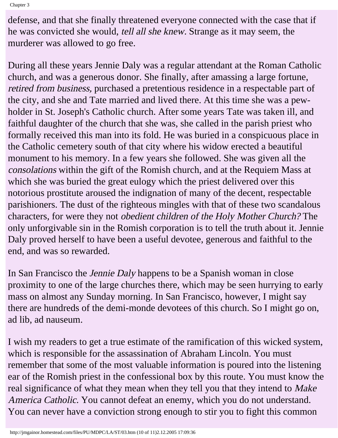defense, and that she finally threatened everyone connected with the case that if he was convicted she would, tell all she knew. Strange as it may seem, the murderer was allowed to go free.

During all these years Jennie Daly was a regular attendant at the Roman Catholic church, and was a generous donor. She finally, after amassing a large fortune, retired from business, purchased a pretentious residence in a respectable part of the city, and she and Tate married and lived there. At this time she was a pewholder in St. Joseph's Catholic church. After some years Tate was taken ill, and faithful daughter of the church that she was, she called in the parish priest who formally received this man into its fold. He was buried in a conspicuous place in the Catholic cemetery south of that city where his widow erected a beautiful monument to his memory. In a few years she followed. She was given all the consolations within the gift of the Romish church, and at the Requiem Mass at which she was buried the great eulogy which the priest delivered over this notorious prostitute aroused the indignation of many of the decent, respectable parishioners. The dust of the righteous mingles with that of these two scandalous characters, for were they not obedient children of the Holy Mother Church? The only unforgivable sin in the Romish corporation is to tell the truth about it. Jennie Daly proved herself to have been a useful devotee, generous and faithful to the end, and was so rewarded.

In San Francisco the Jennie Daly happens to be a Spanish woman in close proximity to one of the large churches there, which may be seen hurrying to early mass on almost any Sunday morning. In San Francisco, however, I might say there are hundreds of the demi-monde devotees of this church. So I might go on, ad lib, ad nauseum.

I wish my readers to get a true estimate of the ramification of this wicked system, which is responsible for the assassination of Abraham Lincoln. You must remember that some of the most valuable information is poured into the listening ear of the Romish priest in the confessional box by this route. You must know the real significance of what they mean when they tell you that they intend to Make America Catholic. You cannot defeat an enemy, which you do not understand. You can never have a conviction strong enough to stir you to fight this common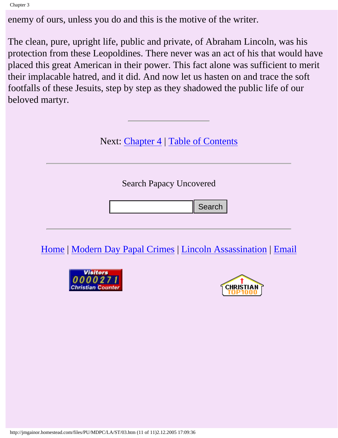enemy of ours, unless you do and this is the motive of the writer.

The clean, pure, upright life, public and private, of Abraham Lincoln, was his protection from these Leopoldines. There never was an act of his that would have placed this great American in their power. This fact alone was sufficient to merit their implacable hatred, and it did. And now let us hasten on and trace the soft footfalls of these Jesuits, step by step as they shadowed the public life of our beloved martyr.



[Home](http://jmgainor.homestead.com/files/PU/PU.htm) | [Modern Day Papal Crimes](http://jmgainor.homestead.com/files/PU/MDPC/MDPC.htm) | [Lincoln Assassination](http://jmgainor.homestead.com/files/PU/MDPC/LA/LA.htm) | [Email](mailto:PapacyUncovered@ec.rr.com)



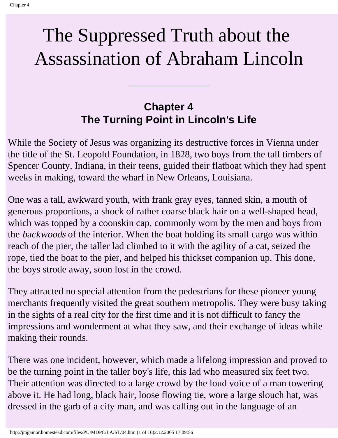# <span id="page-32-0"></span>The Suppressed Truth about the Assassination of Abraham Lincoln

## **Chapter 4 The Turning Point in Lincoln's Life**

While the Society of Jesus was organizing its destructive forces in Vienna under the title of the St. Leopold Foundation, in 1828, two boys from the tall timbers of Spencer County, Indiana, in their teens, guided their flatboat which they had spent weeks in making, toward the wharf in New Orleans, Louisiana.

One was a tall, awkward youth, with frank gray eyes, tanned skin, a mouth of generous proportions, a shock of rather coarse black hair on a well-shaped head, which was topped by a coonskin cap, commonly worn by the men and boys from the backwoods of the interior. When the boat holding its small cargo was within reach of the pier, the taller lad climbed to it with the agility of a cat, seized the rope, tied the boat to the pier, and helped his thickset companion up. This done, the boys strode away, soon lost in the crowd.

They attracted no special attention from the pedestrians for these pioneer young merchants frequently visited the great southern metropolis. They were busy taking in the sights of a real city for the first time and it is not difficult to fancy the impressions and wonderment at what they saw, and their exchange of ideas while making their rounds.

There was one incident, however, which made a lifelong impression and proved to be the turning point in the taller boy's life, this lad who measured six feet two. Their attention was directed to a large crowd by the loud voice of a man towering above it. He had long, black hair, loose flowing tie, wore a large slouch hat, was dressed in the garb of a city man, and was calling out in the language of an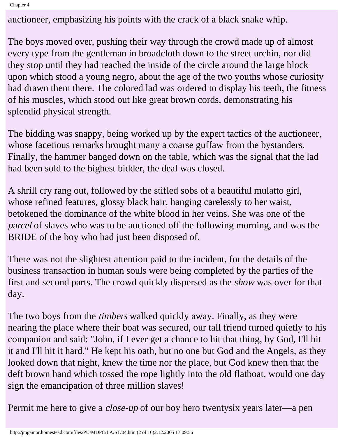auctioneer, emphasizing his points with the crack of a black snake whip.

The boys moved over, pushing their way through the crowd made up of almost every type from the gentleman in broadcloth down to the street urchin, nor did they stop until they had reached the inside of the circle around the large block upon which stood a young negro, about the age of the two youths whose curiosity had drawn them there. The colored lad was ordered to display his teeth, the fitness of his muscles, which stood out like great brown cords, demonstrating his splendid physical strength.

The bidding was snappy, being worked up by the expert tactics of the auctioneer, whose facetious remarks brought many a coarse guffaw from the bystanders. Finally, the hammer banged down on the table, which was the signal that the lad had been sold to the highest bidder, the deal was closed.

A shrill cry rang out, followed by the stifled sobs of a beautiful mulatto girl, whose refined features, glossy black hair, hanging carelessly to her waist, betokened the dominance of the white blood in her veins. She was one of the parcel of slaves who was to be auctioned off the following morning, and was the BRIDE of the boy who had just been disposed of.

There was not the slightest attention paid to the incident, for the details of the business transaction in human souls were being completed by the parties of the first and second parts. The crowd quickly dispersed as the show was over for that day.

The two boys from the *timbers* walked quickly away. Finally, as they were nearing the place where their boat was secured, our tall friend turned quietly to his companion and said: "John, if I ever get a chance to hit that thing, by God, I'll hit it and I'll hit it hard." He kept his oath, but no one but God and the Angels, as they looked down that night, knew the time nor the place, but God knew then that the deft brown hand which tossed the rope lightly into the old flatboat, would one day sign the emancipation of three million slaves!

Permit me here to give a close-up of our boy hero twentysix years later—a pen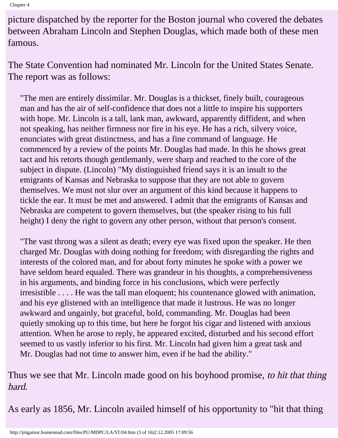picture dispatched by the reporter for the Boston journal who covered the debates between Abraham Lincoln and Stephen Douglas, which made both of these men famous.

The State Convention had nominated Mr. Lincoln for the United States Senate. The report was as follows:

"The men are entirely dissimilar. Mr. Douglas is a thickset, finely built, courageous man and has the air of self-confidence that does not a little to inspire his supporters with hope. Mr. Lincoln is a tall, lank man, awkward, apparently diffident, and when not speaking, has neither firmness nor fire in his eye. He has a rich, silvery voice, enunciates with great distinctness, and has a fine command of language. He commenced by a review of the points Mr. Douglas had made. In this he shows great tact and his retorts though gentlemanly, were sharp and reached to the core of the subject in dispute. (Lincoln) "My distinguished friend says it is an insult to the emigrants of Kansas and Nebraska to suppose that they are not able to govern themselves. We must not slur over an argument of this kind because it happens to tickle the ear. It must be met and answered. I admit that the emigrants of Kansas and Nebraska are competent to govern themselves, but (the speaker rising to his full height) I deny the right to govern any other person, without that person's consent.

"The vast throng was a silent as death; every eye was fixed upon the speaker. He then charged Mr. Douglas with doing nothing for freedom; with disregarding the rights and interests of the colored man, and for about forty minutes he spoke with a power we have seldom heard equaled. There was grandeur in his thoughts, a comprehensiveness in his arguments, and binding force in his conclusions, which were perfectly irresistible . . . . He was the tall man eloquent; his countenance glowed with animation, and his eye glistened with an intelligence that made it lustrous. He was no longer awkward and ungainly, but graceful, bold, commanding. Mr. Douglas had been quietly smoking up to this time, but here he forgot his cigar and listened with anxious attention. When he arose to reply, he appeared excited, disturbed and his second effort seemed to us vastly inferior to his first. Mr. Lincoln had given him a great task and Mr. Douglas had not time to answer him, even if he had the ability."

Thus we see that Mr. Lincoln made good on his boyhood promise, to hit that thing hard.

As early as 1856, Mr. Lincoln availed himself of his opportunity to "hit that thing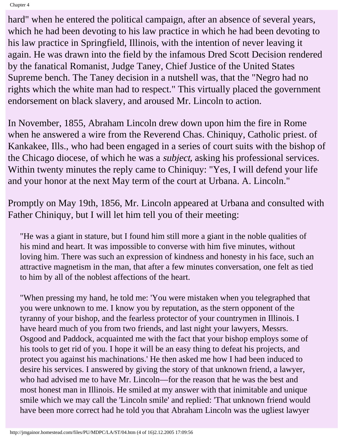hard" when he entered the political campaign, after an absence of several years, which he had been devoting to his law practice in which he had been devoting to his law practice in Springfield, Illinois, with the intention of never leaving it again. He was drawn into the field by the infamous Dred Scott Decision rendered by the fanatical Romanist, Judge Taney, Chief Justice of the United States Supreme bench. The Taney decision in a nutshell was, that the "Negro had no rights which the white man had to respect." This virtually placed the government endorsement on black slavery, and aroused Mr. Lincoln to action.

In November, 1855, Abraham Lincoln drew down upon him the fire in Rome when he answered a wire from the Reverend Chas. Chiniquy, Catholic priest. of Kankakee, Ills., who had been engaged in a series of court suits with the bishop of the Chicago diocese, of which he was a subject, asking his professional services. Within twenty minutes the reply came to Chiniquy: "Yes, I will defend your life and your honor at the next May term of the court at Urbana. A. Lincoln."

Promptly on May 19th, 1856, Mr. Lincoln appeared at Urbana and consulted with Father Chiniquy, but I will let him tell you of their meeting:

"He was a giant in stature, but I found him still more a giant in the noble qualities of his mind and heart. It was impossible to converse with him five minutes, without loving him. There was such an expression of kindness and honesty in his face, such an attractive magnetism in the man, that after a few minutes conversation, one felt as tied to him by all of the noblest affections of the heart.

"When pressing my hand, he told me: 'You were mistaken when you telegraphed that you were unknown to me. I know you by reputation, as the stern opponent of the tyranny of your bishop, and the fearless protector of your countrymen in Illinois. I have heard much of you from two friends, and last night your lawyers, Messrs. Osgood and Paddock, acquainted me with the fact that your bishop employs some of his tools to get rid of you. I hope it will be an easy thing to defeat his projects, and protect you against his machinations.' He then asked me how I had been induced to desire his services. I answered by giving the story of that unknown friend, a lawyer, who had advised me to have Mr. Lincoln—for the reason that he was the best and most honest man in Illinois. He smiled at my answer with that inimitable and unique smile which we may call the 'Lincoln smile' and replied: 'That unknown friend would have been more correct had he told you that Abraham Lincoln was the ugliest lawyer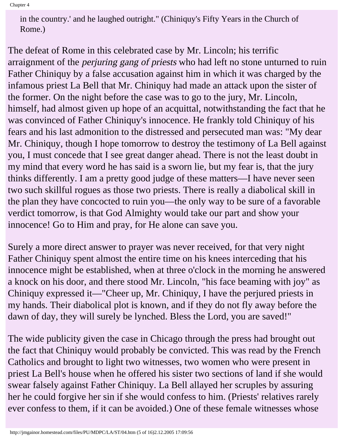in the country.' and he laughed outright." (Chiniquy's Fifty Years in the Church of Rome.)

The defeat of Rome in this celebrated case by Mr. Lincoln; his terrific arraignment of the *perjuring gang of priests* who had left no stone unturned to ruin Father Chiniquy by a false accusation against him in which it was charged by the infamous priest La Bell that Mr. Chiniquy had made an attack upon the sister of the former. On the night before the case was to go to the jury, Mr. Lincoln, himself, had almost given up hope of an acquittal, notwithstanding the fact that he was convinced of Father Chiniquy's innocence. He frankly told Chiniquy of his fears and his last admonition to the distressed and persecuted man was: "My dear Mr. Chiniquy, though I hope tomorrow to destroy the testimony of La Bell against you, I must concede that I see great danger ahead. There is not the least doubt in my mind that every word he has said is a sworn lie, but my fear is, that the jury thinks differently. I am a pretty good judge of these matters—I have never seen two such skillful rogues as those two priests. There is really a diabolical skill in the plan they have concocted to ruin you—the only way to be sure of a favorable verdict tomorrow, is that God Almighty would take our part and show your innocence! Go to Him and pray, for He alone can save you.

Surely a more direct answer to prayer was never received, for that very night Father Chiniquy spent almost the entire time on his knees interceding that his innocence might be established, when at three o'clock in the morning he answered a knock on his door, and there stood Mr. Lincoln, "his face beaming with joy" as Chiniquy expressed it—"Cheer up, Mr. Chiniquy, I have the perjured priests in my hands. Their diabolical plot is known, and if they do not fly away before the dawn of day, they will surely be lynched. Bless the Lord, you are saved!"

The wide publicity given the case in Chicago through the press had brought out the fact that Chiniquy would probably be convicted. This was read by the French Catholics and brought to light two witnesses, two women who were present in priest La Bell's house when he offered his sister two sections of land if she would swear falsely against Father Chiniquy. La Bell allayed her scruples by assuring her he could forgive her sin if she would confess to him. (Priests' relatives rarely ever confess to them, if it can be avoided.) One of these female witnesses whose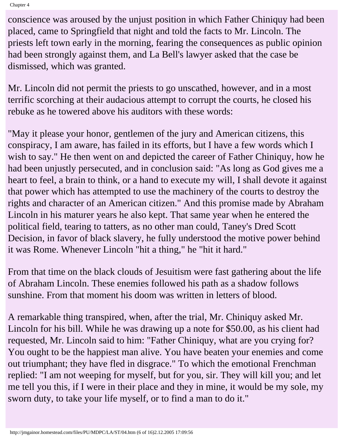conscience was aroused by the unjust position in which Father Chiniquy had been placed, came to Springfield that night and told the facts to Mr. Lincoln. The priests left town early in the morning, fearing the consequences as public opinion had been strongly against them, and La Bell's lawyer asked that the case be dismissed, which was granted.

Mr. Lincoln did not permit the priests to go unscathed, however, and in a most terrific scorching at their audacious attempt to corrupt the courts, he closed his rebuke as he towered above his auditors with these words:

"May it please your honor, gentlemen of the jury and American citizens, this conspiracy, I am aware, has failed in its efforts, but I have a few words which I wish to say." He then went on and depicted the career of Father Chiniquy, how he had been unjustly persecuted, and in conclusion said: "As long as God gives me a heart to feel, a brain to think, or a hand to execute my will, I shall devote it against that power which has attempted to use the machinery of the courts to destroy the rights and character of an American citizen." And this promise made by Abraham Lincoln in his maturer years he also kept. That same year when he entered the political field, tearing to tatters, as no other man could, Taney's Dred Scott Decision, in favor of black slavery, he fully understood the motive power behind it was Rome. Whenever Lincoln "hit a thing," he "hit it hard."

From that time on the black clouds of Jesuitism were fast gathering about the life of Abraham Lincoln. These enemies followed his path as a shadow follows sunshine. From that moment his doom was written in letters of blood.

A remarkable thing transpired, when, after the trial, Mr. Chiniquy asked Mr. Lincoln for his bill. While he was drawing up a note for \$50.00, as his client had requested, Mr. Lincoln said to him: "Father Chiniquy, what are you crying for? You ought to be the happiest man alive. You have beaten your enemies and come out triumphant; they have fled in disgrace." To which the emotional Frenchman replied: "I am not weeping for myself, but for you, sir. They will kill you; and let me tell you this, if I were in their place and they in mine, it would be my sole, my sworn duty, to take your life myself, or to find a man to do it."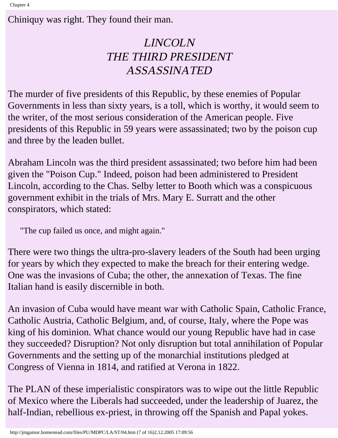Chiniquy was right. They found their man.

## LINCOLN THE THIRD PRESIDENT ASSASSINATED

The murder of five presidents of this Republic, by these enemies of Popular Governments in less than sixty years, is a toll, which is worthy, it would seem to the writer, of the most serious consideration of the American people. Five presidents of this Republic in 59 years were assassinated; two by the poison cup and three by the leaden bullet.

Abraham Lincoln was the third president assassinated; two before him had been given the "Poison Cup." Indeed, poison had been administered to President Lincoln, according to the Chas. Selby letter to Booth which was a conspicuous government exhibit in the trials of Mrs. Mary E. Surratt and the other conspirators, which stated:

"The cup failed us once, and might again."

There were two things the ultra-pro-slavery leaders of the South had been urging for years by which they expected to make the breach for their entering wedge. One was the invasions of Cuba; the other, the annexation of Texas. The fine Italian hand is easily discernible in both.

An invasion of Cuba would have meant war with Catholic Spain, Catholic France, Catholic Austria, Catholic Belgium, and, of course, Italy, where the Pope was king of his dominion. What chance would our young Republic have had in case they succeeded? Disruption? Not only disruption but total annihilation of Popular Governments and the setting up of the monarchial institutions pledged at Congress of Vienna in 1814, and ratified at Verona in 1822.

The PLAN of these imperialistic conspirators was to wipe out the little Republic of Mexico where the Liberals had succeeded, under the leadership of Juarez, the half-Indian, rebellious ex-priest, in throwing off the Spanish and Papal yokes.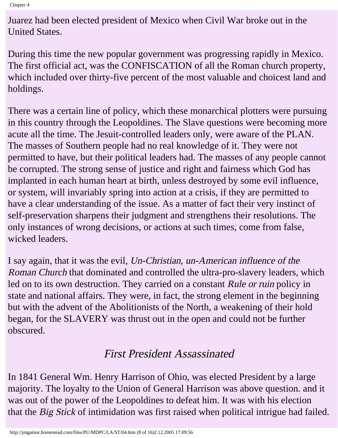Juarez had been elected president of Mexico when Civil War broke out in the United States.

During this time the new popular government was progressing rapidly in Mexico. The first official act, was the CONFISCATION of all the Roman church property, which included over thirty-five percent of the most valuable and choicest land and holdings.

There was a certain line of policy, which these monarchical plotters were pursuing in this country through the Leopoldines. The Slave questions were becoming more acute all the time. The Jesuit-controlled leaders only, were aware of the PLAN. The masses of Southern people had no real knowledge of it. They were not permitted to have, but their political leaders had. The masses of any people cannot be corrupted. The strong sense of justice and right and fairness which God has implanted in each human heart at birth, unless destroyed by some evil influence, or system, will invariably spring into action at a crisis, if they are permitted to have a clear understanding of the issue. As a matter of fact their very instinct of self-preservation sharpens their judgment and strengthens their resolutions. The only instances of wrong decisions, or actions at such times, come from false, wicked leaders.

I say again, that it was the evil, Un-Christian, un-American influence of the Roman Church that dominated and controlled the ultra-pro-slavery leaders, which led on to its own destruction. They carried on a constant Rule or ruin policy in state and national affairs. They were, in fact, the strong element in the beginning but with the advent of the Abolitionists of the North, a weakening of their hold began, for the SLAVERY was thrust out in the open and could not be further obscured.

### First President Assassinated

In 1841 General Wm. Henry Harrison of Ohio, was elected President by a large majority. The loyalty to the Union of General Harrison was above question. and it was out of the power of the Leopoldines to defeat him. It was with his election that the Big Stick of intimidation was first raised when political intrigue had failed.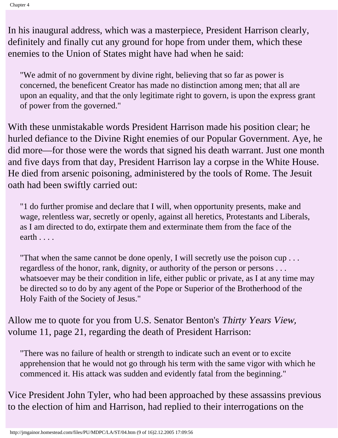In his inaugural address, which was a masterpiece, President Harrison clearly, definitely and finally cut any ground for hope from under them, which these enemies to the Union of States might have had when he said:

"We admit of no government by divine right, believing that so far as power is concerned, the beneficent Creator has made no distinction among men; that all are upon an equality, and that the only legitimate right to govern, is upon the express grant of power from the governed."

With these unmistakable words President Harrison made his position clear; he hurled defiance to the Divine Right enemies of our Popular Government. Aye, he did more—for those were the words that signed his death warrant. Just one month and five days from that day, President Harrison lay a corpse in the White House. He died from arsenic poisoning, administered by the tools of Rome. The Jesuit oath had been swiftly carried out:

"1 do further promise and declare that I will, when opportunity presents, make and wage, relentless war, secretly or openly, against all heretics, Protestants and Liberals, as I am directed to do, extirpate them and exterminate them from the face of the earth . . . .

"That when the same cannot be done openly, I will secretly use the poison cup . . . regardless of the honor, rank, dignity, or authority of the person or persons . . . whatsoever may be their condition in life, either public or private, as I at any time may be directed so to do by any agent of the Pope or Superior of the Brotherhood of the Holy Faith of the Society of Jesus."

Allow me to quote for you from U.S. Senator Benton's Thirty Years View, volume 11, page 21, regarding the death of President Harrison:

"There was no failure of health or strength to indicate such an event or to excite apprehension that he would not go through his term with the same vigor with which he commenced it. His attack was sudden and evidently fatal from the beginning."

Vice President John Tyler, who had been approached by these assassins previous to the election of him and Harrison, had replied to their interrogations on the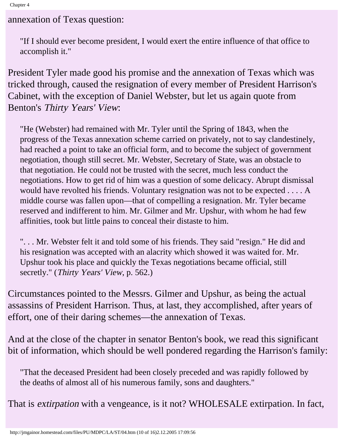annexation of Texas question:

"If I should ever become president, I would exert the entire influence of that office to accomplish it."

President Tyler made good his promise and the annexation of Texas which was tricked through, caused the resignation of every member of President Harrison's Cabinet, with the exception of Daniel Webster, but let us again quote from Benton's Thirty Years' View:

"He (Webster) had remained with Mr. Tyler until the Spring of 1843, when the progress of the Texas annexation scheme carried on privately, not to say clandestinely, had reached a point to take an official form, and to become the subject of government negotiation, though still secret. Mr. Webster, Secretary of State, was an obstacle to that negotiation. He could not be trusted with the secret, much less conduct the negotiations. How to get rid of him was a question of some delicacy. Abrupt dismissal would have revolted his friends. Voluntary resignation was not to be expected . . . . A middle course was fallen upon—that of compelling a resignation. Mr. Tyler became reserved and indifferent to him. Mr. Gilmer and Mr. Upshur, with whom he had few affinities, took but little pains to conceal their distaste to him.

". . . Mr. Webster felt it and told some of his friends. They said "resign." He did and his resignation was accepted with an alacrity which showed it was waited for. Mr. Upshur took his place and quickly the Texas negotiations became official, still secretly." (Thirty Years' View, p. 562.)

Circumstances pointed to the Messrs. Gilmer and Upshur, as being the actual assassins of President Harrison. Thus, at last, they accomplished, after years of effort, one of their daring schemes—the annexation of Texas.

And at the close of the chapter in senator Benton's book, we read this significant bit of information, which should be well pondered regarding the Harrison's family:

"That the deceased President had been closely preceded and was rapidly followed by the deaths of almost all of his numerous family, sons and daughters."

That is extirpation with a vengeance, is it not? WHOLESALE extirpation. In fact,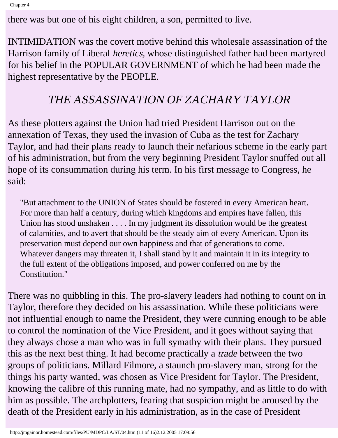there was but one of his eight children, a son, permitted to live.

INTIMIDATION was the covert motive behind this wholesale assassination of the Harrison family of Liberal heretics, whose distinguished father had been martyred for his belief in the POPULAR GOVERNMENT of which he had been made the highest representative by the PEOPLE.

#### THE ASSASSINATION OF ZACHARY TAYLOR

As these plotters against the Union had tried President Harrison out on the annexation of Texas, they used the invasion of Cuba as the test for Zachary Taylor, and had their plans ready to launch their nefarious scheme in the early part of his administration, but from the very beginning President Taylor snuffed out all hope of its consummation during his term. In his first message to Congress, he said:

"But attachment to the UNION of States should be fostered in every American heart. For more than half a century, during which kingdoms and empires have fallen, this Union has stood unshaken . . . . In my judgment its dissolution would be the greatest of calamities, and to avert that should be the steady aim of every American. Upon its preservation must depend our own happiness and that of generations to come. Whatever dangers may threaten it, I shall stand by it and maintain it in its integrity to the full extent of the obligations imposed, and power conferred on me by the Constitution."

There was no quibbling in this. The pro-slavery leaders had nothing to count on in Taylor, therefore they decided on his assassination. While these politicians were not influential enough to name the President, they were cunning enough to be able to control the nomination of the Vice President, and it goes without saying that they always chose a man who was in full symathy with their plans. They pursued this as the next best thing. It had become practically a trade between the two groups of politicians. Millard Filmore, a staunch pro-slavery man, strong for the things his party wanted, was chosen as Vice President for Taylor. The President, knowing the calibre of this running mate, had no sympathy, and as little to do with him as possible. The archplotters, fearing that suspicion might be aroused by the death of the President early in his administration, as in the case of President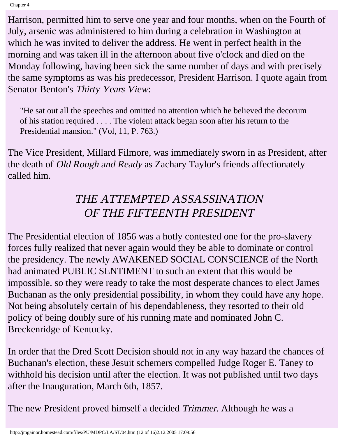Harrison, permitted him to serve one year and four months, when on the Fourth of July, arsenic was administered to him during a celebration in Washington at which he was invited to deliver the address. He went in perfect health in the morning and was taken ill in the afternoon about five o'clock and died on the Monday following, having been sick the same number of days and with precisely the same symptoms as was his predecessor, President Harrison. I quote again from Senator Benton's Thirty Years View:

"He sat out all the speeches and omitted no attention which he believed the decorum of his station required . . . . The violent attack began soon after his return to the Presidential mansion." (Vol, 11, P. 763.)

The Vice President, Millard Filmore, was immediately sworn in as President, after the death of Old Rough and Ready as Zachary Taylor's friends affectionately called him.

### THE ATTEMPTED ASSASSINATION OF THE FIFTEENTH PRESIDENT

The Presidential election of 1856 was a hotly contested one for the pro-slavery forces fully realized that never again would they be able to dominate or control the presidency. The newly AWAKENED SOCIAL CONSCIENCE of the North had animated PUBLIC SENTIMENT to such an extent that this would be impossible. so they were ready to take the most desperate chances to elect James Buchanan as the only presidential possibility, in whom they could have any hope. Not being absolutely certain of his dependableness, they resorted to their old policy of being doubly sure of his running mate and nominated John C. Breckenridge of Kentucky.

In order that the Dred Scott Decision should not in any way hazard the chances of Buchanan's election, these Jesuit schemers compelled Judge Roger E. Taney to withhold his decision until after the election. It was not published until two days after the Inauguration, March 6th, 1857.

The new President proved himself a decided Trimmer. Although he was a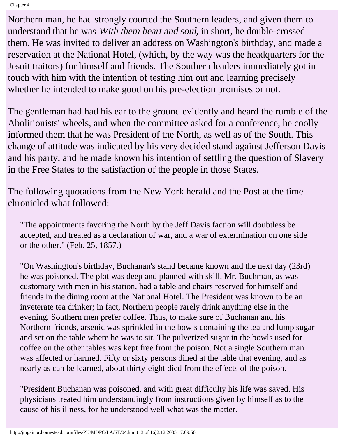Northern man, he had strongly courted the Southern leaders, and given them to understand that he was With them heart and soul, in short, he double-crossed them. He was invited to deliver an address on Washington's birthday, and made a reservation at the National Hotel, (which, by the way was the headquarters for the Jesuit traitors) for himself and friends. The Southern leaders immediately got in touch with him with the intention of testing him out and learning precisely whether he intended to make good on his pre-election promises or not.

The gentleman had had his ear to the ground evidently and heard the rumble of the Abolitionists' wheels, and when the committee asked for a conference, he coolly informed them that he was President of the North, as well as of the South. This change of attitude was indicated by his very decided stand against Jefferson Davis and his party, and he made known his intention of settling the question of Slavery in the Free States to the satisfaction of the people in those States.

The following quotations from the New York herald and the Post at the time chronicled what followed:

"The appointments favoring the North by the Jeff Davis faction will doubtless be accepted, and treated as a declaration of war, and a war of extermination on one side or the other." (Feb. 25, 1857.)

"On Washington's birthday, Buchanan's stand became known and the next day (23rd) he was poisoned. The plot was deep and planned with skill. Mr. Buchman, as was customary with men in his station, had a table and chairs reserved for himself and friends in the dining room at the National Hotel. The President was known to be an inveterate tea drinker; in fact, Northern people rarely drink anything else in the evening. Southern men prefer coffee. Thus, to make sure of Buchanan and his Northern friends, arsenic was sprinkled in the bowls containing the tea and lump sugar and set on the table where he was to sit. The pulverized sugar in the bowls used for coffee on the other tables was kept free from the poison. Not a single Southern man was affected or harmed. Fifty or sixty persons dined at the table that evening, and as nearly as can be learned, about thirty-eight died from the effects of the poison.

"President Buchanan was poisoned, and with great difficulty his life was saved. His physicians treated him understandingly from instructions given by himself as to the cause of his illness, for he understood well what was the matter.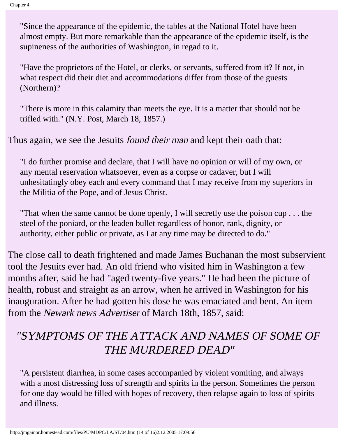"Since the appearance of the epidemic, the tables at the National Hotel have been almost empty. But more remarkable than the appearance of the epidemic itself, is the supineness of the authorities of Washington, in regad to it.

"Have the proprietors of the Hotel, or clerks, or servants, suffered from it? If not, in what respect did their diet and accommodations differ from those of the guests (Northern)?

"There is more in this calamity than meets the eye. It is a matter that should not be trifled with." (N.Y. Post, March 18, 1857.)

#### Thus again, we see the Jesuits *found their man* and kept their oath that:

"I do further promise and declare, that I will have no opinion or will of my own, or any mental reservation whatsoever, even as a corpse or cadaver, but I will unhesitatingly obey each and every command that I may receive from my superiors in the Militia of the Pope, and of Jesus Christ.

"That when the same cannot be done openly, I will secretly use the poison cup . . . the steel of the poniard, or the leaden bullet regardless of honor, rank, dignity, or authority, either public or private, as I at any time may be directed to do."

The close call to death frightened and made James Buchanan the most subservient tool the Jesuits ever had. An old friend who visited him in Washington a few months after, said he had "aged twenty-five years." He had been the picture of health, robust and straight as an arrow, when he arrived in Washington for his inauguration. After he had gotten his dose he was emaciated and bent. An item from the Newark news Advertiser of March 18th, 1857, said:

#### "SYMPTOMS OF THE ATTACK AND NAMES OF SOME OF THE MURDERED DEAD"

"A persistent diarrhea, in some cases accompanied by violent vomiting, and always with a most distressing loss of strength and spirits in the person. Sometimes the person for one day would be filled with hopes of recovery, then relapse again to loss of spirits and illness.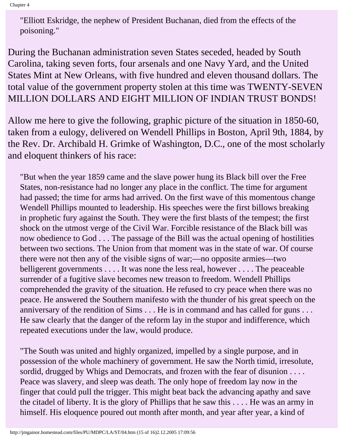"Elliott Eskridge, the nephew of President Buchanan, died from the effects of the poisoning."

During the Buchanan administration seven States seceded, headed by South Carolina, taking seven forts, four arsenals and one Navy Yard, and the United States Mint at New Orleans, with five hundred and eleven thousand dollars. The total value of the government property stolen at this time was TWENTY-SEVEN MILLION DOLLARS AND EIGHT MILLION OF INDIAN TRUST BONDS!

Allow me here to give the following, graphic picture of the situation in 1850-60, taken from a eulogy, delivered on Wendell Phillips in Boston, April 9th, 1884, by the Rev. Dr. Archibald H. Grimke of Washington, D.C., one of the most scholarly and eloquent thinkers of his race:

"But when the year 1859 came and the slave power hung its Black bill over the Free States, non-resistance had no longer any place in the conflict. The time for argument had passed; the time for arms had arrived. On the first wave of this momentous change Wendell Phillips mounted to leadership. His speeches were the first billows breaking in prophetic fury against the South. They were the first blasts of the tempest; the first shock on the utmost verge of the Civil War. Forcible resistance of the Black bill was now obedience to God . . . The passage of the Bill was the actual opening of hostilities between two sections. The Union from that moment was in the state of war. Of course there were not then any of the visible signs of war;—no opposite armies—two belligerent governments . . . . It was none the less real, however . . . . The peaceable surrender of a fugitive slave becomes new treason to freedom. Wendell Phillips comprehended the gravity of the situation. He refused to cry peace when there was no peace. He answered the Southern manifesto with the thunder of his great speech on the anniversary of the rendition of Sims . . . He is in command and has called for guns . . . He saw clearly that the danger of the reform lay in the stupor and indifference, which repeated executions under the law, would produce.

"The South was united and highly organized, impelled by a single purpose, and in possession of the whole machinery of government. He saw the North timid, irresolute, sordid, drugged by Whigs and Democrats, and frozen with the fear of disunion . . . . Peace was slavery, and sleep was death. The only hope of freedom lay now in the finger that could pull the trigger. This might beat back the advancing apathy and save the citadel of liberty. It is the glory of Phillips that he saw this . . . . He was an army in himself. His eloquence poured out month after month, and year after year, a kind of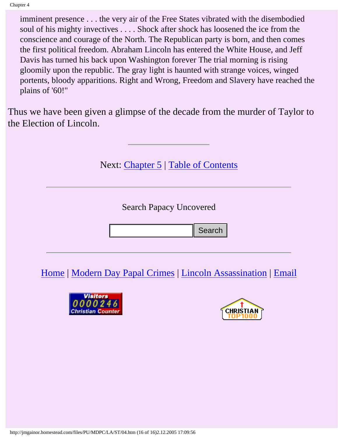imminent presence . . . the very air of the Free States vibrated with the disembodied soul of his mighty invectives . . . . Shock after shock has loosened the ice from the conscience and courage of the North. The Republican party is born, and then comes the first political freedom. Abraham Lincoln has entered the White House, and Jeff Davis has turned his back upon Washington forever The trial morning is rising gloomily upon the republic. The gray light is haunted with strange voices, winged portents, bloody apparitions. Right and Wrong, Freedom and Slavery have reached the plains of '60!"

Thus we have been given a glimpse of the decade from the murder of Taylor to the Election of Lincoln.



[Home](http://jmgainor.homestead.com/files/PU/PU.htm) | [Modern Day Papal Crimes](http://jmgainor.homestead.com/files/PU/MDPC/MDPC.htm) | [Lincoln Assassination](http://jmgainor.homestead.com/files/PU/MDPC/LA/LA.htm) | [Email](mailto:PapacyUncovered@ec.rr.com)



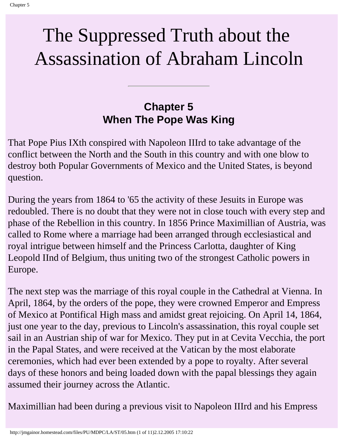# <span id="page-48-0"></span>The Suppressed Truth about the Assassination of Abraham Lincoln

## **Chapter 5 When The Pope Was King**

That Pope Pius IXth conspired with Napoleon IIIrd to take advantage of the conflict between the North and the South in this country and with one blow to destroy both Popular Governments of Mexico and the United States, is beyond question.

During the years from 1864 to '65 the activity of these Jesuits in Europe was redoubled. There is no doubt that they were not in close touch with every step and phase of the Rebellion in this country. In 1856 Prince Maximillian of Austria, was called to Rome where a marriage had been arranged through ecclesiastical and royal intrigue between himself and the Princess Carlotta, daughter of King Leopold IInd of Belgium, thus uniting two of the strongest Catholic powers in Europe.

The next step was the marriage of this royal couple in the Cathedral at Vienna. In April, 1864, by the orders of the pope, they were crowned Emperor and Empress of Mexico at Pontifical High mass and amidst great rejoicing. On April 14, 1864, just one year to the day, previous to Lincoln's assassination, this royal couple set sail in an Austrian ship of war for Mexico. They put in at Cevita Vecchia, the port in the Papal States, and were received at the Vatican by the most elaborate ceremonies, which had ever been extended by a pope to royalty. After several days of these honors and being loaded down with the papal blessings they again assumed their journey across the Atlantic.

Maximillian had been during a previous visit to Napoleon IIIrd and his Empress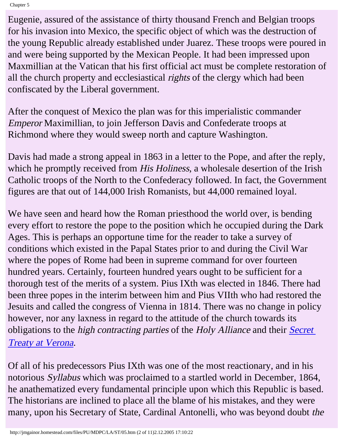Eugenie, assured of the assistance of thirty thousand French and Belgian troops for his invasion into Mexico, the specific object of which was the destruction of the young Republic already established under Juarez. These troops were poured in and were being supported by the Mexican People. It had been impressed upon Maxmillian at the Vatican that his first official act must be complete restoration of all the church property and ecclesiastical rights of the clergy which had been confiscated by the Liberal government.

After the conquest of Mexico the plan was for this imperialistic commander Emperor Maximillian, to join Jefferson Davis and Confederate troops at Richmond where they would sweep north and capture Washington.

Davis had made a strong appeal in 1863 in a letter to the Pope, and after the reply, which he promptly received from His Holiness, a wholesale desertion of the Irish Catholic troops of the North to the Confederacy followed. In fact, the Government figures are that out of 144,000 Irish Romanists, but 44,000 remained loyal.

We have seen and heard how the Roman priesthood the world over, is bending every effort to restore the pope to the position which he occupied during the Dark Ages. This is perhaps an opportune time for the reader to take a survey of conditions which existed in the Papal States prior to and during the Civil War where the popes of Rome had been in supreme command for over fourteen hundred years. Certainly, fourteen hundred years ought to be sufficient for a thorough test of the merits of a system. Pius IXth was elected in 1846. There had been three popes in the interim between him and Pius VIIth who had restored the Jesuits and called the congress of Vienna in 1814. There was no change in policy however, nor any laxness in regard to the attitude of the church towards its obligations to the high contracting parties of the Holy Alliance and their [Secret](http://jmgainor.homestead.com/files/PU/MDPC/LA/stv.htm) [Treaty at Verona](http://jmgainor.homestead.com/files/PU/MDPC/LA/stv.htm).

Of all of his predecessors Pius IXth was one of the most reactionary, and in his notorious Syllabus which was proclaimed to a startled world in December, 1864, he anathematized every fundamental principle upon which this Republic is based. The historians are inclined to place all the blame of his mistakes, and they were many, upon his Secretary of State, Cardinal Antonelli, who was beyond doubt the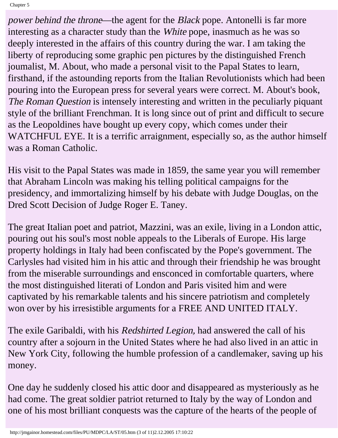power behind the throne—the agent for the Black pope. Antonelli is far more interesting as a character study than the White pope, inasmuch as he was so deeply interested in the affairs of this country during the war. I am taking the liberty of reproducing some graphic pen pictures by the distinguished French joumalist, M. About, who made a personal visit to the Papal States to learn, firsthand, if the astounding reports from the Italian Revolutionists which had been pouring into the European press for several years were correct. M. About's book, The Roman Question is intensely interesting and written in the peculiarly piquant style of the brilliant Frenchman. It is long since out of print and difficult to secure as the Leopoldines have bought up every copy, which comes under their WATCHFUL EYE. It is a terrific arraignment, especially so, as the author himself was a Roman Catholic.

His visit to the Papal States was made in 1859, the same year you will remember that Abraham Lincoln was making his telling political campaigns for the presidency, and immortalizing himself by his debate with Judge Douglas, on the Dred Scott Decision of Judge Roger E. Taney.

The great Italian poet and patriot, Mazzini, was an exile, living in a London attic, pouring out his soul's most noble appeals to the Liberals of Europe. His large property holdings in Italy had been confiscated by the Pope's government. The Carlysles had visited him in his attic and through their friendship he was brought from the miserable surroundings and ensconced in comfortable quarters, where the most distinguished literati of London and Paris visited him and were captivated by his remarkable talents and his sincere patriotism and completely won over by his irresistible arguments for a FREE AND UNITED ITALY.

The exile Garibaldi, with his Redshirted Legion, had answered the call of his country after a sojourn in the United States where he had also lived in an attic in New York City, following the humble profession of a candlemaker, saving up his money.

One day he suddenly closed his attic door and disappeared as mysteriously as he had come. The great soldier patriot returned to Italy by the way of London and one of his most brilliant conquests was the capture of the hearts of the people of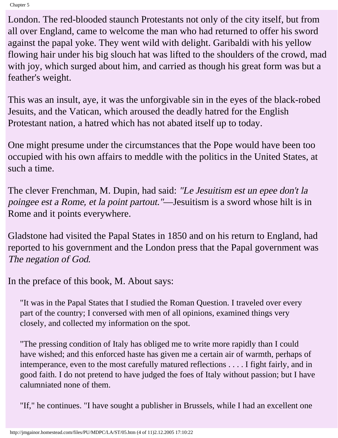London. The red-blooded staunch Protestants not only of the city itself, but from all over England, came to welcome the man who had returned to offer his sword against the papal yoke. They went wild with delight. Garibaldi with his yellow flowing hair under his big slouch hat was lifted to the shoulders of the crowd, mad with joy, which surged about him, and carried as though his great form was but a feather's weight.

This was an insult, aye, it was the unforgivable sin in the eyes of the black-robed Jesuits, and the Vatican, which aroused the deadly hatred for the English Protestant nation, a hatred which has not abated itself up to today.

One might presume under the circumstances that the Pope would have been too occupied with his own affairs to meddle with the politics in the United States, at such a time.

The clever Frenchman, M. Dupin, had said: "Le Jesuitism est un epee don't la poingee est a Rome, et la point partout."—Jesuitism is a sword whose hilt is in Rome and it points everywhere.

Gladstone had visited the Papal States in 1850 and on his return to England, had reported to his government and the London press that the Papal government was The negation of God.

In the preface of this book, M. About says:

"It was in the Papal States that I studied the Roman Question. I traveled over every part of the country; I conversed with men of all opinions, examined things very closely, and collected my information on the spot.

"The pressing condition of Italy has obliged me to write more rapidly than I could have wished; and this enforced haste has given me a certain air of warmth, perhaps of intemperance, even to the most carefully matured reflections . . . . I fight fairly, and in good faith. I do not pretend to have judged the foes of Italy without passion; but I have calumniated none of them.

"If," he continues. "I have sought a publisher in Brussels, while I had an excellent one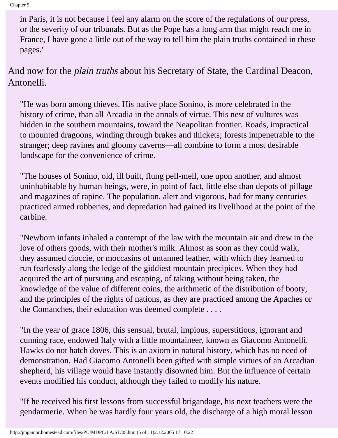in Paris, it is not because I feel any alarm on the score of the regulations of our press, or the severity of our tribunals. But as the Pope has a long arm that might reach me in France, I have gone a little out of the way to tell him the plain truths contained in these pages."

And now for the plain truths about his Secretary of State, the Cardinal Deacon, Antonelli.

"He was born among thieves. His native place Sonino, is more celebrated in the history of crime, than all Arcadia in the annals of virtue. This nest of vultures was hidden in the southern mountains, toward the Neapolitan frontier. Roads, impractical to mounted dragoons, winding through brakes and thickets; forests impenetrable to the stranger; deep ravines and gloomy caverns—all combine to form a most desirable landscape for the convenience of crime.

"The houses of Sonino, old, ill built, flung pell-mell, one upon another, and almost uninhabitable by human beings, were, in point of fact, little else than depots of pillage and magazines of rapine. The population, alert and vigorous, had for many centuries practiced armed robberies, and depredation had gained its livelihood at the point of the carbine.

"Newborn infants inhaled a contempt of the law with the mountain air and drew in the love of others goods, with their mother's milk. Almost as soon as they could walk, they assumed cioccie, or moccasins of untanned leather, with which they learned to run fearlessly along the ledge of the giddiest mountain precipices. When they had acquired the art of pursuing and escaping, of taking without being taken, the knowledge of the value of different coins, the arithmetic of the distribution of booty, and the principles of the rights of nations, as they are practiced among the Apaches or the Comanches, their education was deemed complete . . . .

"In the year of grace 1806, this sensual, brutal, impious, superstitious, ignorant and cunning race, endowed Italy with a little mountaineer, known as Giacomo Antonelli. Hawks do not hatch doves. This is an axiom in natural history, which has no need of demonstration. Had Giacomo Antonelli been gifted with simple virtues of an Arcadian shepherd, his village would have instantly disowned him. But the influence of certain events modified his conduct, although they failed to modify his nature.

"If he received his first lessons from successful brigandage, his next teachers were the gendarmerie. When he was hardly four years old, the discharge of a high moral lesson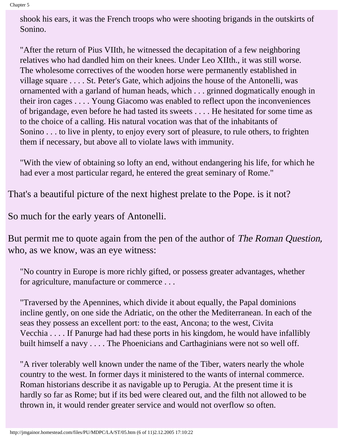shook his ears, it was the French troops who were shooting brigands in the outskirts of Sonino.

"After the return of Pius VIIth, he witnessed the decapitation of a few neighboring relatives who had dandled him on their knees. Under Leo XIIth., it was still worse. The wholesome correctives of the wooden horse were permanently established in village square . . . . St. Peter's Gate, which adjoins the house of the Antonelli, was ornamented with a garland of human heads, which . . . grinned dogmatically enough in their iron cages . . . . Young Giacomo was enabled to reflect upon the inconveniences of brigandage, even before he had tasted its sweets . . . . He hesitated for some time as to the choice of a calling. His natural vocation was that of the inhabitants of Sonino . . . to live in plenty, to enjoy every sort of pleasure, to rule others, to frighten them if necessary, but above all to violate laws with immunity.

"With the view of obtaining so lofty an end, without endangering his life, for which he had ever a most particular regard, he entered the great seminary of Rome."

That's a beautiful picture of the next highest prelate to the Pope. is it not?

So much for the early years of Antonelli.

But permit me to quote again from the pen of the author of *The Roman Question*, who, as we know, was an eye witness:

"No country in Europe is more richly gifted, or possess greater advantages, whether for agriculture, manufacture or commerce . . .

"Traversed by the Apennines, which divide it about equally, the Papal dominions incline gently, on one side the Adriatic, on the other the Mediterranean. In each of the seas they possess an excellent port: to the east, Ancona; to the west, Civita Vecchia . . . . If Panurge had had these ports in his kingdom, he would have infallibly built himself a navy . . . . The Phoenicians and Carthaginians were not so well off.

"A river tolerably well known under the name of the Tiber, waters nearly the whole country to the west. In former days it ministered to the wants of internal commerce. Roman historians describe it as navigable up to Perugia. At the present time it is hardly so far as Rome; but if its bed were cleared out, and the filth not allowed to be thrown in, it would render greater service and would not overflow so often.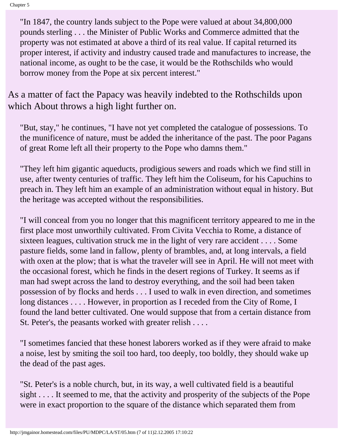"In 1847, the country lands subject to the Pope were valued at about 34,800,000 pounds sterling . . . the Minister of Public Works and Commerce admitted that the property was not estimated at above a third of its real value. If capital returned its proper interest, if activity and industry caused trade and manufactures to increase, the national income, as ought to be the case, it would be the Rothschilds who would borrow money from the Pope at six percent interest."

As a matter of fact the Papacy was heavily indebted to the Rothschilds upon which About throws a high light further on.

"But, stay," he continues, "I have not yet completed the catalogue of possessions. To the munificence of nature, must be added the inheritance of the past. The poor Pagans of great Rome left all their property to the Pope who damns them."

"They left him gigantic aqueducts, prodigious sewers and roads which we find still in use, after twenty centuries of traffic. They left him the Coliseum, for his Capuchins to preach in. They left him an example of an administration without equal in history. But the heritage was accepted without the responsibilities.

"I will conceal from you no longer that this magnificent territory appeared to me in the first place most unworthily cultivated. From Civita Vecchia to Rome, a distance of sixteen leagues, cultivation struck me in the light of very rare accident . . . . Some pasture fields, some land in fallow, plenty of brambles, and, at long intervals, a field with oxen at the plow; that is what the traveler will see in April. He will not meet with the occasional forest, which he finds in the desert regions of Turkey. It seems as if man had swept across the land to destroy everything, and the soil had been taken possession of by flocks and herds . . . I used to walk in even direction, and sometimes long distances . . . . However, in proportion as I receded from the City of Rome, I found the land better cultivated. One would suppose that from a certain distance from St. Peter's, the peasants worked with greater relish . . . .

"I sometimes fancied that these honest laborers worked as if they were afraid to make a noise, lest by smiting the soil too hard, too deeply, too boldly, they should wake up the dead of the past ages.

"St. Peter's is a noble church, but, in its way, a well cultivated field is a beautiful sight . . . . It seemed to me, that the activity and prosperity of the subjects of the Pope were in exact proportion to the square of the distance which separated them from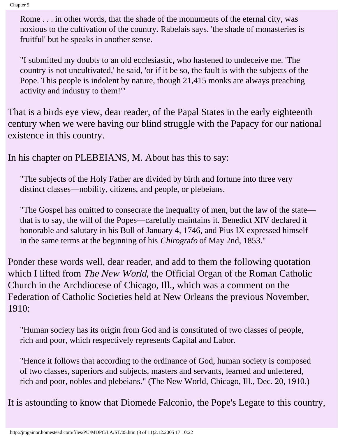Rome . . . in other words, that the shade of the monuments of the eternal city, was noxious to the cultivation of the country. Rabelais says. 'the shade of monasteries is fruitful' but he speaks in another sense.

"I submitted my doubts to an old ecclesiastic, who hastened to undeceive me. 'The country is not uncultivated,' he said, 'or if it be so, the fault is with the subjects of the Pope. This people is indolent by nature, though 21,415 monks are always preaching activity and industry to them!'"

That is a birds eye view, dear reader, of the Papal States in the early eighteenth century when we were having our blind struggle with the Papacy for our national existence in this country.

In his chapter on PLEBEIANS, M. About has this to say:

"The subjects of the Holy Father are divided by birth and fortune into three very distinct classes—nobility, citizens, and people, or plebeians.

"The Gospel has omitted to consecrate the inequality of men, but the law of the state that is to say, the will of the Popes—carefully maintains it. Benedict XIV declared it honorable and salutary in his Bull of January 4, 1746, and Pius IX expressed himself in the same terms at the beginning of his Chirografo of May 2nd, 1853."

Ponder these words well, dear reader, and add to them the following quotation which I lifted from The New World, the Official Organ of the Roman Catholic Church in the Archdiocese of Chicago, Ill., which was a comment on the Federation of Catholic Societies held at New Orleans the previous November, 1910:

"Human society has its origin from God and is constituted of two classes of people, rich and poor, which respectively represents Capital and Labor.

"Hence it follows that according to the ordinance of God, human society is composed of two classes, superiors and subjects, masters and servants, learned and unlettered, rich and poor, nobles and plebeians." (The New World, Chicago, Ill., Dec. 20, 1910.)

It is astounding to know that Diomede Falconio, the Pope's Legate to this country,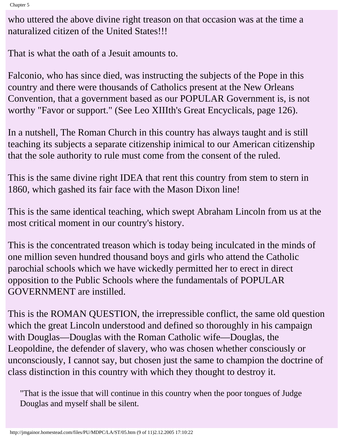who uttered the above divine right treason on that occasion was at the time a naturalized citizen of the United States!!!

That is what the oath of a Jesuit amounts to.

Falconio, who has since died, was instructing the subjects of the Pope in this country and there were thousands of Catholics present at the New Orleans Convention, that a government based as our POPULAR Government is, is not worthy "Favor or support." (See Leo XIIIth's Great Encyclicals, page 126).

In a nutshell, The Roman Church in this country has always taught and is still teaching its subjects a separate citizenship inimical to our American citizenship that the sole authority to rule must come from the consent of the ruled.

This is the same divine right IDEA that rent this country from stem to stern in 1860, which gashed its fair face with the Mason Dixon line!

This is the same identical teaching, which swept Abraham Lincoln from us at the most critical moment in our country's history.

This is the concentrated treason which is today being inculcated in the minds of one million seven hundred thousand boys and girls who attend the Catholic parochial schools which we have wickedly permitted her to erect in direct opposition to the Public Schools where the fundamentals of POPULAR GOVERNMENT are instilled.

This is the ROMAN QUESTION, the irrepressible conflict, the same old question which the great Lincoln understood and defined so thoroughly in his campaign with Douglas—Douglas with the Roman Catholic wife—Douglas, the Leopoldine, the defender of slavery, who was chosen whether consciously or unconsciously, I cannot say, but chosen just the same to champion the doctrine of class distinction in this country with which they thought to destroy it.

"That is the issue that will continue in this country when the poor tongues of Judge Douglas and myself shall be silent.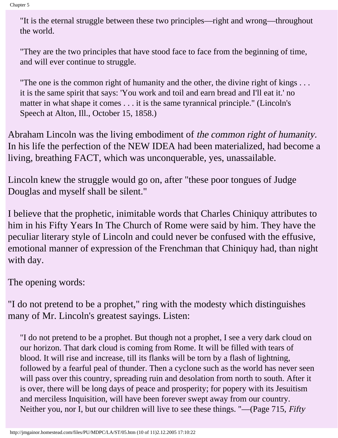"It is the eternal struggle between these two principles—right and wrong—throughout the world.

"They are the two principles that have stood face to face from the beginning of time, and will ever continue to struggle.

"The one is the common right of humanity and the other, the divine right of kings . . . it is the same spirit that says: 'You work and toil and earn bread and I'll eat it.' no matter in what shape it comes . . . it is the same tyrannical principle." (Lincoln's Speech at Alton, Ill., October 15, 1858.)

Abraham Lincoln was the living embodiment of the common right of humanity. In his life the perfection of the NEW IDEA had been materialized, had become a living, breathing FACT, which was unconquerable, yes, unassailable.

Lincoln knew the struggle would go on, after "these poor tongues of Judge Douglas and myself shall be silent."

I believe that the prophetic, inimitable words that Charles Chiniquy attributes to him in his Fifty Years In The Church of Rome were said by him. They have the peculiar literary style of Lincoln and could never be confused with the effusive, emotional manner of expression of the Frenchman that Chiniquy had, than night with day.

The opening words:

"I do not pretend to be a prophet," ring with the modesty which distinguishes many of Mr. Lincoln's greatest sayings. Listen:

"I do not pretend to be a prophet. But though not a prophet, I see a very dark cloud on our horizon. That dark cloud is coming from Rome. It will be filled with tears of blood. It will rise and increase, till its flanks will be torn by a flash of lightning, followed by a fearful peal of thunder. Then a cyclone such as the world has never seen will pass over this country, spreading ruin and desolation from north to south. After it is over, there will be long days of peace and prosperity; for popery with its Jesuitism and merciless Inquisition, will have been forever swept away from our country. Neither you, nor I, but our children will live to see these things. "—(Page 715, Fifty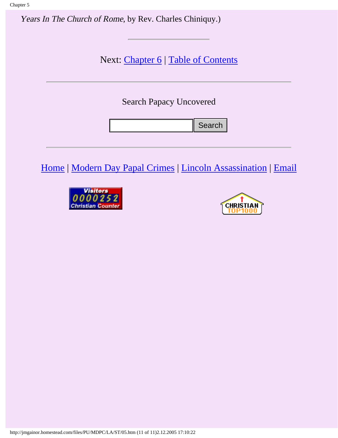Years In The Church of Rome, by Rev. Charles Chiniquy.)

Next: [Chapter 6](#page-59-0) | [Table of Contents](#page-0-0)

Search Papacy Uncovered



[Home](http://jmgainor.homestead.com/files/PU/PU.htm) | [Modern Day Papal Crimes](http://jmgainor.homestead.com/files/PU/MDPC/MDPC.htm) | [Lincoln Assassination](http://jmgainor.homestead.com/files/PU/MDPC/LA/LA.htm) | [Email](mailto:PapacyUncovered@ec.rr.com) Search<br>
Home | Modern Day Papal Crimes | Lincoln As<br>
0000252<br>
Christian Counter<br>
Search<br>
Search<br>
Search<br>
Search<br>
Search<br>
Search<br>
Search<br>
Search<br>
Search<br>
Search<br>
Search<br>
Search<br>
Search<br>
Search<br>
Search<br>
Search<br>
Search<br>
Searc



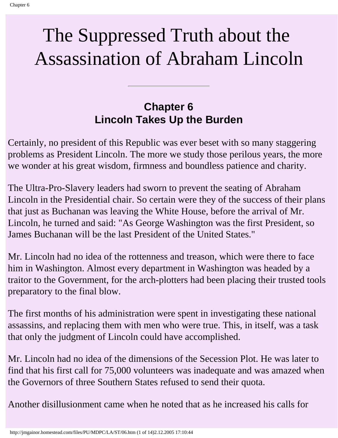# <span id="page-59-0"></span>The Suppressed Truth about the Assassination of Abraham Lincoln

### **Chapter 6 Lincoln Takes Up the Burden**

Certainly, no president of this Republic was ever beset with so many staggering problems as President Lincoln. The more we study those perilous years, the more we wonder at his great wisdom, firmness and boundless patience and charity.

The Ultra-Pro-Slavery leaders had sworn to prevent the seating of Abraham Lincoln in the Presidential chair. So certain were they of the success of their plans that just as Buchanan was leaving the White House, before the arrival of Mr. Lincoln, he turned and said: "As George Washington was the first President, so James Buchanan will be the last President of the United States."

Mr. Lincoln had no idea of the rottenness and treason, which were there to face him in Washington. Almost every department in Washington was headed by a traitor to the Government, for the arch-plotters had been placing their trusted tools preparatory to the final blow.

The first months of his administration were spent in investigating these national assassins, and replacing them with men who were true. This, in itself, was a task that only the judgment of Lincoln could have accomplished.

Mr. Lincoln had no idea of the dimensions of the Secession Plot. He was later to find that his first call for 75,000 volunteers was inadequate and was amazed when the Governors of three Southern States refused to send their quota.

Another disillusionment came when he noted that as he increased his calls for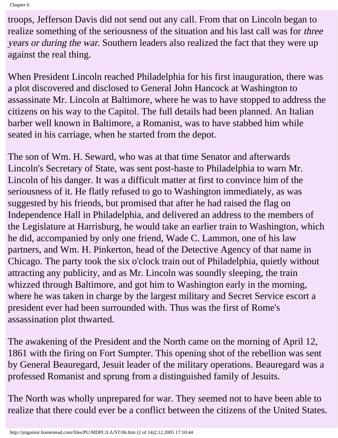troops, Jefferson Davis did not send out any call. From that on Lincoln began to realize something of the seriousness of the situation and his last call was for three years or during the war. Southern leaders also realized the fact that they were up against the real thing.

When President Lincoln reached Philadelphia for his first inauguration, there was a plot discovered and disclosed to General John Hancock at Washington to assassinate Mr. Lincoln at Baltimore, where he was to have stopped to address the citizens on his way to the Capitol. The full details had been planned. An Italian barber well known in Baltimore, a Romanist, was to have stabbed him while seated in his carriage, when he started from the depot.

The son of Wm. H. Seward, who was at that time Senator and afterwards Lincoln's Secretary of State, was sent post-haste to Philadelphia to warn Mr. Lincoln of his danger. It was a difficult matter at first to convince him of the seriousness of it. He flatly refused to go to Washington immediately, as was suggested by his friends, but promised that after he had raised the flag on Independence Hall in Philadelphia, and delivered an address to the members of the Legislature at Harrisburg, he would take an earlier train to Washington, which he did, accompanied by only one friend, Wade C. Lammon, one of his law partners, and Wm. H. Pinkerton, head of the Detective Agency of that name in Chicago. The party took the six o'clock train out of Philadelphia, quietly without attracting any publicity, and as Mr. Lincoln was soundly sleeping, the train whizzed through Baltimore, and got him to Washington early in the morning, where he was taken in charge by the largest military and Secret Service escort a president ever had been surrounded with. Thus was the first of Rome's assassination plot thwarted.

The awakening of the President and the North came on the morning of April 12, 1861 with the firing on Fort Sumpter. This opening shot of the rebellion was sent by General Beauregard, Jesuit leader of the military operations. Beauregard was a professed Romanist and sprung from a distinguished family of Jesuits.

The North was wholly unprepared for war. They seemed not to have been able to realize that there could ever be a conflict between the citizens of the United States.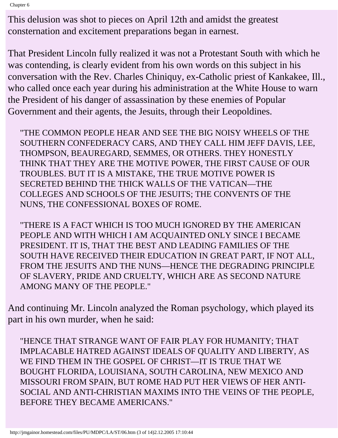This delusion was shot to pieces on April 12th and amidst the greatest consternation and excitement preparations began in earnest.

That President Lincoln fully realized it was not a Protestant South with which he was contending, is clearly evident from his own words on this subject in his conversation with the Rev. Charles Chiniquy, ex-Catholic priest of Kankakee, Ill., who called once each year during his administration at the White House to warn the President of his danger of assassination by these enemies of Popular Government and their agents, the Jesuits, through their Leopoldines.

"THE COMMON PEOPLE HEAR AND SEE THE BIG NOISY WHEELS OF THE SOUTHERN CONFEDERACY CARS, AND THEY CALL HIM JEFF DAVIS, LEE, THOMPSON, BEAUREGARD, SEMMES, OR OTHERS. THEY HONESTLY THINK THAT THEY ARE THE MOTIVE POWER, THE FIRST CAUSE OF OUR TROUBLES. BUT IT IS A MISTAKE, THE TRUE MOTIVE POWER IS SECRETED BEHIND THE THICK WALLS OF THE VATICAN—THE COLLEGES AND SCHOOLS OF THE JESUITS; THE CONVENTS OF THE NUNS, THE CONFESSIONAL BOXES OF ROME.

"THERE IS A FACT WHICH IS TOO MUCH IGNORED BY THE AMERICAN PEOPLE AND WITH WHICH I AM ACQUAINTED ONLY SINCE I BECAME PRESIDENT. IT IS, THAT THE BEST AND LEADING FAMILIES OF THE SOUTH HAVE RECEIVED THEIR EDUCATION IN GREAT PART, IF NOT ALL, FROM THE JESUITS AND THE NUNS—HENCE THE DEGRADING PRINCIPLE OF SLAVERY, PRIDE AND CRUELTY, WHICH ARE AS SECOND NATURE AMONG MANY OF THE PEOPLE."

And continuing Mr. Lincoln analyzed the Roman psychology, which played its part in his own murder, when he said:

"HENCE THAT STRANGE WANT OF FAIR PLAY FOR HUMANITY; THAT IMPLACABLE HATRED AGAINST IDEALS OF QUALITY AND LIBERTY, AS WE FIND THEM IN THE GOSPEL OF CHRIST—IT IS TRUE THAT WE BOUGHT FLORIDA, LOUISIANA, SOUTH CAROLINA, NEW MEXICO AND MISSOURI FROM SPAIN, BUT ROME HAD PUT HER VIEWS OF HER ANTI-SOCIAL AND ANTI-CHRISTIAN MAXIMS INTO THE VEINS OF THE PEOPLE, BEFORE THEY BECAME AMERICANS."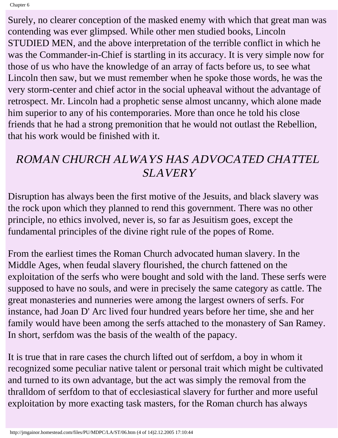Surely, no clearer conception of the masked enemy with which that great man was contending was ever glimpsed. While other men studied books, Lincoln STUDIED MEN, and the above interpretation of the terrible conflict in which he was the Commander-in-Chief is startling in its accuracy. It is very simple now for those of us who have the knowledge of an array of facts before us, to see what Lincoln then saw, but we must remember when he spoke those words, he was the very storm-center and chief actor in the social upheaval without the advantage of retrospect. Mr. Lincoln had a prophetic sense almost uncanny, which alone made him superior to any of his contemporaries. More than once he told his close friends that he had a strong premonition that he would not outlast the Rebellion, that his work would be finished with it.

## ROMAN CHURCH ALWAYS HAS ADVOCATED CHATTEL SLAVERY

Disruption has always been the first motive of the Jesuits, and black slavery was the rock upon which they planned to rend this government. There was no other principle, no ethics involved, never is, so far as Jesuitism goes, except the fundamental principles of the divine right rule of the popes of Rome.

From the earliest times the Roman Church advocated human slavery. In the Middle Ages, when feudal slavery flourished, the church fattened on the exploitation of the serfs who were bought and sold with the land. These serfs were supposed to have no souls, and were in precisely the same category as cattle. The great monasteries and nunneries were among the largest owners of serfs. For instance, had Joan D' Arc lived four hundred years before her time, she and her family would have been among the serfs attached to the monastery of San Ramey. In short, serfdom was the basis of the wealth of the papacy.

It is true that in rare cases the church lifted out of serfdom, a boy in whom it recognized some peculiar native talent or personal trait which might be cultivated and turned to its own advantage, but the act was simply the removal from the thralldom of serfdom to that of ecclesiastical slavery for further and more useful exploitation by more exacting task masters, for the Roman church has always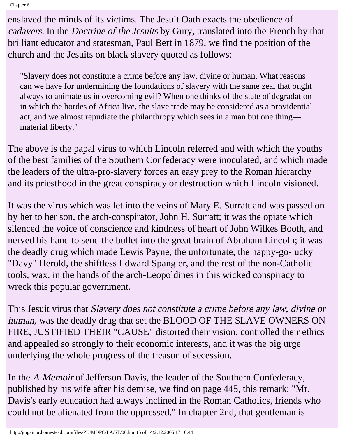enslaved the minds of its victims. The Jesuit Oath exacts the obedience of cadavers. In the Doctrine of the Jesuits by Gury, translated into the French by that brilliant educator and statesman, Paul Bert in 1879, we find the position of the church and the Jesuits on black slavery quoted as follows:

"Slavery does not constitute a crime before any law, divine or human. What reasons can we have for undermining the foundations of slavery with the same zeal that ought always to animate us in overcoming evil? When one thinks of the state of degradation in which the hordes of Africa live, the slave trade may be considered as a providential act, and we almost repudiate the philanthropy which sees in a man but one thing material liberty."

The above is the papal virus to which Lincoln referred and with which the youths of the best families of the Southern Confederacy were inoculated, and which made the leaders of the ultra-pro-slavery forces an easy prey to the Roman hierarchy and its priesthood in the great conspiracy or destruction which Lincoln visioned.

It was the virus which was let into the veins of Mary E. Surratt and was passed on by her to her son, the arch-conspirator, John H. Surratt; it was the opiate which silenced the voice of conscience and kindness of heart of John Wilkes Booth, and nerved his hand to send the bullet into the great brain of Abraham Lincoln; it was the deadly drug which made Lewis Payne, the unfortunate, the happy-go-lucky "Davy" Herold, the shiftless Edward Spangler, and the rest of the non-Catholic tools, wax, in the hands of the arch-Leopoldines in this wicked conspiracy to wreck this popular government.

This Jesuit virus that Slavery does not constitute a crime before any law, divine or human, was the deadly drug that set the BLOOD OF THE SLAVE OWNERS ON FIRE, JUSTIFIED THEIR "CAUSE" distorted their vision, controlled their ethics and appealed so strongly to their economic interests, and it was the big urge underlying the whole progress of the treason of secession.

In the A Memoir of Jefferson Davis, the leader of the Southern Confederacy, published by his wife after his demise, we find on page 445, this remark: "Mr. Davis's early education had always inclined in the Roman Catholics, friends who could not be alienated from the oppressed." In chapter 2nd, that gentleman is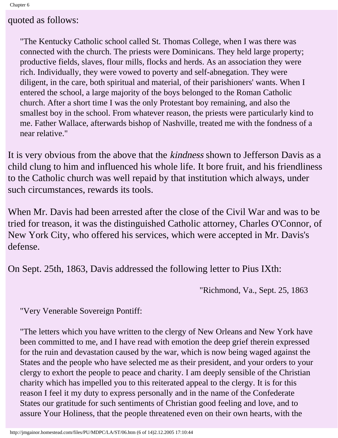#### quoted as follows:

"The Kentucky Catholic school called St. Thomas College, when I was there was connected with the church. The priests were Dominicans. They held large property; productive fields, slaves, flour mills, flocks and herds. As an association they were rich. Individually, they were vowed to poverty and self-abnegation. They were diligent, in the care, both spiritual and material, of their parishioners' wants. When I entered the school, a large majority of the boys belonged to the Roman Catholic church. After a short time I was the only Protestant boy remaining, and also the smallest boy in the school. From whatever reason, the priests were particularly kind to me. Father Wallace, afterwards bishop of Nashville, treated me with the fondness of a near relative."

It is very obvious from the above that the kindness shown to Jefferson Davis as a child clung to him and influenced his whole life. It bore fruit, and his friendliness to the Catholic church was well repaid by that institution which always, under such circumstances, rewards its tools.

When Mr. Davis had been arrested after the close of the Civil War and was to be tried for treason, it was the distinguished Catholic attorney, Charles O'Connor, of New York City, who offered his services, which were accepted in Mr. Davis's defense.

On Sept. 25th, 1863, Davis addressed the following letter to Pius IXth:

"Richmond, Va., Sept. 25, 1863

"Very Venerable Sovereign Pontiff:

"The letters which you have written to the clergy of New Orleans and New York have been committed to me, and I have read with emotion the deep grief therein expressed for the ruin and devastation caused by the war, which is now being waged against the States and the people who have selected me as their president, and your orders to your clergy to exhort the people to peace and charity. I am deeply sensible of the Christian charity which has impelled you to this reiterated appeal to the clergy. It is for this reason I feel it my duty to express personally and in the name of the Confederate States our gratitude for such sentiments of Christian good feeling and love, and to assure Your Holiness, that the people threatened even on their own hearts, with the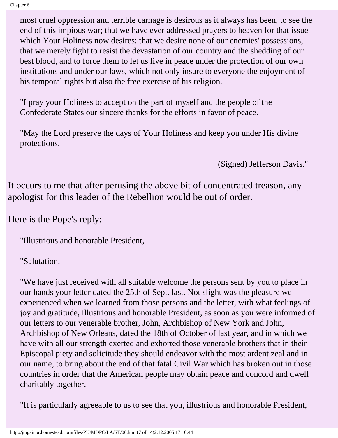most cruel oppression and terrible carnage is desirous as it always has been, to see the end of this impious war; that we have ever addressed prayers to heaven for that issue which Your Holiness now desires; that we desire none of our enemies' possessions, that we merely fight to resist the devastation of our country and the shedding of our best blood, and to force them to let us live in peace under the protection of our own institutions and under our laws, which not only insure to everyone the enjoyment of his temporal rights but also the free exercise of his religion.

"I pray your Holiness to accept on the part of myself and the people of the Confederate States our sincere thanks for the efforts in favor of peace.

"May the Lord preserve the days of Your Holiness and keep you under His divine protections.

(Signed) Jefferson Davis."

It occurs to me that after perusing the above bit of concentrated treason, any apologist for this leader of the Rebellion would be out of order.

Here is the Pope's reply:

"Illustrious and honorable President,

"Salutation.

"We have just received with all suitable welcome the persons sent by you to place in our hands your letter dated the 25th of Sept. last. Not slight was the pleasure we experienced when we learned from those persons and the letter, with what feelings of joy and gratitude, illustrious and honorable President, as soon as you were informed of our letters to our venerable brother, John, Archbishop of New York and John, Archbishop of New Orleans, dated the 18th of October of last year, and in which we have with all our strength exerted and exhorted those venerable brothers that in their Episcopal piety and solicitude they should endeavor with the most ardent zeal and in our name, to bring about the end of that fatal Civil War which has broken out in those countries in order that the American people may obtain peace and concord and dwell charitably together.

"It is particularly agreeable to us to see that you, illustrious and honorable President,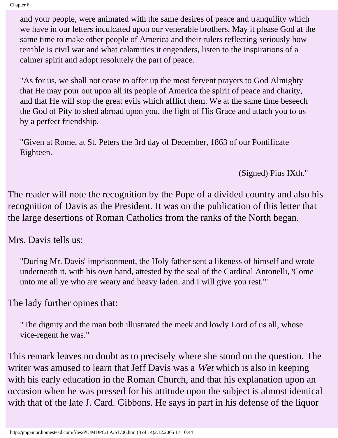and your people, were animated with the same desires of peace and tranquility which we have in our letters inculcated upon our venerable brothers. May it please God at the same time to make other people of America and their rulers reflecting seriously how terrible is civil war and what calamities it engenders, listen to the inspirations of a calmer spirit and adopt resolutely the part of peace.

"As for us, we shall not cease to offer up the most fervent prayers to God Almighty that He may pour out upon all its people of America the spirit of peace and charity, and that He will stop the great evils which afflict them. We at the same time beseech the God of Pity to shed abroad upon you, the light of His Grace and attach you to us by a perfect friendship.

"Given at Rome, at St. Peters the 3rd day of December, 1863 of our Pontificate Eighteen.

(Signed) Pius IXth."

The reader will note the recognition by the Pope of a divided country and also his recognition of Davis as the President. It was on the publication of this letter that the large desertions of Roman Catholics from the ranks of the North began.

Mrs. Davis tells us:

"During Mr. Davis' imprisonment, the Holy father sent a likeness of himself and wrote underneath it, with his own hand, attested by the seal of the Cardinal Antonelli, 'Come unto me all ye who are weary and heavy laden. and I will give you rest."'

The lady further opines that:

"The dignity and the man both illustrated the meek and lowly Lord of us all, whose vice-regent he was."

This remark leaves no doubt as to precisely where she stood on the question. The writer was amused to learn that Jeff Davis was a Wet which is also in keeping with his early education in the Roman Church, and that his explanation upon an occasion when he was pressed for his attitude upon the subject is almost identical with that of the late J. Card. Gibbons. He says in part in his defense of the liquor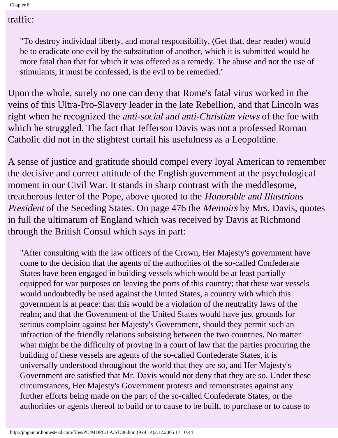#### traffic:

"To destroy individual liberty, and moral responsibility, (Get that, dear reader) would be to eradicate one evil by the substitution of another, which it is submitted would be more fatal than that for which it was offered as a remedy. The abuse and not the use of stimulants, it must be confessed, is the evil to be remedied."

Upon the whole, surely no one can deny that Rome's fatal virus worked in the veins of this Ultra-Pro-Slavery leader in the late Rebellion, and that Lincoln was right when he recognized the *anti-social and anti-Christian views* of the foe with which he struggled. The fact that Jefferson Davis was not a professed Roman Catholic did not in the slightest curtail his usefulness as a Leopoldine.

A sense of justice and gratitude should compel every loyal American to remember the decisive and correct attitude of the English government at the psychological moment in our Civil War. It stands in sharp contrast with the meddlesome, treacherous letter of the Pope, above quoted to the Honorable and Illustrious President of the Seceding States. On page 476 the Memoirs by Mrs. Davis, quotes in full the ultimatum of England which was received by Davis at Richmond through the British Consul which says in part:

"After consulting with the law officers of the Crown, Her Majesty's government have come to the decision that the agents of the authorities of the so-called Confederate States have been engaged in building vessels which would be at least partially equipped for war purposes on leaving the ports of this country; that these war vessels would undoubtedly be used against the United States, a country with which this government is at peace: that this would be a violation of the neutrality laws of the realm; and that the Government of the United States would have just grounds for serious complaint against her Majesty's Government, should they permit such an infraction of the friendly relations subsisting between the two countries. No matter what might be the difficulty of proving in a court of law that the parties procuring the building of these vessels are agents of the so-called Confederate States, it is universally understood throughout the world that they are so, and Her Majesty's Government are satisfied that Mr. Davis would not deny that they are so. Under these circumstances, Her Majesty's Government protests and remonstrates against any further efforts being made on the part of the so-called Confederate States, or the authorities or agents thereof to build or to cause to be built, to purchase or to cause to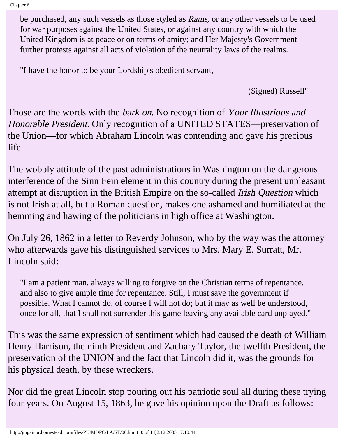be purchased, any such vessels as those styled as Rams, or any other vessels to be used for war purposes against the United States, or against any country with which the United Kingdom is at peace or on terms of amity; and Her Majesty's Government further protests against all acts of violation of the neutrality laws of the realms.

"I have the honor to be your Lordship's obedient servant,

(Signed) Russell"

Those are the words with the *bark on*. No recognition of *Your Illustrious and* Honorable President. Only recognition of a UNITED STATES—preservation of the Union—for which Abraham Lincoln was contending and gave his precious life.

The wobbly attitude of the past administrations in Washington on the dangerous interference of the Sinn Fein element in this country during the present unpleasant attempt at disruption in the British Empire on the so-called Irish Question which is not Irish at all, but a Roman question, makes one ashamed and humiliated at the hemming and hawing of the politicians in high office at Washington.

On July 26, 1862 in a letter to Reverdy Johnson, who by the way was the attorney who afterwards gave his distinguished services to Mrs. Mary E. Surratt, Mr. Lincoln said:

"I am a patient man, always willing to forgive on the Christian terms of repentance, and also to give ample time for repentance. Still, I must save the government if possible. What I cannot do, of course I will not do; but it may as well be understood, once for all, that I shall not surrender this game leaving any available card unplayed."

This was the same expression of sentiment which had caused the death of William Henry Harrison, the ninth President and Zachary Taylor, the twelfth President, the preservation of the UNION and the fact that Lincoln did it, was the grounds for his physical death, by these wreckers.

Nor did the great Lincoln stop pouring out his patriotic soul all during these trying four years. On August 15, 1863, he gave his opinion upon the Draft as follows: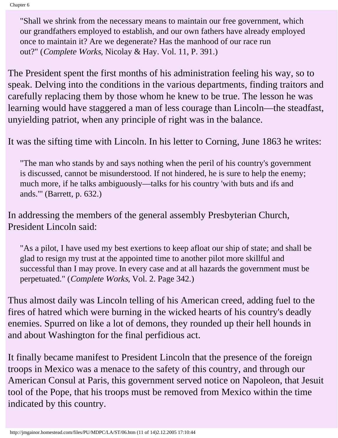"Shall we shrink from the necessary means to maintain our free government, which our grandfathers employed to establish, and our own fathers have already employed once to maintain it? Are we degenerate? Has the manhood of our race run out?" (Complete Works, Nicolay & Hay. Vol. 11, P. 391.)

The President spent the first months of his administration feeling his way, so to speak. Delving into the conditions in the various departments, finding traitors and carefully replacing them by those whom he knew to be true. The lesson he was learning would have staggered a man of less courage than Lincoln—the steadfast, unyielding patriot, when any principle of right was in the balance.

It was the sifting time with Lincoln. In his letter to Corning, June 1863 he writes:

"The man who stands by and says nothing when the peril of his country's government is discussed, cannot be misunderstood. If not hindered, he is sure to help the enemy; much more, if he talks ambiguously—talks for his country 'with buts and ifs and ands."' (Barrett, p. 632.)

In addressing the members of the general assembly Presbyterian Church, President Lincoln said:

"As a pilot, I have used my best exertions to keep afloat our ship of state; and shall be glad to resign my trust at the appointed time to another pilot more skillful and successful than I may prove. In every case and at all hazards the government must be perpetuated." (Complete Works, Vol. 2. Page 342.)

Thus almost daily was Lincoln telling of his American creed, adding fuel to the fires of hatred which were burning in the wicked hearts of his country's deadly enemies. Spurred on like a lot of demons, they rounded up their hell hounds in and about Washington for the final perfidious act.

It finally became manifest to President Lincoln that the presence of the foreign troops in Mexico was a menace to the safety of this country, and through our American Consul at Paris, this government served notice on Napoleon, that Jesuit tool of the Pope, that his troops must be removed from Mexico within the time indicated by this country.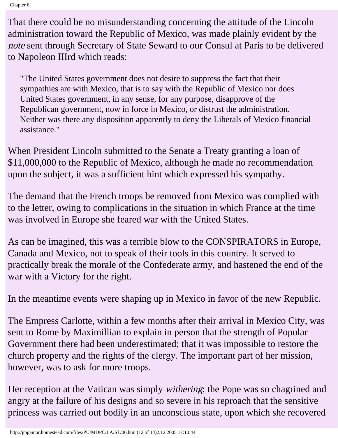That there could be no misunderstanding concerning the attitude of the Lincoln administration toward the Republic of Mexico, was made plainly evident by the note sent through Secretary of State Seward to our Consul at Paris to be delivered to Napoleon IIIrd which reads:

"The United States government does not desire to suppress the fact that their sympathies are with Mexico, that is to say with the Republic of Mexico nor does United States government, in any sense, for any purpose, disapprove of the Republican government, now in force in Mexico, or distrust the administration. Neither was there any disposition apparently to deny the Liberals of Mexico financial assistance."

When President Lincoln submitted to the Senate a Treaty granting a loan of \$11,000,000 to the Republic of Mexico, although he made no recommendation upon the subject, it was a sufficient hint which expressed his sympathy.

The demand that the French troops be removed from Mexico was complied with to the letter, owing to complications in the situation in which France at the time was involved in Europe she feared war with the United States.

As can be imagined, this was a terrible blow to the CONSPIRATORS in Europe, Canada and Mexico, not to speak of their tools in this country. It served to practically break the morale of the Confederate army, and hastened the end of the war with a Victory for the right.

In the meantime events were shaping up in Mexico in favor of the new Republic.

The Empress Carlotte, within a few months after their arrival in Mexico City, was sent to Rome by Maximillian to explain in person that the strength of Popular Government there had been underestimated; that it was impossible to restore the church property and the rights of the clergy. The important part of her mission, however, was to ask for more troops.

Her reception at the Vatican was simply withering; the Pope was so chagrined and angry at the failure of his designs and so severe in his reproach that the sensitive princess was carried out bodily in an unconscious state, upon which she recovered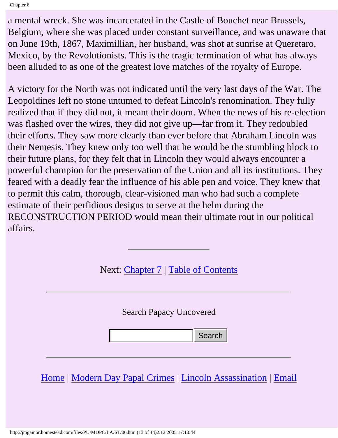a mental wreck. She was incarcerated in the Castle of Bouchet near Brussels, Belgium, where she was placed under constant surveillance, and was unaware that on June 19th, 1867, Maximillian, her husband, was shot at sunrise at Queretaro, Mexico, by the Revolutionists. This is the tragic termination of what has always been alluded to as one of the greatest love matches of the royalty of Europe.

A victory for the North was not indicated until the very last days of the War. The Leopoldines left no stone untumed to defeat Lincoln's renomination. They fully realized that if they did not, it meant their doom. When the news of his re-election was flashed over the wires, they did not give up—far from it. They redoubled their efforts. They saw more clearly than ever before that Abraham Lincoln was their Nemesis. They knew only too well that he would be the stumbling block to their future plans, for they felt that in Lincoln they would always encounter a powerful champion for the preservation of the Union and all its institutions. They feared with a deadly fear the influence of his able pen and voice. They knew that to permit this calm, thorough, clear-visioned man who had such a complete estimate of their perfidious designs to serve at the helm during the RECONSTRUCTION PERIOD would mean their ultimate rout in our political affairs.

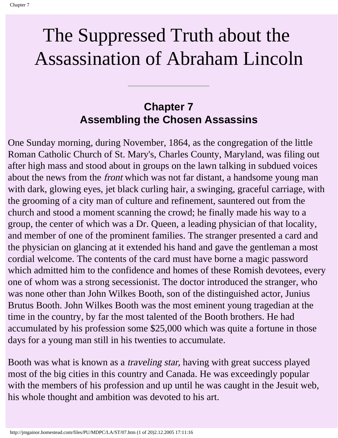## The Suppressed Truth about the Assassination of Abraham Lincoln

## **Chapter 7 Assembling the Chosen Assassins**

One Sunday morning, during November, 1864, as the congregation of the little Roman Catholic Church of St. Mary's, Charles County, Maryland, was filing out after high mass and stood about in groups on the lawn talking in subdued voices about the news from the front which was not far distant, a handsome young man with dark, glowing eyes, jet black curling hair, a swinging, graceful carriage, with the grooming of a city man of culture and refinement, sauntered out from the church and stood a moment scanning the crowd; he finally made his way to a group, the center of which was a Dr. Queen, a leading physician of that locality, and member of one of the prominent families. The stranger presented a card and the physician on glancing at it extended his hand and gave the gentleman a most cordial welcome. The contents of the card must have borne a magic password which admitted him to the confidence and homes of these Romish devotees, every one of whom was a strong secessionist. The doctor introduced the stranger, who was none other than John Wilkes Booth, son of the distinguished actor, Junius Brutus Booth. John Wilkes Booth was the most eminent young tragedian at the time in the country, by far the most talented of the Booth brothers. He had accumulated by his profession some \$25,000 which was quite a fortune in those days for a young man still in his twenties to accumulate.

Booth was what is known as a traveling star, having with great success played most of the big cities in this country and Canada. He was exceedingly popular with the members of his profession and up until he was caught in the Jesuit web, his whole thought and ambition was devoted to his art.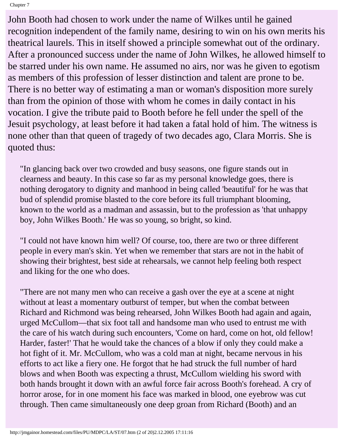John Booth had chosen to work under the name of Wilkes until he gained recognition independent of the family name, desiring to win on his own merits his theatrical laurels. This in itself showed a principle somewhat out of the ordinary. After a pronounced success under the name of John Wilkes, he allowed himself to be starred under his own name. He assumed no airs, nor was he given to egotism as members of this profession of lesser distinction and talent are prone to be. There is no better way of estimating a man or woman's disposition more surely than from the opinion of those with whom he comes in daily contact in his vocation. I give the tribute paid to Booth before he fell under the spell of the Jesuit psychology, at least before it had taken a fatal hold of him. The witness is none other than that queen of tragedy of two decades ago, Clara Morris. She is quoted thus:

"In glancing back over two crowded and busy seasons, one figure stands out in clearness and beauty. In this case so far as my personal knowledge goes, there is nothing derogatory to dignity and manhood in being called 'beautiful' for he was that bud of splendid promise blasted to the core before its full triumphant blooming, known to the world as a madman and assassin, but to the profession as 'that unhappy boy, John Wilkes Booth.' He was so young, so bright, so kind.

"I could not have known him well? Of course, too, there are two or three different people in every man's skin. Yet when we remember that stars are not in the habit of showing their brightest, best side at rehearsals, we cannot help feeling both respect and liking for the one who does.

"There are not many men who can receive a gash over the eye at a scene at night without at least a momentary outburst of temper, but when the combat between Richard and Richmond was being rehearsed, John Wilkes Booth had again and again, urged McCullom—that six foot tall and handsome man who used to entrust me with the care of his watch during such encounters, 'Come on hard, come on hot, old fellow! Harder, faster!' That he would take the chances of a blow if only they could make a hot fight of it. Mr. McCullom, who was a cold man at night, became nervous in his efforts to act like a fiery one. He forgot that he had struck the full number of hard blows and when Booth was expecting a thrust, McCullom wielding his sword with both hands brought it down with an awful force fair across Booth's forehead. A cry of horror arose, for in one moment his face was marked in blood, one eyebrow was cut through. Then came simultaneously one deep groan from Richard (Booth) and an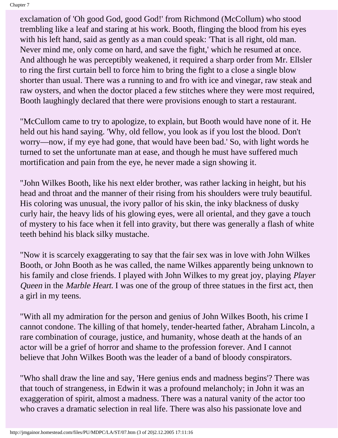exclamation of 'Oh good God, good God!' from Richmond (McCollum) who stood trembling like a leaf and staring at his work. Booth, flinging the blood from his eyes with his left hand, said as gently as a man could speak: 'That is all right, old man. Never mind me, only come on hard, and save the fight,' which he resumed at once. And although he was perceptibly weakened, it required a sharp order from Mr. Ellsler to ring the first curtain bell to force him to bring the fight to a close a single blow shorter than usual. There was a running to and fro with ice and vinegar, raw steak and raw oysters, and when the doctor placed a few stitches where they were most required, Booth laughingly declared that there were provisions enough to start a restaurant.

"McCullom came to try to apologize, to explain, but Booth would have none of it. He held out his hand saying. 'Why, old fellow, you look as if you lost the blood. Don't worry—now, if my eye had gone, that would have been bad.' So, with light words he turned to set the unfortunate man at ease, and though he must have suffered much mortification and pain from the eye, he never made a sign showing it.

"John Wilkes Booth, like his next elder brother, was rather lacking in height, but his head and throat and the manner of their rising from his shoulders were truly beautiful. His coloring was unusual, the ivory pallor of his skin, the inky blackness of dusky curly hair, the heavy lids of his glowing eyes, were all oriental, and they gave a touch of mystery to his face when it fell into gravity, but there was generally a flash of white teeth behind his black silky mustache.

"Now it is scarcely exaggerating to say that the fair sex was in love with John Wilkes Booth, or John Booth as he was called, the name Wilkes apparently being unknown to his family and close friends. I played with John Wilkes to my great joy, playing Player Queen in the Marble Heart. I was one of the group of three statues in the first act, then a girl in my teens.

"With all my admiration for the person and genius of John Wilkes Booth, his crime I cannot condone. The killing of that homely, tender-hearted father, Abraham Lincoln, a rare combination of courage, justice, and humanity, whose death at the hands of an actor will be a grief of horror and shame to the profession forever. And I cannot believe that John Wilkes Booth was the leader of a band of bloody conspirators.

"Who shall draw the line and say, 'Here genius ends and madness begins'? There was that touch of strangeness, in Edwin it was a profound melancholy; in John it was an exaggeration of spirit, almost a madness. There was a natural vanity of the actor too who craves a dramatic selection in real life. There was also his passionate love and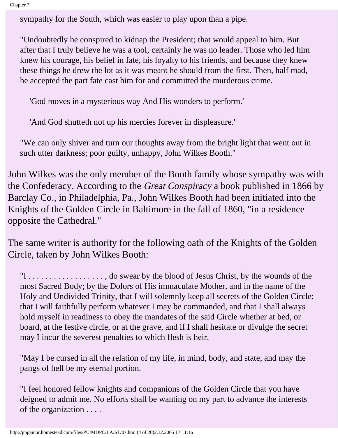sympathy for the South, which was easier to play upon than a pipe.

"Undoubtedly he conspired to kidnap the President; that would appeal to him. But after that I truly believe he was a tool; certainly he was no leader. Those who led him knew his courage, his belief in fate, his loyalty to his friends, and because they knew these things he drew the lot as it was meant he should from the first. Then, half mad, he accepted the part fate cast him for and committed the murderous crime.

'God moves in a mysterious way And His wonders to perform.'

'And God shutteth not up his mercies forever in displeasure.'

"We can only shiver and turn our thoughts away from the bright light that went out in such utter darkness; poor guilty, unhappy, John Wilkes Booth."

John Wilkes was the only member of the Booth family whose sympathy was with the Confederacy. According to the Great Conspiracy a book published in 1866 by Barclay Co., in Philadelphia, Pa., John Wilkes Booth had been initiated into the Knights of the Golden Circle in Baltimore in the fall of 1860, "in a residence opposite the Cathedral."

The same writer is authority for the following oath of the Knights of the Golden Circle, taken by John Wilkes Booth:

"I . . . . . . . . . . . . . . . . . . , do swear by the blood of Jesus Christ, by the wounds of the most Sacred Body; by the Dolors of His immaculate Mother, and in the name of the Holy and Undivided Trinity, that I will solemnly keep all secrets of the Golden Circle; that I will faithfully perform whatever I may be commanded, and that I shall always hold myself in readiness to obey the mandates of the said Circle whether at bed, or board, at the festive circle, or at the grave, and if I shall hesitate or divulge the secret may I incur the severest penalties to which flesh is heir.

"May I be cursed in all the relation of my life, in mind, body, and state, and may the pangs of hell be my eternal portion.

"I feel honored fellow knights and companions of the Golden Circle that you have deigned to admit me. No efforts shall be wanting on my part to advance the interests of the organization . . . .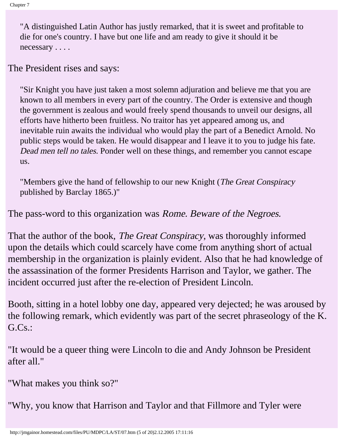"A distinguished Latin Author has justly remarked, that it is sweet and profitable to die for one's country. I have but one life and am ready to give it should it be necessary . . . .

The President rises and says:

"Sir Knight you have just taken a most solemn adjuration and believe me that you are known to all members in every part of the country. The Order is extensive and though the government is zealous and would freely spend thousands to unveil our designs, all efforts have hitherto been fruitless. No traitor has yet appeared among us, and inevitable ruin awaits the individual who would play the part of a Benedict Arnold. No public steps would be taken. He would disappear and I leave it to you to judge his fate. Dead men tell no tales. Ponder well on these things, and remember you cannot escape us.

"Members give the hand of fellowship to our new Knight (The Great Conspiracy published by Barclay 1865.)"

The pass-word to this organization was *Rome. Beware of the Negroes.* 

That the author of the book, The Great Conspiracy, was thoroughly informed upon the details which could scarcely have come from anything short of actual membership in the organization is plainly evident. Also that he had knowledge of the assassination of the former Presidents Harrison and Taylor, we gather. The incident occurred just after the re-election of President Lincoln.

Booth, sitting in a hotel lobby one day, appeared very dejected; he was aroused by the following remark, which evidently was part of the secret phraseology of the K. G.Cs.:

"It would be a queer thing were Lincoln to die and Andy Johnson be President after all."

"What makes you think so?"

"Why, you know that Harrison and Taylor and that Fillmore and Tyler were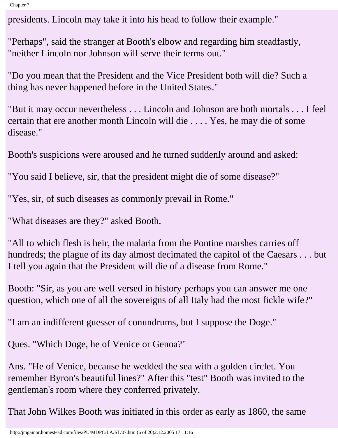presidents. Lincoln may take it into his head to follow their example."

"Perhaps", said the stranger at Booth's elbow and regarding him steadfastly, "neither Lincoln nor Johnson will serve their terms out."

"Do you mean that the President and the Vice President both will die? Such a thing has never happened before in the United States."

"But it may occur nevertheless . . . Lincoln and Johnson are both mortals . . . I feel certain that ere another month Lincoln will die . . . . Yes, he may die of some disease."

Booth's suspicions were aroused and he turned suddenly around and asked:

"You said I believe, sir, that the president might die of some disease?"

"Yes, sir, of such diseases as commonly prevail in Rome."

"What diseases are they?" asked Booth.

"All to which flesh is heir, the malaria from the Pontine marshes carries off hundreds; the plague of its day almost decimated the capitol of the Caesars . . . but I tell you again that the President will die of a disease from Rome."

Booth: "Sir, as you are well versed in history perhaps you can answer me one question, which one of all the sovereigns of all Italy had the most fickle wife?"

"I am an indifferent guesser of conundrums, but I suppose the Doge."

Ques. "Which Doge, he of Venice or Genoa?"

Ans. "He of Venice, because he wedded the sea with a golden circlet. You remember Byron's beautiful lines?" After this "test" Booth was invited to the gentleman's room where they conferred privately.

That John Wilkes Booth was initiated in this order as early as 1860, the same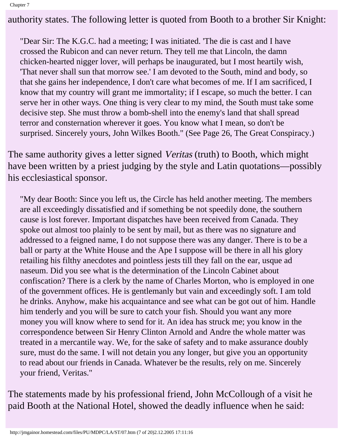authority states. The following letter is quoted from Booth to a brother Sir Knight:

"Dear Sir: The K.G.C. had a meeting; I was initiated. 'The die is cast and I have crossed the Rubicon and can never return. They tell me that Lincoln, the damn chicken-hearted nigger lover, will perhaps be inaugurated, but I most heartily wish, 'That never shall sun that morrow see.' I am devoted to the South, mind and body, so that she gains her independence, I don't care what becomes of me. If I am sacrificed, I know that my country will grant me immortality; if I escape, so much the better. I can serve her in other ways. One thing is very clear to my mind, the South must take some decisive step. She must throw a bomb-shell into the enemy's land that shall spread terror and consternation wherever it goes. You know what I mean, so don't be surprised. Sincerely yours, John Wilkes Booth." (See Page 26, The Great Conspiracy.)

The same authority gives a letter signed *Veritas* (truth) to Booth, which might have been written by a priest judging by the style and Latin quotations—possibly his ecclesiastical sponsor.

"My dear Booth: Since you left us, the Circle has held another meeting. The members are all exceedingly dissatisfied and if something be not speedily done, the southern cause is lost forever. Important dispatches have been received from Canada. They spoke out almost too plainly to be sent by mail, but as there was no signature and addressed to a feigned name, I do not suppose there was any danger. There is to be a ball or party at the White House and the Ape I suppose will be there in all his glory retailing his filthy anecdotes and pointless jests till they fall on the ear, usque ad naseum. Did you see what is the determination of the Lincoln Cabinet about confiscation? There is a clerk by the name of Charles Morton, who is employed in one of the government offices. He is gentlemanly but vain and exceedingly soft. I am told he drinks. Anyhow, make his acquaintance and see what can be got out of him. Handle him tenderly and you will be sure to catch your fish. Should you want any more money you will know where to send for it. An idea has struck me; you know in the correspondence between Sir Henry Clinton Arnold and Andre the whole matter was treated in a mercantile way. We, for the sake of safety and to make assurance doubly sure, must do the same. I will not detain you any longer, but give you an opportunity to read about our friends in Canada. Whatever be the results, rely on me. Sincerely your friend, Veritas."

The statements made by his professional friend, John McCollough of a visit he paid Booth at the National Hotel, showed the deadly influence when he said: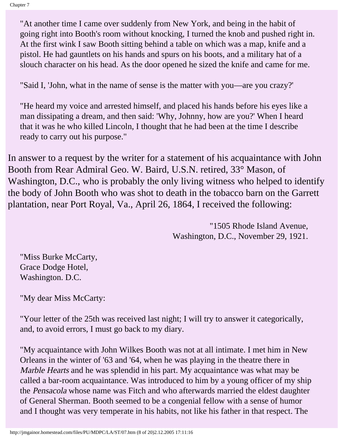"At another time I came over suddenly from New York, and being in the habit of going right into Booth's room without knocking, I turned the knob and pushed right in. At the first wink I saw Booth sitting behind a table on which was a map, knife and a pistol. He had gauntlets on his hands and spurs on his boots, and a military hat of a slouch character on his head. As the door opened he sized the knife and came for me.

"Said I, 'John, what in the name of sense is the matter with you—are you crazy?'

"He heard my voice and arrested himself, and placed his hands before his eyes like a man dissipating a dream, and then said: 'Why, Johnny, how are you?' When I heard that it was he who killed Lincoln, I thought that he had been at the time I describe ready to carry out his purpose."

In answer to a request by the writer for a statement of his acquaintance with John Booth from Rear Admiral Geo. W. Baird, U.S.N. retired, 33° Mason, of Washington, D.C., who is probably the only living witness who helped to identify the body of John Booth who was shot to death in the tobacco barn on the Garrett plantation, near Port Royal, Va., April 26, 1864, I received the following:

> "1505 Rhode Island Avenue, Washington, D.C., November 29, 1921.

"Miss Burke McCarty, Grace Dodge Hotel, Washington. D.C.

"My dear Miss McCarty:

"Your letter of the 25th was received last night; I will try to answer it categorically, and, to avoid errors, I must go back to my diary.

"My acquaintance with John Wilkes Booth was not at all intimate. I met him in New Orleans in the winter of '63 and '64, when he was playing in the theatre there in Marble Hearts and he was splendid in his part. My acquaintance was what may be called a bar-room acquaintance. Was introduced to him by a young officer of my ship the Pensacola whose name was Fitch and who afterwards married the eldest daughter of General Sherman. Booth seemed to be a congenial fellow with a sense of humor and I thought was very temperate in his habits, not like his father in that respect. The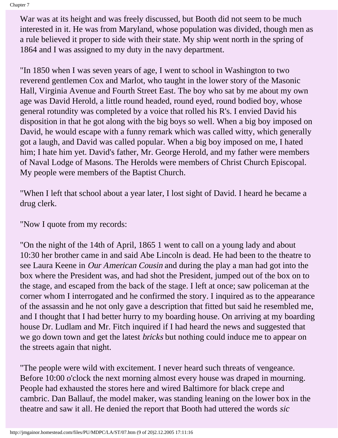War was at its height and was freely discussed, but Booth did not seem to be much interested in it. He was from Maryland, whose population was divided, though men as a rule believed it proper to side with their state. My ship went north in the spring of 1864 and I was assigned to my duty in the navy department.

"In 1850 when I was seven years of age, I went to school in Washington to two reverend gentlemen Cox and Marlot, who taught in the lower story of the Masonic Hall, Virginia Avenue and Fourth Street East. The boy who sat by me about my own age was David Herold, a little round headed, round eyed, round bodied boy, whose general rotundity was completed by a voice that rolled his R's. I envied David his disposition in that he got along with the big boys so well. When a big boy imposed on David, he would escape with a funny remark which was called witty, which generally got a laugh, and David was called popular. When a big boy imposed on me, I hated him; I hate him yet. David's father, Mr. George Herold, and my father were members of Naval Lodge of Masons. The Herolds were members of Christ Church Episcopal. My people were members of the Baptist Church.

"When I left that school about a year later, I lost sight of David. I heard he became a drug clerk.

"Now I quote from my records:

"On the night of the 14th of April, 1865 1 went to call on a young lady and about 10:30 her brother came in and said Abe Lincoln is dead. He had been to the theatre to see Laura Keene in Our American Cousin and during the play a man had got into the box where the President was, and had shot the President, jumped out of the box on to the stage, and escaped from the back of the stage. I left at once; saw policeman at the corner whom I interrogated and he confirmed the story. I inquired as to the appearance of the assassin and he not only gave a description that fitted but said he resembled me, and I thought that I had better hurry to my boarding house. On arriving at my boarding house Dr. Ludlam and Mr. Fitch inquired if I had heard the news and suggested that we go down town and get the latest bricks but nothing could induce me to appear on the streets again that night.

"The people were wild with excitement. I never heard such threats of vengeance. Before 10:00 o'clock the next morning almost every house was draped in mourning. People had exhausted the stores here and wired Baltimore for black crepe and cambric. Dan Ballauf, the model maker, was standing leaning on the lower box in the theatre and saw it all. He denied the report that Booth had uttered the words sic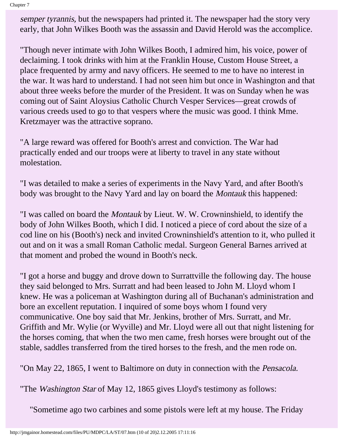semper tyrannis, but the newspapers had printed it. The newspaper had the story very early, that John Wilkes Booth was the assassin and David Herold was the accomplice.

"Though never intimate with John Wilkes Booth, I admired him, his voice, power of declaiming. I took drinks with him at the Franklin House, Custom House Street, a place frequented by army and navy officers. He seemed to me to have no interest in the war. It was hard to understand. I had not seen him but once in Washington and that about three weeks before the murder of the President. It was on Sunday when he was coming out of Saint Aloysius Catholic Church Vesper Services—great crowds of various creeds used to go to that vespers where the music was good. I think Mme. Kretzmayer was the attractive soprano.

"A large reward was offered for Booth's arrest and conviction. The War had practically ended and our troops were at liberty to travel in any state without molestation.

"I was detailed to make a series of experiments in the Navy Yard, and after Booth's body was brought to the Navy Yard and lay on board the Montauk this happened:

"I was called on board the Montauk by Lieut. W. W. Crowninshield, to identify the body of John Wilkes Booth, which I did. I noticed a piece of cord about the size of a cod line on his (Booth's) neck and invited Crowninshield's attention to it, who pulled it out and on it was a small Roman Catholic medal. Surgeon General Barnes arrived at that moment and probed the wound in Booth's neck.

"I got a horse and buggy and drove down to Surrattville the following day. The house they said belonged to Mrs. Surratt and had been leased to John M. Lloyd whom I knew. He was a policeman at Washington during all of Buchanan's administration and bore an excellent reputation. I inquired of some boys whom I found very communicative. One boy said that Mr. Jenkins, brother of Mrs. Surratt, and Mr. Griffith and Mr. Wylie (or Wyville) and Mr. Lloyd were all out that night listening for the horses coming, that when the two men came, fresh horses were brought out of the stable, saddles transferred from the tired horses to the fresh, and the men rode on.

"On May 22, 1865, I went to Baltimore on duty in connection with the Pensacola.

"The Washington Star of May 12, 1865 gives Lloyd's testimony as follows:

"Sometime ago two carbines and some pistols were left at my house. The Friday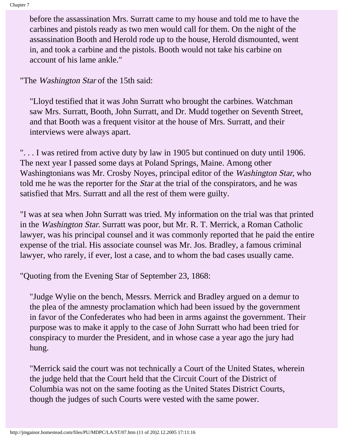before the assassination Mrs. Surratt came to my house and told me to have the carbines and pistols ready as two men would call for them. On the night of the assassination Booth and Herold rode up to the house, Herold dismounted, went in, and took a carbine and the pistols. Booth would not take his carbine on account of his lame ankle."

"The Washington Star of the 15th said:

"Lloyd testified that it was John Surratt who brought the carbines. Watchman saw Mrs. Surratt, Booth, John Surratt, and Dr. Mudd together on Seventh Street, and that Booth was a frequent visitor at the house of Mrs. Surratt, and their interviews were always apart.

". . . I was retired from active duty by law in 1905 but continued on duty until 1906. The next year I passed some days at Poland Springs, Maine. Among other Washingtonians was Mr. Crosby Noyes, principal editor of the Washington Star, who told me he was the reporter for the Star at the trial of the conspirators, and he was satisfied that Mrs. Surratt and all the rest of them were guilty.

"I was at sea when John Surratt was tried. My information on the trial was that printed in the Washington Star. Surratt was poor, but Mr. R. T. Merrick, a Roman Catholic lawyer, was his principal counsel and it was commonly reported that he paid the entire expense of the trial. His associate counsel was Mr. Jos. Bradley, a famous criminal lawyer, who rarely, if ever, lost a case, and to whom the bad cases usually came.

"Quoting from the Evening Star of September 23, 1868:

"Judge Wylie on the bench, Messrs. Merrick and Bradley argued on a demur to the plea of the amnesty proclamation which had been issued by the government in favor of the Confederates who had been in arms against the government. Their purpose was to make it apply to the case of John Surratt who had been tried for conspiracy to murder the President, and in whose case a year ago the jury had hung.

"Merrick said the court was not technically a Court of the United States, wherein the judge held that the Court held that the Circuit Court of the District of Columbia was not on the same footing as the United States District Courts, though the judges of such Courts were vested with the same power.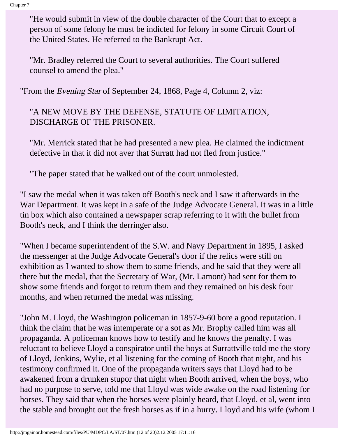"He would submit in view of the double character of the Court that to except a person of some felony he must be indicted for felony in some Circuit Court of the United States. He referred to the Bankrupt Act.

"Mr. Bradley referred the Court to several authorities. The Court suffered counsel to amend the plea."

"From the Evening Star of September 24, 1868, Page 4, Column 2, viz:

#### "A NEW MOVE BY THE DEFENSE, STATUTE OF LIMITATION, DISCHARGE OF THE PRISONER.

"Mr. Merrick stated that he had presented a new plea. He claimed the indictment defective in that it did not aver that Surratt had not fled from justice."

"The paper stated that he walked out of the court unmolested.

"I saw the medal when it was taken off Booth's neck and I saw it afterwards in the War Department. It was kept in a safe of the Judge Advocate General. It was in a little tin box which also contained a newspaper scrap referring to it with the bullet from Booth's neck, and I think the derringer also.

"When I became superintendent of the S.W. and Navy Department in 1895, I asked the messenger at the Judge Advocate General's door if the relics were still on exhibition as I wanted to show them to some friends, and he said that they were all there but the medal, that the Secretary of War, (Mr. Lamont) had sent for them to show some friends and forgot to return them and they remained on his desk four months, and when returned the medal was missing.

"John M. Lloyd, the Washington policeman in 1857-9-60 bore a good reputation. I think the claim that he was intemperate or a sot as Mr. Brophy called him was all propaganda. A policeman knows how to testify and he knows the penalty. I was reluctant to believe Lloyd a conspirator until the boys at Surrattville told me the story of Lloyd, Jenkins, Wylie, et al listening for the coming of Booth that night, and his testimony confirmed it. One of the propaganda writers says that Lloyd had to be awakened from a drunken stupor that night when Booth arrived, when the boys, who had no purpose to serve, told me that Lloyd was wide awake on the road listening for horses. They said that when the horses were plainly heard, that Lloyd, et al, went into the stable and brought out the fresh horses as if in a hurry. Lloyd and his wife (whom I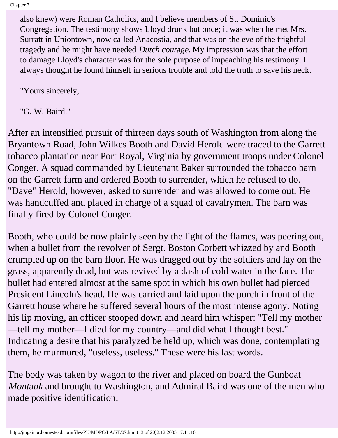also knew) were Roman Catholics, and I believe members of St. Dominic's Congregation. The testimony shows Lloyd drunk but once; it was when he met Mrs. Surratt in Uniontown, now called Anacostia, and that was on the eve of the frightful tragedy and he might have needed Dutch courage. My impression was that the effort to damage Lloyd's character was for the sole purpose of impeaching his testimony. I always thought he found himself in serious trouble and told the truth to save his neck.

"Yours sincerely,

"G. W. Baird."

After an intensified pursuit of thirteen days south of Washington from along the Bryantown Road, John Wilkes Booth and David Herold were traced to the Garrett tobacco plantation near Port Royal, Virginia by government troops under Colonel Conger. A squad commanded by Lieutenant Baker surrounded the tobacco barn on the Garrett farm and ordered Booth to surrender, which he refused to do. "Dave" Herold, however, asked to surrender and was allowed to come out. He was handcuffed and placed in charge of a squad of cavalrymen. The barn was finally fired by Colonel Conger.

Booth, who could be now plainly seen by the light of the flames, was peering out, when a bullet from the revolver of Sergt. Boston Corbett whizzed by and Booth crumpled up on the barn floor. He was dragged out by the soldiers and lay on the grass, apparently dead, but was revived by a dash of cold water in the face. The bullet had entered almost at the same spot in which his own bullet had pierced President Lincoln's head. He was carried and laid upon the porch in front of the Garrett house where he suffered several hours of the most intense agony. Noting his lip moving, an officer stooped down and heard him whisper: "Tell my mother —tell my mother—I died for my country—and did what I thought best." Indicating a desire that his paralyzed be held up, which was done, contemplating them, he murmured, "useless, useless." These were his last words.

The body was taken by wagon to the river and placed on board the Gunboat Montauk and brought to Washington, and Admiral Baird was one of the men who made positive identification.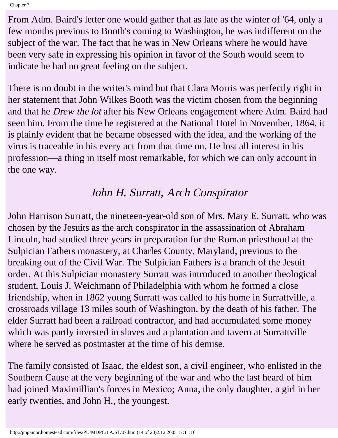From Adm. Baird's letter one would gather that as late as the winter of '64, only a few months previous to Booth's coming to Washington, he was indifferent on the subject of the war. The fact that he was in New Orleans where he would have been very safe in expressing his opinion in favor of the South would seem to indicate he had no great feeling on the subject.

There is no doubt in the writer's mind but that Clara Morris was perfectly right in her statement that John Wilkes Booth was the victim chosen from the beginning and that he Drew the lot after his New Orleans engagement where Adm. Baird had seen him. From the time he registered at the National Hotel in November, 1864, it is plainly evident that he became obsessed with the idea, and the working of the virus is traceable in his every act from that time on. He lost all interest in his profession—a thing in itself most remarkable, for which we can only account in the one way.

### John H. Surratt, Arch Conspirator

John Harrison Surratt, the nineteen-year-old son of Mrs. Mary E. Surratt, who was chosen by the Jesuits as the arch conspirator in the assassination of Abraham Lincoln, had studied three years in preparation for the Roman priesthood at the Sulpician Fathers monastery, at Charles County, Maryland, previous to the breaking out of the Civil War. The Sulpician Fathers is a branch of the Jesuit order. At this Sulpician monastery Surratt was introduced to another theological student, Louis J. Weichmann of Philadelphia with whom he formed a close friendship, when in 1862 young Surratt was called to his home in Surrattville, a crossroads village 13 miles south of Washington, by the death of his father. The elder Surratt had been a railroad contractor, and had accumulated some money which was partly invested in slaves and a plantation and tavern at Surrattville where he served as postmaster at the time of his demise.

The family consisted of Isaac, the eldest son, a civil engineer, who enlisted in the Southern Cause at the very beginning of the war and who the last heard of him had joined Maximillian's forces in Mexico; Anna, the only daughter, a girl in her early twenties, and John H., the youngest.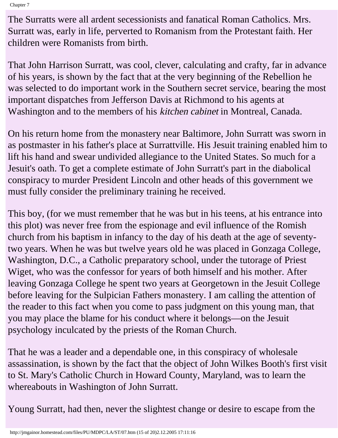The Surratts were all ardent secessionists and fanatical Roman Catholics. Mrs. Surratt was, early in life, perverted to Romanism from the Protestant faith. Her children were Romanists from birth.

That John Harrison Surratt, was cool, clever, calculating and crafty, far in advance of his years, is shown by the fact that at the very beginning of the Rebellion he was selected to do important work in the Southern secret service, bearing the most important dispatches from Jefferson Davis at Richmond to his agents at Washington and to the members of his kitchen cabinet in Montreal, Canada.

On his return home from the monastery near Baltimore, John Surratt was sworn in as postmaster in his father's place at Surrattville. His Jesuit training enabled him to lift his hand and swear undivided allegiance to the United States. So much for a Jesuit's oath. To get a complete estimate of John Surratt's part in the diabolical conspiracy to murder President Lincoln and other heads of this government we must fully consider the preliminary training he received.

This boy, (for we must remember that he was but in his teens, at his entrance into this plot) was never free from the espionage and evil influence of the Romish church from his baptism in infancy to the day of his death at the age of seventytwo years. When he was but twelve years old he was placed in Gonzaga College, Washington, D.C., a Catholic preparatory school, under the tutorage of Priest Wiget, who was the confessor for years of both himself and his mother. After leaving Gonzaga College he spent two years at Georgetown in the Jesuit College before leaving for the Sulpician Fathers monastery. I am calling the attention of the reader to this fact when you come to pass judgment on this young man, that you may place the blame for his conduct where it belongs—on the Jesuit psychology inculcated by the priests of the Roman Church.

That he was a leader and a dependable one, in this conspiracy of wholesale assassination, is shown by the fact that the object of John Wilkes Booth's first visit to St. Mary's Catholic Church in Howard County, Maryland, was to learn the whereabouts in Washington of John Surratt.

Young Surratt, had then, never the slightest change or desire to escape from the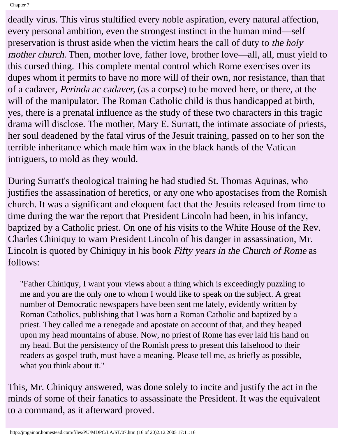deadly virus. This virus stultified every noble aspiration, every natural affection, every personal ambition, even the strongest instinct in the human mind—self preservation is thrust aside when the victim hears the call of duty to the holy mother church. Then, mother love, father love, brother love—all, all, must yield to this cursed thing. This complete mental control which Rome exercises over its dupes whom it permits to have no more will of their own, nor resistance, than that of a cadaver, Perinda ac cadaver, (as a corpse) to be moved here, or there, at the will of the manipulator. The Roman Catholic child is thus handicapped at birth, yes, there is a prenatal influence as the study of these two characters in this tragic drama will disclose. The mother, Mary E. Surratt, the intimate associate of priests, her soul deadened by the fatal virus of the Jesuit training, passed on to her son the terrible inheritance which made him wax in the black hands of the Vatican intriguers, to mold as they would.

During Surratt's theological training he had studied St. Thomas Aquinas, who justifies the assassination of heretics, or any one who apostacises from the Romish church. It was a significant and eloquent fact that the Jesuits released from time to time during the war the report that President Lincoln had been, in his infancy, baptized by a Catholic priest. On one of his visits to the White House of the Rev. Charles Chiniquy to warn President Lincoln of his danger in assassination, Mr. Lincoln is quoted by Chiniquy in his book Fifty years in the Church of Rome as follows:

"Father Chiniquy, I want your views about a thing which is exceedingly puzzling to me and you are the only one to whom I would like to speak on the subject. A great number of Democratic newspapers have been sent me lately, evidently written by Roman Catholics, publishing that I was born a Roman Catholic and baptized by a priest. They called me a renegade and apostate on account of that, and they heaped upon my head mountains of abuse. Now, no priest of Rome has ever laid his hand on my head. But the persistency of the Romish press to present this falsehood to their readers as gospel truth, must have a meaning. Please tell me, as briefly as possible, what you think about it."

This, Mr. Chiniquy answered, was done solely to incite and justify the act in the minds of some of their fanatics to assassinate the President. It was the equivalent to a command, as it afterward proved.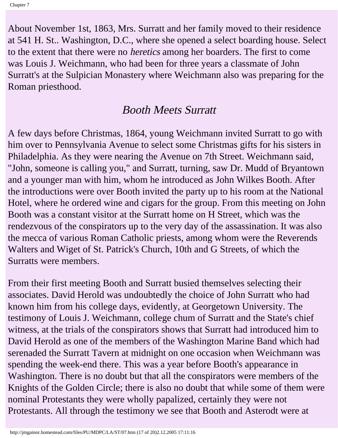About November 1st, 1863, Mrs. Surratt and her family moved to their residence at 541 H. St.. Washington, D.C., where she opened a select boarding house. Select to the extent that there were no heretics among her boarders. The first to come was Louis J. Weichmann, who had been for three years a classmate of John Surratt's at the Sulpician Monastery where Weichmann also was preparing for the Roman priesthood.

### Booth Meets Surratt

A few days before Christmas, 1864, young Weichmann invited Surratt to go with him over to Pennsylvania Avenue to select some Christmas gifts for his sisters in Philadelphia. As they were nearing the Avenue on 7th Street. Weichmann said, "John, someone is calling you," and Surratt, turning, saw Dr. Mudd of Bryantown and a younger man with him, whom he introduced as John Wilkes Booth. After the introductions were over Booth invited the party up to his room at the National Hotel, where he ordered wine and cigars for the group. From this meeting on John Booth was a constant visitor at the Surratt home on H Street, which was the rendezvous of the conspirators up to the very day of the assassination. It was also the mecca of various Roman Catholic priests, among whom were the Reverends Walters and Wiget of St. Patrick's Church, 10th and G Streets, of which the Surratts were members.

From their first meeting Booth and Surratt busied themselves selecting their associates. David Herold was undoubtedly the choice of John Surratt who had known him from his college days, evidently, at Georgetown University. The testimony of Louis J. Weichmann, college chum of Surratt and the State's chief witness, at the trials of the conspirators shows that Surratt had introduced him to David Herold as one of the members of the Washington Marine Band which had serenaded the Surratt Tavern at midnight on one occasion when Weichmann was spending the week-end there. This was a year before Booth's appearance in Washington. There is no doubt but that all the conspirators were members of the Knights of the Golden Circle; there is also no doubt that while some of them were nominal Protestants they were wholly papalized, certainly they were not Protestants. All through the testimony we see that Booth and Asterodt were at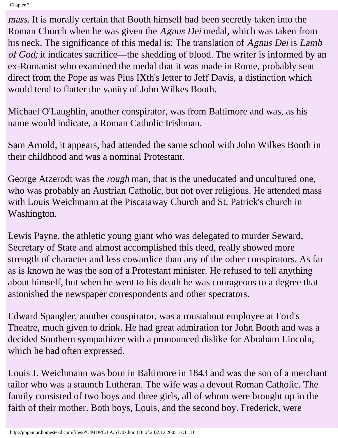mass. It is morally certain that Booth himself had been secretly taken into the Roman Church when he was given the Agnus Dei medal, which was taken from his neck. The significance of this medal is: The translation of Agnus Dei is Lamb of God; it indicates sacrifice—the shedding of blood. The writer is informed by an ex-Romanist who examined the medal that it was made in Rome, probably sent direct from the Pope as was Pius IXth's letter to Jeff Davis, a distinction which would tend to flatter the vanity of John Wilkes Booth.

Michael O'Laughlin, another conspirator, was from Baltimore and was, as his name would indicate, a Roman Catholic Irishman.

Sam Arnold, it appears, had attended the same school with John Wilkes Booth in their childhood and was a nominal Protestant.

George Atzerodt was the rough man, that is the uneducated and uncultured one, who was probably an Austrian Catholic, but not over religious. He attended mass with Louis Weichmann at the Piscataway Church and St. Patrick's church in Washington.

Lewis Payne, the athletic young giant who was delegated to murder Seward, Secretary of State and almost accomplished this deed, really showed more strength of character and less cowardice than any of the other conspirators. As far as is known he was the son of a Protestant minister. He refused to tell anything about himself, but when he went to his death he was courageous to a degree that astonished the newspaper correspondents and other spectators.

Edward Spangler, another conspirator, was a roustabout employee at Ford's Theatre, much given to drink. He had great admiration for John Booth and was a decided Southern sympathizer with a pronounced dislike for Abraham Lincoln, which he had often expressed.

Louis J. Weichmann was born in Baltimore in 1843 and was the son of a merchant tailor who was a staunch Lutheran. The wife was a devout Roman Catholic. The family consisted of two boys and three girls, all of whom were brought up in the faith of their mother. Both boys, Louis, and the second boy. Frederick, were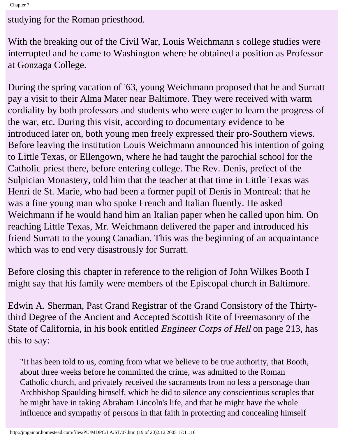studying for the Roman priesthood.

With the breaking out of the Civil War, Louis Weichmann s college studies were interrupted and he came to Washington where he obtained a position as Professor at Gonzaga College.

During the spring vacation of '63, young Weichmann proposed that he and Surratt pay a visit to their Alma Mater near Baltimore. They were received with warm cordiality by both professors and students who were eager to learn the progress of the war, etc. During this visit, according to documentary evidence to be introduced later on, both young men freely expressed their pro-Southern views. Before leaving the institution Louis Weichmann announced his intention of going to Little Texas, or Ellengown, where he had taught the parochial school for the Catholic priest there, before entering college. The Rev. Denis, prefect of the Sulpician Monastery, told him that the teacher at that time in Little Texas was Henri de St. Marie, who had been a former pupil of Denis in Montreal: that he was a fine young man who spoke French and Italian fluently. He asked Weichmann if he would hand him an Italian paper when he called upon him. On reaching Little Texas, Mr. Weichmann delivered the paper and introduced his friend Surratt to the young Canadian. This was the beginning of an acquaintance which was to end very disastrously for Surratt.

Before closing this chapter in reference to the religion of John Wilkes Booth I might say that his family were members of the Episcopal church in Baltimore.

Edwin A. Sherman, Past Grand Registrar of the Grand Consistory of the Thirtythird Degree of the Ancient and Accepted Scottish Rite of Freemasonry of the State of California, in his book entitled Engineer Corps of Hell on page 213, has this to say:

"It has been told to us, coming from what we believe to be true authority, that Booth, about three weeks before he committed the crime, was admitted to the Roman Catholic church, and privately received the sacraments from no less a personage than Archbishop Spaulding himself, which he did to silence any conscientious scruples that he might have in taking Abraham Lincoln's life, and that he might have the whole influence and sympathy of persons in that faith in protecting and concealing himself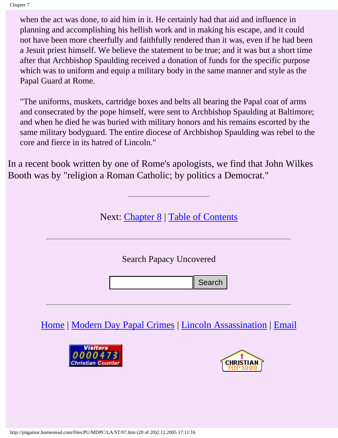when the act was done, to aid him in it. He certainly had that aid and influence in planning and accomplishing his hellish work and in making his escape, and it could not have been more cheerfully and faithfully rendered than it was, even if he had been a Jesuit priest himself. We believe the statement to be true; and it was but a short time after that Archbishop Spaulding received a donation of funds for the specific purpose which was to uniform and equip a military body in the same manner and style as the Papal Guard at Rome.

"The uniforms, muskets, cartridge boxes and belts all bearing the Papal coat of arms and consecrated by the pope himself, were sent to Archbishop Spaulding at Baltimore; and when he died he was buried with military honors and his remains escorted by the same military bodyguard. The entire diocese of Archbishop Spaulding was rebel to the core and fierce in its hatred of Lincoln."

In a recent book written by one of Rome's apologists, we find that John Wilkes Booth was by "religion a Roman Catholic; by politics a Democrat."

| <b>Next:</b> Chapter 8   Table of Contents                                            |
|---------------------------------------------------------------------------------------|
| <b>Search Papacy Uncovered</b>                                                        |
| Search                                                                                |
| Home   Modern Day Papal Crimes   Lincoln Assassination   Email<br><b>Visitors</b>     |
| <b>CHRISTIAN</b><br>ristian Counter                                                   |
|                                                                                       |
| http://jmgainor.homestead.com/files/PU/MDPC/LA/ST/07.htm (20 of 20)2.12.2005 17:11:16 |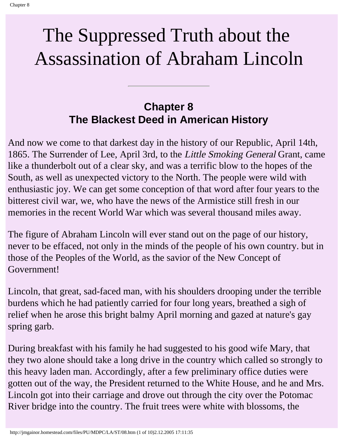# <span id="page-92-0"></span>The Suppressed Truth about the Assassination of Abraham Lincoln

## **Chapter 8 The Blackest Deed in American History**

And now we come to that darkest day in the history of our Republic, April 14th, 1865. The Surrender of Lee, April 3rd, to the Little Smoking General Grant, came like a thunderbolt out of a clear sky, and was a terrific blow to the hopes of the South, as well as unexpected victory to the North. The people were wild with enthusiastic joy. We can get some conception of that word after four years to the bitterest civil war, we, who have the news of the Armistice still fresh in our memories in the recent World War which was several thousand miles away.

The figure of Abraham Lincoln will ever stand out on the page of our history, never to be effaced, not only in the minds of the people of his own country. but in those of the Peoples of the World, as the savior of the New Concept of Government!

Lincoln, that great, sad-faced man, with his shoulders drooping under the terrible burdens which he had patiently carried for four long years, breathed a sigh of relief when he arose this bright balmy April morning and gazed at nature's gay spring garb.

During breakfast with his family he had suggested to his good wife Mary, that they two alone should take a long drive in the country which called so strongly to this heavy laden man. Accordingly, after a few preliminary office duties were gotten out of the way, the President returned to the White House, and he and Mrs. Lincoln got into their carriage and drove out through the city over the Potomac River bridge into the country. The fruit trees were white with blossoms, the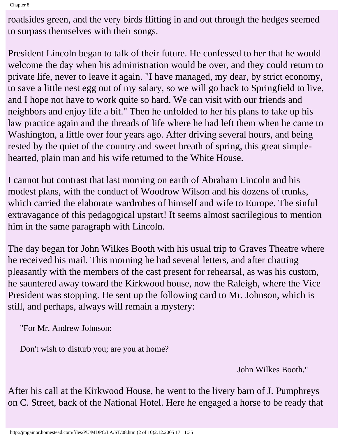roadsides green, and the very birds flitting in and out through the hedges seemed to surpass themselves with their songs.

President Lincoln began to talk of their future. He confessed to her that he would welcome the day when his administration would be over, and they could return to private life, never to leave it again. "I have managed, my dear, by strict economy, to save a little nest egg out of my salary, so we will go back to Springfield to live, and I hope not have to work quite so hard. We can visit with our friends and neighbors and enjoy life a bit." Then he unfolded to her his plans to take up his law practice again and the threads of life where he had left them when he came to Washington, a little over four years ago. After driving several hours, and being rested by the quiet of the country and sweet breath of spring, this great simplehearted, plain man and his wife returned to the White House.

I cannot but contrast that last morning on earth of Abraham Lincoln and his modest plans, with the conduct of Woodrow Wilson and his dozens of trunks, which carried the elaborate wardrobes of himself and wife to Europe. The sinful extravagance of this pedagogical upstart! It seems almost sacrilegious to mention him in the same paragraph with Lincoln.

The day began for John Wilkes Booth with his usual trip to Graves Theatre where he received his mail. This morning he had several letters, and after chatting pleasantly with the members of the cast present for rehearsal, as was his custom, he sauntered away toward the Kirkwood house, now the Raleigh, where the Vice President was stopping. He sent up the following card to Mr. Johnson, which is still, and perhaps, always will remain a mystery:

"For Mr. Andrew Johnson:

Don't wish to disturb you; are you at home?

John Wilkes Booth."

After his call at the Kirkwood House, he went to the livery barn of J. Pumphreys on C. Street, back of the National Hotel. Here he engaged a horse to be ready that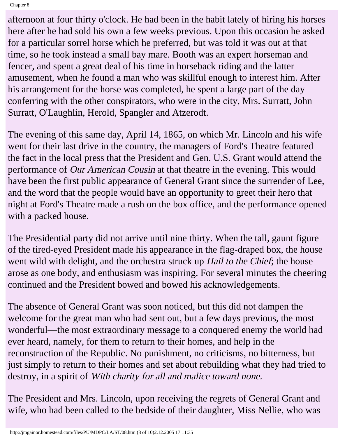afternoon at four thirty o'clock. He had been in the habit lately of hiring his horses here after he had sold his own a few weeks previous. Upon this occasion he asked for a particular sorrel horse which he preferred, but was told it was out at that time, so he took instead a small bay mare. Booth was an expert horseman and fencer, and spent a great deal of his time in horseback riding and the latter amusement, when he found a man who was skillful enough to interest him. After his arrangement for the horse was completed, he spent a large part of the day conferring with the other conspirators, who were in the city, Mrs. Surratt, John Surratt, O'Laughlin, Herold, Spangler and Atzerodt.

The evening of this same day, April 14, 1865, on which Mr. Lincoln and his wife went for their last drive in the country, the managers of Ford's Theatre featured the fact in the local press that the President and Gen. U.S. Grant would attend the performance of Our American Cousin at that theatre in the evening. This would have been the first public appearance of General Grant since the surrender of Lee, and the word that the people would have an opportunity to greet their hero that night at Ford's Theatre made a rush on the box office, and the performance opened with a packed house.

The Presidential party did not arrive until nine thirty. When the tall, gaunt figure of the tired-eyed President made his appearance in the flag-draped box, the house went wild with delight, and the orchestra struck up Hail to the Chief; the house arose as one body, and enthusiasm was inspiring. For several minutes the cheering continued and the President bowed and bowed his acknowledgements.

The absence of General Grant was soon noticed, but this did not dampen the welcome for the great man who had sent out, but a few days previous, the most wonderful—the most extraordinary message to a conquered enemy the world had ever heard, namely, for them to return to their homes, and help in the reconstruction of the Republic. No punishment, no criticisms, no bitterness, but just simply to return to their homes and set about rebuilding what they had tried to destroy, in a spirit of With charity for all and malice toward none.

The President and Mrs. Lincoln, upon receiving the regrets of General Grant and wife, who had been called to the bedside of their daughter, Miss Nellie, who was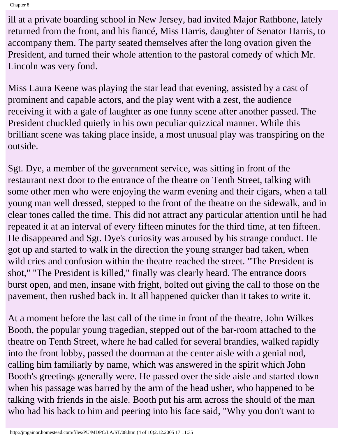ill at a private boarding school in New Jersey, had invited Major Rathbone, lately returned from the front, and his fiancé, Miss Harris, daughter of Senator Harris, to accompany them. The party seated themselves after the long ovation given the President, and turned their whole attention to the pastoral comedy of which Mr. Lincoln was very fond.

Miss Laura Keene was playing the star lead that evening, assisted by a cast of prominent and capable actors, and the play went with a zest, the audience receiving it with a gale of laughter as one funny scene after another passed. The President chuckled quietly in his own peculiar quizzical manner. While this brilliant scene was taking place inside, a most unusual play was transpiring on the outside.

Sgt. Dye, a member of the government service, was sitting in front of the restaurant next door to the entrance of the theatre on Tenth Street, talking with some other men who were enjoying the warm evening and their cigars, when a tall young man well dressed, stepped to the front of the theatre on the sidewalk, and in clear tones called the time. This did not attract any particular attention until he had repeated it at an interval of every fifteen minutes for the third time, at ten fifteen. He disappeared and Sgt. Dye's curiosity was aroused by his strange conduct. He got up and started to walk in the direction the young stranger had taken, when wild cries and confusion within the theatre reached the street. "The President is shot," "The President is killed," finally was clearly heard. The entrance doors burst open, and men, insane with fright, bolted out giving the call to those on the pavement, then rushed back in. It all happened quicker than it takes to write it.

At a moment before the last call of the time in front of the theatre, John Wilkes Booth, the popular young tragedian, stepped out of the bar-room attached to the theatre on Tenth Street, where he had called for several brandies, walked rapidly into the front lobby, passed the doorman at the center aisle with a genial nod, calling him familiarly by name, which was answered in the spirit which John Booth's greetings generally were. He passed over the side aisle and started down when his passage was barred by the arm of the head usher, who happened to be talking with friends in the aisle. Booth put his arm across the should of the man who had his back to him and peering into his face said, "Why you don't want to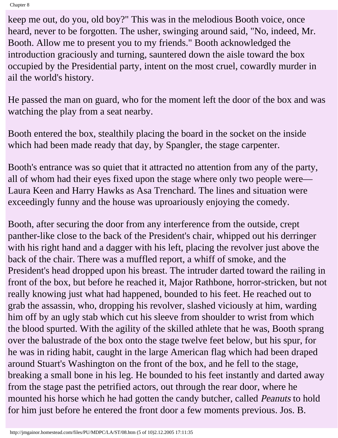keep me out, do you, old boy?" This was in the melodious Booth voice, once heard, never to be forgotten. The usher, swinging around said, "No, indeed, Mr. Booth. Allow me to present you to my friends." Booth acknowledged the introduction graciously and turning, sauntered down the aisle toward the box occupied by the Presidential party, intent on the most cruel, cowardly murder in ail the world's history.

He passed the man on guard, who for the moment left the door of the box and was watching the play from a seat nearby.

Booth entered the box, stealthily placing the board in the socket on the inside which had been made ready that day, by Spangler, the stage carpenter.

Booth's entrance was so quiet that it attracted no attention from any of the party, all of whom had their eyes fixed upon the stage where only two people were— Laura Keen and Harry Hawks as Asa Trenchard. The lines and situation were exceedingly funny and the house was uproariously enjoying the comedy.

Booth, after securing the door from any interference from the outside, crept panther-like close to the back of the President's chair, whipped out his derringer with his right hand and a dagger with his left, placing the revolver just above the back of the chair. There was a muffled report, a whiff of smoke, and the President's head dropped upon his breast. The intruder darted toward the railing in front of the box, but before he reached it, Major Rathbone, horror-stricken, but not really knowing just what had happened, bounded to his feet. He reached out to grab the assassin, who, dropping his revolver, slashed viciously at him, warding him off by an ugly stab which cut his sleeve from shoulder to wrist from which the blood spurted. With the agility of the skilled athlete that he was, Booth sprang over the balustrade of the box onto the stage twelve feet below, but his spur, for he was in riding habit, caught in the large American flag which had been draped around Stuart's Washington on the front of the box, and he fell to the stage, breaking a small bone in his leg. He bounded to his feet instantly and darted away from the stage past the petrified actors, out through the rear door, where he mounted his horse which he had gotten the candy butcher, called Peanuts to hold for him just before he entered the front door a few moments previous. Jos. B.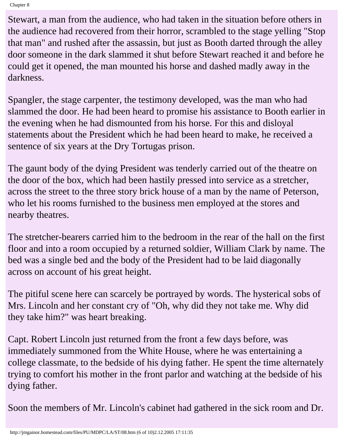Stewart, a man from the audience, who had taken in the situation before others in the audience had recovered from their horror, scrambled to the stage yelling "Stop that man" and rushed after the assassin, but just as Booth darted through the alley door someone in the dark slammed it shut before Stewart reached it and before he could get it opened, the man mounted his horse and dashed madly away in the darkness.

Spangler, the stage carpenter, the testimony developed, was the man who had slammed the door. He had been heard to promise his assistance to Booth earlier in the evening when he had dismounted from his horse. For this and disloyal statements about the President which he had been heard to make, he received a sentence of six years at the Dry Tortugas prison.

The gaunt body of the dying President was tenderly carried out of the theatre on the door of the box, which had been hastily pressed into service as a stretcher, across the street to the three story brick house of a man by the name of Peterson, who let his rooms furnished to the business men employed at the stores and nearby theatres.

The stretcher-bearers carried him to the bedroom in the rear of the hall on the first floor and into a room occupied by a returned soldier, William Clark by name. The bed was a single bed and the body of the President had to be laid diagonally across on account of his great height.

The pitiful scene here can scarcely be portrayed by words. The hysterical sobs of Mrs. Lincoln and her constant cry of "Oh, why did they not take me. Why did they take him?" was heart breaking.

Capt. Robert Lincoln just returned from the front a few days before, was immediately summoned from the White House, where he was entertaining a college classmate, to the bedside of his dying father. He spent the time alternately trying to comfort his mother in the front parlor and watching at the bedside of his dying father.

Soon the members of Mr. Lincoln's cabinet had gathered in the sick room and Dr.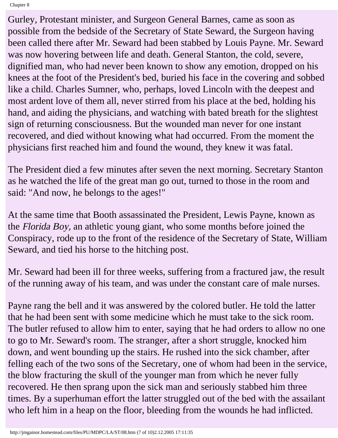Gurley, Protestant minister, and Surgeon General Barnes, came as soon as possible from the bedside of the Secretary of State Seward, the Surgeon having been called there after Mr. Seward had been stabbed by Louis Payne. Mr. Seward was now hovering between life and death. General Stanton, the cold, severe, dignified man, who had never been known to show any emotion, dropped on his knees at the foot of the President's bed, buried his face in the covering and sobbed like a child. Charles Sumner, who, perhaps, loved Lincoln with the deepest and most ardent love of them all, never stirred from his place at the bed, holding his hand, and aiding the physicians, and watching with bated breath for the slightest sign of returning consciousness. But the wounded man never for one instant recovered, and died without knowing what had occurred. From the moment the physicians first reached him and found the wound, they knew it was fatal.

The President died a few minutes after seven the next morning. Secretary Stanton as he watched the life of the great man go out, turned to those in the room and said: "And now, he belongs to the ages!"

At the same time that Booth assassinated the President, Lewis Payne, known as the Florida Boy, an athletic young giant, who some months before joined the Conspiracy, rode up to the front of the residence of the Secretary of State, William Seward, and tied his horse to the hitching post.

Mr. Seward had been ill for three weeks, suffering from a fractured jaw, the result of the running away of his team, and was under the constant care of male nurses.

Payne rang the bell and it was answered by the colored butler. He told the latter that he had been sent with some medicine which he must take to the sick room. The butler refused to allow him to enter, saying that he had orders to allow no one to go to Mr. Seward's room. The stranger, after a short struggle, knocked him down, and went bounding up the stairs. He rushed into the sick chamber, after felling each of the two sons of the Secretary, one of whom had been in the service, the blow fracturing the skull of the younger man from which he never fully recovered. He then sprang upon the sick man and seriously stabbed him three times. By a superhuman effort the latter struggled out of the bed with the assailant who left him in a heap on the floor, bleeding from the wounds he had inflicted.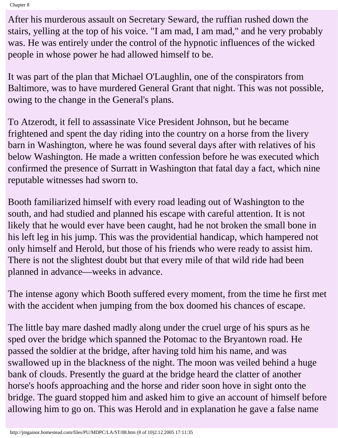After his murderous assault on Secretary Seward, the ruffian rushed down the stairs, yelling at the top of his voice. "I am mad, I am mad," and he very probably was. He was entirely under the control of the hypnotic influences of the wicked people in whose power he had allowed himself to be.

It was part of the plan that Michael O'Laughlin, one of the conspirators from Baltimore, was to have murdered General Grant that night. This was not possible, owing to the change in the General's plans.

To Atzerodt, it fell to assassinate Vice President Johnson, but he became frightened and spent the day riding into the country on a horse from the livery barn in Washington, where he was found several days after with relatives of his below Washington. He made a written confession before he was executed which confirmed the presence of Surratt in Washington that fatal day a fact, which nine reputable witnesses had sworn to.

Booth familiarized himself with every road leading out of Washington to the south, and had studied and planned his escape with careful attention. It is not likely that he would ever have been caught, had he not broken the small bone in his left leg in his jump. This was the providential handicap, which hampered not only himself and Herold, but those of his friends who were ready to assist him. There is not the slightest doubt but that every mile of that wild ride had been planned in advance—weeks in advance.

The intense agony which Booth suffered every moment, from the time he first met with the accident when jumping from the box doomed his chances of escape.

The little bay mare dashed madly along under the cruel urge of his spurs as he sped over the bridge which spanned the Potomac to the Bryantown road. He passed the soldier at the bridge, after having told him his name, and was swallowed up in the blackness of the night. The moon was veiled behind a huge bank of clouds. Presently the guard at the bridge heard the clatter of another horse's hoofs approaching and the horse and rider soon hove in sight onto the bridge. The guard stopped him and asked him to give an account of himself before allowing him to go on. This was Herold and in explanation he gave a false name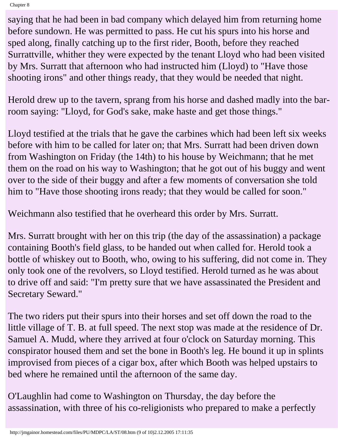saying that he had been in bad company which delayed him from returning home before sundown. He was permitted to pass. He cut his spurs into his horse and sped along, finally catching up to the first rider, Booth, before they reached Surrattville, whither they were expected by the tenant Lloyd who had been visited by Mrs. Surratt that afternoon who had instructed him (Lloyd) to "Have those shooting irons" and other things ready, that they would be needed that night.

Herold drew up to the tavern, sprang from his horse and dashed madly into the barroom saying: "Lloyd, for God's sake, make haste and get those things."

Lloyd testified at the trials that he gave the carbines which had been left six weeks before with him to be called for later on; that Mrs. Surratt had been driven down from Washington on Friday (the 14th) to his house by Weichmann; that he met them on the road on his way to Washington; that he got out of his buggy and went over to the side of their buggy and after a few moments of conversation she told him to "Have those shooting irons ready; that they would be called for soon."

Weichmann also testified that he overheard this order by Mrs. Surratt.

Mrs. Surratt brought with her on this trip (the day of the assassination) a package containing Booth's field glass, to be handed out when called for. Herold took a bottle of whiskey out to Booth, who, owing to his suffering, did not come in. They only took one of the revolvers, so Lloyd testified. Herold turned as he was about to drive off and said: "I'm pretty sure that we have assassinated the President and Secretary Seward."

The two riders put their spurs into their horses and set off down the road to the little village of T. B. at full speed. The next stop was made at the residence of Dr. Samuel A. Mudd, where they arrived at four o'clock on Saturday morning. This conspirator housed them and set the bone in Booth's leg. He bound it up in splints improvised from pieces of a cigar box, after which Booth was helped upstairs to bed where he remained until the afternoon of the same day.

O'Laughlin had come to Washington on Thursday, the day before the assassination, with three of his co-religionists who prepared to make a perfectly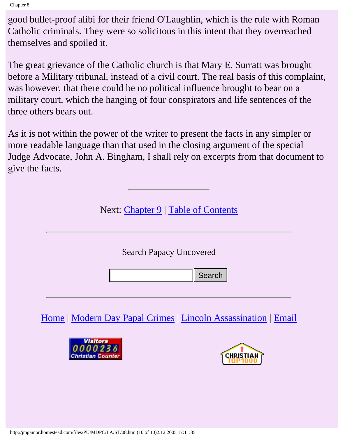good bullet-proof alibi for their friend O'Laughlin, which is the rule with Roman Catholic criminals. They were so solicitous in this intent that they overreached themselves and spoiled it.

The great grievance of the Catholic church is that Mary E. Surratt was brought before a Military tribunal, instead of a civil court. The real basis of this complaint, was however, that there could be no political influence brought to bear on a military court, which the hanging of four conspirators and life sentences of the three others bears out.

As it is not within the power of the writer to present the facts in any simpler or more readable language than that used in the closing argument of the special Judge Advocate, John A. Bingham, I shall rely on excerpts from that document to give the facts.



[Home](http://jmgainor.homestead.com/files/PU/PU.htm) | [Modern Day Papal Crimes](http://jmgainor.homestead.com/files/PU/MDPC/MDPC.htm) | [Lincoln Assassination](http://jmgainor.homestead.com/files/PU/MDPC/LA/LA.htm) | [Email](mailto:PapacyUncovered@ec.rr.com)



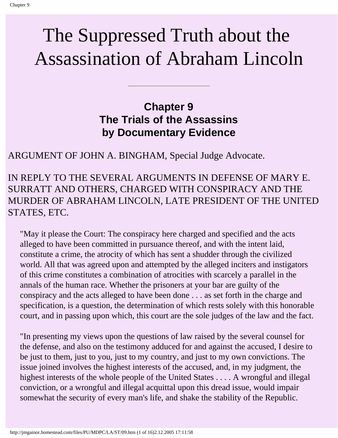## <span id="page-102-0"></span>The Suppressed Truth about the Assassination of Abraham Lincoln

### **Chapter 9 The Trials of the Assassins by Documentary Evidence**

ARGUMENT OF JOHN A. BINGHAM, Special Judge Advocate.

#### IN REPLY TO THE SEVERAL ARGUMENTS IN DEFENSE OF MARY E. SURRATT AND OTHERS, CHARGED WITH CONSPIRACY AND THE MURDER OF ABRAHAM LINCOLN, LATE PRESIDENT OF THE UNITED STATES, ETC.

"May it please the Court: The conspiracy here charged and specified and the acts alleged to have been committed in pursuance thereof, and with the intent laid, constitute a crime, the atrocity of which has sent a shudder through the civilized world. All that was agreed upon and attempted by the alleged inciters and instigators of this crime constitutes a combination of atrocities with scarcely a parallel in the annals of the human race. Whether the prisoners at your bar are guilty of the conspiracy and the acts alleged to have been done . . . as set forth in the charge and specification, is a question, the determination of which rests solely with this honorable court, and in passing upon which, this court are the sole judges of the law and the fact.

"In presenting my views upon the questions of law raised by the several counsel for the defense, and also on the testimony adduced for and against the accused, I desire to be just to them, just to you, just to my country, and just to my own convictions. The issue joined involves the highest interests of the accused, and, in my judgment, the highest interests of the whole people of the United States . . . . A wrongful and illegal conviction, or a wrongful and illegal acquittal upon this dread issue, would impair somewhat the security of every man's life, and shake the stability of the Republic.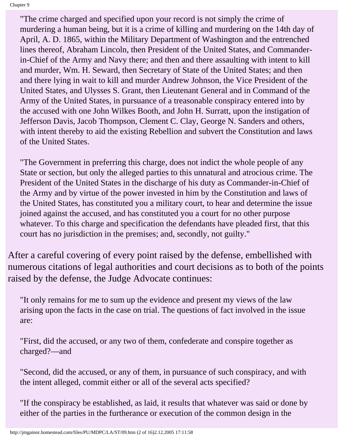"The crime charged and specified upon your record is not simply the crime of murdering a human being, but it is a crime of killing and murdering on the 14th day of April, A. D. 1865, within the Military Department of Washington and the entrenched lines thereof, Abraham Lincoln, then President of the United States, and Commanderin-Chief of the Army and Navy there; and then and there assaulting with intent to kill and murder, Wm. H. Seward, then Secretary of State of the United States; and then and there lying in wait to kill and murder Andrew Johnson, the Vice President of the United States, and Ulysses S. Grant, then Lieutenant General and in Command of the Army of the United States, in pursuance of a treasonable conspiracy entered into by the accused with one John Wilkes Booth, and John H. Surratt, upon the instigation of Jefferson Davis, Jacob Thompson, Clement C. Clay, George N. Sanders and others, with intent thereby to aid the existing Rebellion and subvert the Constitution and laws of the United States.

"The Government in preferring this charge, does not indict the whole people of any State or section, but only the alleged parties to this unnatural and atrocious crime. The President of the United States in the discharge of his duty as Commander-in-Chief of the Army and by virtue of the power invested in him by the Constitution and laws of the United States, has constituted you a military court, to hear and determine the issue joined against the accused, and has constituted you a court for no other purpose whatever. To this charge and specification the defendants have pleaded first, that this court has no jurisdiction in the premises; and, secondly, not guilty."

After a careful covering of every point raised by the defense, embellished with numerous citations of legal authorities and court decisions as to both of the points raised by the defense, the Judge Advocate continues:

"It only remains for me to sum up the evidence and present my views of the law arising upon the facts in the case on trial. The questions of fact involved in the issue are:

"First, did the accused, or any two of them, confederate and conspire together as charged?—and

"Second, did the accused, or any of them, in pursuance of such conspiracy, and with the intent alleged, commit either or all of the several acts specified?

"If the conspiracy be established, as laid, it results that whatever was said or done by either of the parties in the furtherance or execution of the common design in the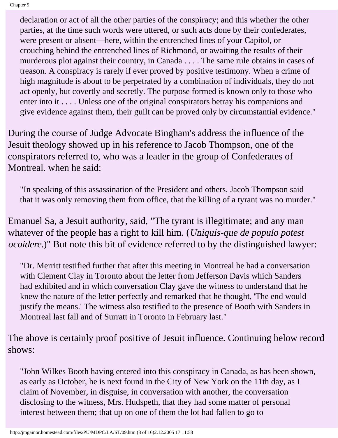declaration or act of all the other parties of the conspiracy; and this whether the other parties, at the time such words were uttered, or such acts done by their confederates, were present or absent—here, within the entrenched lines of your Capitol, or crouching behind the entrenched lines of Richmond, or awaiting the results of their murderous plot against their country, in Canada . . . . The same rule obtains in cases of treason. A conspiracy is rarely if ever proved by positive testimony. When a crime of high magnitude is about to be perpetrated by a combination of individuals, they do not act openly, but covertly and secretly. The purpose formed is known only to those who enter into it . . . . Unless one of the original conspirators betray his companions and give evidence against them, their guilt can be proved only by circumstantial evidence."

During the course of Judge Advocate Bingham's address the influence of the Jesuit theology showed up in his reference to Jacob Thompson, one of the conspirators referred to, who was a leader in the group of Confederates of Montreal. when he said:

"In speaking of this assassination of the President and others, Jacob Thompson said that it was only removing them from office, that the killing of a tyrant was no murder."

Emanuel Sa, a Jesuit authority, said, "The tyrant is illegitimate; and any man whatever of the people has a right to kill him. (*Uniquis-que de populo potest* ocoidere.)" But note this bit of evidence referred to by the distinguished lawyer:

"Dr. Merritt testified further that after this meeting in Montreal he had a conversation with Clement Clay in Toronto about the letter from Jefferson Davis which Sanders had exhibited and in which conversation Clay gave the witness to understand that he knew the nature of the letter perfectly and remarked that he thought, 'The end would justify the means.' The witness also testified to the presence of Booth with Sanders in Montreal last fall and of Surratt in Toronto in February last."

The above is certainly proof positive of Jesuit influence. Continuing below record shows:

"John Wilkes Booth having entered into this conspiracy in Canada, as has been shown, as early as October, he is next found in the City of New York on the 11th day, as I claim of November, in disguise, in conversation with another, the conversation disclosing to the witness, Mrs. Hudspeth, that they had some matter of personal interest between them; that up on one of them the lot had fallen to go to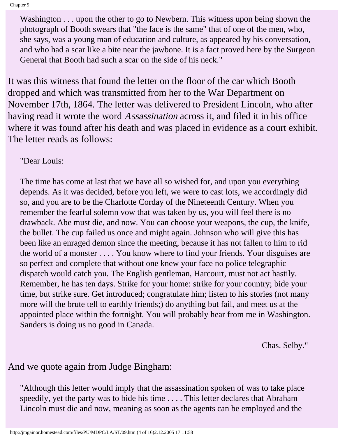Washington . . . upon the other to go to Newbern. This witness upon being shown the photograph of Booth swears that "the face is the same" that of one of the men, who, she says, was a young man of education and culture, as appeared by his conversation, and who had a scar like a bite near the jawbone. It is a fact proved here by the Surgeon General that Booth had such a scar on the side of his neck."

It was this witness that found the letter on the floor of the car which Booth dropped and which was transmitted from her to the War Department on November 17th, 1864. The letter was delivered to President Lincoln, who after having read it wrote the word Assassination across it, and filed it in his office where it was found after his death and was placed in evidence as a court exhibit. The letter reads as follows:

"Dear Louis:

The time has come at last that we have all so wished for, and upon you everything depends. As it was decided, before you left, we were to cast lots, we accordingly did so, and you are to be the Charlotte Corday of the Nineteenth Century. When you remember the fearful solemn vow that was taken by us, you will feel there is no drawback. Abe must die, and now. You can choose your weapons, the cup, the knife, the bullet. The cup failed us once and might again. Johnson who will give this has been like an enraged demon since the meeting, because it has not fallen to him to rid the world of a monster . . . . You know where to find your friends. Your disguises are so perfect and complete that without one knew your face no police telegraphic dispatch would catch you. The English gentleman, Harcourt, must not act hastily. Remember, he has ten days. Strike for your home: strike for your country; bide your time, but strike sure. Get introduced; congratulate him; listen to his stories (not many more will the brute tell to earthly friends;) do anything but fail, and meet us at the appointed place within the fortnight. You will probably hear from me in Washington. Sanders is doing us no good in Canada.

Chas. Selby."

#### And we quote again from Judge Bingham:

"Although this letter would imply that the assassination spoken of was to take place speedily, yet the party was to bide his time . . . . This letter declares that Abraham Lincoln must die and now, meaning as soon as the agents can be employed and the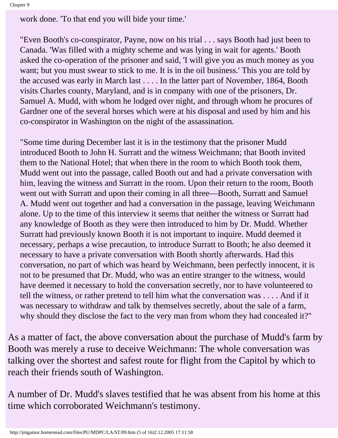```
Chapter 9
```
work done. 'To that end you will bide your time.'

"Even Booth's co-conspirator, Payne, now on his trial . . . says Booth had just been to Canada. 'Was filled with a mighty scheme and was lying in wait for agents.' Booth asked the co-operation of the prisoner and said, 'I will give you as much money as you want; but you must swear to stick to me. It is in the oil business.' This you are told by the accused was early in March last . . . . In the latter part of November, 1864, Booth visits Charles county, Maryland, and is in company with one of the prisoners, Dr. Samuel A. Mudd, with whom he lodged over night, and through whom he procures of Gardner one of the several horses which were at his disposal and used by him and his co-conspirator in Washington on the night of the assassination.

"Some time during December last it is in the testimony that the prisoner Mudd introduced Booth to John H. Surratt and the witness Weichmann; that Booth invited them to the National Hotel; that when there in the room to which Booth took them, Mudd went out into the passage, called Booth out and had a private conversation with him, leaving the witness and Surratt in the room. Upon their return to the room, Booth went out with Surratt and upon their coming in all three—Booth, Surratt and Samuel A. Mudd went out together and had a conversation in the passage, leaving Weichmann alone. Up to the time of this interview it seems that neither the witness or Surratt had any knowledge of Booth as they were then introduced to him by Dr. Mudd. Whether Surratt had previously known Booth it is not important to inquire. Mudd deemed it necessary, perhaps a wise precaution, to introduce Surratt to Booth; he also deemed it necessary to have a private conversation with Booth shortly afterwards. Had this conversation, no part of which was heard by Weichmann, been perfectly innocent, it is not to be presumed that Dr. Mudd, who was an entire stranger to the witness, would have deemed it necessary to hold the conversation secretly, nor to have volunteered to tell the witness, or rather pretend to tell him what the conversation was . . . . And if it was necessary to withdraw and talk by themselves secretly, about the sale of a farm, why should they disclose the fact to the very man from whom they had concealed it?"

As a matter of fact, the above conversation about the purchase of Mudd's farm by Booth was merely a ruse to deceive Weichmann: The whole conversation was talking over the shortest and safest route for flight from the Capitol by which to reach their friends south of Washington.

A number of Dr. Mudd's slaves testified that he was absent from his home at this time which corroborated Weichmann's testimony.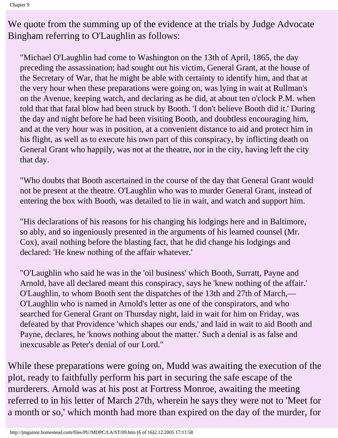We quote from the summing up of the evidence at the trials by Judge Advocate Bingham referring to O'Laughlin as follows:

"Michael O'Laughlin had come to Washington on the 13th of April, 1865, the day preceding the assassination; had sought out his victim, General Grant, at the house of the Secretary of War, that he might be able with certainty to identify him, and that at the very hour when these preparations were going on, was lying in wait at Rullman's on the Avenue, keeping watch, and declaring as he did, at about ten o'clock P.M. when told that that fatal blow had been struck by Booth. 'I don't believe Booth did it.' During the day and night before he had been visiting Booth, and doubtless encouraging him, and at the very hour was in position, at a convenient distance to aid and protect him in his flight, as well as to execute his own part of this conspiracy, by inflicting death on General Grant who happily, was not at the theatre, nor in the city, having left the city that day.

"Who doubts that Booth ascertained in the course of the day that General Grant would not be present at the theatre. O'Laughlin who was to murder General Grant, instead of entering the box with Booth, was detailed to lie in wait, and watch and support him.

"His declarations of his reasons for his changing his lodgings here and in Baltimore, so ably, and so ingeniously presented in the arguments of his learned counsel (Mr. Cox), avail nothing before the blasting fact, that he did change his lodgings and declared: 'He knew nothing of the affair whatever.'

"O'Laughlin who said he was in the 'oil business' which Booth, Surratt, Payne and Arnold, have all declared meant this conspiracy, says he 'knew nothing of the affair.' O'Laughlin, to whom Booth sent the dispatches of the 13th and 27th of March,— O'Laughlin who is named in Arnold's letter as one of the conspirators, and who searched for General Grant on Thursday night, laid in wait for him on Friday, was defeated by that Providence 'which shapes our ends,' and laid in wait to aid Booth and Payne, declares, he 'knows nothing about the matter.' Such a denial is as false and inexcusable as Peter's denial of our Lord."

While these preparations were going on, Mudd was awaiting the execution of the plot, ready to faithfully perform his part in securing the safe escape of the murderers. Arnold was at his post at Fortress Monroe, awaiting the meeting referred to in his letter of March 27th, wherein he says they were not to 'Meet for a month or so,' which month had more than expired on the day of the murder, for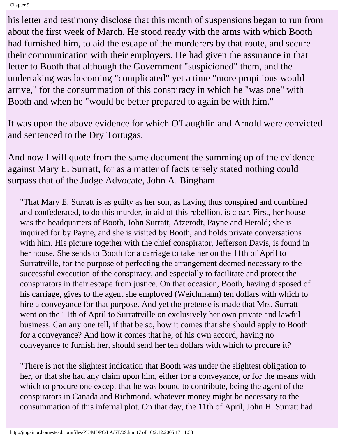his letter and testimony disclose that this month of suspensions began to run from about the first week of March. He stood ready with the arms with which Booth had furnished him, to aid the escape of the murderers by that route, and secure their communication with their employers. He had given the assurance in that letter to Booth that although the Government "suspicioned" them, and the undertaking was becoming "complicated" yet a time "more propitious would arrive," for the consummation of this conspiracy in which he "was one" with Booth and when he "would be better prepared to again be with him."

It was upon the above evidence for which O'Laughlin and Arnold were convicted and sentenced to the Dry Tortugas.

And now I will quote from the same document the summing up of the evidence against Mary E. Surratt, for as a matter of facts tersely stated nothing could surpass that of the Judge Advocate, John A. Bingham.

"That Mary E. Surratt is as guilty as her son, as having thus conspired and combined and confederated, to do this murder, in aid of this rebellion, is clear. First, her house was the headquarters of Booth, John Surratt, Atzerodt, Payne and Herold; she is inquired for by Payne, and she is visited by Booth, and holds private conversations with him. His picture together with the chief conspirator, Jefferson Davis, is found in her house. She sends to Booth for a carriage to take her on the 11th of April to Surrattville, for the purpose of perfecting the arrangement deemed necessary to the successful execution of the conspiracy, and especially to facilitate and protect the conspirators in their escape from justice. On that occasion, Booth, having disposed of his carriage, gives to the agent she employed (Weichmann) ten dollars with which to hire a conveyance for that purpose. And yet the pretense is made that Mrs. Surratt went on the 11th of April to Surrattville on exclusively her own private and lawful business. Can any one tell, if that be so, how it comes that she should apply to Booth for a conveyance? And how it comes that he, of his own accord, having no conveyance to furnish her, should send her ten dollars with which to procure it?

"There is not the slightest indication that Booth was under the slightest obligation to her, or that she had any claim upon him, either for a conveyance, or for the means with which to procure one except that he was bound to contribute, being the agent of the conspirators in Canada and Richmond, whatever money might be necessary to the consummation of this infernal plot. On that day, the 11th of April, John H. Surratt had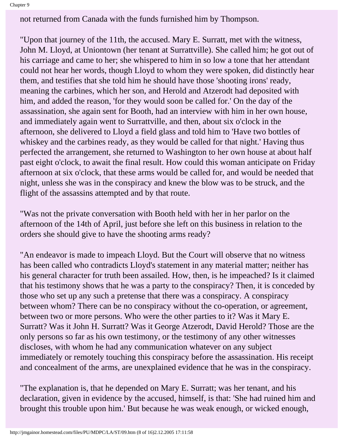not returned from Canada with the funds furnished him by Thompson.

"Upon that journey of the 11th, the accused. Mary E. Surratt, met with the witness, John M. Lloyd, at Uniontown (her tenant at Surrattville). She called him; he got out of his carriage and came to her; she whispered to him in so low a tone that her attendant could not hear her words, though Lloyd to whom they were spoken, did distinctly hear them, and testifies that she told him he should have those 'shooting irons' ready, meaning the carbines, which her son, and Herold and Atzerodt had deposited with him, and added the reason, 'for they would soon be called for.' On the day of the assassination, she again sent for Booth, had an interview with him in her own house, and immediately again went to Surrattville, and then, about six o'clock in the afternoon, she delivered to Lloyd a field glass and told him to 'Have two bottles of whiskey and the carbines ready, as they would be called for that night.' Having thus perfected the arrangement, she returned to Washington to her own house at about half past eight o'clock, to await the final result. How could this woman anticipate on Friday afternoon at six o'clock, that these arms would be called for, and would be needed that night, unless she was in the conspiracy and knew the blow was to be struck, and the flight of the assassins attempted and by that route.

"Was not the private conversation with Booth held with her in her parlor on the afternoon of the 14th of April, just before she left on this business in relation to the orders she should give to have the shooting arms ready?

"An endeavor is made to impeach Lloyd. But the Court will observe that no witness has been called who contradicts Lloyd's statement in any material matter; neither has his general character for truth been assailed. How, then, is he impeached? Is it claimed that his testimony shows that he was a party to the conspiracy? Then, it is conceded by those who set up any such a pretense that there was a conspiracy. A conspiracy between whom? There can be no conspiracy without the co-operation, or agreement, between two or more persons. Who were the other parties to it? Was it Mary E. Surratt? Was it John H. Surratt? Was it George Atzerodt, David Herold? Those are the only persons so far as his own testimony, or the testimony of any other witnesses discloses, with whom he had any communication whatever on any subject immediately or remotely touching this conspiracy before the assassination. His receipt and concealment of the arms, are unexplained evidence that he was in the conspiracy.

"The explanation is, that he depended on Mary E. Surratt; was her tenant, and his declaration, given in evidence by the accused, himself, is that: 'She had ruined him and brought this trouble upon him.' But because he was weak enough, or wicked enough,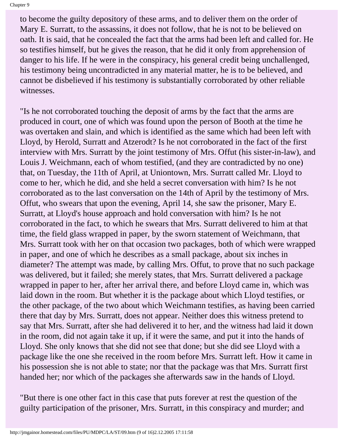to become the guilty depository of these arms, and to deliver them on the order of Mary E. Surratt, to the assassins, it does not follow, that he is not to be believed on oath. It is said, that he concealed the fact that the arms had been left and called for. He so testifies himself, but he gives the reason, that he did it only from apprehension of danger to his life. If he were in the conspiracy, his general credit being unchallenged, his testimony being uncontradicted in any material matter, he is to be believed, and cannot be disbelieved if his testimony is substantially corroborated by other reliable witnesses.

"Is he not corroborated touching the deposit of arms by the fact that the arms are produced in court, one of which was found upon the person of Booth at the time he was overtaken and slain, and which is identified as the same which had been left with Lloyd, by Herold, Surratt and Atzerodt? Is he not corroborated in the fact of the first interview with Mrs. Surratt by the joint testimony of Mrs. Offut (his sister-in-law), and Louis J. Weichmann, each of whom testified, (and they are contradicted by no one) that, on Tuesday, the 11th of April, at Uniontown, Mrs. Surratt called Mr. Lloyd to come to her, which he did, and she held a secret conversation with him? Is he not corroborated as to the last conversation on the 14th of April by the testimony of Mrs. Offut, who swears that upon the evening, April 14, she saw the prisoner, Mary E. Surratt, at Lloyd's house approach and hold conversation with him? Is he not corroborated in the fact, to which he swears that Mrs. Surratt delivered to him at that time, the field glass wrapped in paper, by the sworn statement of Weichmann, that Mrs. Surratt took with her on that occasion two packages, both of which were wrapped in paper, and one of which he describes as a small package, about six inches in diameter? The attempt was made, by calling Mrs. Offut, to prove that no such package was delivered, but it failed; she merely states, that Mrs. Surratt delivered a package wrapped in paper to her, after her arrival there, and before Lloyd came in, which was laid down in the room. But whether it is the package about which Lloyd testifies, or the other package, of the two about which Weichmann testifies, as having been carried there that day by Mrs. Surratt, does not appear. Neither does this witness pretend to say that Mrs. Surratt, after she had delivered it to her, and the witness had laid it down in the room, did not again take it up, if it were the same, and put it into the hands of Lloyd. She only knows that she did not see that done; but she did see Lloyd with a package like the one she received in the room before Mrs. Surratt left. How it came in his possession she is not able to state; nor that the package was that Mrs. Surratt first handed her; nor which of the packages she afterwards saw in the hands of Lloyd.

"But there is one other fact in this case that puts forever at rest the question of the guilty participation of the prisoner, Mrs. Surratt, in this conspiracy and murder; and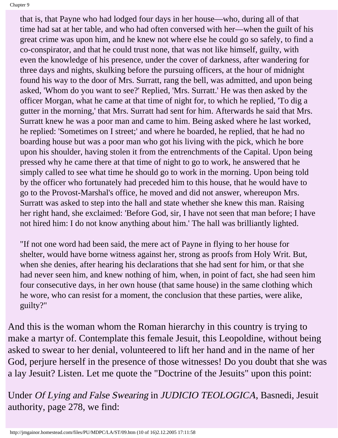that is, that Payne who had lodged four days in her house—who, during all of that time had sat at her table, and who had often conversed with her—when the guilt of his great crime was upon him, and he knew not where else he could go so safely, to find a co-conspirator, and that he could trust none, that was not like himself, guilty, with even the knowledge of his presence, under the cover of darkness, after wandering for three days and nights, skulking before the pursuing officers, at the hour of midnight found his way to the door of Mrs. Surratt, rang the bell, was admitted, and upon being asked, 'Whom do you want to see?' Replied, 'Mrs. Surratt.' He was then asked by the officer Morgan, what he came at that time of night for, to which he replied, 'To dig a gutter in the morning,' that Mrs. Surratt had sent for him. Afterwards he said that Mrs. Surratt knew he was a poor man and came to him. Being asked where he last worked, he replied: 'Sometimes on I street;' and where he boarded, he replied, that he had no boarding house but was a poor man who got his living with the pick, which he bore upon his shoulder, having stolen it from the entrenchments of the Capital. Upon being pressed why he came there at that time of night to go to work, he answered that he simply called to see what time he should go to work in the morning. Upon being told by the officer who fortunately had preceded him to this house, that he would have to go to the Provost-Marshal's office, he moved and did not answer, whereupon Mrs. Surratt was asked to step into the hall and state whether she knew this man. Raising her right hand, she exclaimed: 'Before God, sir, I have not seen that man before; I have not hired him: I do not know anything about him.' The hall was brilliantly lighted.

"If not one word had been said, the mere act of Payne in flying to her house for shelter, would have borne witness against her, strong as proofs from Holy Writ. But, when she denies, after hearing his declarations that she had sent for him, or that she had never seen him, and knew nothing of him, when, in point of fact, she had seen him four consecutive days, in her own house (that same house) in the same clothing which he wore, who can resist for a moment, the conclusion that these parties, were alike, guilty?"

And this is the woman whom the Roman hierarchy in this country is trying to make a martyr of. Contemplate this female Jesuit, this Leopoldine, without being asked to swear to her denial, volunteered to lift her hand and in the name of her God, perjure herself in the presence of those witnesses! Do you doubt that she was a lay Jesuit? Listen. Let me quote the "Doctrine of the Jesuits" upon this point:

Under Of Lying and False Swearing in JUDICIO TEOLOGICA, Basnedi, Jesuit authority, page 278, we find: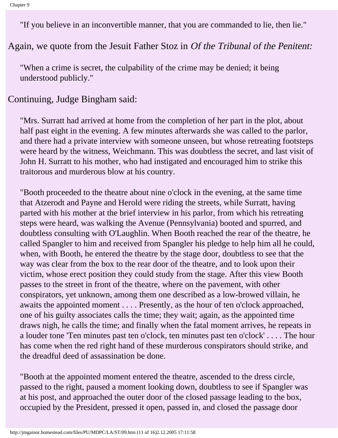"If you believe in an inconvertible manner, that you are commanded to lie, then lie."

#### Again, we quote from the Jesuit Father Stoz in Of the Tribunal of the Penitent:

"When a crime is secret, the culpability of the crime may be denied; it being understood publicly."

#### Continuing, Judge Bingham said:

"Mrs. Surratt had arrived at home from the completion of her part in the plot, about half past eight in the evening. A few minutes afterwards she was called to the parlor, and there had a private interview with someone unseen, but whose retreating footsteps were heard by the witness, Weichmann. This was doubtless the secret, and last visit of John H. Surratt to his mother, who had instigated and encouraged him to strike this traitorous and murderous blow at his country.

"Booth proceeded to the theatre about nine o'clock in the evening, at the same time that Atzerodt and Payne and Herold were riding the streets, while Surratt, having parted with his mother at the brief interview in his parlor, from which his retreating steps were heard, was walking the Avenue (Pennsylvania) booted and spurred, and doubtless consulting with O'Laughlin. When Booth reached the rear of the theatre, he called Spangler to him and received from Spangler his pledge to help him all he could, when, with Booth, he entered the theatre by the stage door, doubtless to see that the way was clear from the box to the rear door of the theatre, and to look upon their victim, whose erect position they could study from the stage. After this view Booth passes to the street in front of the theatre, where on the pavement, with other conspirators, yet unknown, among them one described as a low-browed villain, he awaits the appointed moment . . . . Presently, as the hour of ten o'clock approached, one of his guilty associates calls the time; they wait; again, as the appointed time draws nigh, he calls the time; and finally when the fatal moment arrives, he repeats in a louder tone 'Ten minutes past ten o'clock, ten minutes past ten o'clock' . . . . The hour has come when the red right hand of these murderous conspirators should strike, and the dreadful deed of assassination be done.

"Booth at the appointed moment entered the theatre, ascended to the dress circle, passed to the right, paused a moment looking down, doubtless to see if Spangler was at his post, and approached the outer door of the closed passage leading to the box, occupied by the President, pressed it open, passed in, and closed the passage door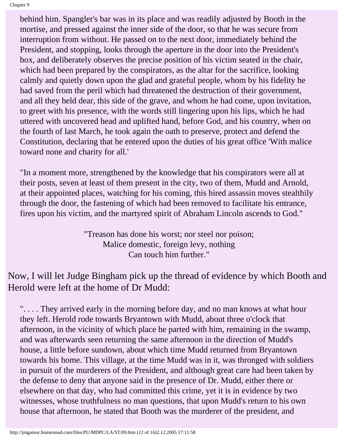behind him. Spangler's bar was in its place and was readily adjusted by Booth in the mortise, and pressed against the inner side of the door, so that he was secure from interruption from without. He passed on to the next door, immediately behind the President, and stopping, looks through the aperture in the door into the President's box, and deliberately observes the precise position of his victim seated in the chair, which had been prepared by the conspirators, as the altar for the sacrifice, looking calmly and quietly down upon the glad and grateful people, whom by his fidelity he had saved from the peril which had threatened the destruction of their government, and all they held dear, this side of the grave, and whom he had come, upon invitation, to greet with his presence, with the words still lingering upon his lips, which he had uttered with uncovered head and uplifted hand, before God, and his country, when on the fourth of last March, he took again the oath to preserve, protect and defend the Constitution, declaring that he entered upon the duties of his great office 'With malice toward none and charity for all.'

"In a moment more, strengthened by the knowledge that his conspirators were all at their posts, seven at least of them present in the city, two of them, Mudd and Arnold, at their appointed places, watching for his coming, this hired assassin moves stealthily through the door, the fastening of which had been removed to facilitate his entrance, fires upon his victim, and the martyred spirit of Abraham Lincoln ascends to God."

> "Treason has done his worst; nor steel nor poison; Malice domestic, foreign levy, nothing Can touch him further."

Now, I will let Judge Bingham pick up the thread of evidence by which Booth and Herold were left at the home of Dr Mudd:

". . . . They arrived early in the morning before day, and no man knows at what hour they left. Herold rode towards Bryantown with Mudd, about three o'clock that afternoon, in the vicinity of which place he parted with him, remaining in the swamp, and was afterwards seen returning the same afternoon in the direction of Mudd's house, a little before sundown, about which time Mudd returned from Bryantown towards his home. This village, at the time Mudd was in it, was thronged with soldiers in pursuit of the murderers of the President, and although great care had been taken by the defense to deny that anyone said in the presence of Dr. Mudd, either there or elsewhere on that day, who had committed this crime, yet it is in evidence by two witnesses, whose truthfulness no man questions, that upon Mudd's return to his own house that afternoon, he stated that Booth was the murderer of the president, and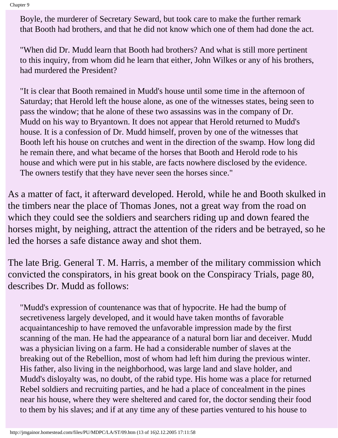Boyle, the murderer of Secretary Seward, but took care to make the further remark that Booth had brothers, and that he did not know which one of them had done the act.

"When did Dr. Mudd learn that Booth had brothers? And what is still more pertinent to this inquiry, from whom did he learn that either, John Wilkes or any of his brothers, had murdered the President?

"It is clear that Booth remained in Mudd's house until some time in the afternoon of Saturday; that Herold left the house alone, as one of the witnesses states, being seen to pass the window; that he alone of these two assassins was in the company of Dr. Mudd on his way to Bryantown. It does not appear that Herold returned to Mudd's house. It is a confession of Dr. Mudd himself, proven by one of the witnesses that Booth left his house on crutches and went in the direction of the swamp. How long did he remain there, and what became of the horses that Booth and Herold rode to his house and which were put in his stable, are facts nowhere disclosed by the evidence. The owners testify that they have never seen the horses since."

As a matter of fact, it afterward developed. Herold, while he and Booth skulked in the timbers near the place of Thomas Jones, not a great way from the road on which they could see the soldiers and searchers riding up and down feared the horses might, by neighing, attract the attention of the riders and be betrayed, so he led the horses a safe distance away and shot them.

The late Brig. General T. M. Harris, a member of the military commission which convicted the conspirators, in his great book on the Conspiracy Trials, page 80, describes Dr. Mudd as follows:

"Mudd's expression of countenance was that of hypocrite. He had the bump of secretiveness largely developed, and it would have taken months of favorable acquaintanceship to have removed the unfavorable impression made by the first scanning of the man. He had the appearance of a natural born liar and deceiver. Mudd was a physician living on a farm. He had a considerable number of slaves at the breaking out of the Rebellion, most of whom had left him during the previous winter. His father, also living in the neighborhood, was large land and slave holder, and Mudd's disloyalty was, no doubt, of the rabid type. His home was a place for returned Rebel soldiers and recruiting parties, and he had a place of concealment in the pines near his house, where they were sheltered and cared for, the doctor sending their food to them by his slaves; and if at any time any of these parties ventured to his house to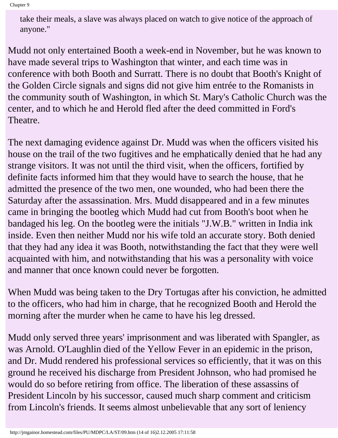take their meals, a slave was always placed on watch to give notice of the approach of anyone."

Mudd not only entertained Booth a week-end in November, but he was known to have made several trips to Washington that winter, and each time was in conference with both Booth and Surratt. There is no doubt that Booth's Knight of the Golden Circle signals and signs did not give him entrée to the Romanists in the community south of Washington, in which St. Mary's Catholic Church was the center, and to which he and Herold fled after the deed committed in Ford's Theatre.

The next damaging evidence against Dr. Mudd was when the officers visited his house on the trail of the two fugitives and he emphatically denied that he had any strange visitors. It was not until the third visit, when the officers, fortified by definite facts informed him that they would have to search the house, that he admitted the presence of the two men, one wounded, who had been there the Saturday after the assassination. Mrs. Mudd disappeared and in a few minutes came in bringing the bootleg which Mudd had cut from Booth's boot when he bandaged his leg. On the bootleg were the initials "J.W.B." written in India ink inside. Even then neither Mudd nor his wife told an accurate story. Both denied that they had any idea it was Booth, notwithstanding the fact that they were well acquainted with him, and notwithstanding that his was a personality with voice and manner that once known could never be forgotten.

When Mudd was being taken to the Dry Tortugas after his conviction, he admitted to the officers, who had him in charge, that he recognized Booth and Herold the morning after the murder when he came to have his leg dressed.

Mudd only served three years' imprisonment and was liberated with Spangler, as was Arnold. O'Laughlin died of the Yellow Fever in an epidemic in the prison, and Dr. Mudd rendered his professional services so efficiently, that it was on this ground he received his discharge from President Johnson, who had promised he would do so before retiring from office. The liberation of these assassins of President Lincoln by his successor, caused much sharp comment and criticism from Lincoln's friends. It seems almost unbelievable that any sort of leniency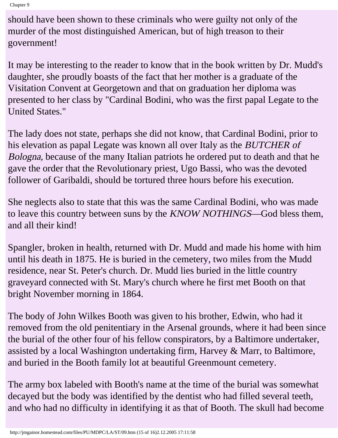```
Chapter 9
```
should have been shown to these criminals who were guilty not only of the murder of the most distinguished American, but of high treason to their government!

It may be interesting to the reader to know that in the book written by Dr. Mudd's daughter, she proudly boasts of the fact that her mother is a graduate of the Visitation Convent at Georgetown and that on graduation her diploma was presented to her class by "Cardinal Bodini, who was the first papal Legate to the United States."

The lady does not state, perhaps she did not know, that Cardinal Bodini, prior to his elevation as papal Legate was known all over Italy as the BUTCHER of Bologna, because of the many Italian patriots he ordered put to death and that he gave the order that the Revolutionary priest, Ugo Bassi, who was the devoted follower of Garibaldi, should be tortured three hours before his execution.

She neglects also to state that this was the same Cardinal Bodini, who was made to leave this country between suns by the KNOW NOTHINGS—God bless them, and all their kind!

Spangler, broken in health, returned with Dr. Mudd and made his home with him until his death in 1875. He is buried in the cemetery, two miles from the Mudd residence, near St. Peter's church. Dr. Mudd lies buried in the little country graveyard connected with St. Mary's church where he first met Booth on that bright November morning in 1864.

The body of John Wilkes Booth was given to his brother, Edwin, who had it removed from the old penitentiary in the Arsenal grounds, where it had been since the burial of the other four of his fellow conspirators, by a Baltimore undertaker, assisted by a local Washington undertaking firm, Harvey & Marr, to Baltimore, and buried in the Booth family lot at beautiful Greenmount cemetery.

The army box labeled with Booth's name at the time of the burial was somewhat decayed but the body was identified by the dentist who had filled several teeth, and who had no difficulty in identifying it as that of Booth. The skull had become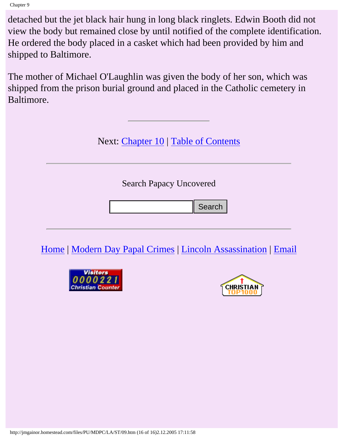detached but the jet black hair hung in long black ringlets. Edwin Booth did not view the body but remained close by until notified of the complete identification. He ordered the body placed in a casket which had been provided by him and shipped to Baltimore.

The mother of Michael O'Laughlin was given the body of her son, which was shipped from the prison burial ground and placed in the Catholic cemetery in Baltimore.



[Home](http://jmgainor.homestead.com/files/PU/PU.htm) | [Modern Day Papal Crimes](http://jmgainor.homestead.com/files/PU/MDPC/MDPC.htm) | [Lincoln Assassination](http://jmgainor.homestead.com/files/PU/MDPC/LA/LA.htm) | [Email](mailto:PapacyUncovered@ec.rr.com)



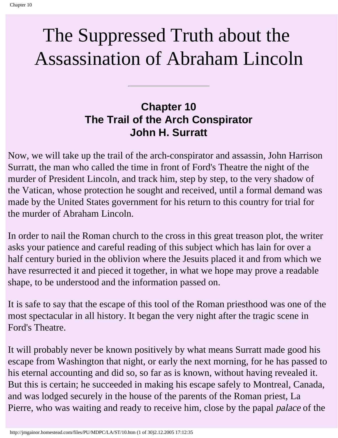# <span id="page-118-0"></span>The Suppressed Truth about the Assassination of Abraham Lincoln

# **Chapter 10 The Trail of the Arch Conspirator John H. Surratt**

Now, we will take up the trail of the arch-conspirator and assassin, John Harrison Surratt, the man who called the time in front of Ford's Theatre the night of the murder of President Lincoln, and track him, step by step, to the very shadow of the Vatican, whose protection he sought and received, until a formal demand was made by the United States government for his return to this country for trial for the murder of Abraham Lincoln.

In order to nail the Roman church to the cross in this great treason plot, the writer asks your patience and careful reading of this subject which has lain for over a half century buried in the oblivion where the Jesuits placed it and from which we have resurrected it and pieced it together, in what we hope may prove a readable shape, to be understood and the information passed on.

It is safe to say that the escape of this tool of the Roman priesthood was one of the most spectacular in all history. It began the very night after the tragic scene in Ford's Theatre.

It will probably never be known positively by what means Surratt made good his escape from Washington that night, or early the next morning, for he has passed to his eternal accounting and did so, so far as is known, without having revealed it. But this is certain; he succeeded in making his escape safely to Montreal, Canada, and was lodged securely in the house of the parents of the Roman priest, La Pierre, who was waiting and ready to receive him, close by the papal palace of the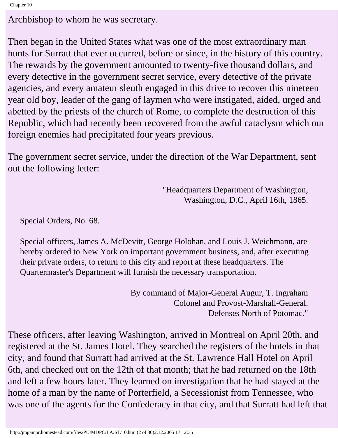Archbishop to whom he was secretary.

Then began in the United States what was one of the most extraordinary man hunts for Surratt that ever occurred, before or since, in the history of this country. The rewards by the government amounted to twenty-five thousand dollars, and every detective in the government secret service, every detective of the private agencies, and every amateur sleuth engaged in this drive to recover this nineteen year old boy, leader of the gang of laymen who were instigated, aided, urged and abetted by the priests of the church of Rome, to complete the destruction of this Republic, which had recently been recovered from the awful cataclysm which our foreign enemies had precipitated four years previous.

The government secret service, under the direction of the War Department, sent out the following letter:

> "Headquarters Department of Washington, Washington, D.C., April 16th, 1865.

Special Orders, No. 68.

Special officers, James A. McDevitt, George Holohan, and Louis J. Weichmann, are hereby ordered to New York on important government business, and, after executing their private orders, to return to this city and report at these headquarters. The Quartermaster's Department will furnish the necessary transportation.

> By command of Major-General Augur, T. Ingraham Colonel and Provost-Marshall-General. Defenses North of Potomac."

These officers, after leaving Washington, arrived in Montreal on April 20th, and registered at the St. James Hotel. They searched the registers of the hotels in that city, and found that Surratt had arrived at the St. Lawrence Hall Hotel on April 6th, and checked out on the 12th of that month; that he had returned on the 18th and left a few hours later. They learned on investigation that he had stayed at the home of a man by the name of Porterfield, a Secessionist from Tennessee, who was one of the agents for the Confederacy in that city, and that Surratt had left that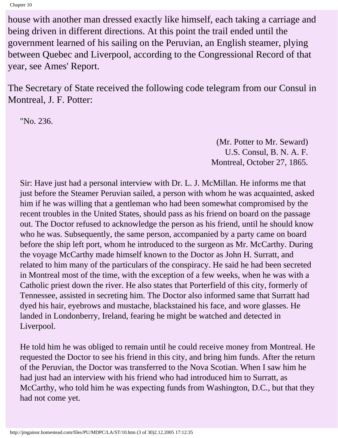house with another man dressed exactly like himself, each taking a carriage and being driven in different directions. At this point the trail ended until the government learned of his sailing on the Peruvian, an English steamer, plying between Quebec and Liverpool, according to the Congressional Record of that year, see Ames' Report.

The Secretary of State received the following code telegram from our Consul in Montreal, J. F. Potter:

"No. 236.

(Mr. Potter to Mr. Seward) U.S. Consul, B. N. A. F. Montreal, October 27, 1865.

Sir: Have just had a personal interview with Dr. L. J. McMillan. He informs me that just before the Steamer Peruvian sailed, a person with whom he was acquainted, asked him if he was willing that a gentleman who had been somewhat compromised by the recent troubles in the United States, should pass as his friend on board on the passage out. The Doctor refused to acknowledge the person as his friend, until he should know who he was. Subsequently, the same person, accompanied by a party came on board before the ship left port, whom he introduced to the surgeon as Mr. McCarthy. During the voyage McCarthy made himself known to the Doctor as John H. Surratt, and related to him many of the particulars of the conspiracy. He said he had been secreted in Montreal most of the time, with the exception of a few weeks, when he was with a Catholic priest down the river. He also states that Porterfield of this city, formerly of Tennessee, assisted in secreting him. The Doctor also informed same that Surratt had dyed his hair, eyebrows and mustache, blackstained his face, and wore glasses. He landed in Londonberry, Ireland, fearing he might be watched and detected in Liverpool.

He told him he was obliged to remain until he could receive money from Montreal. He requested the Doctor to see his friend in this city, and bring him funds. After the return of the Peruvian, the Doctor was transferred to the Nova Scotian. When I saw him he had just had an interview with his friend who had introduced him to Surratt, as McCarthy, who told him he was expecting funds from Washington, D.C., but that they had not come yet.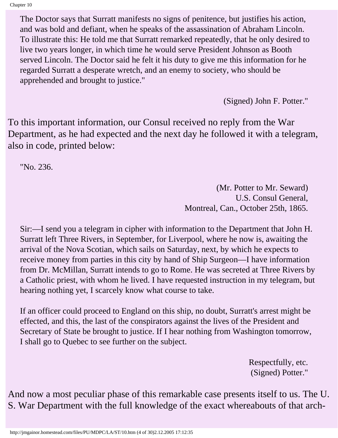The Doctor says that Surratt manifests no signs of penitence, but justifies his action, and was bold and defiant, when he speaks of the assassination of Abraham Lincoln. To illustrate this: He told me that Surratt remarked repeatedly, that he only desired to live two years longer, in which time he would serve President Johnson as Booth served Lincoln. The Doctor said he felt it his duty to give me this information for he regarded Surratt a desperate wretch, and an enemy to society, who should be apprehended and brought to justice."

(Signed) John F. Potter."

To this important information, our Consul received no reply from the War Department, as he had expected and the next day he followed it with a telegram, also in code, printed below:

"No. 236.

(Mr. Potter to Mr. Seward) U.S. Consul General, Montreal, Can., October 25th, 1865.

Sir:—I send you a telegram in cipher with information to the Department that John H. Surratt left Three Rivers, in September, for Liverpool, where he now is, awaiting the arrival of the Nova Scotian, which sails on Saturday, next, by which he expects to receive money from parties in this city by hand of Ship Surgeon—I have information from Dr. McMillan, Surratt intends to go to Rome. He was secreted at Three Rivers by a Catholic priest, with whom he lived. I have requested instruction in my telegram, but hearing nothing yet, I scarcely know what course to take.

If an officer could proceed to England on this ship, no doubt, Surratt's arrest might be effected, and this, the last of the conspirators against the lives of the President and Secretary of State be brought to justice. If I hear nothing from Washington tomorrow, I shall go to Quebec to see further on the subject.

> Respectfully, etc. (Signed) Potter."

And now a most peculiar phase of this remarkable case presents itself to us. The U. S. War Department with the full knowledge of the exact whereabouts of that arch-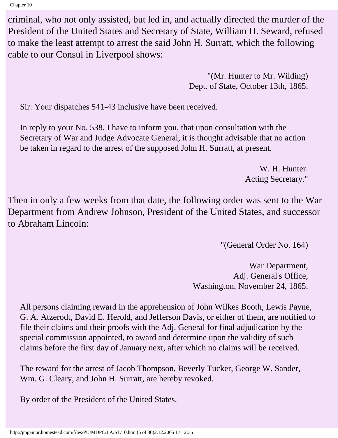criminal, who not only assisted, but led in, and actually directed the murder of the President of the United States and Secretary of State, William H. Seward, refused to make the least attempt to arrest the said John H. Surratt, which the following cable to our Consul in Liverpool shows:

> "(Mr. Hunter to Mr. Wilding) Dept. of State, October 13th, 1865.

Sir: Your dispatches 541-43 inclusive have been received.

In reply to your No. 538. I have to inform you, that upon consultation with the Secretary of War and Judge Advocate General, it is thought advisable that no action be taken in regard to the arrest of the supposed John H. Surratt, at present.

> W. H. Hunter. Acting Secretary."

Then in only a few weeks from that date, the following order was sent to the War Department from Andrew Johnson, President of the United States, and successor to Abraham Lincoln:

"(General Order No. 164)

War Department, Adj. General's Office, Washington, November 24, 1865.

All persons claiming reward in the apprehension of John Wilkes Booth, Lewis Payne, G. A. Atzerodt, David E. Herold, and Jefferson Davis, or either of them, are notified to file their claims and their proofs with the Adj. General for final adjudication by the special commission appointed, to award and determine upon the validity of such claims before the first day of January next, after which no claims will be received.

The reward for the arrest of Jacob Thompson, Beverly Tucker, George W. Sander, Wm. G. Cleary, and John H. Surratt, are hereby revoked.

By order of the President of the United States.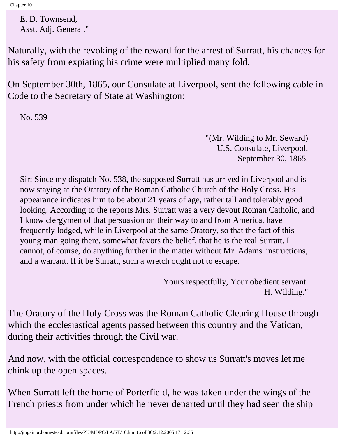E. D. Townsend, Asst. Adj. General."

Naturally, with the revoking of the reward for the arrest of Surratt, his chances for his safety from expiating his crime were multiplied many fold.

On September 30th, 1865, our Consulate at Liverpool, sent the following cable in Code to the Secretary of State at Washington:

No. 539

"(Mr. Wilding to Mr. Seward) U.S. Consulate, Liverpool, September 30, 1865.

Sir: Since my dispatch No. 538, the supposed Surratt has arrived in Liverpool and is now staying at the Oratory of the Roman Catholic Church of the Holy Cross. His appearance indicates him to be about 21 years of age, rather tall and tolerably good looking. According to the reports Mrs. Surratt was a very devout Roman Catholic, and I know clergymen of that persuasion on their way to and from America, have frequently lodged, while in Liverpool at the same Oratory, so that the fact of this young man going there, somewhat favors the belief, that he is the real Surratt. I cannot, of course, do anything further in the matter without Mr. Adams' instructions, and a warrant. If it be Surratt, such a wretch ought not to escape.

> Yours respectfully, Your obedient servant. H. Wilding."

The Oratory of the Holy Cross was the Roman Catholic Clearing House through which the ecclesiastical agents passed between this country and the Vatican, during their activities through the Civil war.

And now, with the official correspondence to show us Surratt's moves let me chink up the open spaces.

When Surratt left the home of Porterfield, he was taken under the wings of the French priests from under which he never departed until they had seen the ship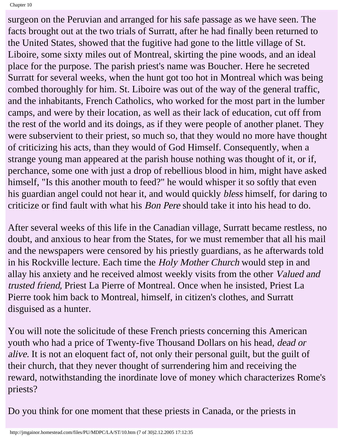surgeon on the Peruvian and arranged for his safe passage as we have seen. The facts brought out at the two trials of Surratt, after he had finally been returned to the United States, showed that the fugitive had gone to the little village of St. Liboire, some sixty miles out of Montreal, skirting the pine woods, and an ideal place for the purpose. The parish priest's name was Boucher. Here he secreted Surratt for several weeks, when the hunt got too hot in Montreal which was being combed thoroughly for him. St. Liboire was out of the way of the general traffic, and the inhabitants, French Catholics, who worked for the most part in the lumber camps, and were by their location, as well as their lack of education, cut off from the rest of the world and its doings, as if they were people of another planet. They were subservient to their priest, so much so, that they would no more have thought of criticizing his acts, than they would of God Himself. Consequently, when a strange young man appeared at the parish house nothing was thought of it, or if, perchance, some one with just a drop of rebellious blood in him, might have asked himself, "Is this another mouth to feed?" he would whisper it so softly that even his guardian angel could not hear it, and would quickly bless himself, for daring to criticize or find fault with what his Bon Pere should take it into his head to do.

After several weeks of this life in the Canadian village, Surratt became restless, no doubt, and anxious to hear from the States, for we must remember that all his mail and the newspapers were censored by his priestly guardians, as he afterwards told in his Rockville lecture. Each time the Holy Mother Church would step in and allay his anxiety and he received almost weekly visits from the other Valued and trusted friend, Priest La Pierre of Montreal. Once when he insisted, Priest La Pierre took him back to Montreal, himself, in citizen's clothes, and Surratt disguised as a hunter.

You will note the solicitude of these French priests concerning this American youth who had a price of Twenty-five Thousand Dollars on his head, dead or alive. It is not an eloquent fact of, not only their personal guilt, but the guilt of their church, that they never thought of surrendering him and receiving the reward, notwithstanding the inordinate love of money which characterizes Rome's priests?

Do you think for one moment that these priests in Canada, or the priests in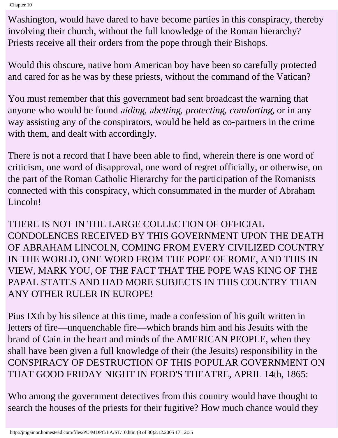Washington, would have dared to have become parties in this conspiracy, thereby involving their church, without the full knowledge of the Roman hierarchy? Priests receive all their orders from the pope through their Bishops.

Would this obscure, native born American boy have been so carefully protected and cared for as he was by these priests, without the command of the Vatican?

You must remember that this government had sent broadcast the warning that anyone who would be found aiding, abetting, protecting, comforting, or in any way assisting any of the conspirators, would be held as co-partners in the crime with them, and dealt with accordingly.

There is not a record that I have been able to find, wherein there is one word of criticism, one word of disapproval, one word of regret officially, or otherwise, on the part of the Roman Catholic Hierarchy for the participation of the Romanists connected with this conspiracy, which consummated in the murder of Abraham Lincoln!

THERE IS NOT IN THE LARGE COLLECTION OF OFFICIAL CONDOLENCES RECEIVED BY THIS GOVERNMENT UPON THE DEATH OF ABRAHAM LINCOLN, COMING FROM EVERY CIVILIZED COUNTRY IN THE WORLD, ONE WORD FROM THE POPE OF ROME, AND THIS IN VIEW, MARK YOU, OF THE FACT THAT THE POPE WAS KING OF THE PAPAL STATES AND HAD MORE SUBJECTS IN THIS COUNTRY THAN ANY OTHER RULER IN EUROPE!

Pius IXth by his silence at this time, made a confession of his guilt written in letters of fire—unquenchable fire—which brands him and his Jesuits with the brand of Cain in the heart and minds of the AMERICAN PEOPLE, when they shall have been given a full knowledge of their (the Jesuits) responsibility in the CONSPIRACY OF DESTRUCTION OF THIS POPULAR GOVERNMENT ON THAT GOOD FRIDAY NIGHT IN FORD'S THEATRE, APRIL 14th, 1865:

Who among the government detectives from this country would have thought to search the houses of the priests for their fugitive? How much chance would they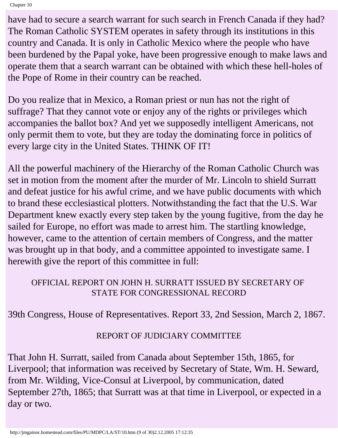have had to secure a search warrant for such search in French Canada if they had? The Roman Catholic SYSTEM operates in safety through its institutions in this country and Canada. It is only in Catholic Mexico where the people who have been burdened by the Papal yoke, have been progressive enough to make laws and operate them that a search warrant can be obtained with which these hell-holes of the Pope of Rome in their country can be reached.

Do you realize that in Mexico, a Roman priest or nun has not the right of suffrage? That they cannot vote or enjoy any of the rights or privileges which accompanies the ballot box? And yet we supposedly intelligent Americans, not only permit them to vote, but they are today the dominating force in politics of every large city in the United States. THINK OF IT!

All the powerful machinery of the Hierarchy of the Roman Catholic Church was set in motion from the moment after the murder of Mr. Lincoln to shield Surratt and defeat justice for his awful crime, and we have public documents with which to brand these ecclesiastical plotters. Notwithstanding the fact that the U.S. War Department knew exactly every step taken by the young fugitive, from the day he sailed for Europe, no effort was made to arrest him. The startling knowledge, however, came to the attention of certain members of Congress, and the matter was brought up in that body, and a committee appointed to investigate same. I herewith give the report of this committee in full:

### OFFICIAL REPORT ON JOHN H. SURRATT ISSUED BY SECRETARY OF STATE FOR CONGRESSIONAL RECORD

39th Congress, House of Representatives. Report 33, 2nd Session, March 2, 1867.

# REPORT OF JUDICIARY COMMITTEE

That John H. Surratt, sailed from Canada about September 15th, 1865, for Liverpool; that information was received by Secretary of State, Wm. H. Seward, from Mr. Wilding, Vice-Consul at Liverpool, by communication, dated September 27th, 1865; that Surratt was at that time in Liverpool, or expected in a day or two.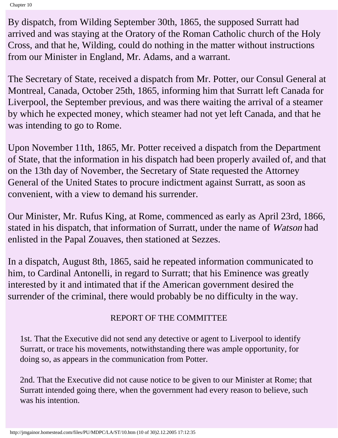By dispatch, from Wilding September 30th, 1865, the supposed Surratt had arrived and was staying at the Oratory of the Roman Catholic church of the Holy Cross, and that he, Wilding, could do nothing in the matter without instructions from our Minister in England, Mr. Adams, and a warrant.

The Secretary of State, received a dispatch from Mr. Potter, our Consul General at Montreal, Canada, October 25th, 1865, informing him that Surratt left Canada for Liverpool, the September previous, and was there waiting the arrival of a steamer by which he expected money, which steamer had not yet left Canada, and that he was intending to go to Rome.

Upon November 11th, 1865, Mr. Potter received a dispatch from the Department of State, that the information in his dispatch had been properly availed of, and that on the 13th day of November, the Secretary of State requested the Attorney General of the United States to procure indictment against Surratt, as soon as convenient, with a view to demand his surrender.

Our Minister, Mr. Rufus King, at Rome, commenced as early as April 23rd, 1866, stated in his dispatch, that information of Surratt, under the name of Watson had enlisted in the Papal Zouaves, then stationed at Sezzes.

In a dispatch, August 8th, 1865, said he repeated information communicated to him, to Cardinal Antonelli, in regard to Surratt; that his Eminence was greatly interested by it and intimated that if the American government desired the surrender of the criminal, there would probably be no difficulty in the way.

# REPORT OF THE COMMITTEE

1st. That the Executive did not send any detective or agent to Liverpool to identify Surratt, or trace his movements, notwithstanding there was ample opportunity, for doing so, as appears in the communication from Potter.

2nd. That the Executive did not cause notice to be given to our Minister at Rome; that Surratt intended going there, when the government had every reason to believe, such was his intention.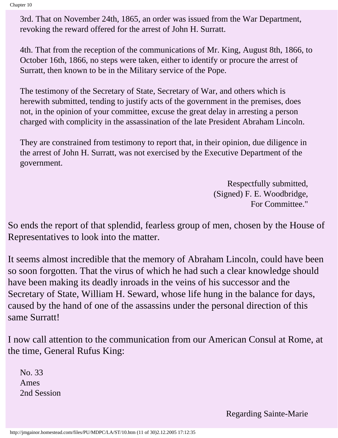3rd. That on November 24th, 1865, an order was issued from the War Department, revoking the reward offered for the arrest of John H. Surratt.

4th. That from the reception of the communications of Mr. King, August 8th, 1866, to October 16th, 1866, no steps were taken, either to identify or procure the arrest of Surratt, then known to be in the Military service of the Pope.

The testimony of the Secretary of State, Secretary of War, and others which is herewith submitted, tending to justify acts of the government in the premises, does not, in the opinion of your committee, excuse the great delay in arresting a person charged with complicity in the assassination of the late President Abraham Lincoln.

They are constrained from testimony to report that, in their opinion, due diligence in the arrest of John H. Surratt, was not exercised by the Executive Department of the government.

> Respectfully submitted, (Signed) F. E. Woodbridge, For Committee."

So ends the report of that splendid, fearless group of men, chosen by the House of Representatives to look into the matter.

It seems almost incredible that the memory of Abraham Lincoln, could have been so soon forgotten. That the virus of which he had such a clear knowledge should have been making its deadly inroads in the veins of his successor and the Secretary of State, William H. Seward, whose life hung in the balance for days, caused by the hand of one of the assassins under the personal direction of this same Surratt!

I now call attention to the communication from our American Consul at Rome, at the time, General Rufus King:

No. 33 Ames 2nd Session

Regarding Sainte-Marie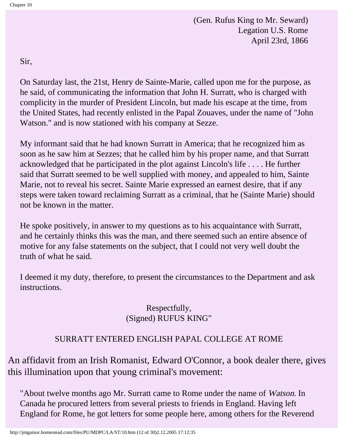(Gen. Rufus King to Mr. Seward) Legation U.S. Rome April 23rd, 1866

Sir,

On Saturday last, the 21st, Henry de Sainte-Marie, called upon me for the purpose, as he said, of communicating the information that John H. Surratt, who is charged with complicity in the murder of President Lincoln, but made his escape at the time, from the United States, had recently enlisted in the Papal Zouaves, under the name of "John Watson." and is now stationed with his company at Sezze.

My informant said that he had known Surratt in America; that he recognized him as soon as he saw him at Sezzes; that he called him by his proper name, and that Surratt acknowledged that he participated in the plot against Lincoln's life . . . . He further said that Surratt seemed to be well supplied with money, and appealed to him, Sainte Marie, not to reveal his secret. Sainte Marie expressed an earnest desire, that if any steps were taken toward reclaiming Surratt as a criminal, that he (Sainte Marie) should not be known in the matter.

He spoke positively, in answer to my questions as to his acquaintance with Surratt, and he certainly thinks this was the man, and there seemed such an entire absence of motive for any false statements on the subject, that I could not very well doubt the truth of what he said.

I deemed it my duty, therefore, to present the circumstances to the Department and ask instructions.

# Respectfully, (Signed) RUFUS KING"

# SURRATT ENTERED ENGLISH PAPAL COLLEGE AT ROME

# An affidavit from an Irish Romanist, Edward O'Connor, a book dealer there, gives this illumination upon that young criminal's movement:

"About twelve months ago Mr. Surratt came to Rome under the name of Watson. In Canada he procured letters from several priests to friends in England. Having left England for Rome, he got letters for some people here, among others for the Reverend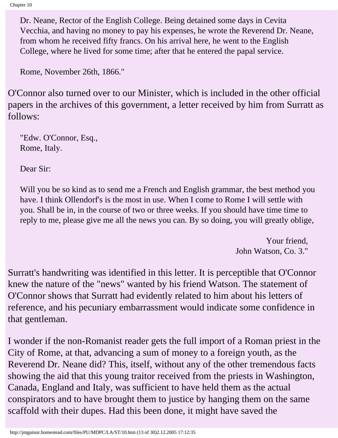Dr. Neane, Rector of the English College. Being detained some days in Cevita Vecchia, and having no money to pay his expenses, he wrote the Reverend Dr. Neane, from whom he received fifty francs. On his arrival here, he went to the English College, where he lived for some time; after that he entered the papal service.

Rome, November 26th, 1866."

O'Connor also turned over to our Minister, which is included in the other official papers in the archives of this government, a letter received by him from Surratt as follows:

"Edw. O'Connor, Esq., Rome, Italy.

Dear Sir:

Will you be so kind as to send me a French and English grammar, the best method you have. I think Ollendorf's is the most in use. When I come to Rome I will settle with you. Shall be in, in the course of two or three weeks. If you should have time time to reply to me, please give me all the news you can. By so doing, you will greatly oblige,

> Your friend, John Watson, Co. 3."

Surratt's handwriting was identified in this letter. It is perceptible that O'Connor knew the nature of the "news" wanted by his friend Watson. The statement of O'Connor shows that Surratt had evidently related to him about his letters of reference, and his pecuniary embarrassment would indicate some confidence in that gentleman.

I wonder if the non-Romanist reader gets the full import of a Roman priest in the City of Rome, at that, advancing a sum of money to a foreign youth, as the Reverend Dr. Neane did? This, itself, without any of the other tremendous facts showing the aid that this young traitor received from the priests in Washington, Canada, England and Italy, was sufficient to have held them as the actual conspirators and to have brought them to justice by hanging them on the same scaffold with their dupes. Had this been done, it might have saved the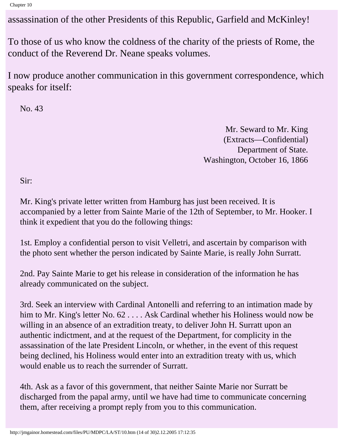assassination of the other Presidents of this Republic, Garfield and McKinley!

To those of us who know the coldness of the charity of the priests of Rome, the conduct of the Reverend Dr. Neane speaks volumes.

I now produce another communication in this government correspondence, which speaks for itself:

No. 43

Mr. Seward to Mr. King (Extracts—Confidential) Department of State. Washington, October 16, 1866

Sir:

Mr. King's private letter written from Hamburg has just been received. It is accompanied by a letter from Sainte Marie of the 12th of September, to Mr. Hooker. I think it expedient that you do the following things:

1st. Employ a confidential person to visit Velletri, and ascertain by comparison with the photo sent whether the person indicated by Sainte Marie, is really John Surratt.

2nd. Pay Sainte Marie to get his release in consideration of the information he has already communicated on the subject.

3rd. Seek an interview with Cardinal Antonelli and referring to an intimation made by him to Mr. King's letter No. 62 . . . . Ask Cardinal whether his Holiness would now be willing in an absence of an extradition treaty, to deliver John H. Surratt upon an authentic indictment, and at the request of the Department, for complicity in the assassination of the late President Lincoln, or whether, in the event of this request being declined, his Holiness would enter into an extradition treaty with us, which would enable us to reach the surrender of Surratt.

4th. Ask as a favor of this government, that neither Sainte Marie nor Surratt be discharged from the papal army, until we have had time to communicate concerning them, after receiving a prompt reply from you to this communication.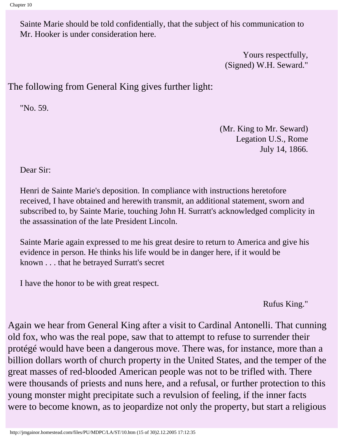Sainte Marie should be told confidentially, that the subject of his communication to Mr. Hooker is under consideration here.

> Yours respectfully, (Signed) W.H. Seward."

#### The following from General King gives further light:

"No. 59.

(Mr. King to Mr. Seward) Legation U.S., Rome July 14, 1866.

Dear Sir:

Henri de Sainte Marie's deposition. In compliance with instructions heretofore received, I have obtained and herewith transmit, an additional statement, sworn and subscribed to, by Sainte Marie, touching John H. Surratt's acknowledged complicity in the assassination of the late President Lincoln.

Sainte Marie again expressed to me his great desire to return to America and give his evidence in person. He thinks his life would be in danger here, if it would be known . . . that he betrayed Surratt's secret

I have the honor to be with great respect.

Rufus King."

Again we hear from General King after a visit to Cardinal Antonelli. That cunning old fox, who was the real pope, saw that to attempt to refuse to surrender their protégé would have been a dangerous move. There was, for instance, more than a billion dollars worth of church property in the United States, and the temper of the great masses of red-blooded American people was not to be trifled with. There were thousands of priests and nuns here, and a refusal, or further protection to this young monster might precipitate such a revulsion of feeling, if the inner facts were to become known, as to jeopardize not only the property, but start a religious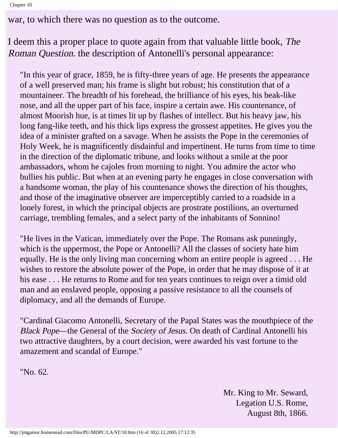```
Chapter 10
```
war, to which there was no question as to the outcome.

# I deem this a proper place to quote again from that valuable little book, The Roman Question. the description of Antonelli's personal appearance:

"In this year of grace, 1859, he is fifty-three years of age. He presents the appearance of a well preserved man; his frame is slight but robust; his constitution that of a mountaineer. The breadth of his forehead, the brilliance of his eyes, his beak-like nose, and all the upper part of his face, inspire a certain awe. His countenance, of almost Moorish hue, is at times lit up by flashes of intellect. But his heavy jaw, his long fang-like teeth, and his thick lips express the grossest appetites. He gives you the idea of a minister grafted on a savage. When he assists the Pope in the ceremonies of Holy Week, he is magnificently disdainful and impertinent. He turns from time to time in the direction of the diplomatic tribune, and looks without a smile at the poor ambassadors, whom he cajoles from morning to night. You admire the actor who bullies his public. But when at an evening party he engages in close conversation with a handsome woman, the play of his countenance shows the direction of his thoughts, and those of the imaginative observer are imperceptibly carried to a roadside in a lonely forest, in which the principal objects are prostrate postilions, an overturned carriage, trembling females, and a select party of the inhabitants of Sonnino!

"He lives in the Vatican, immediately over the Pope. The Romans ask punningly, which is the uppermost, the Pope or Antonelli? All the classes of society hate him equally. He is the only living man concerning whom an entire people is agreed . . . He wishes to restore the absolute power of the Pope, in order that he may dispose of it at his ease . . . He returns to Rome and for ten years continues to reign over a timid old man and an enslaved people, opposing a passive resistance to all the counsels of diplomacy, and all the demands of Europe.

"Cardinal Giacomo Antonelli, Secretary of the Papal States was the mouthpiece of the Black Pope—the General of the Society of Jesus. On death of Cardinal Antonelli his two attractive daughters, by a court decision, were awarded his vast fortune to the amazement and scandal of Europe."

"No. 62.

Mr. King to Mr. Seward, Legation U.S. Rome, August 8th, 1866.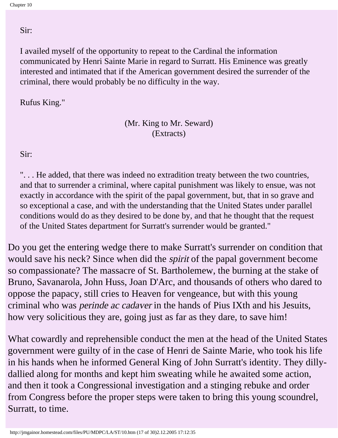Sir:

I availed myself of the opportunity to repeat to the Cardinal the information communicated by Henri Sainte Marie in regard to Surratt. His Eminence was greatly interested and intimated that if the American government desired the surrender of the criminal, there would probably be no difficulty in the way.

Rufus King."

#### (Mr. King to Mr. Seward) (Extracts)

Sir:

". . . He added, that there was indeed no extradition treaty between the two countries, and that to surrender a criminal, where capital punishment was likely to ensue, was not exactly in accordance with the spirit of the papal government, but, that in so grave and so exceptional a case, and with the understanding that the United States under parallel conditions would do as they desired to be done by, and that he thought that the request of the United States department for Surratt's surrender would be granted."

Do you get the entering wedge there to make Surratt's surrender on condition that would save his neck? Since when did the spirit of the papal government become so compassionate? The massacre of St. Bartholemew, the burning at the stake of Bruno, Savanarola, John Huss, Joan D'Arc, and thousands of others who dared to oppose the papacy, still cries to Heaven for vengeance, but with this young criminal who was perinde ac cadaver in the hands of Pius IXth and his Jesuits, how very solicitious they are, going just as far as they dare, to save him!

What cowardly and reprehensible conduct the men at the head of the United States government were guilty of in the case of Henri de Sainte Marie, who took his life in his hands when he informed General King of John Surratt's identity. They dillydallied along for months and kept him sweating while he awaited some action, and then it took a Congressional investigation and a stinging rebuke and order from Congress before the proper steps were taken to bring this young scoundrel, Surratt, to time.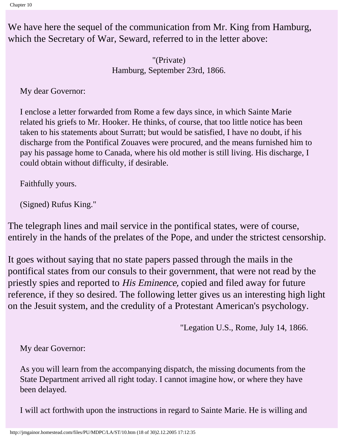We have here the sequel of the communication from Mr. King from Hamburg, which the Secretary of War, Seward, referred to in the letter above:

> "(Private) Hamburg, September 23rd, 1866.

My dear Governor:

I enclose a letter forwarded from Rome a few days since, in which Sainte Marie related his griefs to Mr. Hooker. He thinks, of course, that too little notice has been taken to his statements about Surratt; but would be satisfied, I have no doubt, if his discharge from the Pontifical Zouaves were procured, and the means furnished him to pay his passage home to Canada, where his old mother is still living. His discharge, I could obtain without difficulty, if desirable.

Faithfully yours.

(Signed) Rufus King."

The telegraph lines and mail service in the pontifical states, were of course, entirely in the hands of the prelates of the Pope, and under the strictest censorship.

It goes without saying that no state papers passed through the mails in the pontifical states from our consuls to their government, that were not read by the priestly spies and reported to His Eminence, copied and filed away for future reference, if they so desired. The following letter gives us an interesting high light on the Jesuit system, and the credulity of a Protestant American's psychology.

"Legation U.S., Rome, July 14, 1866.

My dear Governor:

As you will learn from the accompanying dispatch, the missing documents from the State Department arrived all right today. I cannot imagine how, or where they have been delayed.

I will act forthwith upon the instructions in regard to Sainte Marie. He is willing and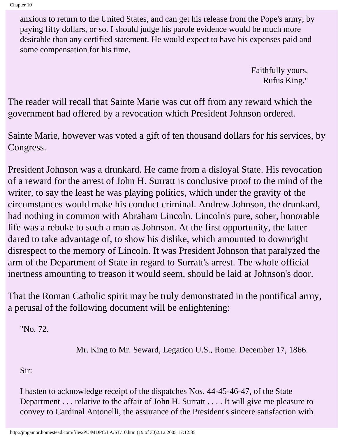anxious to return to the United States, and can get his release from the Pope's army, by paying fifty dollars, or so. I should judge his parole evidence would be much more desirable than any certified statement. He would expect to have his expenses paid and some compensation for his time.

> Faithfully yours, Rufus King."

The reader will recall that Sainte Marie was cut off from any reward which the government had offered by a revocation which President Johnson ordered.

Sainte Marie, however was voted a gift of ten thousand dollars for his services, by Congress.

President Johnson was a drunkard. He came from a disloyal State. His revocation of a reward for the arrest of John H. Surratt is conclusive proof to the mind of the writer, to say the least he was playing politics, which under the gravity of the circumstances would make his conduct criminal. Andrew Johnson, the drunkard, had nothing in common with Abraham Lincoln. Lincoln's pure, sober, honorable life was a rebuke to such a man as Johnson. At the first opportunity, the latter dared to take advantage of, to show his dislike, which amounted to downright disrespect to the memory of Lincoln. It was President Johnson that paralyzed the arm of the Department of State in regard to Surratt's arrest. The whole official inertness amounting to treason it would seem, should be laid at Johnson's door.

That the Roman Catholic spirit may be truly demonstrated in the pontifical army, a perusal of the following document will be enlightening:

"No. 72.

Mr. King to Mr. Seward, Legation U.S., Rome. December 17, 1866.

Sir:

I hasten to acknowledge receipt of the dispatches Nos. 44-45-46-47, of the State Department . . . relative to the affair of John H. Surratt . . . . It will give me pleasure to convey to Cardinal Antonelli, the assurance of the President's sincere satisfaction with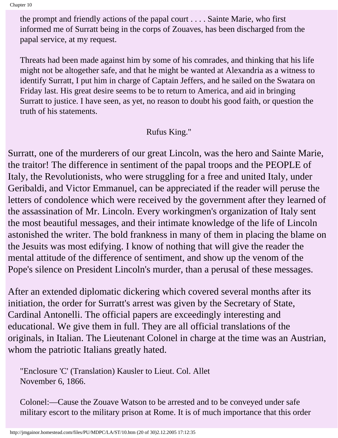the prompt and friendly actions of the papal court . . . . Sainte Marie, who first informed me of Surratt being in the corps of Zouaves, has been discharged from the papal service, at my request.

Threats had been made against him by some of his comrades, and thinking that his life might not be altogether safe, and that he might be wanted at Alexandria as a witness to identify Surratt, I put him in charge of Captain Jeffers, and he sailed on the Swatara on Friday last. His great desire seems to be to return to America, and aid in bringing Surratt to justice. I have seen, as yet, no reason to doubt his good faith, or question the truth of his statements.

#### Rufus King."

Surratt, one of the murderers of our great Lincoln, was the hero and Sainte Marie, the traitor! The difference in sentiment of the papal troops and the PEOPLE of Italy, the Revolutionists, who were struggling for a free and united Italy, under Geribaldi, and Victor Emmanuel, can be appreciated if the reader will peruse the letters of condolence which were received by the government after they learned of the assassination of Mr. Lincoln. Every workingmen's organization of Italy sent the most beautiful messages, and their intimate knowledge of the life of Lincoln astonished the writer. The bold frankness in many of them in placing the blame on the Jesuits was most edifying. I know of nothing that will give the reader the mental attitude of the difference of sentiment, and show up the venom of the Pope's silence on President Lincoln's murder, than a perusal of these messages.

After an extended diplomatic dickering which covered several months after its initiation, the order for Surratt's arrest was given by the Secretary of State, Cardinal Antonelli. The official papers are exceedingly interesting and educational. We give them in full. They are all official translations of the originals, in Italian. The Lieutenant Colonel in charge at the time was an Austrian, whom the patriotic Italians greatly hated.

"Enclosure 'C' (Translation) Kausler to Lieut. Col. Allet November 6, 1866.

Colonel:—Cause the Zouave Watson to be arrested and to be conveyed under safe military escort to the military prison at Rome. It is of much importance that this order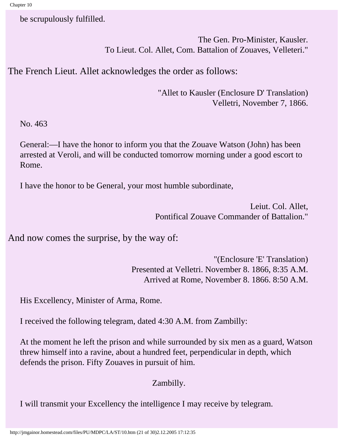be scrupulously fulfilled.

The Gen. Pro-Minister, Kausler. To Lieut. Col. Allet, Com. Battalion of Zouaves, Velleteri."

The French Lieut. Allet acknowledges the order as follows:

"Allet to Kausler (Enclosure D' Translation) Velletri, November 7, 1866.

No. 463

General:—I have the honor to inform you that the Zouave Watson (John) has been arrested at Veroli, and will be conducted tomorrow morning under a good escort to Rome.

I have the honor to be General, your most humble subordinate,

Leiut. Col. Allet, Pontifical Zouave Commander of Battalion."

And now comes the surprise, by the way of:

"(Enclosure 'E' Translation) Presented at Velletri. November 8. 1866, 8:35 A.M. Arrived at Rome, November 8. 1866. 8:50 A.M.

His Excellency, Minister of Arma, Rome.

I received the following telegram, dated 4:30 A.M. from Zambilly:

At the moment he left the prison and while surrounded by six men as a guard, Watson threw himself into a ravine, about a hundred feet, perpendicular in depth, which defends the prison. Fifty Zouaves in pursuit of him.

#### Zambilly.

I will transmit your Excellency the intelligence I may receive by telegram.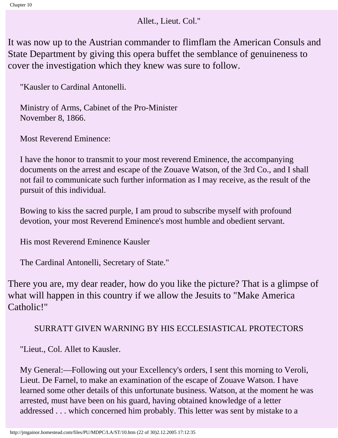#### Allet., Lieut. Col."

It was now up to the Austrian commander to flimflam the American Consuls and State Department by giving this opera buffet the semblance of genuineness to cover the investigation which they knew was sure to follow.

"Kausler to Cardinal Antonelli.

Ministry of Arms, Cabinet of the Pro-Minister November 8, 1866.

Most Reverend Eminence:

I have the honor to transmit to your most reverend Eminence, the accompanying documents on the arrest and escape of the Zouave Watson, of the 3rd Co., and I shall not fail to communicate such further information as I may receive, as the result of the pursuit of this individual.

Bowing to kiss the sacred purple, I am proud to subscribe myself with profound devotion, your most Reverend Eminence's most humble and obedient servant.

His most Reverend Eminence Kausler

The Cardinal Antonelli, Secretary of State."

There you are, my dear reader, how do you like the picture? That is a glimpse of what will happen in this country if we allow the Jesuits to "Make America Catholic!"

#### SURRATT GIVEN WARNING BY HIS ECCLESIASTICAL PROTECTORS

"Lieut., Col. Allet to Kausler.

My General:—Following out your Excellency's orders, I sent this morning to Veroli, Lieut. De Farnel, to make an examination of the escape of Zouave Watson. I have learned some other details of this unfortunate business. Watson, at the moment he was arrested, must have been on his guard, having obtained knowledge of a letter addressed . . . which concerned him probably. This letter was sent by mistake to a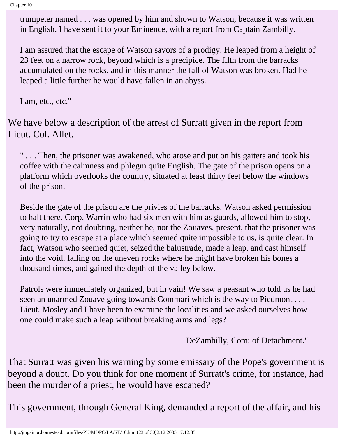trumpeter named . . . was opened by him and shown to Watson, because it was written in English. I have sent it to your Eminence, with a report from Captain Zambilly.

I am assured that the escape of Watson savors of a prodigy. He leaped from a height of 23 feet on a narrow rock, beyond which is a precipice. The filth from the barracks accumulated on the rocks, and in this manner the fall of Watson was broken. Had he leaped a little further he would have fallen in an abyss.

I am, etc., etc."

We have below a description of the arrest of Surratt given in the report from Lieut. Col. Allet.

" . . . Then, the prisoner was awakened, who arose and put on his gaiters and took his coffee with the calmness and phlegm quite English. The gate of the prison opens on a platform which overlooks the country, situated at least thirty feet below the windows of the prison.

Beside the gate of the prison are the privies of the barracks. Watson asked permission to halt there. Corp. Warrin who had six men with him as guards, allowed him to stop, very naturally, not doubting, neither he, nor the Zouaves, present, that the prisoner was going to try to escape at a place which seemed quite impossible to us, is quite clear. In fact, Watson who seemed quiet, seized the balustrade, made a leap, and cast himself into the void, falling on the uneven rocks where he might have broken his bones a thousand times, and gained the depth of the valley below.

Patrols were immediately organized, but in vain! We saw a peasant who told us he had seen an unarmed Zouave going towards Commari which is the way to Piedmont . . . Lieut. Mosley and I have been to examine the localities and we asked ourselves how one could make such a leap without breaking arms and legs?

DeZambilly, Com: of Detachment."

That Surratt was given his warning by some emissary of the Pope's government is beyond a doubt. Do you think for one moment if Surratt's crime, for instance, had been the murder of a priest, he would have escaped?

This government, through General King, demanded a report of the affair, and his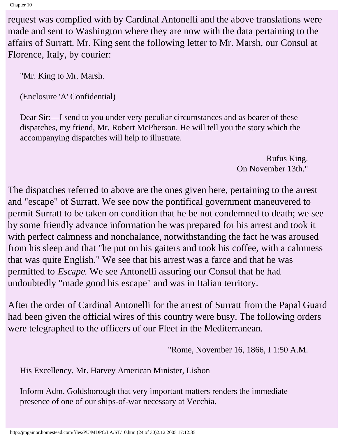request was complied with by Cardinal Antonelli and the above translations were made and sent to Washington where they are now with the data pertaining to the affairs of Surratt. Mr. King sent the following letter to Mr. Marsh, our Consul at Florence, Italy, by courier:

"Mr. King to Mr. Marsh.

(Enclosure 'A' Confidential)

Dear Sir:—I send to you under very peculiar circumstances and as bearer of these dispatches, my friend, Mr. Robert McPherson. He will tell you the story which the accompanying dispatches will help to illustrate.

> Rufus King. On November 13th."

The dispatches referred to above are the ones given here, pertaining to the arrest and "escape" of Surratt. We see now the pontifical government maneuvered to permit Surratt to be taken on condition that he be not condemned to death; we see by some friendly advance information he was prepared for his arrest and took it with perfect calmness and nonchalance, notwithstanding the fact he was aroused from his sleep and that "he put on his gaiters and took his coffee, with a calmness that was quite English." We see that his arrest was a farce and that he was permitted to Escape. We see Antonelli assuring our Consul that he had undoubtedly "made good his escape" and was in Italian territory.

After the order of Cardinal Antonelli for the arrest of Surratt from the Papal Guard had been given the official wires of this country were busy. The following orders were telegraphed to the officers of our Fleet in the Mediterranean.

"Rome, November 16, 1866, I 1:50 A.M.

His Excellency, Mr. Harvey American Minister, Lisbon

Inform Adm. Goldsborough that very important matters renders the immediate presence of one of our ships-of-war necessary at Vecchia.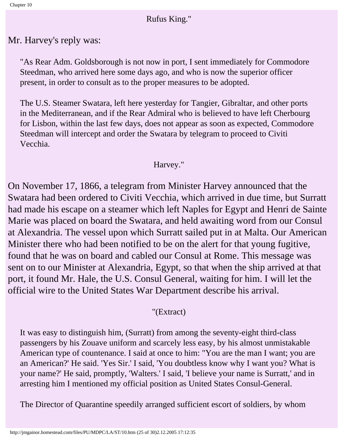#### Rufus King."

Mr. Harvey's reply was:

"As Rear Adm. Goldsborough is not now in port, I sent immediately for Commodore Steedman, who arrived here some days ago, and who is now the superior officer present, in order to consult as to the proper measures to be adopted.

The U.S. Steamer Swatara, left here yesterday for Tangier, Gibraltar, and other ports in the Mediterranean, and if the Rear Admiral who is believed to have left Cherbourg for Lisbon, within the last few days, does not appear as soon as expected, Commodore Steedman will intercept and order the Swatara by telegram to proceed to Civiti Vecchia.

### Harvey."

On November 17, 1866, a telegram from Minister Harvey announced that the Swatara had been ordered to Civiti Vecchia, which arrived in due time, but Surratt had made his escape on a steamer which left Naples for Egypt and Henri de Sainte Marie was placed on board the Swatara, and held awaiting word from our Consul at Alexandria. The vessel upon which Surratt sailed put in at Malta. Our American Minister there who had been notified to be on the alert for that young fugitive, found that he was on board and cabled our Consul at Rome. This message was sent on to our Minister at Alexandria, Egypt, so that when the ship arrived at that port, it found Mr. Hale, the U.S. Consul General, waiting for him. I will let the official wire to the United States War Department describe his arrival.

#### "(Extract)

It was easy to distinguish him, (Surratt) from among the seventy-eight third-class passengers by his Zouave uniform and scarcely less easy, by his almost unmistakable American type of countenance. I said at once to him: "You are the man I want; you are an American?' He said. 'Yes Sir.' I said, 'You doubtless know why I want you? What is your name?' He said, promptly, 'Walters.' I said, 'I believe your name is Surratt,' and in arresting him I mentioned my official position as United States Consul-General.

The Director of Quarantine speedily arranged sufficient escort of soldiers, by whom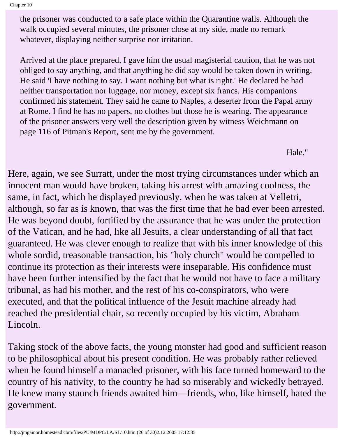the prisoner was conducted to a safe place within the Quarantine walls. Although the walk occupied several minutes, the prisoner close at my side, made no remark whatever, displaying neither surprise nor irritation.

Arrived at the place prepared, I gave him the usual magisterial caution, that he was not obliged to say anything, and that anything he did say would be taken down in writing. He said 'I have nothing to say. I want nothing but what is right.' He declared he had neither transportation nor luggage, nor money, except six francs. His companions confirmed his statement. They said he came to Naples, a deserter from the Papal army at Rome. I find he has no papers, no clothes but those he is wearing. The appearance of the prisoner answers very well the description given by witness Weichmann on page 116 of Pitman's Report, sent me by the government.

Hale."

Here, again, we see Surratt, under the most trying circumstances under which an innocent man would have broken, taking his arrest with amazing coolness, the same, in fact, which he displayed previously, when he was taken at Velletri, although, so far as is known, that was the first time that he had ever been arrested. He was beyond doubt, fortified by the assurance that he was under the protection of the Vatican, and he had, like all Jesuits, a clear understanding of all that fact guaranteed. He was clever enough to realize that with his inner knowledge of this whole sordid, treasonable transaction, his "holy church" would be compelled to continue its protection as their interests were inseparable. His confidence must have been further intensified by the fact that he would not have to face a military tribunal, as had his mother, and the rest of his co-conspirators, who were executed, and that the political influence of the Jesuit machine already had reached the presidential chair, so recently occupied by his victim, Abraham Lincoln.

Taking stock of the above facts, the young monster had good and sufficient reason to be philosophical about his present condition. He was probably rather relieved when he found himself a manacled prisoner, with his face turned homeward to the country of his nativity, to the country he had so miserably and wickedly betrayed. He knew many staunch friends awaited him—friends, who, like himself, hated the government.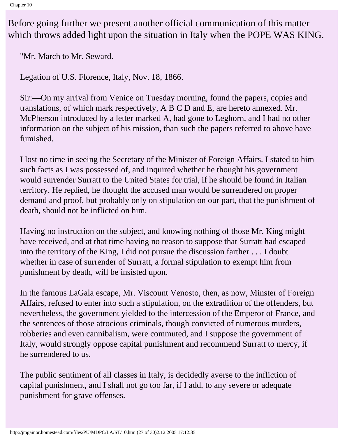Before going further we present another official communication of this matter which throws added light upon the situation in Italy when the POPE WAS KING.

"Mr. March to Mr. Seward.

Legation of U.S. Florence, Italy, Nov. 18, 1866.

Sir:—On my arrival from Venice on Tuesday morning, found the papers, copies and translations, of which mark respectively, A B C D and E, are hereto annexed. Mr. McPherson introduced by a letter marked A, had gone to Leghorn, and I had no other information on the subject of his mission, than such the papers referred to above have fumished.

I lost no time in seeing the Secretary of the Minister of Foreign Affairs. I stated to him such facts as I was possessed of, and inquired whether he thought his government would surrender Surratt to the United States for trial, if he should be found in Italian territory. He replied, he thought the accused man would be surrendered on proper demand and proof, but probably only on stipulation on our part, that the punishment of death, should not be inflicted on him.

Having no instruction on the subject, and knowing nothing of those Mr. King might have received, and at that time having no reason to suppose that Surratt had escaped into the territory of the King, I did not pursue the discussion farther . . . I doubt whether in case of surrender of Surratt, a formal stipulation to exempt him from punishment by death, will be insisted upon.

In the famous LaGala escape, Mr. Viscount Venosto, then, as now, Minster of Foreign Affairs, refused to enter into such a stipulation, on the extradition of the offenders, but nevertheless, the government yielded to the intercession of the Emperor of France, and the sentences of those atrocious criminals, though convicted of numerous murders, robberies and even cannibalism, were commuted, and I suppose the government of Italy, would strongly oppose capital punishment and recommend Surratt to mercy, if he surrendered to us.

The public sentiment of all classes in Italy, is decidedly averse to the infliction of capital punishment, and I shall not go too far, if I add, to any severe or adequate punishment for grave offenses.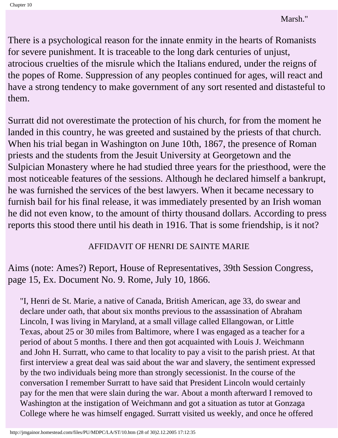Marsh."

There is a psychological reason for the innate enmity in the hearts of Romanists for severe punishment. It is traceable to the long dark centuries of unjust, atrocious cruelties of the misrule which the Italians endured, under the reigns of the popes of Rome. Suppression of any peoples continued for ages, will react and have a strong tendency to make government of any sort resented and distasteful to them.

Surratt did not overestimate the protection of his church, for from the moment he landed in this country, he was greeted and sustained by the priests of that church. When his trial began in Washington on June 10th, 1867, the presence of Roman priests and the students from the Jesuit University at Georgetown and the Sulpician Monastery where he had studied three years for the priesthood, were the most noticeable features of the sessions. Although he declared himself a bankrupt, he was furnished the services of the best lawyers. When it became necessary to furnish bail for his final release, it was immediately presented by an Irish woman he did not even know, to the amount of thirty thousand dollars. According to press reports this stood there until his death in 1916. That is some friendship, is it not?

#### AFFIDAVIT OF HENRI DE SAINTE MARIE

Aims (note: Ames?) Report, House of Representatives, 39th Session Congress, page 15, Ex. Document No. 9. Rome, July 10, 1866.

"I, Henri de St. Marie, a native of Canada, British American, age 33, do swear and declare under oath, that about six months previous to the assassination of Abraham Lincoln, I was living in Maryland, at a small village called Ellangowan, or Little Texas, about 25 or 30 miles from Baltimore, where I was engaged as a teacher for a period of about 5 months. I there and then got acquainted with Louis J. Weichmann and John H. Surratt, who came to that locality to pay a visit to the parish priest. At that first interview a great deal was said about the war and slavery, the sentiment expressed by the two individuals being more than strongly secessionist. In the course of the conversation I remember Surratt to have said that President Lincoln would certainly pay for the men that were slain during the war. About a month afterward I removed to Washington at the instigation of Weichmann and got a situation as tutor at Gonzaga College where he was himself engaged. Surratt visited us weekly, and once he offered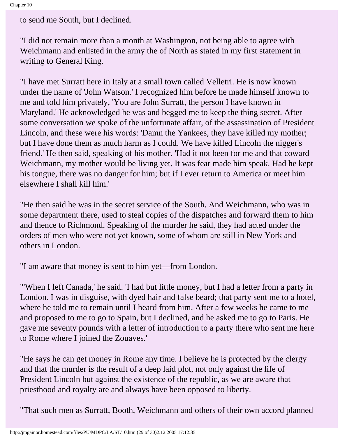to send me South, but I declined.

"I did not remain more than a month at Washington, not being able to agree with Weichmann and enlisted in the army the of North as stated in my first statement in writing to General King.

"I have met Surratt here in Italy at a small town called Velletri. He is now known under the name of 'John Watson.' I recognized him before he made himself known to me and told him privately, 'You are John Surratt, the person I have known in Maryland.' He acknowledged he was and begged me to keep the thing secret. After some conversation we spoke of the unfortunate affair, of the assassination of President Lincoln, and these were his words: 'Damn the Yankees, they have killed my mother; but I have done them as much harm as I could. We have killed Lincoln the nigger's friend.' He then said, speaking of his mother. 'Had it not been for me and that coward Weichmann, my mother would be living yet. It was fear made him speak. Had he kept his tongue, there was no danger for him; but if I ever return to America or meet him elsewhere I shall kill him.'

"He then said he was in the secret service of the South. And Weichmann, who was in some department there, used to steal copies of the dispatches and forward them to him and thence to Richmond. Speaking of the murder he said, they had acted under the orders of men who were not yet known, some of whom are still in New York and others in London.

"I am aware that money is sent to him yet—from London.

"'When I left Canada,' he said. 'I had but little money, but I had a letter from a party in London. I was in disguise, with dyed hair and false beard; that party sent me to a hotel, where he told me to remain until I heard from him. After a few weeks he came to me and proposed to me to go to Spain, but I declined, and he asked me to go to Paris. He gave me seventy pounds with a letter of introduction to a party there who sent me here to Rome where I joined the Zouaves.'

"He says he can get money in Rome any time. I believe he is protected by the clergy and that the murder is the result of a deep laid plot, not only against the life of President Lincoln but against the existence of the republic, as we are aware that priesthood and royalty are and always have been opposed to liberty.

"That such men as Surratt, Booth, Weichmann and others of their own accord planned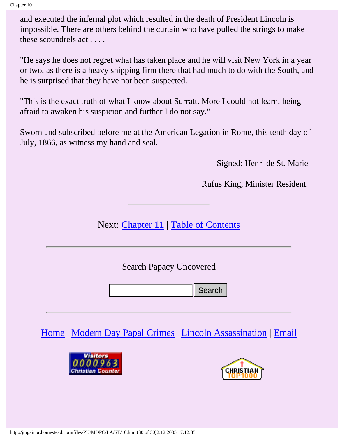Chapter 10

and executed the infernal plot which resulted in the death of President Lincoln is impossible. There are others behind the curtain who have pulled the strings to make these scoundrels act . . . .

"He says he does not regret what has taken place and he will visit New York in a year or two, as there is a heavy shipping firm there that had much to do with the South, and he is surprised that they have not been suspected.

"This is the exact truth of what I know about Surratt. More I could not learn, being afraid to awaken his suspicion and further I do not say."

Sworn and subscribed before me at the American Legation in Rome, this tenth day of July, 1866, as witness my hand and seal.

Signed: Henri de St. Marie

Rufus King, Minister Resident.

Next: [Chapter 11](#page-148-0) | [Table of Contents](#page-0-0)

Search Papacy Uncovered



[Home](http://jmgainor.homestead.com/files/PU/PU.htm) | [Modern Day Papal Crimes](http://jmgainor.homestead.com/files/PU/MDPC/MDPC.htm) | [Lincoln Assassination](http://jmgainor.homestead.com/files/PU/MDPC/LA/LA.htm) | [Email](mailto:PapacyUncovered@ec.rr.com) Search<br>
Home | <u>Modern Day Papal Crimes</u> | <u>Lincoln As</u><br>
0000963<br>
Christian Counter<br>
1<br>
http://jmgainor.homestead.com/files/PU/MDPC/LA/ST/10.htm (30 of 30)2.12.2005 17:12:35



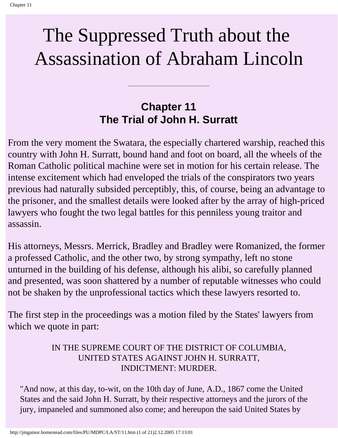# <span id="page-148-0"></span>The Suppressed Truth about the Assassination of Abraham Lincoln

## **Chapter 11 The Trial of John H. Surratt**

From the very moment the Swatara, the especially chartered warship, reached this country with John H. Surratt, bound hand and foot on board, all the wheels of the Roman Catholic political machine were set in motion for his certain release. The intense excitement which had enveloped the trials of the conspirators two years previous had naturally subsided perceptibly, this, of course, being an advantage to the prisoner, and the smallest details were looked after by the array of high-priced lawyers who fought the two legal battles for this penniless young traitor and assassin.

His attorneys, Messrs. Merrick, Bradley and Bradley were Romanized, the former a professed Catholic, and the other two, by strong sympathy, left no stone unturned in the building of his defense, although his alibi, so carefully planned and presented, was soon shattered by a number of reputable witnesses who could not be shaken by the unprofessional tactics which these lawyers resorted to.

The first step in the proceedings was a motion filed by the States' lawyers from which we quote in part:

## IN THE SUPREME COURT OF THE DISTRICT OF COLUMBIA, UNITED STATES AGAINST JOHN H. SURRATT, INDICTMENT: MURDER.

"And now, at this day, to-wit, on the 10th day of June, A.D., 1867 come the United States and the said John H. Surratt, by their respective attorneys and the jurors of the jury, impaneled and summoned also come; and hereupon the said United States by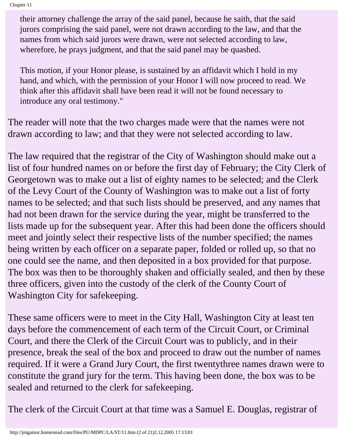their attorney challenge the array of the said panel, because he saith, that the said jurors comprising the said panel, were not drawn according to the law, and that the names from which said jurors were drawn, were not selected according to law, wherefore, he prays judgment, and that the said panel may be quashed.

This motion, if your Honor please, is sustained by an affidavit which I hold in my hand, and which, with the permission of your Honor I will now proceed to read. We think after this affidavit shall have been read it will not be found necessary to introduce any oral testimony."

The reader will note that the two charges made were that the names were not drawn according to law; and that they were not selected according to law.

The law required that the registrar of the City of Washington should make out a list of four hundred names on or before the first day of February; the City Clerk of Georgetown was to make out a list of eighty names to be selected; and the Clerk of the Levy Court of the County of Washington was to make out a list of forty names to be selected; and that such lists should be preserved, and any names that had not been drawn for the service during the year, might be transferred to the lists made up for the subsequent year. After this had been done the officers should meet and jointly select their respective lists of the number specified; the names being written by each officer on a separate paper, folded or rolled up, so that no one could see the name, and then deposited in a box provided for that purpose. The box was then to be thoroughly shaken and officially sealed, and then by these three officers, given into the custody of the clerk of the County Court of Washington City for safekeeping.

These same officers were to meet in the City Hall, Washington City at least ten days before the commencement of each term of the Circuit Court, or Criminal Court, and there the Clerk of the Circuit Court was to publicly, and in their presence, break the seal of the box and proceed to draw out the number of names required. If it were a Grand Jury Court, the first twentythree names drawn were to constitute the grand jury for the term. This having been done, the box was to be sealed and returned to the clerk for safekeeping.

The clerk of the Circuit Court at that time was a Samuel E. Douglas, registrar of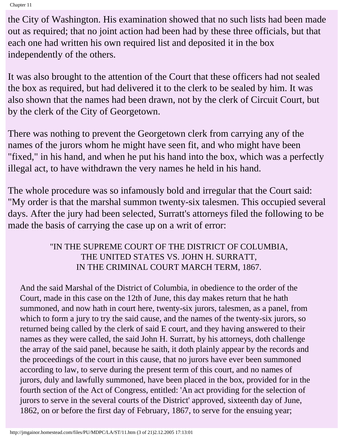the City of Washington. His examination showed that no such lists had been made out as required; that no joint action had been had by these three officials, but that each one had written his own required list and deposited it in the box independently of the others.

It was also brought to the attention of the Court that these officers had not sealed the box as required, but had delivered it to the clerk to be sealed by him. It was also shown that the names had been drawn, not by the clerk of Circuit Court, but by the clerk of the City of Georgetown.

There was nothing to prevent the Georgetown clerk from carrying any of the names of the jurors whom he might have seen fit, and who might have been "fixed," in his hand, and when he put his hand into the box, which was a perfectly illegal act, to have withdrawn the very names he held in his hand.

The whole procedure was so infamously bold and irregular that the Court said: "My order is that the marshal summon twenty-six talesmen. This occupied several days. After the jury had been selected, Surratt's attorneys filed the following to be made the basis of carrying the case up on a writ of error:

## "IN THE SUPREME COURT OF THE DISTRICT OF COLUMBIA, THE UNITED STATES VS. JOHN H. SURRATT, IN THE CRIMINAL COURT MARCH TERM, 1867.

And the said Marshal of the District of Columbia, in obedience to the order of the Court, made in this case on the 12th of June, this day makes return that he hath summoned, and now hath in court here, twenty-six jurors, talesmen, as a panel, from which to form a jury to try the said cause, and the names of the twenty-six jurors, so returned being called by the clerk of said E court, and they having answered to their names as they were called, the said John H. Surratt, by his attorneys, doth challenge the array of the said panel, because he saith, it doth plainly appear by the records and the proceedings of the court in this cause, that no jurors have ever been summoned according to law, to serve during the present term of this court, and no names of jurors, duly and lawfully summoned, have been placed in the box, provided for in the fourth section of the Act of Congress, entitled: 'An act providing for the selection of jurors to serve in the several courts of the District' approved, sixteenth day of June, 1862, on or before the first day of February, 1867, to serve for the ensuing year;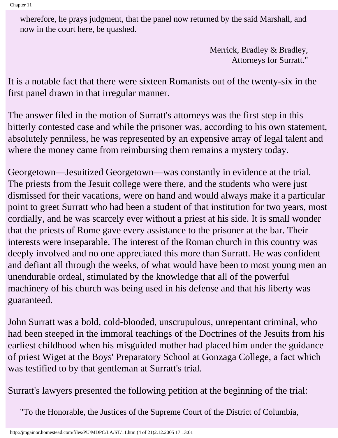wherefore, he prays judgment, that the panel now returned by the said Marshall, and now in the court here, be quashed.

> Merrick, Bradley & Bradley, Attorneys for Surratt."

It is a notable fact that there were sixteen Romanists out of the twenty-six in the first panel drawn in that irregular manner.

The answer filed in the motion of Surratt's attorneys was the first step in this bitterly contested case and while the prisoner was, according to his own statement, absolutely penniless, he was represented by an expensive array of legal talent and where the money came from reimbursing them remains a mystery today.

Georgetown—Jesuitized Georgetown—was constantly in evidence at the trial. The priests from the Jesuit college were there, and the students who were just dismissed for their vacations, were on hand and would always make it a particular point to greet Surratt who had been a student of that institution for two years, most cordially, and he was scarcely ever without a priest at his side. It is small wonder that the priests of Rome gave every assistance to the prisoner at the bar. Their interests were inseparable. The interest of the Roman church in this country was deeply involved and no one appreciated this more than Surratt. He was confident and defiant all through the weeks, of what would have been to most young men an unendurable ordeal, stimulated by the knowledge that all of the powerful machinery of his church was being used in his defense and that his liberty was guaranteed.

John Surratt was a bold, cold-blooded, unscrupulous, unrepentant criminal, who had been steeped in the immoral teachings of the Doctrines of the Jesuits from his earliest childhood when his misguided mother had placed him under the guidance of priest Wiget at the Boys' Preparatory School at Gonzaga College, a fact which was testified to by that gentleman at Surratt's trial.

Surratt's lawyers presented the following petition at the beginning of the trial:

"To the Honorable, the Justices of the Supreme Court of the District of Columbia,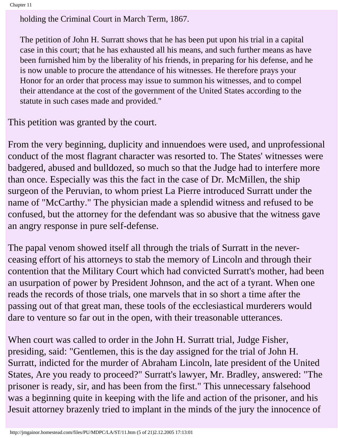holding the Criminal Court in March Term, 1867.

The petition of John H. Surratt shows that he has been put upon his trial in a capital case in this court; that he has exhausted all his means, and such further means as have been furnished him by the liberality of his friends, in preparing for his defense, and he is now unable to procure the attendance of his witnesses. He therefore prays your Honor for an order that process may issue to summon his witnesses, and to compel their attendance at the cost of the government of the United States according to the statute in such cases made and provided."

This petition was granted by the court.

From the very beginning, duplicity and innuendoes were used, and unprofessional conduct of the most flagrant character was resorted to. The States' witnesses were badgered, abused and bulldozed, so much so that the Judge had to interfere more than once. Especially was this the fact in the case of Dr. McMillen, the ship surgeon of the Peruvian, to whom priest La Pierre introduced Surratt under the name of "McCarthy." The physician made a splendid witness and refused to be confused, but the attorney for the defendant was so abusive that the witness gave an angry response in pure self-defense.

The papal venom showed itself all through the trials of Surratt in the neverceasing effort of his attorneys to stab the memory of Lincoln and through their contention that the Military Court which had convicted Surratt's mother, had been an usurpation of power by President Johnson, and the act of a tyrant. When one reads the records of those trials, one marvels that in so short a time after the passing out of that great man, these tools of the ecclesiastical murderers would dare to venture so far out in the open, with their treasonable utterances.

When court was called to order in the John H. Surratt trial, Judge Fisher, presiding, said: "Gentlemen, this is the day assigned for the trial of John H. Surratt, indicted for the murder of Abraham Lincoln, late president of the United States, Are you ready to proceed?" Surratt's lawyer, Mr. Bradley, answered: "The prisoner is ready, sir, and has been from the first." This unnecessary falsehood was a beginning quite in keeping with the life and action of the prisoner, and his Jesuit attorney brazenly tried to implant in the minds of the jury the innocence of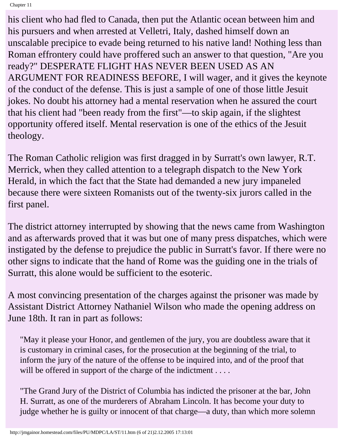Chapter 11

his client who had fled to Canada, then put the Atlantic ocean between him and his pursuers and when arrested at Velletri, Italy, dashed himself down an unscalable precipice to evade being returned to his native land! Nothing less than Roman effrontery could have proffered such an answer to that question, "Are you ready?" DESPERATE FLIGHT HAS NEVER BEEN USED AS AN ARGUMENT FOR READINESS BEFORE, I will wager, and it gives the keynote of the conduct of the defense. This is just a sample of one of those little Jesuit jokes. No doubt his attorney had a mental reservation when he assured the court that his client had "been ready from the first"—to skip again, if the slightest opportunity offered itself. Mental reservation is one of the ethics of the Jesuit theology.

The Roman Catholic religion was first dragged in by Surratt's own lawyer, R.T. Merrick, when they called attention to a telegraph dispatch to the New York Herald, in which the fact that the State had demanded a new jury impaneled because there were sixteen Romanists out of the twenty-six jurors called in the first panel.

The district attorney interrupted by showing that the news came from Washington and as afterwards proved that it was but one of many press dispatches, which were instigated by the defense to prejudice the public in Surratt's favor. If there were no other signs to indicate that the hand of Rome was the guiding one in the trials of Surratt, this alone would be sufficient to the esoteric.

A most convincing presentation of the charges against the prisoner was made by Assistant District Attorney Nathaniel Wilson who made the opening address on June 18th. It ran in part as follows:

"May it please your Honor, and gentlemen of the jury, you are doubtless aware that it is customary in criminal cases, for the prosecution at the beginning of the trial, to inform the jury of the nature of the offense to be inquired into, and of the proof that will be offered in support of the charge of the indictment . . . .

"The Grand Jury of the District of Columbia has indicted the prisoner at the bar, John H. Surratt, as one of the murderers of Abraham Lincoln. It has become your duty to judge whether he is guilty or innocent of that charge—a duty, than which more solemn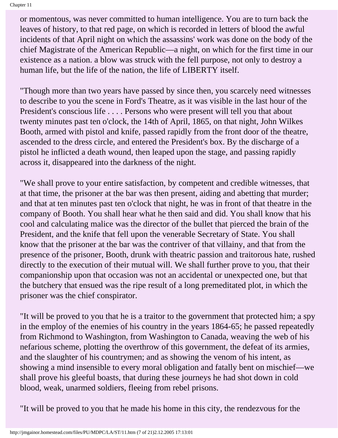or momentous, was never committed to human intelligence. You are to turn back the leaves of history, to that red page, on which is recorded in letters of blood the awful incidents of that April night on which the assassins' work was done on the body of the chief Magistrate of the American Republic—a night, on which for the first time in our existence as a nation. a blow was struck with the fell purpose, not only to destroy a human life, but the life of the nation, the life of LIBERTY itself.

"Though more than two years have passed by since then, you scarcely need witnesses to describe to you the scene in Ford's Theatre, as it was visible in the last hour of the President's conscious life . . . . Persons who were present will tell you that about twenty minutes past ten o'clock, the 14th of April, 1865, on that night, John Wilkes Booth, armed with pistol and knife, passed rapidly from the front door of the theatre, ascended to the dress circle, and entered the President's box. By the discharge of a pistol he inflicted a death wound, then leaped upon the stage, and passing rapidly across it, disappeared into the darkness of the night.

"We shall prove to your entire satisfaction, by competent and credible witnesses, that at that time, the prisoner at the bar was then present, aiding and abetting that murder; and that at ten minutes past ten o'clock that night, he was in front of that theatre in the company of Booth. You shall hear what he then said and did. You shall know that his cool and calculating malice was the director of the bullet that pierced the brain of the President, and the knife that fell upon the venerable Secretary of State. You shall know that the prisoner at the bar was the contriver of that villainy, and that from the presence of the prisoner, Booth, drunk with theatric passion and traitorous hate, rushed directly to the execution of their mutual will. We shall further prove to you, that their companionship upon that occasion was not an accidental or unexpected one, but that the butchery that ensued was the ripe result of a long premeditated plot, in which the prisoner was the chief conspirator.

"It will be proved to you that he is a traitor to the government that protected him; a spy in the employ of the enemies of his country in the years 1864-65; he passed repeatedly from Richmond to Washington, from Washington to Canada, weaving the web of his nefarious scheme, plotting the overthrow of this government, the defeat of its armies, and the slaughter of his countrymen; and as showing the venom of his intent, as showing a mind insensible to every moral obligation and fatally bent on mischief—we shall prove his gleeful boasts, that during these journeys he had shot down in cold blood, weak, unarmed soldiers, fleeing from rebel prisons.

"It will be proved to you that he made his home in this city, the rendezvous for the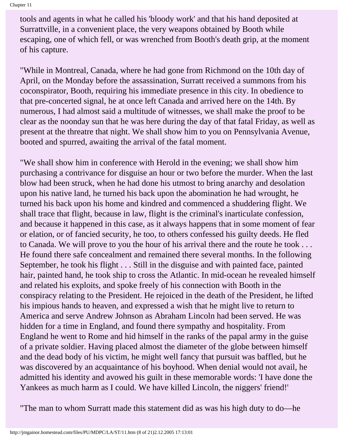tools and agents in what he called his 'bloody work' and that his hand deposited at Surrattville, in a convenient place, the very weapons obtained by Booth while escaping, one of which fell, or was wrenched from Booth's death grip, at the moment of his capture.

"While in Montreal, Canada, where he had gone from Richmond on the 10th day of April, on the Monday before the assassination, Surratt received a summons from his coconspirator, Booth, requiring his immediate presence in this city. In obedience to that pre-concerted signal, he at once left Canada and arrived here on the 14th. By numerous, I had almost said a multitude of witnesses, we shall make the proof to be clear as the noonday sun that he was here during the day of that fatal Friday, as well as present at the threatre that night. We shall show him to you on Pennsylvania Avenue, booted and spurred, awaiting the arrival of the fatal moment.

"We shall show him in conference with Herold in the evening; we shall show him purchasing a contrivance for disguise an hour or two before the murder. When the last blow had been struck, when he had done his utmost to bring anarchy and desolation upon his native land, he turned his back upon the abomination he had wrought, he turned his back upon his home and kindred and commenced a shuddering flight. We shall trace that flight, because in law, flight is the criminal's inarticulate confession, and because it happened in this case, as it always happens that in some moment of fear or elation, or of fancied security, he too, to others confessed his guilty deeds. He fled to Canada. We will prove to you the hour of his arrival there and the route he took . . . He found there safe concealment and remained there several months. In the following September, he took his flight . . . Still in the disguise and with painted face, painted hair, painted hand, he took ship to cross the Atlantic. In mid-ocean he revealed himself and related his exploits, and spoke freely of his connection with Booth in the conspiracy relating to the President. He rejoiced in the death of the President, he lifted his impious hands to heaven, and expressed a wish that he might live to return to America and serve Andrew Johnson as Abraham Lincoln had been served. He was hidden for a time in England, and found there sympathy and hospitality. From England he went to Rome and hid himself in the ranks of the papal army in the guise of a private soldier. Having placed almost the diameter of the globe between himself and the dead body of his victim, he might well fancy that pursuit was baffled, but he was discovered by an acquaintance of his boyhood. When denial would not avail, he admitted his identity and avowed his guilt in these memorable words: 'I have done the Yankees as much harm as I could. We have killed Lincoln, the niggers' friend!'

"The man to whom Surratt made this statement did as was his high duty to do—he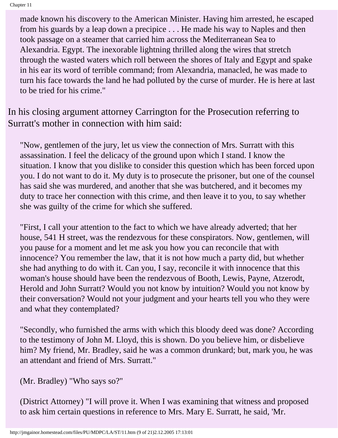made known his discovery to the American Minister. Having him arrested, he escaped from his guards by a leap down a precipice . . . He made his way to Naples and then took passage on a steamer that carried him across the Mediterranean Sea to Alexandria. Egypt. The inexorable lightning thrilled along the wires that stretch through the wasted waters which roll between the shores of Italy and Egypt and spake in his ear its word of terrible command; from Alexandria, manacled, he was made to turn his face towards the land he had polluted by the curse of murder. He is here at last to be tried for his crime."

## In his closing argument attorney Carrington for the Prosecution referring to Surratt's mother in connection with him said:

"Now, gentlemen of the jury, let us view the connection of Mrs. Surratt with this assassination. I feel the delicacy of the ground upon which I stand. I know the situation. I know that you dislike to consider this question which has been forced upon you. I do not want to do it. My duty is to prosecute the prisoner, but one of the counsel has said she was murdered, and another that she was butchered, and it becomes my duty to trace her connection with this crime, and then leave it to you, to say whether she was guilty of the crime for which she suffered.

"First, I call your attention to the fact to which we have already adverted; that her house, 541 H street, was the rendezvous for these conspirators. Now, gentlemen, will you pause for a moment and let me ask you how you can reconcile that with innocence? You remember the law, that it is not how much a party did, but whether she had anything to do with it. Can you, I say, reconcile it with innocence that this woman's house should have been the rendezvous of Booth, Lewis, Payne, Atzerodt, Herold and John Surratt? Would you not know by intuition? Would you not know by their conversation? Would not your judgment and your hearts tell you who they were and what they contemplated?

"Secondly, who furnished the arms with which this bloody deed was done? According to the testimony of John M. Lloyd, this is shown. Do you believe him, or disbelieve him? My friend, Mr. Bradley, said he was a common drunkard; but, mark you, he was an attendant and friend of Mrs. Surratt."

#### (Mr. Bradley) "Who says so?"

(District Attorney) "I will prove it. When I was examining that witness and proposed to ask him certain questions in reference to Mrs. Mary E. Surratt, he said, 'Mr.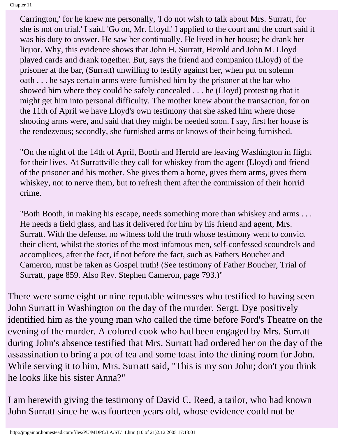Carrington,' for he knew me personally, 'I do not wish to talk about Mrs. Surratt, for she is not on trial.' I said, 'Go on, Mr. Lloyd.' I applied to the court and the court said it was his duty to answer. He saw her continually. He lived in her house; he drank her liquor. Why, this evidence shows that John H. Surratt, Herold and John M. Lloyd played cards and drank together. But, says the friend and companion (Lloyd) of the prisoner at the bar, (Surratt) unwilling to testify against her, when put on solemn oath . . . he says certain arms were furnished him by the prisoner at the bar who showed him where they could be safely concealed . . . he (Lloyd) protesting that it might get him into personal difficulty. The mother knew about the transaction, for on the 11th of April we have Lloyd's own testimony that she asked him where those shooting arms were, and said that they might be needed soon. I say, first her house is the rendezvous; secondly, she furnished arms or knows of their being furnished.

"On the night of the 14th of April, Booth and Herold are leaving Washington in flight for their lives. At Surrattville they call for whiskey from the agent (Lloyd) and friend of the prisoner and his mother. She gives them a home, gives them arms, gives them whiskey, not to nerve them, but to refresh them after the commission of their horrid crime.

"Both Booth, in making his escape, needs something more than whiskey and arms . . . He needs a field glass, and has it delivered for him by his friend and agent, Mrs. Surratt. With the defense, no witness told the truth whose testimony went to convict their client, whilst the stories of the most infamous men, self-confessed scoundrels and accomplices, after the fact, if not before the fact, such as Fathers Boucher and Cameron, must be taken as Gospel truth! (See testimony of Father Boucher, Trial of Surratt, page 859. Also Rev. Stephen Cameron, page 793.)"

There were some eight or nine reputable witnesses who testified to having seen John Surratt in Washington on the day of the murder. Sergt. Dye positively identified him as the young man who called the time before Ford's Theatre on the evening of the murder. A colored cook who had been engaged by Mrs. Surratt during John's absence testified that Mrs. Surratt had ordered her on the day of the assassination to bring a pot of tea and some toast into the dining room for John. While serving it to him, Mrs. Surratt said, "This is my son John; don't you think he looks like his sister Anna?"

I am herewith giving the testimony of David C. Reed, a tailor, who had known John Surratt since he was fourteen years old, whose evidence could not be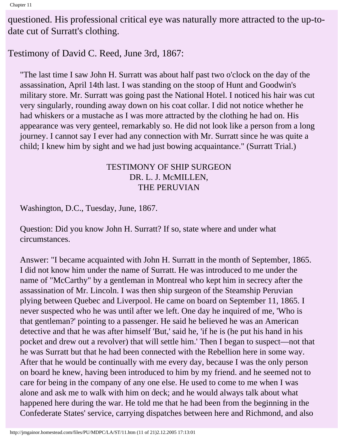questioned. His professional critical eye was naturally more attracted to the up-todate cut of Surratt's clothing.

## Testimony of David C. Reed, June 3rd, 1867:

"The last time I saw John H. Surratt was about half past two o'clock on the day of the assassination, April 14th last. I was standing on the stoop of Hunt and Goodwin's military store. Mr. Surratt was going past the National Hotel. I noticed his hair was cut very singularly, rounding away down on his coat collar. I did not notice whether he had whiskers or a mustache as I was more attracted by the clothing he had on. His appearance was very genteel, remarkably so. He did not look like a person from a long journey. I cannot say I ever had any connection with Mr. Surratt since he was quite a child; I knew him by sight and we had just bowing acquaintance." (Surratt Trial.)

### TESTIMONY OF SHIP SURGEON DR. L. J. McMILLEN, THE PERUVIAN

Washington, D.C., Tuesday, June, 1867.

Question: Did you know John H. Surratt? If so, state where and under what circumstances.

Answer: "I became acquainted with John H. Surratt in the month of September, 1865. I did not know him under the name of Surratt. He was introduced to me under the name of "McCarthy" by a gentleman in Montreal who kept him in secrecy after the assassination of Mr. Lincoln. I was then ship surgeon of the Steamship Peruvian plying between Quebec and Liverpool. He came on board on September 11, 1865. I never suspected who he was until after we left. One day he inquired of me, 'Who is that gentleman?' pointing to a passenger. He said he believed he was an American detective and that he was after himself 'But,' said he, 'if he is (he put his hand in his pocket and drew out a revolver) that will settle him.' Then I began to suspect—not that he was Surratt but that he had been connected with the Rebellion here in some way. After that he would be continually with me every day, because I was the only person on board he knew, having been introduced to him by my friend. and he seemed not to care for being in the company of any one else. He used to come to me when I was alone and ask me to walk with him on deck; and he would always talk about what happened here during the war. He told me that he had been from the beginning in the Confederate States' service, carrying dispatches between here and Richmond, and also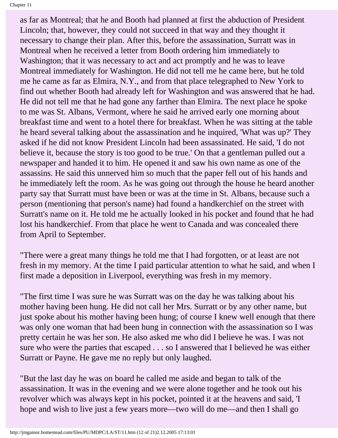as far as Montreal; that he and Booth had planned at first the abduction of President Lincoln; that, however, they could not succeed in that way and they thought it necessary to change their plan. After this, before the assassination, Surratt was in Montreal when he received a letter from Booth ordering him immediately to Washington; that it was necessary to act and act promptly and he was to leave Montreal immediately for Washington. He did not tell me he came here, but he told me he came as far as Elmira, N.Y., and from that place telegraphed to New York to find out whether Booth had already left for Washington and was answered that he had. He did not tell me that he had gone any farther than Elmira. The next place he spoke to me was St. Albans, Vermont, where he said he arrived early one morning about breakfast time and went to a hotel there for breakfast. When he was sitting at the table he heard several talking about the assassination and he inquired, 'What was up?' They asked if he did not know President Lincoln had been assassinated. He said, 'I do not believe it, because the story is too good to be true.' On that a gentleman pulled out a newspaper and handed it to him. He opened it and saw his own name as one of the assassins. He said this unnerved him so much that the paper fell out of his hands and he immediately left the room. As he was going out through the house he heard another party say that Surratt must have been or was at the time in St. Albans, because such a person (mentioning that person's name) had found a handkerchief on the street with Surratt's name on it. He told me he actually looked in his pocket and found that he had lost his handkerchief. From that place he went to Canada and was concealed there from April to September.

"There were a great many things he told me that I had forgotten, or at least are not fresh in my memory. At the time I paid particular attention to what he said, and when I first made a deposition in Liverpool, everything was fresh in my memory.

"The first time I was sure he was Surratt was on the day he was talking about his mother having been hung. He did not call her Mrs. Surratt or by any other name, but just spoke about his mother having been hung; of course I knew well enough that there was only one woman that had been hung in connection with the assassination so I was pretty certain he was her son. He also asked me who did I believe he was. I was not sure who were the parties that escaped . . . so I answered that I believed he was either Surratt or Payne. He gave me no reply but only laughed.

"But the last day he was on board he called me aside and began to talk of the assassination. It was in the evening and we were alone together and he took out his revolver which was always kept in his pocket, pointed it at the heavens and said, 'I hope and wish to live just a few years more—two will do me—and then I shall go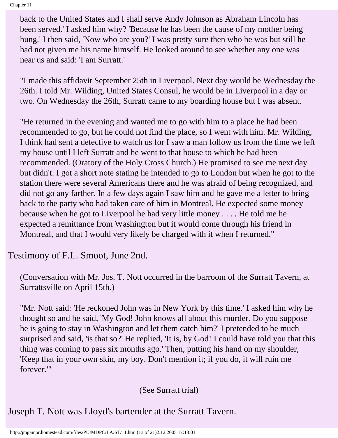back to the United States and I shall serve Andy Johnson as Abraham Lincoln has been served.' I asked him why? 'Because he has been the cause of my mother being hung.' I then said, 'Now who are you?' I was pretty sure then who he was but still he had not given me his name himself. He looked around to see whether any one was near us and said: 'I am Surratt.'

"I made this affidavit September 25th in Liverpool. Next day would be Wednesday the 26th. I told Mr. Wilding, United States Consul, he would be in Liverpool in a day or two. On Wednesday the 26th, Surratt came to my boarding house but I was absent.

"He returned in the evening and wanted me to go with him to a place he had been recommended to go, but he could not find the place, so I went with him. Mr. Wilding, I think had sent a detective to watch us for I saw a man follow us from the time we left my house until I left Surratt and he went to that house to which he had been recommended. (Oratory of the Holy Cross Church.) He promised to see me next day but didn't. I got a short note stating he intended to go to London but when he got to the station there were several Americans there and he was afraid of being recognized, and did not go any farther. In a few days again I saw him and he gave me a letter to bring back to the party who had taken care of him in Montreal. He expected some money because when he got to Liverpool he had very little money . . . . He told me he expected a remittance from Washington but it would come through his friend in Montreal, and that I would very likely be charged with it when I returned."

Testimony of F.L. Smoot, June 2nd.

(Conversation with Mr. Jos. T. Nott occurred in the barroom of the Surratt Tavern, at Surrattsville on April 15th.)

"Mr. Nott said: 'He reckoned John was in New York by this time.' I asked him why he thought so and he said, 'My God! John knows all about this murder. Do you suppose he is going to stay in Washington and let them catch him?' I pretended to be much surprised and said, 'is that so?' He replied, 'It is, by God! I could have told you that this thing was coming to pass six months ago.' Then, putting his hand on my shoulder, 'Keep that in your own skin, my boy. Don't mention it; if you do, it will ruin me forever.'"

## (See Surratt trial)

## Joseph T. Nott was Lloyd's bartender at the Surratt Tavern.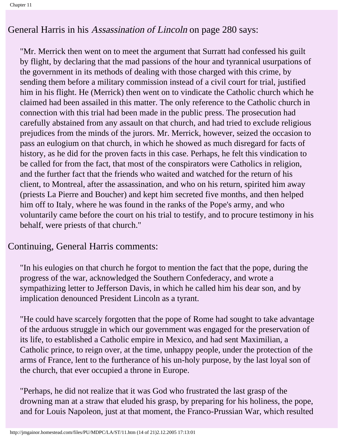## General Harris in his Assassination of Lincoln on page 280 says:

"Mr. Merrick then went on to meet the argument that Surratt had confessed his guilt by flight, by declaring that the mad passions of the hour and tyrannical usurpations of the government in its methods of dealing with those charged with this crime, by sending them before a military commission instead of a civil court for trial, justified him in his flight. He (Merrick) then went on to vindicate the Catholic church which he claimed had been assailed in this matter. The only reference to the Catholic church in connection with this trial had been made in the public press. The prosecution had carefully abstained from any assault on that church, and had tried to exclude religious prejudices from the minds of the jurors. Mr. Merrick, however, seized the occasion to pass an eulogium on that church, in which he showed as much disregard for facts of history, as he did for the proven facts in this case. Perhaps, he felt this vindication to be called for from the fact, that most of the conspirators were Catholics in religion, and the further fact that the friends who waited and watched for the return of his client, to Montreal, after the assassination, and who on his return, spirited him away (priests La Pierre and Boucher) and kept him secreted five months, and then helped him off to Italy, where he was found in the ranks of the Pope's army, and who voluntarily came before the court on his trial to testify, and to procure testimony in his behalf, were priests of that church."

## Continuing, General Harris comments:

"In his eulogies on that church he forgot to mention the fact that the pope, during the progress of the war, acknowledged the Southern Confederacy, and wrote a sympathizing letter to Jefferson Davis, in which he called him his dear son, and by implication denounced President Lincoln as a tyrant.

"He could have scarcely forgotten that the pope of Rome had sought to take advantage of the arduous struggle in which our government was engaged for the preservation of its life, to established a Catholic empire in Mexico, and had sent Maximilian, a Catholic prince, to reign over, at the time, unhappy people, under the protection of the arms of France, lent to the furtherance of his un-holy purpose, by the last loyal son of the church, that ever occupied a throne in Europe.

"Perhaps, he did not realize that it was God who frustrated the last grasp of the drowning man at a straw that eluded his grasp, by preparing for his holiness, the pope, and for Louis Napoleon, just at that moment, the Franco-Prussian War, which resulted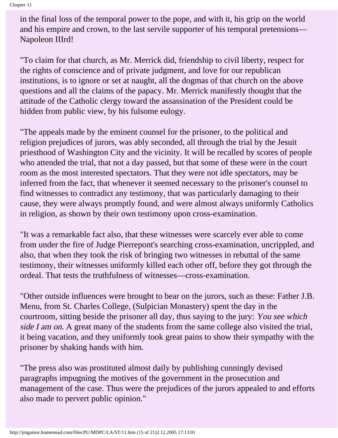in the final loss of the temporal power to the pope, and with it, his grip on the world and his empire and crown, to the last servile supporter of his temporal pretensions— Napoleon IIIrd!

"To claim for that church, as Mr. Merrick did, friendship to civil liberty, respect for the rights of conscience and of private judgment, and love for our republican institutions, is to ignore or set at naught, all the dogmas of that church on the above questions and all the claims of the papacy. Mr. Merrick manifestly thought that the attitude of the Catholic clergy toward the assassination of the President could be hidden from public view, by his fulsome eulogy.

"The appeals made by the eminent counsel for the prisoner, to the political and religion prejudices of jurors, was ably seconded, all through the trial by the Jesuit priesthood of Washington City and the vicinity. It will be recalled by scores of people who attended the trial, that not a day passed, but that some of these were in the court room as the most interested spectators. That they were not idle spectators, may be inferred from the fact, that whenever it seemed necessary to the prisoner's counsel to find witnesses to contradict any testimony, that was particularly damaging to their cause, they were always promptly found, and were almost always uniformly Catholics in religion, as shown by their own testimony upon cross-examination.

"It was a remarkable fact also, that these witnesses were scarcely ever able to come from under the fire of Judge Pierrepont's searching cross-examination, uncrippled, and also, that when they took the risk of bringing two witnesses in rebuttal of the same testimony, their witnesses uniformly killed each other off, before they got through the ordeal. That tests the truthfulness of witnesses—cross-examination.

"Other outside influences were brought to bear on the jurors, such as these: Father J.B. Menu, from St. Charles College, (Sulpician Monastery) spent the day in the courtroom, sitting beside the prisoner all day, thus saying to the jury: You see which side I am on. A great many of the students from the same college also visited the trial, it being vacation, and they uniformly took great pains to show their sympathy with the prisoner by shaking hands with him.

"The press also was prostituted almost daily by publishing cunningly devised paragraphs impugning the motives of the government in the prosecution and management of the case. Thus were the prejudices of the jurors appealed to and efforts also made to pervert public opinion."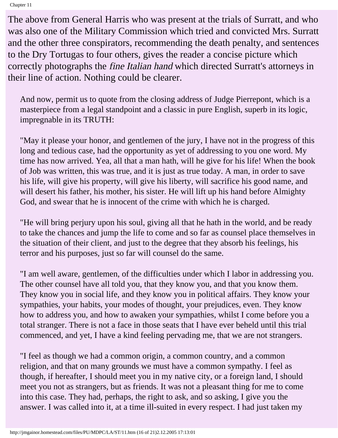Chapter 11

The above from General Harris who was present at the trials of Surratt, and who was also one of the Military Commission which tried and convicted Mrs. Surratt and the other three conspirators, recommending the death penalty, and sentences to the Dry Tortugas to four others, gives the reader a concise picture which correctly photographs the fine Italian hand which directed Surratt's attorneys in their line of action. Nothing could be clearer.

And now, permit us to quote from the closing address of Judge Pierrepont, which is a masterpiece from a legal standpoint and a classic in pure English, superb in its logic, impregnable in its TRUTH:

"May it please your honor, and gentlemen of the jury, I have not in the progress of this long and tedious case, had the opportunity as yet of addressing to you one word. My time has now arrived. Yea, all that a man hath, will he give for his life! When the book of Job was written, this was true, and it is just as true today. A man, in order to save his life, will give his property, will give his liberty, will sacrifice his good name, and will desert his father, his mother, his sister. He will lift up his hand before Almighty God, and swear that he is innocent of the crime with which he is charged.

"He will bring perjury upon his soul, giving all that he hath in the world, and be ready to take the chances and jump the life to come and so far as counsel place themselves in the situation of their client, and just to the degree that they absorb his feelings, his terror and his purposes, just so far will counsel do the same.

"I am well aware, gentlemen, of the difficulties under which I labor in addressing you. The other counsel have all told you, that they know you, and that you know them. They know you in social life, and they know you in political affairs. They know your sympathies, your habits, your modes of thought, your prejudices, even. They know how to address you, and how to awaken your sympathies, whilst I come before you a total stranger. There is not a face in those seats that I have ever beheld until this trial commenced, and yet, I have a kind feeling pervading me, that we are not strangers.

"I feel as though we had a common origin, a common country, and a common religion, and that on many grounds we must have a common sympathy. I feel as though, if hereafter, I should meet you in my native city, or a foreign land, I should meet you not as strangers, but as friends. It was not a pleasant thing for me to come into this case. They had, perhaps, the right to ask, and so asking, I give you the answer. I was called into it, at a time ill-suited in every respect. I had just taken my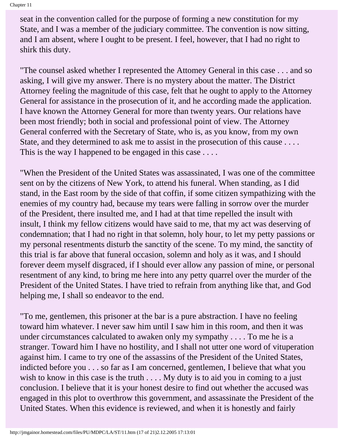seat in the convention called for the purpose of forming a new constitution for my State, and I was a member of the judiciary committee. The convention is now sitting, and I am absent, where I ought to be present. I feel, however, that I had no right to shirk this duty.

"The counsel asked whether I represented the Attomey General in this case . . . and so asking, I will give my answer. There is no mystery about the matter. The District Attorney feeling the magnitude of this case, felt that he ought to apply to the Attorney General for assistance in the prosecution of it, and he according made the application. I have known the Attorney General for more than twenty years. Our relations have been most friendly; both in social and professional point of view. The Attorney General conferred with the Secretary of State, who is, as you know, from my own State, and they determined to ask me to assist in the prosecution of this cause . . . . This is the way I happened to be engaged in this case . . . .

"When the President of the United States was assassinated, I was one of the committee sent on by the citizens of New York, to attend his funeral. When standing, as I did stand, in the East room by the side of that coffin, if some citizen sympathizing with the enemies of my country had, because my tears were falling in sorrow over the murder of the President, there insulted me, and I had at that time repelled the insult with insult, I think my fellow citizens would have said to me, that my act was deserving of condemnation; that I had no right in that solemn, holy hour, to let my petty passions or my personal resentments disturb the sanctity of the scene. To my mind, the sanctity of this trial is far above that funeral occasion, solemn and holy as it was, and I should forever deem myself disgraced, if I should ever allow any passion of mine, or personal resentment of any kind, to bring me here into any petty quarrel over the murder of the President of the United States. I have tried to refrain from anything like that, and God helping me, I shall so endeavor to the end.

"To me, gentlemen, this prisoner at the bar is a pure abstraction. I have no feeling toward him whatever. I never saw him until I saw him in this room, and then it was under circumstances calculated to awaken only my sympathy . . . . To me he is a stranger. Toward him I have no hostility, and I shall not utter one word of vituperation against him. I came to try one of the assassins of the President of the United States, indicted before you . . . so far as I am concerned, gentlemen, I believe that what you wish to know in this case is the truth  $\dots$ . My duty is to aid you in coming to a just conclusion. I believe that it is your honest desire to find out whether the accused was engaged in this plot to overthrow this government, and assassinate the President of the United States. When this evidence is reviewed, and when it is honestly and fairly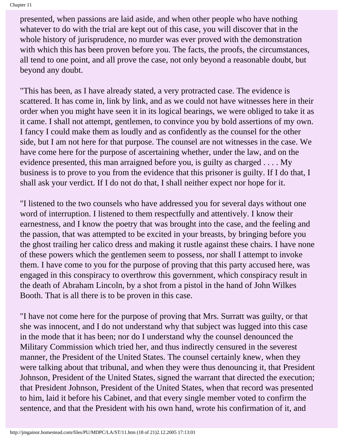presented, when passions are laid aside, and when other people who have nothing whatever to do with the trial are kept out of this case, you will discover that in the whole history of jurisprudence, no murder was ever proved with the demonstration with which this has been proven before you. The facts, the proofs, the circumstances, all tend to one point, and all prove the case, not only beyond a reasonable doubt, but beyond any doubt.

"This has been, as I have already stated, a very protracted case. The evidence is scattered. It has come in, link by link, and as we could not have witnesses here in their order when you might have seen it in its logical bearings, we were obliged to take it as it came. I shall not attempt, gentlemen, to convince you by bold assertions of my own. I fancy I could make them as loudly and as confidently as the counsel for the other side, but I am not here for that purpose. The counsel are not witnesses in the case. We have come here for the purpose of ascertaining whether, under the law, and on the evidence presented, this man arraigned before you, is guilty as charged . . . . My business is to prove to you from the evidence that this prisoner is guilty. If I do that, I shall ask your verdict. If I do not do that, I shall neither expect nor hope for it.

"I listened to the two counsels who have addressed you for several days without one word of interruption. I listened to them respectfully and attentively. I know their earnestness, and I know the poetry that was brought into the case, and the feeling and the passion, that was attempted to be excited in your breasts, by bringing before you the ghost trailing her calico dress and making it rustle against these chairs. I have none of these powers which the gentlemen seem to possess, nor shall I attempt to invoke them. I have come to you for the purpose of proving that this party accused here, was engaged in this conspiracy to overthrow this government, which conspiracy result in the death of Abraham Lincoln, by a shot from a pistol in the hand of John Wilkes Booth. That is all there is to be proven in this case.

"I have not come here for the purpose of proving that Mrs. Surratt was guilty, or that she was innocent, and I do not understand why that subject was lugged into this case in the mode that it has been; nor do I understand why the counsel denounced the Military Commission which tried her, and thus indirectly censured in the severest manner, the President of the United States. The counsel certainly knew, when they were talking about that tribunal, and when they were thus denouncing it, that President Johnson, President of the United States, signed the warrant that directed the execution; that President Johnson, President of the United States, when that record was presented to him, laid it before his Cabinet, and that every single member voted to confirm the sentence, and that the President with his own hand, wrote his confirmation of it, and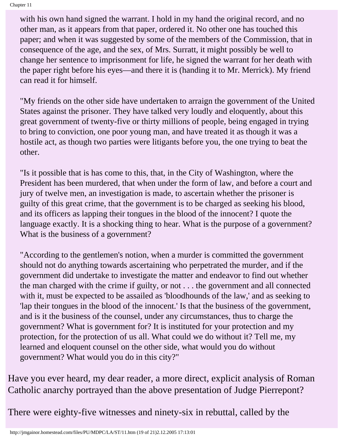with his own hand signed the warrant. I hold in my hand the original record, and no other man, as it appears from that paper, ordered it. No other one has touched this paper; and when it was suggested by some of the members of the Commission, that in consequence of the age, and the sex, of Mrs. Surratt, it might possibly be well to change her sentence to imprisonment for life, he signed the warrant for her death with the paper right before his eyes—and there it is (handing it to Mr. Merrick). My friend can read it for himself.

"My friends on the other side have undertaken to arraign the government of the United States against the prisoner. They have talked very loudly and eloquently, about this great government of twenty-five or thirty millions of people, being engaged in trying to bring to conviction, one poor young man, and have treated it as though it was a hostile act, as though two parties were litigants before you, the one trying to beat the other.

"Is it possible that is has come to this, that, in the City of Washington, where the President has been murdered, that when under the form of law, and before a court and jury of twelve men, an investigation is made, to ascertain whether the prisoner is guilty of this great crime, that the government is to be charged as seeking his blood, and its officers as lapping their tongues in the blood of the innocent? I quote the language exactly. It is a shocking thing to hear. What is the purpose of a government? What is the business of a government?

"According to the gentlemen's notion, when a murder is committed the government should not do anything towards ascertaining who perpetrated the murder, and if the government did undertake to investigate the matter and endeavor to find out whether the man charged with the crime if guilty, or not . . . the government and all connected with it, must be expected to be assailed as 'bloodhounds of the law,' and as seeking to 'lap their tongues in the blood of the innocent.' Is that the business of the government, and is it the business of the counsel, under any circumstances, thus to charge the government? What is government for? It is instituted for your protection and my protection, for the protection of us all. What could we do without it? Tell me, my learned and eloquent counsel on the other side, what would you do without government? What would you do in this city?"

Have you ever heard, my dear reader, a more direct, explicit analysis of Roman Catholic anarchy portrayed than the above presentation of Judge Pierrepont?

There were eighty-five witnesses and ninety-six in rebuttal, called by the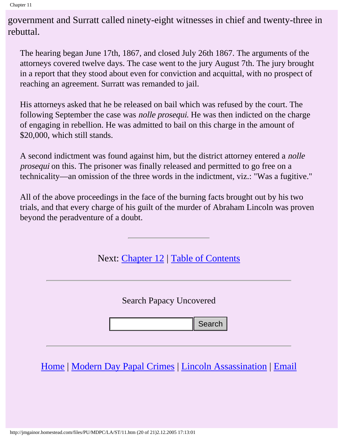government and Surratt called ninety-eight witnesses in chief and twenty-three in rebuttal.

The hearing began June 17th, 1867, and closed July 26th 1867. The arguments of the attorneys covered twelve days. The case went to the jury August 7th. The jury brought in a report that they stood about even for conviction and acquittal, with no prospect of reaching an agreement. Surratt was remanded to jail.

His attorneys asked that he be released on bail which was refused by the court. The following September the case was nolle prosequi. He was then indicted on the charge of engaging in rebellion. He was admitted to bail on this charge in the amount of \$20,000, which still stands.

A second indictment was found against him, but the district attorney entered a nolle prosequi on this. The prisoner was finally released and permitted to go free on a technicality—an omission of the three words in the indictment, viz.: "Was a fugitive."

All of the above proceedings in the face of the burning facts brought out by his two trials, and that every charge of his guilt of the murder of Abraham Lincoln was proven beyond the peradventure of a doubt.



[Home](http://jmgainor.homestead.com/files/PU/PU.htm) | [Modern Day Papal Crimes](http://jmgainor.homestead.com/files/PU/MDPC/MDPC.htm) | [Lincoln Assassination](http://jmgainor.homestead.com/files/PU/MDPC/LA/LA.htm) | [Email](mailto:PapacyUncovered@ec.rr.com)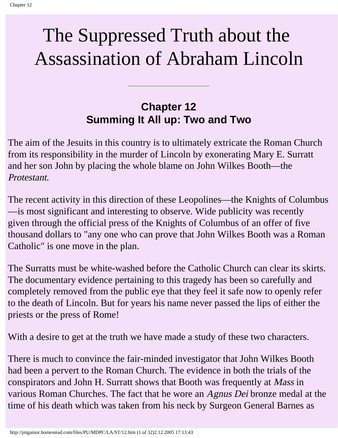# <span id="page-168-0"></span>The Suppressed Truth about the Assassination of Abraham Lincoln

## **Chapter 12 Summing It All up: Two and Two**

The aim of the Jesuits in this country is to ultimately extricate the Roman Church from its responsibility in the murder of Lincoln by exonerating Mary E. Surratt and her son John by placing the whole blame on John Wilkes Booth—the Protestant.

The recent activity in this direction of these Leopolines—the Knights of Columbus —is most significant and interesting to observe. Wide publicity was recently given through the official press of the Knights of Columbus of an offer of five thousand dollars to "any one who can prove that John Wilkes Booth was a Roman Catholic" is one move in the plan.

The Surratts must be white-washed before the Catholic Church can clear its skirts. The documentary evidence pertaining to this tragedy has been so carefully and completely removed from the public eye that they feel it safe now to openly refer to the death of Lincoln. But for years his name never passed the lips of either the priests or the press of Rome!

With a desire to get at the truth we have made a study of these two characters.

There is much to convince the fair-minded investigator that John Wilkes Booth had been a pervert to the Roman Church. The evidence in both the trials of the conspirators and John H. Surratt shows that Booth was frequently at Mass in various Roman Churches. The fact that he wore an Agnus Dei bronze medal at the time of his death which was taken from his neck by Surgeon General Barnes as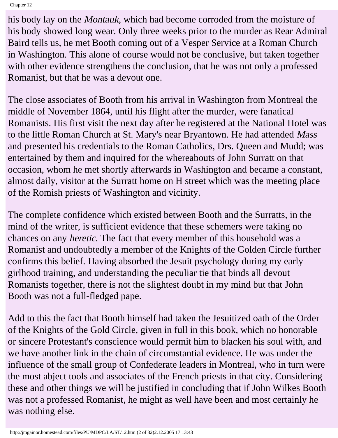Chapter 12

his body lay on the Montauk, which had become corroded from the moisture of his body showed long wear. Only three weeks prior to the murder as Rear Admiral Baird tells us, he met Booth coming out of a Vesper Service at a Roman Church in Washington. This alone of course would not be conclusive, but taken together with other evidence strengthens the conclusion, that he was not only a professed Romanist, but that he was a devout one.

The close associates of Booth from his arrival in Washington from Montreal the middle of November 1864, until his flight after the murder, were fanatical Romanists. His first visit the next day after he registered at the National Hotel was to the little Roman Church at St. Mary's near Bryantown. He had attended Mass and presented his credentials to the Roman Catholics, Drs. Queen and Mudd; was entertained by them and inquired for the whereabouts of John Surratt on that occasion, whom he met shortly afterwards in Washington and became a constant, almost daily, visitor at the Surratt home on H street which was the meeting place of the Romish priests of Washington and vicinity.

The complete confidence which existed between Booth and the Surratts, in the mind of the writer, is sufficient evidence that these schemers were taking no chances on any heretic. The fact that every member of this household was a Romanist and undoubtedly a member of the Knights of the Golden Circle further confirms this belief. Having absorbed the Jesuit psychology during my early girlhood training, and understanding the peculiar tie that binds all devout Romanists together, there is not the slightest doubt in my mind but that John Booth was not a full-fledged pape.

Add to this the fact that Booth himself had taken the Jesuitized oath of the Order of the Knights of the Gold Circle, given in full in this book, which no honorable or sincere Protestant's conscience would permit him to blacken his soul with, and we have another link in the chain of circumstantial evidence. He was under the influence of the small group of Confederate leaders in Montreal, who in turn were the most abject tools and associates of the French priests in that city. Considering these and other things we will be justified in concluding that if John Wilkes Booth was not a professed Romanist, he might as well have been and most certainly he was nothing else.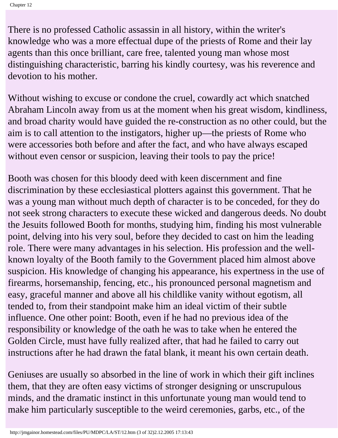There is no professed Catholic assassin in all history, within the writer's knowledge who was a more effectual dupe of the priests of Rome and their lay agents than this once brilliant, care free, talented young man whose most distinguishing characteristic, barring his kindly courtesy, was his reverence and devotion to his mother.

Without wishing to excuse or condone the cruel, cowardly act which snatched Abraham Lincoln away from us at the moment when his great wisdom, kindliness, and broad charity would have guided the re-construction as no other could, but the aim is to call attention to the instigators, higher up—the priests of Rome who were accessories both before and after the fact, and who have always escaped without even censor or suspicion, leaving their tools to pay the price!

Booth was chosen for this bloody deed with keen discernment and fine discrimination by these ecclesiastical plotters against this government. That he was a young man without much depth of character is to be conceded, for they do not seek strong characters to execute these wicked and dangerous deeds. No doubt the Jesuits followed Booth for months, studying him, finding his most vulnerable point, delving into his very soul, before they decided to cast on him the leading role. There were many advantages in his selection. His profession and the wellknown loyalty of the Booth family to the Government placed him almost above suspicion. His knowledge of changing his appearance, his expertness in the use of firearms, horsemanship, fencing, etc., his pronounced personal magnetism and easy, graceful manner and above all his childlike vanity without egotism, all tended to, from their standpoint make him an ideal victim of their subtle influence. One other point: Booth, even if he had no previous idea of the responsibility or knowledge of the oath he was to take when he entered the Golden Circle, must have fully realized after, that had he failed to carry out instructions after he had drawn the fatal blank, it meant his own certain death.

Geniuses are usually so absorbed in the line of work in which their gift inclines them, that they are often easy victims of stronger designing or unscrupulous minds, and the dramatic instinct in this unfortunate young man would tend to make him particularly susceptible to the weird ceremonies, garbs, etc., of the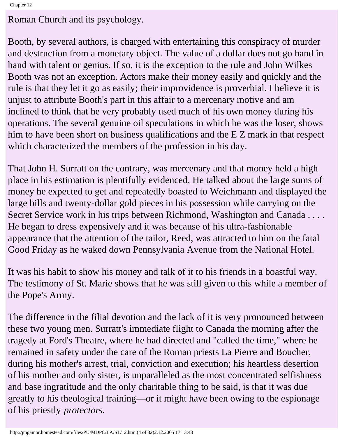```
Chapter 12
```
Roman Church and its psychology.

Booth, by several authors, is charged with entertaining this conspiracy of murder and destruction from a monetary object. The value of a dollar does not go hand in hand with talent or genius. If so, it is the exception to the rule and John Wilkes Booth was not an exception. Actors make their money easily and quickly and the rule is that they let it go as easily; their improvidence is proverbial. I believe it is unjust to attribute Booth's part in this affair to a mercenary motive and am inclined to think that he very probably used much of his own money during his operations. The several genuine oil speculations in which he was the loser, shows him to have been short on business qualifications and the E Z mark in that respect which characterized the members of the profession in his day.

That John H. Surratt on the contrary, was mercenary and that money held a high place in his estimation is plentifully evidenced. He talked about the large sums of money he expected to get and repeatedly boasted to Weichmann and displayed the large bills and twenty-dollar gold pieces in his possession while carrying on the Secret Service work in his trips between Richmond, Washington and Canada . . . . He began to dress expensively and it was because of his ultra-fashionable appearance that the attention of the tailor, Reed, was attracted to him on the fatal Good Friday as he waked down Pennsylvania Avenue from the National Hotel.

It was his habit to show his money and talk of it to his friends in a boastful way. The testimony of St. Marie shows that he was still given to this while a member of the Pope's Army.

The difference in the filial devotion and the lack of it is very pronounced between these two young men. Surratt's immediate flight to Canada the morning after the tragedy at Ford's Theatre, where he had directed and "called the time," where he remained in safety under the care of the Roman priests La Pierre and Boucher, during his mother's arrest, trial, conviction and execution; his heartless desertion of his mother and only sister, is unparalleled as the most concentrated selfishness and base ingratitude and the only charitable thing to be said, is that it was due greatly to his theological training—or it might have been owing to the espionage of his priestly protectors.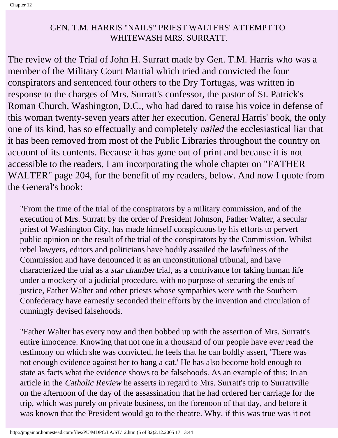#### GEN. T.M. HARRIS "NAILS" PRIEST WALTERS' ATTEMPT TO WHITEWASH MRS. SURRATT.

The review of the Trial of John H. Surratt made by Gen. T.M. Harris who was a member of the Military Court Martial which tried and convicted the four conspirators and sentenced four others to the Dry Tortugas, was written in response to the charges of Mrs. Surratt's confessor, the pastor of St. Patrick's Roman Church, Washington, D.C., who had dared to raise his voice in defense of this woman twenty-seven years after her execution. General Harris' book, the only one of its kind, has so effectually and completely nailed the ecclesiastical liar that it has been removed from most of the Public Libraries throughout the country on account of its contents. Because it has gone out of print and because it is not accessible to the readers, I am incorporating the whole chapter on "FATHER WALTER" page 204, for the benefit of my readers, below. And now I quote from the General's book:

"From the time of the trial of the conspirators by a military commission, and of the execution of Mrs. Surratt by the order of President Johnson, Father Walter, a secular priest of Washington City, has made himself conspicuous by his efforts to pervert public opinion on the result of the trial of the conspirators by the Commission. Whilst rebel lawyers, editors and politicians have bodily assailed the lawfulness of the Commission and have denounced it as an unconstitutional tribunal, and have characterized the trial as a star chamber trial, as a contrivance for taking human life under a mockery of a judicial procedure, with no purpose of securing the ends of justice, Father Walter and other priests whose sympathies were with the Southern Confederacy have earnestly seconded their efforts by the invention and circulation of cunningly devised falsehoods.

"Father Walter has every now and then bobbed up with the assertion of Mrs. Surratt's entire innocence. Knowing that not one in a thousand of our people have ever read the testimony on which she was convicted, he feels that he can boldly assert, 'There was not enough evidence against her to hang a cat.' He has also become bold enough to state as facts what the evidence shows to be falsehoods. As an example of this: In an article in the Catholic Review he asserts in regard to Mrs. Surratt's trip to Surrattville on the afternoon of the day of the assassination that he had ordered her carriage for the trip, which was purely on private business, on the forenoon of that day, and before it was known that the President would go to the theatre. Why, if this was true was it not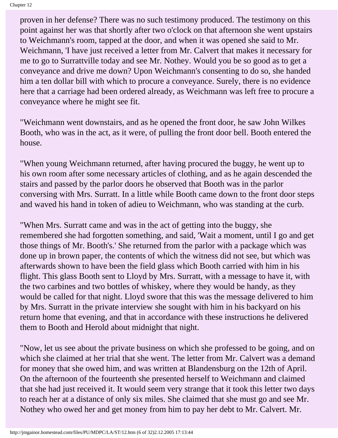proven in her defense? There was no such testimony produced. The testimony on this point against her was that shortly after two o'clock on that afternoon she went upstairs to Weichmann's room, tapped at the door, and when it was opened she said to Mr. Weichmann, 'I have just received a letter from Mr. Calvert that makes it necessary for me to go to Surrattville today and see Mr. Nothey. Would you be so good as to get a conveyance and drive me down? Upon Weichmann's consenting to do so, she handed him a ten dollar bill with which to procure a conveyance. Surely, there is no evidence here that a carriage had been ordered already, as Weichmann was left free to procure a conveyance where he might see fit.

"Weichmann went downstairs, and as he opened the front door, he saw John Wilkes Booth, who was in the act, as it were, of pulling the front door bell. Booth entered the house.

"When young Weichmann returned, after having procured the buggy, he went up to his own room after some necessary articles of clothing, and as he again descended the stairs and passed by the parlor doors he observed that Booth was in the parlor conversing with Mrs. Surratt. In a little while Booth came down to the front door steps and waved his hand in token of adieu to Weichmann, who was standing at the curb.

"When Mrs. Surratt came and was in the act of getting into the buggy, she remembered she had forgotten something, and said, 'Wait a moment, until I go and get those things of Mr. Booth's.' She returned from the parlor with a package which was done up in brown paper, the contents of which the witness did not see, but which was afterwards shown to have been the field glass which Booth carried with him in his flight. This glass Booth sent to Lloyd by Mrs. Surratt, with a message to have it, with the two carbines and two bottles of whiskey, where they would be handy, as they would be called for that night. Lloyd swore that this was the message delivered to him by Mrs. Surratt in the private interview she sought with him in his backyard on his return home that evening, and that in accordance with these instructions he delivered them to Booth and Herold about midnight that night.

"Now, let us see about the private business on which she professed to be going, and on which she claimed at her trial that she went. The letter from Mr. Calvert was a demand for money that she owed him, and was written at Blandensburg on the 12th of April. On the afternoon of the fourteenth she presented herself to Weichmann and claimed that she had just received it. It would seem very strange that it took this letter two days to reach her at a distance of only six miles. She claimed that she must go and see Mr. Nothey who owed her and get money from him to pay her debt to Mr. Calvert. Mr.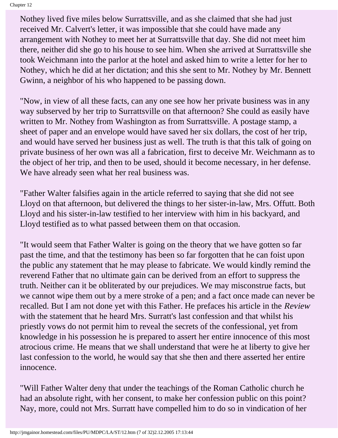Nothey lived five miles below Surrattsville, and as she claimed that she had just received Mr. Calvert's letter, it was impossible that she could have made any arrangement with Nothey to meet her at Surrattsville that day. She did not meet him there, neither did she go to his house to see him. When she arrived at Surrattsville she took Weichmann into the parlor at the hotel and asked him to write a letter for her to Nothey, which he did at her dictation; and this she sent to Mr. Nothey by Mr. Bennett Gwinn, a neighbor of his who happened to be passing down.

"Now, in view of all these facts, can any one see how her private business was in any way subserved by her trip to Surrattsville on that afternoon? She could as easily have written to Mr. Nothey from Washington as from Surrattsville. A postage stamp, a sheet of paper and an envelope would have saved her six dollars, the cost of her trip, and would have served her business just as well. The truth is that this talk of going on private business of her own was all a fabrication, first to deceive Mr. Weichmann as to the object of her trip, and then to be used, should it become necessary, in her defense. We have already seen what her real business was.

"Father Walter falsifies again in the article referred to saying that she did not see Lloyd on that afternoon, but delivered the things to her sister-in-law, Mrs. Offutt. Both Lloyd and his sister-in-law testified to her interview with him in his backyard, and Lloyd testified as to what passed between them on that occasion.

"It would seem that Father Walter is going on the theory that we have gotten so far past the time, and that the testimony has been so far forgotten that he can foist upon the public any statement that he may please to fabricate. We would kindly remind the reverend Father that no ultimate gain can be derived from an effort to suppress the truth. Neither can it be obliterated by our prejudices. We may misconstrue facts, but we cannot wipe them out by a mere stroke of a pen; and a fact once made can never be recalled. But I am not done yet with this Father. He prefaces his article in the Review with the statement that he heard Mrs. Surratt's last confession and that whilst his priestly vows do not permit him to reveal the secrets of the confessional, yet from knowledge in his possession he is prepared to assert her entire innocence of this most atrocious crime. He means that we shall understand that were he at liberty to give her last confession to the world, he would say that she then and there asserted her entire innocence.

"Will Father Walter deny that under the teachings of the Roman Catholic church he had an absolute right, with her consent, to make her confession public on this point? Nay, more, could not Mrs. Surratt have compelled him to do so in vindication of her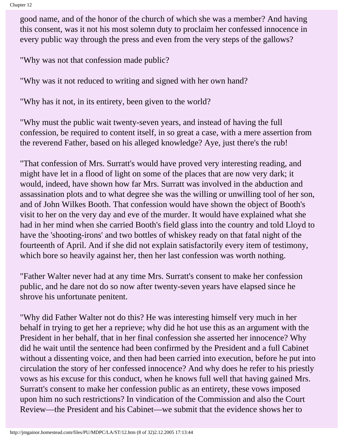good name, and of the honor of the church of which she was a member? And having this consent, was it not his most solemn duty to proclaim her confessed innocence in every public way through the press and even from the very steps of the gallows?

"Why was not that confession made public?

"Why was it not reduced to writing and signed with her own hand?

"Why has it not, in its entirety, been given to the world?

"Why must the public wait twenty-seven years, and instead of having the full confession, be required to content itself, in so great a case, with a mere assertion from the reverend Father, based on his alleged knowledge? Aye, just there's the rub!

"That confession of Mrs. Surratt's would have proved very interesting reading, and might have let in a flood of light on some of the places that are now very dark; it would, indeed, have shown how far Mrs. Surratt was involved in the abduction and assassination plots and to what degree she was the willing or unwilling tool of her son, and of John Wilkes Booth. That confession would have shown the object of Booth's visit to her on the very day and eve of the murder. It would have explained what she had in her mind when she carried Booth's field glass into the country and told Lloyd to have the 'shooting-irons' and two bottles of whiskey ready on that fatal night of the fourteenth of April. And if she did not explain satisfactorily every item of testimony, which bore so heavily against her, then her last confession was worth nothing.

"Father Walter never had at any time Mrs. Surratt's consent to make her confession public, and he dare not do so now after twenty-seven years have elapsed since he shrove his unfortunate penitent.

"Why did Father Walter not do this? He was interesting himself very much in her behalf in trying to get her a reprieve; why did he hot use this as an argument with the President in her behalf, that in her final confession she asserted her innocence? Why did he wait until the sentence had been confirmed by the President and a full Cabinet without a dissenting voice, and then had been carried into execution, before he put into circulation the story of her confessed innocence? And why does he refer to his priestly vows as his excuse for this conduct, when he knows full well that having gained Mrs. Surratt's consent to make her confession public as an entirety, these vows imposed upon him no such restrictions? In vindication of the Commission and also the Court Review—the President and his Cabinet—we submit that the evidence shows her to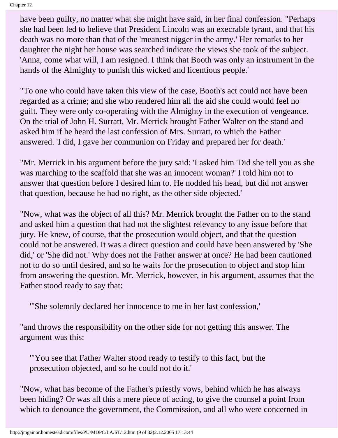have been guilty, no matter what she might have said, in her final confession. "Perhaps she had been led to believe that President Lincoln was an execrable tyrant, and that his death was no more than that of the 'meanest nigger in the army.' Her remarks to her daughter the night her house was searched indicate the views she took of the subject. 'Anna, come what will, I am resigned. I think that Booth was only an instrument in the hands of the Almighty to punish this wicked and licentious people.'

"To one who could have taken this view of the case, Booth's act could not have been regarded as a crime; and she who rendered him all the aid she could would feel no guilt. They were only co-operating with the Almighty in the execution of vengeance. On the trial of John H. Surratt, Mr. Merrick brought Father Walter on the stand and asked him if he heard the last confession of Mrs. Surratt, to which the Father answered. 'I did, I gave her communion on Friday and prepared her for death.'

"Mr. Merrick in his argument before the jury said: 'I asked him 'Did she tell you as she was marching to the scaffold that she was an innocent woman?' I told him not to answer that question before I desired him to. He nodded his head, but did not answer that question, because he had no right, as the other side objected.'

"Now, what was the object of all this? Mr. Merrick brought the Father on to the stand and asked him a question that had not the slightest relevancy to any issue before that jury. He knew, of course, that the prosecution would object, and that the question could not be answered. It was a direct question and could have been answered by 'She did,' or 'She did not.' Why does not the Father answer at once? He had been cautioned not to do so until desired, and so he waits for the prosecution to object and stop him from answering the question. Mr. Merrick, however, in his argument, assumes that the Father stood ready to say that:

"'She solemnly declared her innocence to me in her last confession,'

"and throws the responsibility on the other side for not getting this answer. The argument was this:

"'You see that Father Walter stood ready to testify to this fact, but the prosecution objected, and so he could not do it.'

"Now, what has become of the Father's priestly vows, behind which he has always been hiding? Or was all this a mere piece of acting, to give the counsel a point from which to denounce the government, the Commission, and all who were concerned in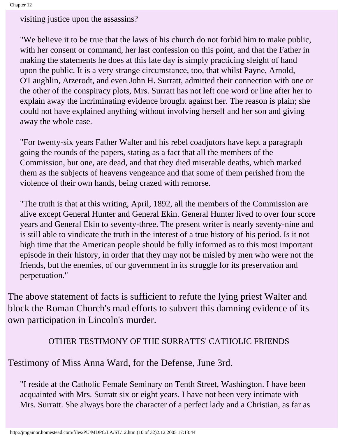visiting justice upon the assassins?

"We believe it to be true that the laws of his church do not forbid him to make public, with her consent or command, her last confession on this point, and that the Father in making the statements he does at this late day is simply practicing sleight of hand upon the public. It is a very strange circumstance, too, that whilst Payne, Arnold, O'Laughlin, Atzerodt, and even John H. Surratt, admitted their connection with one or the other of the conspiracy plots, Mrs. Surratt has not left one word or line after her to explain away the incriminating evidence brought against her. The reason is plain; she could not have explained anything without involving herself and her son and giving away the whole case.

"For twenty-six years Father Walter and his rebel coadjutors have kept a paragraph going the rounds of the papers, stating as a fact that all the members of the Commission, but one, are dead, and that they died miserable deaths, which marked them as the subjects of heavens vengeance and that some of them perished from the violence of their own hands, being crazed with remorse.

"The truth is that at this writing, April, 1892, all the members of the Commission are alive except General Hunter and General Ekin. General Hunter lived to over four score years and General Ekin to seventy-three. The present writer is nearly seventy-nine and is still able to vindicate the truth in the interest of a true history of his period. Is it not high time that the American people should be fully informed as to this most important episode in their history, in order that they may not be misled by men who were not the friends, but the enemies, of our government in its struggle for its preservation and perpetuation."

The above statement of facts is sufficient to refute the lying priest Walter and block the Roman Church's mad efforts to subvert this damning evidence of its own participation in Lincoln's murder.

#### OTHER TESTIMONY OF THE SURRATTS' CATHOLIC FRIENDS

## Testimony of Miss Anna Ward, for the Defense, June 3rd.

"I reside at the Catholic Female Seminary on Tenth Street, Washington. I have been acquainted with Mrs. Surratt six or eight years. I have not been very intimate with Mrs. Surratt. She always bore the character of a perfect lady and a Christian, as far as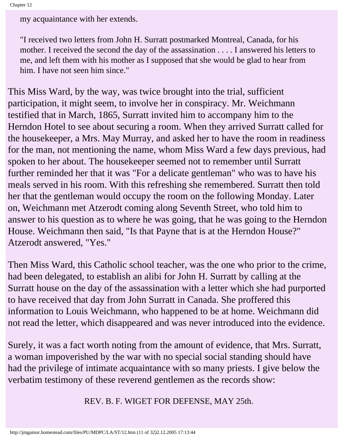my acquaintance with her extends.

"I received two letters from John H. Surratt postmarked Montreal, Canada, for his mother. I received the second the day of the assassination . . . . I answered his letters to me, and left them with his mother as I supposed that she would be glad to hear from him. I have not seen him since."

This Miss Ward, by the way, was twice brought into the trial, sufficient participation, it might seem, to involve her in conspiracy. Mr. Weichmann testified that in March, 1865, Surratt invited him to accompany him to the Herndon Hotel to see about securing a room. When they arrived Surratt called for the housekeeper, a Mrs. May Murray, and asked her to have the room in readiness for the man, not mentioning the name, whom Miss Ward a few days previous, had spoken to her about. The housekeeper seemed not to remember until Surratt further reminded her that it was "For a delicate gentleman" who was to have his meals served in his room. With this refreshing she remembered. Surratt then told her that the gentleman would occupy the room on the following Monday. Later on, Weichmann met Atzerodt coming along Seventh Street, who told him to answer to his question as to where he was going, that he was going to the Herndon House. Weichmann then said, "Is that Payne that is at the Herndon House?" Atzerodt answered, "Yes."

Then Miss Ward, this Catholic school teacher, was the one who prior to the crime, had been delegated, to establish an alibi for John H. Surratt by calling at the Surratt house on the day of the assassination with a letter which she had purported to have received that day from John Surratt in Canada. She proffered this information to Louis Weichmann, who happened to be at home. Weichmann did not read the letter, which disappeared and was never introduced into the evidence.

Surely, it was a fact worth noting from the amount of evidence, that Mrs. Surratt, a woman impoverished by the war with no special social standing should have had the privilege of intimate acquaintance with so many priests. I give below the verbatim testimony of these reverend gentlemen as the records show:

REV. B. F. WIGET FOR DEFENSE, MAY 25th.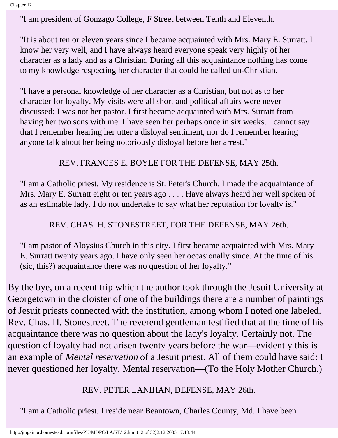"I am president of Gonzago College, F Street between Tenth and Eleventh.

"It is about ten or eleven years since I became acquainted with Mrs. Mary E. Surratt. I know her very well, and I have always heard everyone speak very highly of her character as a lady and as a Christian. During all this acquaintance nothing has come to my knowledge respecting her character that could be called un-Christian.

"I have a personal knowledge of her character as a Christian, but not as to her character for loyalty. My visits were all short and political affairs were never discussed; I was not her pastor. I first became acquainted with Mrs. Surratt from having her two sons with me. I have seen her perhaps once in six weeks. I cannot say that I remember hearing her utter a disloyal sentiment, nor do I remember hearing anyone talk about her being notoriously disloyal before her arrest."

#### REV. FRANCES E. BOYLE FOR THE DEFENSE, MAY 25th.

"I am a Catholic priest. My residence is St. Peter's Church. I made the acquaintance of Mrs. Mary E. Surratt eight or ten years ago . . . . Have always heard her well spoken of as an estimable lady. I do not undertake to say what her reputation for loyalty is."

REV. CHAS. H. STONESTREET, FOR THE DEFENSE, MAY 26th.

"I am pastor of Aloysius Church in this city. I first became acquainted with Mrs. Mary E. Surratt twenty years ago. I have only seen her occasionally since. At the time of his (sic, this?) acquaintance there was no question of her loyalty."

By the bye, on a recent trip which the author took through the Jesuit University at Georgetown in the cloister of one of the buildings there are a number of paintings of Jesuit priests connected with the institution, among whom I noted one labeled. Rev. Chas. H. Stonestreet. The reverend gentleman testified that at the time of his acquaintance there was no question about the lady's loyalty. Certainly not. The question of loyalty had not arisen twenty years before the war—evidently this is an example of Mental reservation of a Jesuit priest. All of them could have said: I never questioned her loyalty. Mental reservation—(To the Holy Mother Church.)

#### REV. PETER LANIHAN, DEFENSE, MAY 26th.

"I am a Catholic priest. I reside near Beantown, Charles County, Md. I have been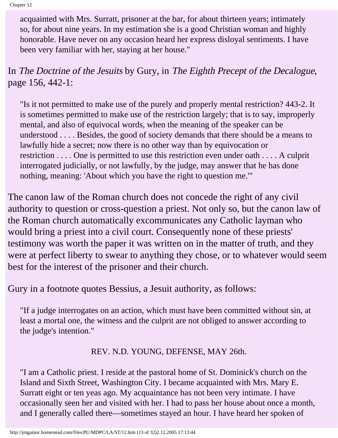acquainted with Mrs. Surratt, prisoner at the bar, for about thirteen years; intimately so, for about nine years. In my estimation she is a good Christian woman and highly honorable. Have never on any occasion heard her express disloyal sentiments. I have been very familiar with her, staying at her house."

# In The Doctrine of the Jesuits by Gury, in The Eighth Precept of the Decalogue, page 156, 442-1:

"Is it not permitted to make use of the purely and properly mental restriction? 443-2. It is sometimes permitted to make use of the restriction largely; that is to say, improperly mental, and also of equivocal words, when the meaning of the speaker can be understood . . . . Besides, the good of society demands that there should be a means to lawfully hide a secret; now there is no other way than by equivocation or restriction . . . . One is permitted to use this restriction even under oath . . . . A culprit interrogated judicially, or not lawfully, by the judge, may answer that he has done nothing, meaning: 'About which you have the right to question me.'"

The canon law of the Roman church does not concede the right of any civil authority to question or cross-question a priest. Not only so, but the canon law of the Roman church automatically excommunicates any Catholic layman who would bring a priest into a civil court. Consequently none of these priests' testimony was worth the paper it was written on in the matter of truth, and they were at perfect liberty to swear to anything they chose, or to whatever would seem best for the interest of the prisoner and their church.

Gury in a footnote quotes Bessius, a Jesuit authority, as follows:

"If a judge interrogates on an action, which must have been committed without sin, at least a mortal one, the witness and the culprit are not obliged to answer according to the judge's intention."

## REV. N.D. YOUNG, DEFENSE, MAY 26th.

"I am a Catholic priest. I reside at the pastoral home of St. Dominick's church on the Island and Sixth Street, Washington City. I became acquainted with Mrs. Mary E. Surratt eight or ten yeas ago. My acquaintance has not been very intimate. I have occasionally seen her and visited with her. I had to pass her house about once a month, and I generally called there—sometimes stayed an hour. I have heard her spoken of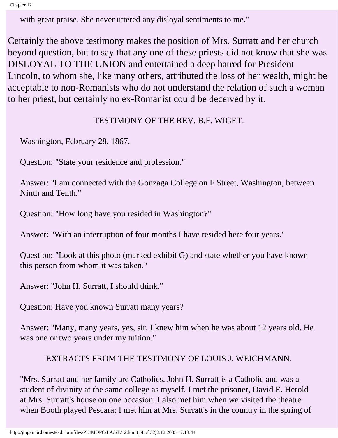with great praise. She never uttered any disloyal sentiments to me."

Certainly the above testimony makes the position of Mrs. Surratt and her church beyond question, but to say that any one of these priests did not know that she was DISLOYAL TO THE UNION and entertained a deep hatred for President Lincoln, to whom she, like many others, attributed the loss of her wealth, might be acceptable to non-Romanists who do not understand the relation of such a woman to her priest, but certainly no ex-Romanist could be deceived by it.

### TESTIMONY OF THE REV. B.F. WIGET.

Washington, February 28, 1867.

Question: "State your residence and profession."

Answer: "I am connected with the Gonzaga College on F Street, Washington, between Ninth and Tenth."

Question: "How long have you resided in Washington?"

Answer: "With an interruption of four months I have resided here four years."

Question: "Look at this photo (marked exhibit G) and state whether you have known this person from whom it was taken."

Answer: "John H. Surratt, I should think."

Question: Have you known Surratt many years?

Answer: "Many, many years, yes, sir. I knew him when he was about 12 years old. He was one or two years under my tuition."

### EXTRACTS FROM THE TESTIMONY OF LOUIS J. WEICHMANN.

"Mrs. Surratt and her family are Catholics. John H. Surratt is a Catholic and was a student of divinity at the same college as myself. I met the prisoner, David E. Herold at Mrs. Surratt's house on one occasion. I also met him when we visited the theatre when Booth played Pescara; I met him at Mrs. Surratt's in the country in the spring of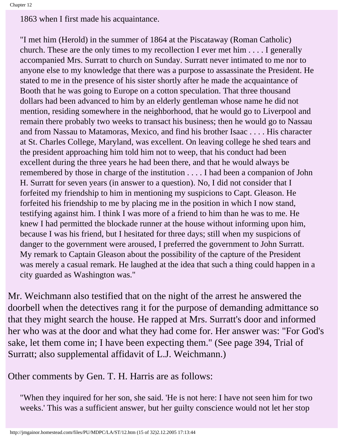1863 when I first made his acquaintance.

"I met him (Herold) in the summer of 1864 at the Piscataway (Roman Catholic) church. These are the only times to my recollection I ever met him . . . . I generally accompanied Mrs. Surratt to church on Sunday. Surratt never intimated to me nor to anyone else to my knowledge that there was a purpose to assassinate the President. He stated to me in the presence of his sister shortly after he made the acquaintance of Booth that he was going to Europe on a cotton speculation. That three thousand dollars had been advanced to him by an elderly gentleman whose name he did not mention, residing somewhere in the neighborhood, that he would go to Liverpool and remain there probably two weeks to transact his business; then he would go to Nassau and from Nassau to Matamoras, Mexico, and find his brother Isaac . . . . His character at St. Charles College, Maryland, was excellent. On leaving college he shed tears and the president approaching him told him not to weep, that his conduct had been excellent during the three years he had been there, and that he would always be remembered by those in charge of the institution . . . . I had been a companion of John H. Surratt for seven years (in answer to a question). No, I did not consider that I forfeited my friendship to him in mentioning my suspicions to Capt. Gleason. He forfeited his friendship to me by placing me in the position in which I now stand, testifying against him. I think I was more of a friend to him than he was to me. He knew I had permitted the blockade runner at the house without informing upon him, because I was his friend, but I hesitated for three days; still when my suspicions of danger to the government were aroused, I preferred the government to John Surratt. My remark to Captain Gleason about the possibility of the capture of the President was merely a casual remark. He laughed at the idea that such a thing could happen in a city guarded as Washington was."

Mr. Weichmann also testified that on the night of the arrest he answered the doorbell when the detectives rang it for the purpose of demanding admittance so that they might search the house. He rapped at Mrs. Surratt's door and informed her who was at the door and what they had come for. Her answer was: "For God's sake, let them come in; I have been expecting them." (See page 394, Trial of Surratt; also supplemental affidavit of L.J. Weichmann.)

Other comments by Gen. T. H. Harris are as follows:

"When they inquired for her son, she said. 'He is not here: I have not seen him for two weeks.' This was a sufficient answer, but her guilty conscience would not let her stop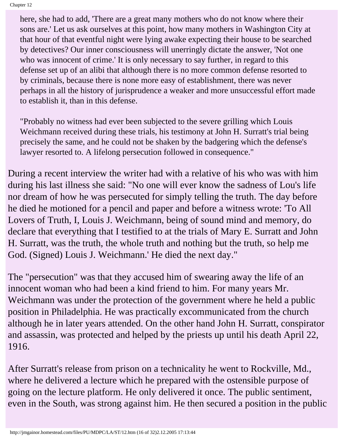here, she had to add, 'There are a great many mothers who do not know where their sons are.' Let us ask ourselves at this point, how many mothers in Washington City at that hour of that eventful night were lying awake expecting their house to be searched by detectives? Our inner consciousness will unerringly dictate the answer, 'Not one who was innocent of crime.' It is only necessary to say further, in regard to this defense set up of an alibi that although there is no more common defense resorted to by criminals, because there is none more easy of establishment, there was never perhaps in all the history of jurisprudence a weaker and more unsuccessful effort made to establish it, than in this defense.

"Probably no witness had ever been subjected to the severe grilling which Louis Weichmann received during these trials, his testimony at John H. Surratt's trial being precisely the same, and he could not be shaken by the badgering which the defense's lawyer resorted to. A lifelong persecution followed in consequence."

During a recent interview the writer had with a relative of his who was with him during his last illness she said: "No one will ever know the sadness of Lou's life nor dream of how he was persecuted for simply telling the truth. The day before he died he motioned for a pencil and paper and before a witness wrote: 'To All Lovers of Truth, I, Louis J. Weichmann, being of sound mind and memory, do declare that everything that I testified to at the trials of Mary E. Surratt and John H. Surratt, was the truth, the whole truth and nothing but the truth, so help me God. (Signed) Louis J. Weichmann.' He died the next day."

The "persecution" was that they accused him of swearing away the life of an innocent woman who had been a kind friend to him. For many years Mr. Weichmann was under the protection of the government where he held a public position in Philadelphia. He was practically excommunicated from the church although he in later years attended. On the other hand John H. Surratt, conspirator and assassin, was protected and helped by the priests up until his death April 22, 1916.

After Surratt's release from prison on a technicality he went to Rockville, Md., where he delivered a lecture which he prepared with the ostensible purpose of going on the lecture platform. He only delivered it once. The public sentiment, even in the South, was strong against him. He then secured a position in the public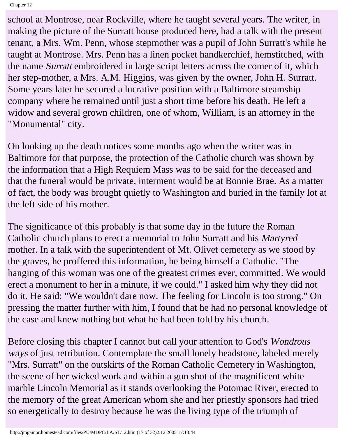school at Montrose, near Rockville, where he taught several years. The writer, in making the picture of the Surratt house produced here, had a talk with the present tenant, a Mrs. Wm. Penn, whose stepmother was a pupil of John Surratt's while he taught at Montrose. Mrs. Penn has a linen pocket handkerchief, hemstitched, with the name Surratt embroidered in large script letters across the comer of it, which her step-mother, a Mrs. A.M. Higgins, was given by the owner, John H. Surratt. Some years later he secured a lucrative position with a Baltimore steamship company where he remained until just a short time before his death. He left a widow and several grown children, one of whom, William, is an attorney in the "Monumental" city.

On looking up the death notices some months ago when the writer was in Baltimore for that purpose, the protection of the Catholic church was shown by the information that a High Requiem Mass was to be said for the deceased and that the funeral would be private, interment would be at Bonnie Brae. As a matter of fact, the body was brought quietly to Washington and buried in the family lot at the left side of his mother.

The significance of this probably is that some day in the future the Roman Catholic church plans to erect a memorial to John Surratt and his Martyred mother. In a talk with the superintendent of Mt. Olivet cemetery as we stood by the graves, he proffered this information, he being himself a Catholic. "The hanging of this woman was one of the greatest crimes ever, committed. We would erect a monument to her in a minute, if we could." I asked him why they did not do it. He said: "We wouldn't dare now. The feeling for Lincoln is too strong." On pressing the matter further with him, I found that he had no personal knowledge of the case and knew nothing but what he had been told by his church.

Before closing this chapter I cannot but call your attention to God's Wondrous ways of just retribution. Contemplate the small lonely headstone, labeled merely "Mrs. Surratt" on the outskirts of the Roman Catholic Cemetery in Washington, the scene of her wicked work and within a gun shot of the magnificent white marble Lincoln Memorial as it stands overlooking the Potomac River, erected to the memory of the great American whom she and her priestly sponsors had tried so energetically to destroy because he was the living type of the triumph of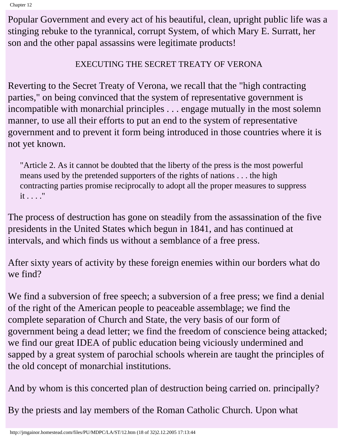Popular Government and every act of his beautiful, clean, upright public life was a stinging rebuke to the tyrannical, corrupt System, of which Mary E. Surratt, her son and the other papal assassins were legitimate products!

# EXECUTING THE SECRET TREATY OF VERONA

Reverting to the Secret Treaty of Verona, we recall that the "high contracting parties," on being convinced that the system of representative government is incompatible with monarchial principles . . . engage mutually in the most solemn manner, to use all their efforts to put an end to the system of representative government and to prevent it form being introduced in those countries where it is not yet known.

"Article 2. As it cannot be doubted that the liberty of the press is the most powerful means used by the pretended supporters of the rights of nations . . . the high contracting parties promise reciprocally to adopt all the proper measures to suppress it . . . ."

The process of destruction has gone on steadily from the assassination of the five presidents in the United States which begun in 1841, and has continued at intervals, and which finds us without a semblance of a free press.

After sixty years of activity by these foreign enemies within our borders what do we find?

We find a subversion of free speech; a subversion of a free press; we find a denial of the right of the American people to peaceable assemblage; we find the complete separation of Church and State, the very basis of our form of government being a dead letter; we find the freedom of conscience being attacked; we find our great IDEA of public education being viciously undermined and sapped by a great system of parochial schools wherein are taught the principles of the old concept of monarchial institutions.

And by whom is this concerted plan of destruction being carried on. principally?

By the priests and lay members of the Roman Catholic Church. Upon what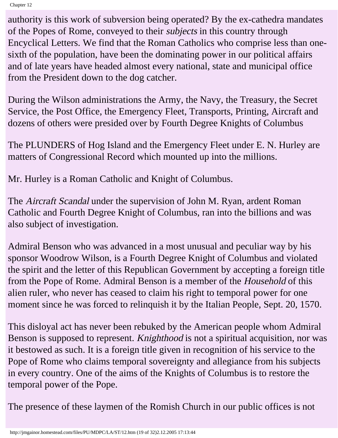authority is this work of subversion being operated? By the ex-cathedra mandates of the Popes of Rome, conveyed to their subjects in this country through Encyclical Letters. We find that the Roman Catholics who comprise less than onesixth of the population, have been the dominating power in our political affairs and of late years have headed almost every national, state and municipal office from the President down to the dog catcher.

During the Wilson administrations the Army, the Navy, the Treasury, the Secret Service, the Post Office, the Emergency Fleet, Transports, Printing, Aircraft and dozens of others were presided over by Fourth Degree Knights of Columbus

The PLUNDERS of Hog Island and the Emergency Fleet under E. N. Hurley are matters of Congressional Record which mounted up into the millions.

Mr. Hurley is a Roman Catholic and Knight of Columbus.

The Aircraft Scandal under the supervision of John M. Ryan, ardent Roman Catholic and Fourth Degree Knight of Columbus, ran into the billions and was also subject of investigation.

Admiral Benson who was advanced in a most unusual and peculiar way by his sponsor Woodrow Wilson, is a Fourth Degree Knight of Columbus and violated the spirit and the letter of this Republican Government by accepting a foreign title from the Pope of Rome. Admiral Benson is a member of the Household of this alien ruler, who never has ceased to claim his right to temporal power for one moment since he was forced to relinquish it by the Italian People, Sept. 20, 1570.

This disloyal act has never been rebuked by the American people whom Admiral Benson is supposed to represent. Knighthood is not a spiritual acquisition, nor was it bestowed as such. It is a foreign title given in recognition of his service to the Pope of Rome who claims temporal sovereignty and allegiance from his subjects in every country. One of the aims of the Knights of Columbus is to restore the temporal power of the Pope.

The presence of these laymen of the Romish Church in our public offices is not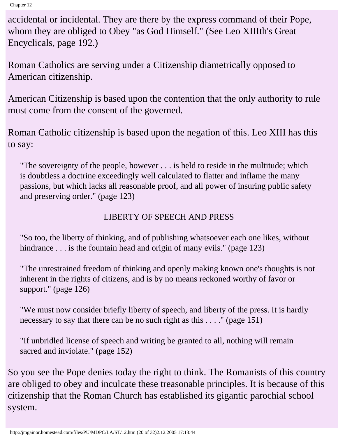accidental or incidental. They are there by the express command of their Pope, whom they are obliged to Obey "as God Himself." (See Leo XIIIth's Great Encyclicals, page 192.)

Roman Catholics are serving under a Citizenship diametrically opposed to American citizenship.

American Citizenship is based upon the contention that the only authority to rule must come from the consent of the governed.

Roman Catholic citizenship is based upon the negation of this. Leo XIII has this to say:

"The sovereignty of the people, however . . . is held to reside in the multitude; which is doubtless a doctrine exceedingly well calculated to flatter and inflame the many passions, but which lacks all reasonable proof, and all power of insuring public safety and preserving order." (page 123)

## LIBERTY OF SPEECH AND PRESS

"So too, the liberty of thinking, and of publishing whatsoever each one likes, without hindrance . . . is the fountain head and origin of many evils." (page 123)

"The unrestrained freedom of thinking and openly making known one's thoughts is not inherent in the rights of citizens, and is by no means reckoned worthy of favor or support." (page 126)

"We must now consider briefly liberty of speech, and liberty of the press. It is hardly necessary to say that there can be no such right as this . . . ." (page 151)

"If unbridled license of speech and writing be granted to all, nothing will remain sacred and inviolate." (page 152)

So you see the Pope denies today the right to think. The Romanists of this country are obliged to obey and inculcate these treasonable principles. It is because of this citizenship that the Roman Church has established its gigantic parochial school system.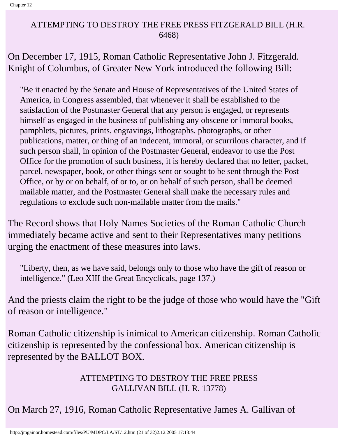## ATTEMPTING TO DESTROY THE FREE PRESS FITZGERALD BILL (H.R. 6468)

On December 17, 1915, Roman Catholic Representative John J. Fitzgerald. Knight of Columbus, of Greater New York introduced the following Bill:

"Be it enacted by the Senate and House of Representatives of the United States of America, in Congress assembled, that whenever it shall be established to the satisfaction of the Postmaster General that any person is engaged, or represents himself as engaged in the business of publishing any obscene or immoral books, pamphlets, pictures, prints, engravings, lithographs, photographs, or other publications, matter, or thing of an indecent, immoral, or scurrilous character, and if such person shall, in opinion of the Postmaster General, endeavor to use the Post Office for the promotion of such business, it is hereby declared that no letter, packet, parcel, newspaper, book, or other things sent or sought to be sent through the Post Office, or by or on behalf, of or to, or on behalf of such person, shall be deemed mailable matter, and the Postmaster General shall make the necessary rules and regulations to exclude such non-mailable matter from the mails."

The Record shows that Holy Names Societies of the Roman Catholic Church immediately became active and sent to their Representatives many petitions urging the enactment of these measures into laws.

"Liberty, then, as we have said, belongs only to those who have the gift of reason or intelligence." (Leo XIII the Great Encyclicals, page 137.)

And the priests claim the right to be the judge of those who would have the "Gift of reason or intelligence."

Roman Catholic citizenship is inimical to American citizenship. Roman Catholic citizenship is represented by the confessional box. American citizenship is represented by the BALLOT BOX.

> ATTEMPTING TO DESTROY THE FREE PRESS GALLIVAN BILL (H. R. 13778)

On March 27, 1916, Roman Catholic Representative James A. Gallivan of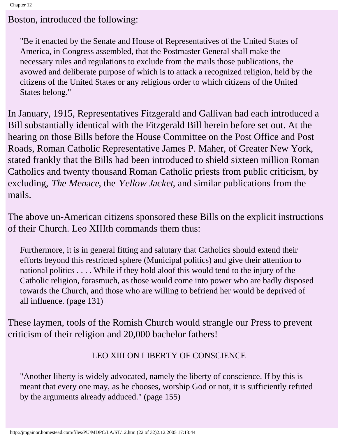Boston, introduced the following:

"Be it enacted by the Senate and House of Representatives of the United States of America, in Congress assembled, that the Postmaster General shall make the necessary rules and regulations to exclude from the mails those publications, the avowed and deliberate purpose of which is to attack a recognized religion, held by the citizens of the United States or any religious order to which citizens of the United States belong."

In January, 1915, Representatives Fitzgerald and Gallivan had each introduced a Bill substantially identical with the Fitzgerald Bill herein before set out. At the hearing on those Bills before the House Committee on the Post Office and Post Roads, Roman Catholic Representative James P. Maher, of Greater New York, stated frankly that the Bills had been introduced to shield sixteen million Roman Catholics and twenty thousand Roman Catholic priests from public criticism, by excluding, The Menace, the Yellow Jacket, and similar publications from the mails.

The above un-American citizens sponsored these Bills on the explicit instructions of their Church. Leo XIIIth commands them thus:

Furthermore, it is in general fitting and salutary that Catholics should extend their efforts beyond this restricted sphere (Municipal politics) and give their attention to national politics . . . . While if they hold aloof this would tend to the injury of the Catholic religion, forasmuch, as those would come into power who are badly disposed towards the Church, and those who are willing to befriend her would be deprived of all influence. (page 131)

These laymen, tools of the Romish Church would strangle our Press to prevent criticism of their religion and 20,000 bachelor fathers!

### LEO XIII ON LIBERTY OF CONSCIENCE

"Another liberty is widely advocated, namely the liberty of conscience. If by this is meant that every one may, as he chooses, worship God or not, it is sufficiently refuted by the arguments already adduced." (page 155)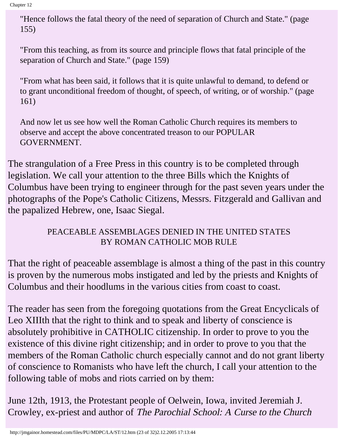"Hence follows the fatal theory of the need of separation of Church and State." (page 155)

"From this teaching, as from its source and principle flows that fatal principle of the separation of Church and State." (page 159)

"From what has been said, it follows that it is quite unlawful to demand, to defend or to grant unconditional freedom of thought, of speech, of writing, or of worship." (page 161)

And now let us see how well the Roman Catholic Church requires its members to observe and accept the above concentrated treason to our POPULAR GOVERNMENT.

The strangulation of a Free Press in this country is to be completed through legislation. We call your attention to the three Bills which the Knights of Columbus have been trying to engineer through for the past seven years under the photographs of the Pope's Catholic Citizens, Messrs. Fitzgerald and Gallivan and the papalized Hebrew, one, Isaac Siegal.

## PEACEABLE ASSEMBLAGES DENIED IN THE UNITED STATES BY ROMAN CATHOLIC MOB RULE

That the right of peaceable assemblage is almost a thing of the past in this country is proven by the numerous mobs instigated and led by the priests and Knights of Columbus and their hoodlums in the various cities from coast to coast.

The reader has seen from the foregoing quotations from the Great Encyclicals of Leo XIIIth that the right to think and to speak and liberty of conscience is absolutely prohibitive in CATHOLIC citizenship. In order to prove to you the existence of this divine right citizenship; and in order to prove to you that the members of the Roman Catholic church especially cannot and do not grant liberty of conscience to Romanists who have left the church, I call your attention to the following table of mobs and riots carried on by them:

June 12th, 1913, the Protestant people of Oelwein, Iowa, invited Jeremiah J. Crowley, ex-priest and author of The Parochial School: A Curse to the Church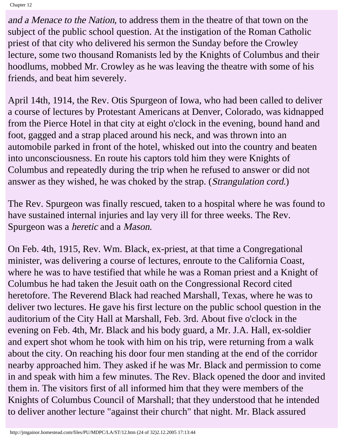and a Menace to the Nation, to address them in the theatre of that town on the subject of the public school question. At the instigation of the Roman Catholic priest of that city who delivered his sermon the Sunday before the Crowley lecture, some two thousand Romanists led by the Knights of Columbus and their hoodlums, mobbed Mr. Crowley as he was leaving the theatre with some of his friends, and beat him severely.

April 14th, 1914, the Rev. Otis Spurgeon of Iowa, who had been called to deliver a course of lectures by Protestant Americans at Denver, Colorado, was kidnapped from the Pierce Hotel in that city at eight o'clock in the evening, bound hand and foot, gagged and a strap placed around his neck, and was thrown into an automobile parked in front of the hotel, whisked out into the country and beaten into unconsciousness. En route his captors told him they were Knights of Columbus and repeatedly during the trip when he refused to answer or did not answer as they wished, he was choked by the strap. (Strangulation cord.)

The Rev. Spurgeon was finally rescued, taken to a hospital where he was found to have sustained internal injuries and lay very ill for three weeks. The Rev. Spurgeon was a heretic and a Mason.

On Feb. 4th, 1915, Rev. Wm. Black, ex-priest, at that time a Congregational minister, was delivering a course of lectures, enroute to the California Coast, where he was to have testified that while he was a Roman priest and a Knight of Columbus he had taken the Jesuit oath on the Congressional Record cited heretofore. The Reverend Black had reached Marshall, Texas, where he was to deliver two lectures. He gave his first lecture on the public school question in the auditorium of the City Hall at Marshall, Feb. 3rd. About five o'clock in the evening on Feb. 4th, Mr. Black and his body guard, a Mr. J.A. Hall, ex-soldier and expert shot whom he took with him on his trip, were returning from a walk about the city. On reaching his door four men standing at the end of the corridor nearby approached him. They asked if he was Mr. Black and permission to come in and speak with him a few minutes. The Rev. Black opened the door and invited them in. The visitors first of all informed him that they were members of the Knights of Columbus Council of Marshall; that they understood that he intended to deliver another lecture "against their church" that night. Mr. Black assured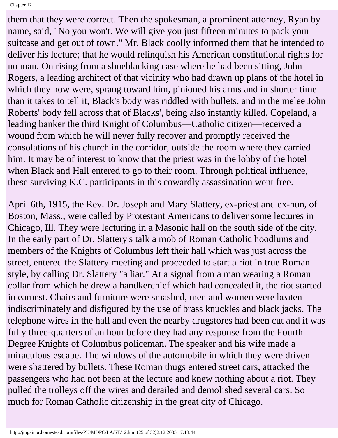them that they were correct. Then the spokesman, a prominent attorney, Ryan by name, said, "No you won't. We will give you just fifteen minutes to pack your suitcase and get out of town." Mr. Black coolly informed them that he intended to deliver his lecture; that he would relinquish his American constitutional rights for no man. On rising from a shoeblacking case where he had been sitting, John Rogers, a leading architect of that vicinity who had drawn up plans of the hotel in which they now were, sprang toward him, pinioned his arms and in shorter time than it takes to tell it, Black's body was riddled with bullets, and in the melee John Roberts' body fell across that of Blacks', being also instantly killed. Copeland, a leading banker the third Knight of Columbus—Catholic citizen—received a wound from which he will never fully recover and promptly received the consolations of his church in the corridor, outside the room where they carried him. It may be of interest to know that the priest was in the lobby of the hotel when Black and Hall entered to go to their room. Through political influence, these surviving K.C. participants in this cowardly assassination went free.

April 6th, 1915, the Rev. Dr. Joseph and Mary Slattery, ex-priest and ex-nun, of Boston, Mass., were called by Protestant Americans to deliver some lectures in Chicago, Ill. They were lecturing in a Masonic hall on the south side of the city. In the early part of Dr. Slattery's talk a mob of Roman Catholic hoodlums and members of the Knights of Columbus left their hall which was just across the street, entered the Slattery meeting and proceeded to start a riot in true Roman style, by calling Dr. Slattery "a liar." At a signal from a man wearing a Roman collar from which he drew a handkerchief which had concealed it, the riot started in earnest. Chairs and furniture were smashed, men and women were beaten indiscriminately and disfigured by the use of brass knuckles and black jacks. The telephone wires in the hall and even the nearby drugstores had been cut and it was fully three-quarters of an hour before they had any response from the Fourth Degree Knights of Columbus policeman. The speaker and his wife made a miraculous escape. The windows of the automobile in which they were driven were shattered by bullets. These Roman thugs entered street cars, attacked the passengers who had not been at the lecture and knew nothing about a riot. They pulled the trolleys off the wires and derailed and demolished several cars. So much for Roman Catholic citizenship in the great city of Chicago.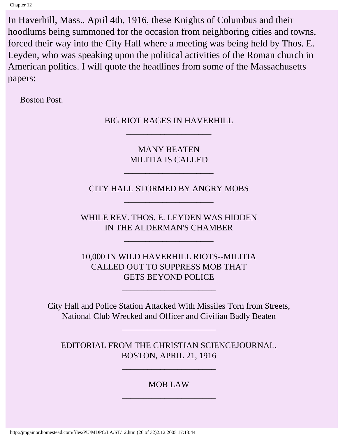In Haverhill, Mass., April 4th, 1916, these Knights of Columbus and their hoodlums being summoned for the occasion from neighboring cities and towns, forced their way into the City Hall where a meeting was being held by Thos. E. Leyden, who was speaking upon the political activities of the Roman church in American politics. I will quote the headlines from some of the Massachusetts papers:

Boston Post:

BIG RIOT RAGES IN HAVERHILL \_\_\_\_\_\_\_\_\_\_\_\_\_\_\_\_\_\_\_\_

> MANY BEATEN MILITIA IS CALLED

\_\_\_\_\_\_\_\_\_\_\_\_\_\_\_\_\_\_\_\_\_

CITY HALL STORMED BY ANGRY MOBS

\_\_\_\_\_\_\_\_\_\_\_\_\_\_\_\_\_\_\_\_\_

WHILE REV. THOS. E. LEYDEN WAS HIDDEN IN THE ALDERMAN'S CHAMBER

\_\_\_\_\_\_\_\_\_\_\_\_\_\_\_\_\_\_\_\_\_

10,000 IN WILD HAVERHILL RIOTS--MILITIA CALLED OUT TO SUPPRESS MOB THAT GETS BEYOND POLICE

\_\_\_\_\_\_\_\_\_\_\_\_\_\_\_\_\_\_\_\_\_\_

City Hall and Police Station Attacked With Missiles Torn from Streets, National Club Wrecked and Officer and Civilian Badly Beaten

\_\_\_\_\_\_\_\_\_\_\_\_\_\_\_\_\_\_\_\_\_\_

EDITORIAL FROM THE CHRISTIAN SCIENCEJOURNAL, BOSTON, APRIL 21, 1916

\_\_\_\_\_\_\_\_\_\_\_\_\_\_\_\_\_\_\_\_\_\_

MOB LAW \_\_\_\_\_\_\_\_\_\_\_\_\_\_\_\_\_\_\_\_\_\_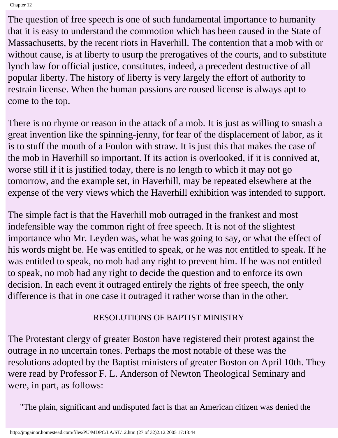The question of free speech is one of such fundamental importance to humanity that it is easy to understand the commotion which has been caused in the State of Massachusetts, by the recent riots in Haverhill. The contention that a mob with or without cause, is at liberty to usurp the prerogatives of the courts, and to substitute lynch law for official justice, constitutes, indeed, a precedent destructive of all popular liberty. The history of liberty is very largely the effort of authority to restrain license. When the human passions are roused license is always apt to come to the top.

There is no rhyme or reason in the attack of a mob. It is just as willing to smash a great invention like the spinning-jenny, for fear of the displacement of labor, as it is to stuff the mouth of a Foulon with straw. It is just this that makes the case of the mob in Haverhill so important. If its action is overlooked, if it is connived at, worse still if it is justified today, there is no length to which it may not go tomorrow, and the example set, in Haverhill, may be repeated elsewhere at the expense of the very views which the Haverhill exhibition was intended to support.

The simple fact is that the Haverhill mob outraged in the frankest and most indefensible way the common right of free speech. It is not of the slightest importance who Mr. Leyden was, what he was going to say, or what the effect of his words might be. He was entitled to speak, or he was not entitled to speak. If he was entitled to speak, no mob had any right to prevent him. If he was not entitled to speak, no mob had any right to decide the question and to enforce its own decision. In each event it outraged entirely the rights of free speech, the only difference is that in one case it outraged it rather worse than in the other.

## RESOLUTIONS OF BAPTIST MINISTRY

The Protestant clergy of greater Boston have registered their protest against the outrage in no uncertain tones. Perhaps the most notable of these was the resolutions adopted by the Baptist ministers of greater Boston on April 10th. They were read by Professor F. L. Anderson of Newton Theological Seminary and were, in part, as follows:

"The plain, significant and undisputed fact is that an American citizen was denied the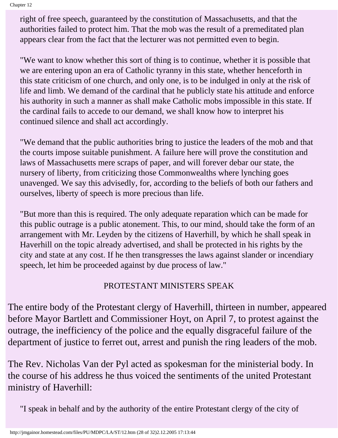right of free speech, guaranteed by the constitution of Massachusetts, and that the authorities failed to protect him. That the mob was the result of a premeditated plan appears clear from the fact that the lecturer was not permitted even to begin.

"We want to know whether this sort of thing is to continue, whether it is possible that we are entering upon an era of Catholic tyranny in this state, whether henceforth in this state criticism of one church, and only one, is to be indulged in only at the risk of life and limb. We demand of the cardinal that he publicly state his attitude and enforce his authority in such a manner as shall make Catholic mobs impossible in this state. If the cardinal fails to accede to our demand, we shall know how to interpret his continued silence and shall act accordingly.

"We demand that the public authorities bring to justice the leaders of the mob and that the courts impose suitable punishment. A failure here will prove the constitution and laws of Massachusetts mere scraps of paper, and will forever debar our state, the nursery of liberty, from criticizing those Commonwealths where lynching goes unavenged. We say this advisedly, for, according to the beliefs of both our fathers and ourselves, liberty of speech is more precious than life.

"But more than this is required. The only adequate reparation which can be made for this public outrage is a public atonement. This, to our mind, should take the form of an arrangement with Mr. Leyden by the citizens of Haverhill, by which he shall speak in Haverhill on the topic already advertised, and shall be protected in his rights by the city and state at any cost. If he then transgresses the laws against slander or incendiary speech, let him be proceeded against by due process of law."

### PROTESTANT MINISTERS SPEAK

The entire body of the Protestant clergy of Haverhill, thirteen in number, appeared before Mayor Bartlett and Commissioner Hoyt, on April 7, to protest against the outrage, the inefficiency of the police and the equally disgraceful failure of the department of justice to ferret out, arrest and punish the ring leaders of the mob.

The Rev. Nicholas Van der Pyl acted as spokesman for the ministerial body. In the course of his address he thus voiced the sentiments of the united Protestant ministry of Haverhill:

"I speak in behalf and by the authority of the entire Protestant clergy of the city of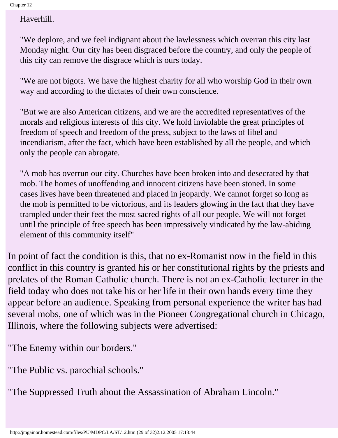#### Haverhill.

"We deplore, and we feel indignant about the lawlessness which overran this city last Monday night. Our city has been disgraced before the country, and only the people of this city can remove the disgrace which is ours today.

"We are not bigots. We have the highest charity for all who worship God in their own way and according to the dictates of their own conscience.

"But we are also American citizens, and we are the accredited representatives of the morals and religious interests of this city. We hold inviolable the great principles of freedom of speech and freedom of the press, subject to the laws of libel and incendiarism, after the fact, which have been established by all the people, and which only the people can abrogate.

"A mob has overrun our city. Churches have been broken into and desecrated by that mob. The homes of unoffending and innocent citizens have been stoned. In some cases lives have been threatened and placed in jeopardy. We cannot forget so long as the mob is permitted to be victorious, and its leaders glowing in the fact that they have trampled under their feet the most sacred rights of all our people. We will not forget until the principle of free speech has been impressively vindicated by the law-abiding element of this community itself"

In point of fact the condition is this, that no ex-Romanist now in the field in this conflict in this country is granted his or her constitutional rights by the priests and prelates of the Roman Catholic church. There is not an ex-Catholic lecturer in the field today who does not take his or her life in their own hands every time they appear before an audience. Speaking from personal experience the writer has had several mobs, one of which was in the Pioneer Congregational church in Chicago, Illinois, where the following subjects were advertised:

"The Enemy within our borders."

"The Public vs. parochial schools."

"The Suppressed Truth about the Assassination of Abraham Lincoln."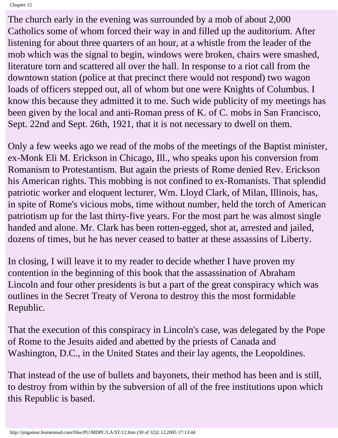The church early in the evening was surrounded by a mob of about 2,000 Catholics some of whom forced their way in and filled up the auditorium. After listening for about three quarters of an hour, at a whistle from the leader of the mob which was the signal to begin, windows were broken, chairs were smashed, literature torn and scattered all over the hall. In response to a riot call from the downtown station (police at that precinct there would not respond) two wagon loads of officers stepped out, all of whom but one were Knights of Columbus. I know this because they admitted it to me. Such wide publicity of my meetings has been given by the local and anti-Roman press of K. of C. mobs in San Francisco, Sept. 22nd and Sept. 26th, 1921, that it is not necessary to dwell on them.

Only a few weeks ago we read of the mobs of the meetings of the Baptist minister, ex-Monk Eli M. Erickson in Chicago, Ill., who speaks upon his conversion from Romanism to Protestantism. But again the priests of Rome denied Rev. Erickson his American rights. This mobbing is not confined to ex-Romanists. That splendid patriotic worker and eloquent lecturer, Wm. Lloyd Clark, of Milan, Illinois, has, in spite of Rome's vicious mobs, time without number, held the torch of American patriotism up for the last thirty-five years. For the most part he was almost single handed and alone. Mr. Clark has been rotten-egged, shot at, arrested and jailed, dozens of times, but he has never ceased to batter at these assassins of Liberty.

In closing, I will leave it to my reader to decide whether I have proven my contention in the beginning of this book that the assassination of Abraham Lincoln and four other presidents is but a part of the great conspiracy which was outlines in the Secret Treaty of Verona to destroy this the most formidable Republic.

That the execution of this conspiracy in Lincoln's case, was delegated by the Pope of Rome to the Jesuits aided and abetted by the priests of Canada and Washington, D.C., in the United States and their lay agents, the Leopoldines.

That instead of the use of bullets and bayonets, their method has been and is still, to destroy from within by the subversion of all of the free institutions upon which this Republic is based.